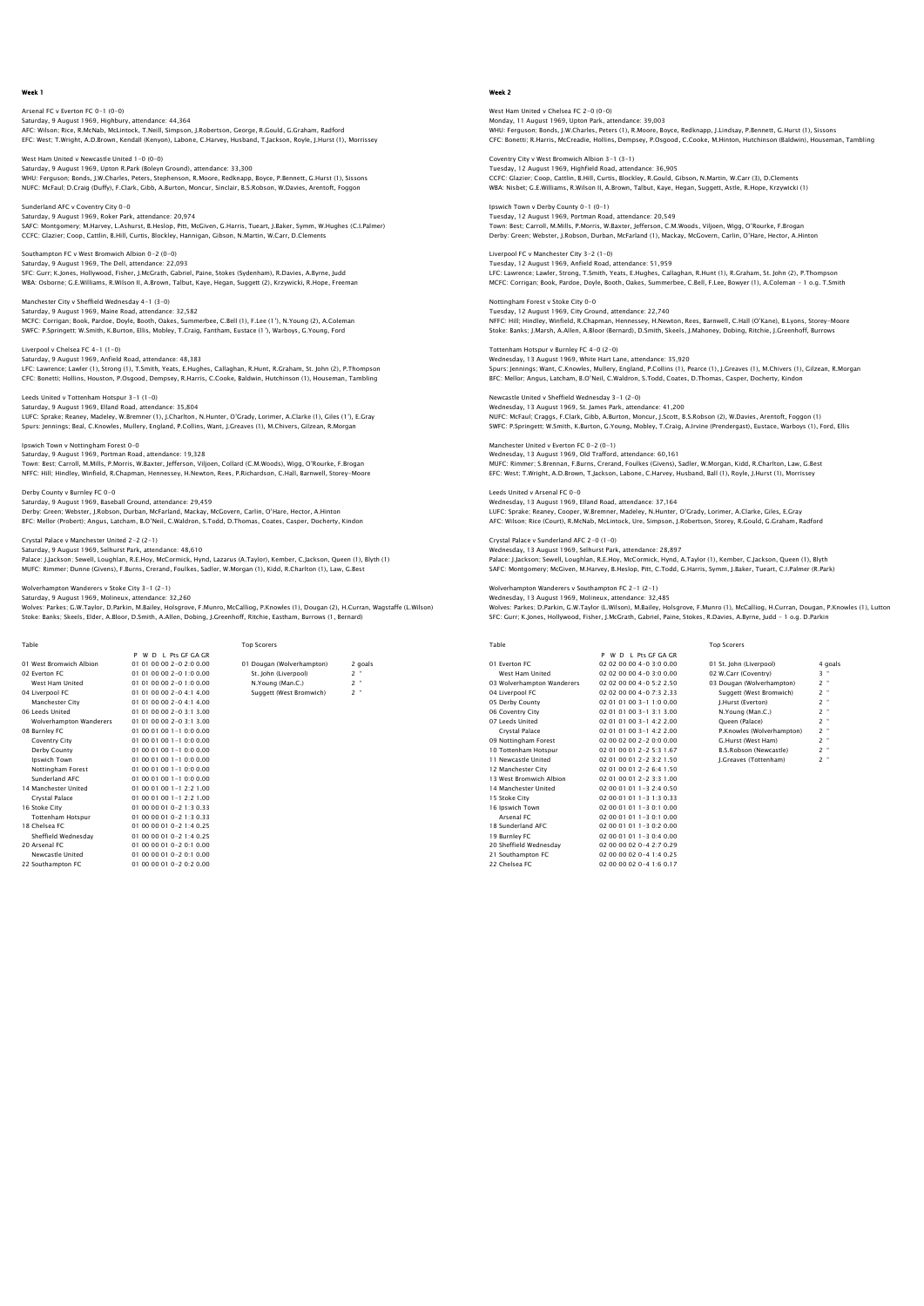Arsenal FC v Everton FC 0-1 (0-0) Saturday, 9 August 1969, Highbury, attendance: 44,364<br>AFC: Wilson; Rice, R.McNab, McLintock, T.Neill, Simpson, J.Robertson, George, R.Gould, G.Graham, Radford<br>EFC: West; T.Wright, A.D.Brown, Kendall (Kenyon), Labone, C.Har

West Ham United v Newcastle United 1-0 (0-0) Saturday, 9 August 1969, Upton R.Park (Boleyn Ground), attendance: 33,300<br>WHU: Ferguson; Bonds, J.W.Charles, Peters, Stephenson, R.Moore, Redknapp, Boyce, P.Bennett, G.Hurst (1), Sissons<br>NUFC: McFaul; D.Craiq (Duffy), F.Cl

Sunderland AFC v Coventry City 0-0 Saturday, 9 August 1969, Roker Park, attendance: 20,974<br>SAFC: Montgomery: M.Harvey, L.Ashurst, B.Heslop, Pitt, McGiven, G.Harris, Tueart, J.Baker, Symm, W.Hughes (C.I.Palmer)<br>CCFC: Glazier: Coop, Cattlin, B.Hill, Curtis, B

Southampton FC v West Bromwich Albion 0–2 (0–0)<br>Saturday, 9 August 1969, The Dell, attendance: 22,093<br>SFC: Gurr; K.Jones, Hollywood, Fisher, J.McGrath, Gabriel, Paine, Stokes (Sydenham), R.Davies, A.Byrne, Judd<br>VBA: Osborn

Manchester City v Sheffield Wednesday 4-1 (3-0) Saturday, 9 August 1969, Maine Road, attendance: 32,582 MCFC: Corrigan; Book, Pardoe, Doyle, Booth, Oakes, Summerbee, C.Bell (1), F.Lee (1'), N.Young (2), A.Coleman SWFC: P.Springett; W.Smith, K.Burton, Ellis, Mobley, T.Craig, Fantham, Eustace (1'), Warboys, G.Young, Ford

Liverpool v Chelsea FC 4-1 (1-0) Saturday, 9 August 1969, Anfield Road, attendance: 48,383 LFC: Lawrence; Lawler (1), Strong (1), T.Smith, Yeats, E.Hughes, Callaghan, R.Hunt, R.Graham, St. John (2), P.Thompson<br>CFC: Bonetti; Hollins, Houston, P.Osqood, Dempsey, R.Harris, C.Cooke, Baldwin, Hutchinson (1), Houseman

Leeds United v Tottenham Hotspur 3-1 (1-0) Saturday, 9 August 1969, Elland Road, attendance: 35,804 LUFC: Sprake; Reaney, Madeley, W.Bremner (1), J.Charlton, N.Hunter, O'Grady, Lorimer, A.Clarke (1), Giles (1'), E.Gray Spurs: Jennings; Beal, C.Knowles, Mullery, England, P.Collins, Want, J.Greaves (1), M.Chivers, Gilzean, R.Morgan

Ipswich Town v Nottingham Forest 0-0 Saturday, 9 August 1969, Portman Road, attendance: 19,328 Town: Best; Carroll, M.Mills, P.Morris, W.Baxter, Jefferson, Viljoen, Collard (C.M.Woods), Wigg, O'Rourke, F.Brogan<br>NFFC: Hill; Hindley, Winfield, R.Chapman, Hennessey, H.Newton, Rees, P.Richardson, C.Hall, Barnwell, Store

Derby County v Burnley FC 0-0 Saturday, 9 August 1969, Baseball Ground, attendance: 29,459 Derby: Green; Webster, J.Robson, Durban, McFarland, Mackay, McGovern, Carlin, O'Hare, Hector, A.Hinton BFC: Mellor (Probert); Angus, Latcham, B.O'Neil, C.Waldron, S.Todd, D.Thomas, Coates, Casper, Docherty, Kindon

Crystal Palace v Manchester United 2-2 (2-1) Saturday, 9 August 1969, Selhurst Park, attendance: 48,610

Palace: J.Jackson; Sewell, Loughlan, R.E.Hoy, McCormick, Hynd, Lazarus (A.Taylor), Kember, C.Jackson, Queen (1), Blyth (1) MUFC: Rimmer; Dunne (Givens), F.Burns, Crerand, Foulkes, Sadler, W.Morgan (1), Kidd, R.Charlton (1), Law, G.Best

rers v Stoke City 3-1 (2-1)

Saturday, 9 August 1969, Molineux, attendance: 32,260 Wolves: Parkes; G.W.Taylor, D.Parkin, M.Bailey, Holsgrove, F.Munro, McCalliog, P.Knowles (1), Dougan (2), H.Curran, Wagstaffe (L.Wilson) Stoke: Banks; Skeels, Elder, A.Bloor, D.Smith, A.Allen, Dobing, J.Greenhoff, Ritchie, Eastham, Burrows (1, Bernard)

| Table                          |                            | <b>Top Scorers</b>        |         |
|--------------------------------|----------------------------|---------------------------|---------|
|                                | P W D I Pts GE GA GR       |                           |         |
| 01 West Bromwich Albion        | $010100002 - 020000$       | 01 Dougan (Wolverhampton) | 2 goals |
| 02 Everton EC                  | $010100002 - 010000$       | St. John (Liverpool)      | $2 -$   |
| West Ham United                | $010100002 - 010000$       | N.Young (Man.C.)          | $2 -$   |
| 04 Liverpool FC                | 01 01 00 00 2-0 4:1 4.00   | Suggett (West Bromwich)   | $2 -$   |
| Manchester City                | $010100002 - 041400$       |                           |         |
| 06 Leeds United                | $010100002 - 031300$       |                           |         |
| <b>Wolverhampton Wanderers</b> | $010100002 - 031300$       |                           |         |
| 08 Burnley FC                  | $010001001 - 10000$        |                           |         |
| Coventry City                  | $01,00,01,00,1-1,0,0,0.00$ |                           |         |
| Derby County                   | $010001001 - 10000$        |                           |         |
| Ipswich Town                   | $01,00,01,00,1-1,0,0,0.00$ |                           |         |
| Nottingham Forest              | $01,00,01,00,1-1,0,0,0.00$ |                           |         |
| Sunderland AFC                 | 01 00 01 00 1-1 0:0 0.00   |                           |         |
| 14 Manchester United           | $010001001 - 122100$       |                           |         |
| Crystal Palace                 | 01 00 01 00 1-1 2:2 1.00   |                           |         |
| 16 Stoke City                  | 01 00 00 01 0-2 1:3 0.33   |                           |         |
| <b>Tottenham Hotspur</b>       | $010000010 - 2130.33$      |                           |         |
| 18 Chelsea EC                  | $010000010 - 2140.25$      |                           |         |
| Sheffield Wednesdav            | $010000010 - 2140.25$      |                           |         |
| 20 Arsenal FC                  | 01 00 00 01 0-2 0:1 0.00   |                           |         |
| Newcastle United               | $01,00,00,01,0-2,0:1,0.00$ |                           |         |
| 22 Southampton FC              | $01,00,00,01,0-2,0.2,0.00$ |                           |         |
|                                |                            |                           |         |

# Week 2

West Ham United v Chelsea FC 2-0 (0-0) Monday, 11 August 1969, Upton Park, attendance: 39,003<br>WHU: Ferguson; Bonds, J.W.Charles, Peters (1), R.Moore, Boyce, Redknapp, J.Lindsay, P.Bennett, G.Hurst (1), Sissons<br>CFC: Bonetti; R.Harris, McCreadie, Hollins, Dempsey

Coventry City v West Bromwich Albion 3-1 (3-1) Tuesday, 12 August 1969, Highfield Road, attendance: 36,905<br>CCFC: Glazier; Coop, Cattlin, B.Hill, Curtis, Blockley, R.Gould, Gibson, N.Martin, W.Carr (3), D.Clements<br>WBA: Nisbet: G.E.Williams, R.Wilson II, A.Brown, Talbut,

Ipswich Town v Derby County 0-1 (0-1) Tuesday, 12 August 1969, Portman Road, attendance: 20,549<br>Town: Best; Carroll, M.Mills, P.Morris, W.Baxter, Jefferson, C.M.Woods, Viljoen, Wigg, O'Rourke, F.Brogan<br>Derby: Green; Webster, J.Robson, Durban, McFarland (1), Ma

Liverpool FC v Manchester City 3-2 (1-0) Tuesday, 12 August 1969, Anfield Road, attendance: 51,959 LFC: Lawrence; Lawler, Strong, T.Smith, Yeats, E.Hughes, Callaghan, R.Hunt (1), R.Graham, St. John (2), P.Thompson<br>MCFC: Corrigan; Book, Pardoe, Doyle, Booth, Oakes, Summerbee, C.Bell, F.Lee, Bowyer (1), A.Coleman - 1 o.g.

Nottingham Forest v Stoke City 0-0 Tuesday, 12 August 1969, City Ground, attendance: 22,740 NFFC: Hill; Hindley, Winfield, R.Chapman, Hennessey, H.Newton, Rees, Barnwell, C.Hall (O'Kane), B.Lyons, Storey-Moore<br>Stoke: Banks; J.Marsh, A.Allen, A.Bloor (Bernard), D.Smith, Skeels, J.Mahoney, Dobing, Ritchie, J.Greenh

Tottenham Hotspur v Burnley FC 4-0 (2-0) Wednesday, 13 August 1969, White Hart Lane, attendance: 35,920<br>Spurs: Jennings; Want, C.Knowles, Mullery, England, P.Collins (1), Pearce (1), J.Greaves (1), M.Chivers (1), Gilzean, R.Morgan<br>BFC: Mellor: Anqus, Latcham, B.O

Newcastle United v Sheffield Wednesday 3-1 (2-0) Wednesday, 13 August 1969, St. James Park, attendance: 41,200 NUFC: McFaul; Craggs, F.Clark, Gibb, A.Burton, Moncur, J.Scott, B.S.Robson (2), W.Davies, Arentoft, Foggon (1) SWFC: P.Springett; W.Smith, K.Burton, G.Young, Mobley, T.Craig, A.Irvine (Prendergast), Eustace, Warboys (1), Ford, Ellis

Manchester United v Everton FC 0-2 (0-1) Wednesday, 13 August 1969, Old Trafford, attendance: 60,161 MUFC: Rimmer; S.Brennan, F.Burns, Crerand, Foulkes (Givens), Sadler, W.Morgan, Kidd, R.Charlton, Law, G.Best EFC: West; T.Wright, A.D.Brown, T.Jackson, Labone, C.Harvey, Husband, Ball (1), Royle, J.Hurst (1), Morrissey

Leeds United v Arsenal FC 0-0 Wednesday, 13 August 1969, Elland Road, attendance: 37,164 LUFC: Sprake; Reaney, Cooper, W.Bremner, Madeley, N.Hunter, O'Grady, Lorimer, A.Clarke, Giles, E.Gray AFC: Wilson; Rice (Court), R.McNab, McLintock, Ure, Simpson, J.Robertson, Storey, R.Gould, G.Graham, Radford

Crystal Palace v Sunderland AFC 2-0 (1-0) Wednesday, 13 August 1969, Selhurst Park, attendance: 28,897 Palace: J.Jackson; Sewell, Loughlan, R.E.Hoy, McCormick, Hynd, A.Taylor (1), Kember, C.Jackson, Queen (1), Blyth<br>SAFC: Montqomery; McGiven, M.Harvey, B.Heslop, Pitt, C.Todd, G.Harris, Symm, J.Baker, Tueart, C.I.Palmer (R.P

Wolverhampton Wanderers v Southampton FC 2-1 (2-1)

Wednesday, 13 August 1969, Molineux, attendance: 32,485 Wolves: Parkes; D.Parkin, G.W.Taylor (L.Wilson), M.Bailey, Holsgrove, F.Munro (1), McCalliog, H.Curran, Dougan, P.Knowles (1), Lutton SFC: Gurr; K.Jones, Hollywood, Fisher, J.McGrath, Gabriel, Paine, Stokes, R.Davies, A.Byrne, Judd – 1 o.g. D.Parkin

| Table                      |                            | <b>Top Scorers</b>            |         |
|----------------------------|----------------------------|-------------------------------|---------|
|                            | W D I Pts GE GA GR<br>P.   |                               |         |
| 01 Everton EC              | $0202000004 - 030000$      | 01 St. John (Liverpool)       | 4 goals |
| West Ham United            | 02 02 00 00 4-0 3:0 0.00   | 02 W.Carr (Coventry)          | $3$ "   |
| 03 Wolverhampton Wanderers | $020200004 - 052250$       | 03 Dougan (Wolverhampton)     | $2$ "   |
| 04 Liverpool FC            | 02 02 00 00 4-0 7:3 2.33   | Suggett (West Bromwich)       | $2$ "   |
| 05 Derby County            | 02 01 01 00 3-1 1:0 0.00   | I.Hurst (Everton)             | $2 -$   |
| 06 Coventry City           | 02 01 01 00 3-1 3:1 3.00   | N.Young (Man.C.)              | $2 -$   |
| 07 Leeds United            | 02 01 01 00 3-1 4:2 2.00   | Oueen (Palace)                | $2 -$   |
| Crystal Palace             | 02 01 01 00 3-1 4:2 2.00   | P.Knowles (Wolverhampton)     | $2$ "   |
| 09 Nottingham Forest       | $02,00,02,00,2-2,0,0,0.00$ | G.Hurst (West Ham)            | $2 -$   |
| 10 Tottenham Hotspur       | 02 01 00 01 2-2 5:3 1.67   | <b>B.S.Robson (Newcastle)</b> | $2$ "   |
| 11 Newcastle United        | $020100012 - 232150$       | J.Greaves (Tottenham)         | $2$ "   |
| 12 Manchester City         | 02 01 00 01 2-2 6:4 1.50   |                               |         |
| 13 West Bromwich Albion    | 02 01 00 01 2-2 3:3 1.00   |                               |         |
| 14 Manchester United       | 02 00 01 01 1-3 2:4 0.50   |                               |         |
| 15 Stoke City              | 02 00 01 01 1-3 1:3 0.33   |                               |         |
| 16 Ipswich Town            | $020001011 - 30100$        |                               |         |
| Arsenal FC                 | 02 00 01 01 1-3 0:1 0.00   |                               |         |
| 18 Sunderland AFC          | 02 00 01 01 1-3 0:2 0.00   |                               |         |
| 19 Burnley FC              | $020001011 - 30400$        |                               |         |
| 20 Sheffield Wednesday     | 02 00 00 02 0-4 2:7 0.29   |                               |         |
| 21 Southampton FC          | 02 00 00 02 0-4 1:4 0.25   |                               |         |
| 22 Chelsea EC              | 02 00 00 02 0-4 1:6 0.17   |                               |         |

| 01 St. John (Liverpool)       | 4 ao                                  |
|-------------------------------|---------------------------------------|
| 02 W.Carr (Coventry)          | з                                     |
| 03 Dougan (Wolverhampton)     | $\ddot{\phantom{1}}$<br>$\mathcal{P}$ |
| Suggett (West Bromwich)       | 2 "                                   |
| I.Hurst (Everton)             | $\ddot{\phantom{1}}$<br>$\mathcal{P}$ |
| N.Young (Man.C.)              | $\mathcal{P}$<br>$\ddot{\phantom{1}}$ |
| Oueen (Palace)                | $\mathcal{P}$                         |
| P.Knowles (Wolverhampton)     | 2 "                                   |
| G.Hurst (West Ham)            | $\ddot{\phantom{1}}$<br>$\mathcal{P}$ |
| <b>B.S.Robson (Newcastle)</b> | $\mathcal{P}$<br>$\ddot{\phantom{1}}$ |
| I.Greaves (Tottenham)         |                                       |
|                               |                                       |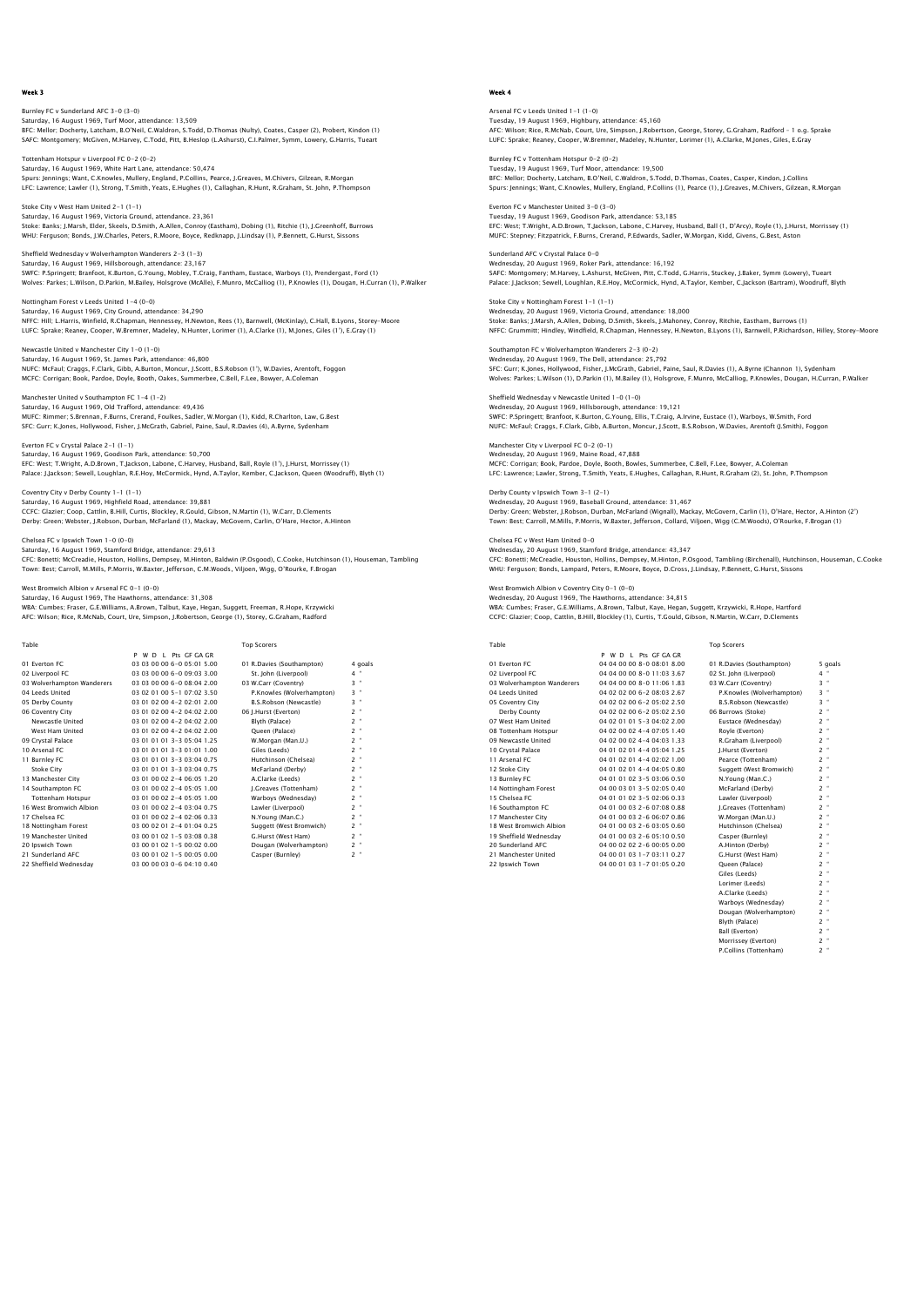Burnley FC v Sunderland AFC 3-0 (3-0) Saturday, 16 August 1969, Turf Moor, attendance: 13,509<br>BFC: Mellor; Docherty, Latcham, B.O.Yelil, C.Waldron, S.Todd, D.Thomas (Nulty), Coates, Casper (2), Probert, Kindon (1)<br>SAFC: Montqomery: McGiven, M.Harvey, C.Todd, P

Tottenham Hotspur v Liverpool FC 0-2 (0-2) Saturday, 16 August 1969, White Hart Lane, attendance: 50,474<br>Spurs: Jennings; Want, C.Knowles, Mullery, England, P.Collins, Pearce, J.Greaves, M.Chivers, Gilzean, R.Morgan<br>LFC: Lawrence; Lawler (1), Strong, T.Smith, Yeats

Stoke City v West Ham United 2-1 (1-1) Saturday, 16 August 1969, Victoria Ground, attendance. 23,361<br>Stoke: Banks; J.Marsh, Elder, Skeels, D.Smith, A.Allen, Conroy (Eastham), Dobing (1), Ritchie (1), J.Greenhoff, Burrows<br>WHU: Ferquson: Bonds, J.W.Charles, Peter

Sheffield Wednesday v Wolverhampton Wanderers 2-3 (1-3) Saturday, 16 August 1969, Hillsborough, attendance: 23,167<br>SWFC: P.Springett; Branfoot, K.Burton, G.Young, Mobley, T.Craig, Fantham, Eustace, Warboys (1), Prendergast, Ford (1)<br>Wolves: Parkes: L.Wilson, D.Parkin, M.Bailey,

Nottingham Forest v Leeds United 1-4 (0-0) Saturday, 16 August 1969, City Ground, attendance: 34,290 NFFC: Hill; L.Harris, Winfield, R.Chapman, Hennessey, H.Newton, Rees (1), Barnwell, (McKinlay), C.Hall, B.Lyons, Storey–Moore<br>LUFC: Sprake; Reaney, Cooper, W.Bremner, Madeley, N.Hunter, Lorimer (1), A.Clarke (1), M.Jones,

Newcastle United v Manchester City 1-0 (1-0) Saturday, 16 August 1969, St. James Park, attendance: 46,800<br>NUFC: McFaul; Craggs, F.Clark, Gibb, A.Burton, Moncur, J.Scott, B.S.Robson (1'), W.Davies, Arentoft, Foggon<br>MCFC: Corrigan; Book, Pardoe, Doyle, Booth, Oakes, Su

Manchester United v Southampton FC 1-4 (1-2) Saturday, 16 August 1969, Old Trafford, attendance: 49,436 MUFC: Rimmer; S.Brennan, F.Burns, Crerand, Foulkes, Sadler, W.Morgan (1), Kidd, R.Charlton, Law, G.Best SFC: Gurr; K.Jones, Hollywood, Fisher, J.McGrath, Gabriel, Paine, Saul, R.Davies (4), A.Byrne, Sydenham

Everton FC v Crystal Palace 2-1 (1-1) Saturday, 16 August 1969, Goodison Park, attendance: 50,700 EFC: West; T.Wright, A.D.Brown, T.Jackson, Labone, C.Harvey, Husband, Ball, Royle (1'), J.Hurst, Morrissey (1)<br>Palace: J.Jackson: Sewell, Louqhlan, R.E.Hoy, McCormick, Hynd, A.Taylor, Kember, C.Jackson, Queen (Woodruff), B

Coventry City v Derby County 1-1 (1-1) Saturday, 16 August 1969, Highfield Road, attendance: 39,881 CCFC: Glazier; Coop, Cattlin, B.Hill, Curtis, Blockley, R.Gould, Gibson, N.Martin (1), W.Carr, D.Clements Derby: Green; Webster, J.Robson, Durban, McFarland (1), Mackay, McGovern, Carlin, O'Hare, Hector, A.Hinton

Chelsea FC v Ipswich Town 1-0 (0-0) Saturday, 16 August 1969, Stamford Bridge, attendance: 29,613

CFC: Bonetti; McCreadie, Houston, Hollins, Dempsey, M.Hinton, Baldwin (P.Osgood), C.Cooke, Hutchinson (1), Houseman, Tambling Town: Best; Carroll, M.Mills, P.Morris, W.Baxter, Jefferson, C.M.Woods, Viljoen, Wigg, O'Rourke, F.Brogan

.<br>Ch Albion v Arsenal FC 0−1 (0−0)

Saturday, 16 August 1969, The Hawthorns, attendance: 31,308<br>WBA: Cumbes: Fraser, G.E.Williams, A.Brown, Talbut, Kaye, Hegan, Suggett, Freeman, R.Hope, Krzywicki<br>AFC: Wilson: Rice, R.McNab, Court, Ure, Simpson, J.Robertson,

| Table                      |                            | <b>Top Scorers</b>        |                     |
|----------------------------|----------------------------|---------------------------|---------------------|
|                            | W D I Pts GE GA GR<br>P    |                           |                     |
| 01 Everton EC              | 03 03 00 00 6-0 05:01 5:00 | 01 R.Davies (Southampton) | 4 goals             |
| 02 Liverpool FC            | 03 03 00 00 6-0 09:03 3.00 | St. John (Liverpool)      | $4$ "               |
| 03 Wolverhampton Wanderers | 03 03 00 00 6-0 08:04 2:00 | 03 W.Carr (Coventry)      | $3 -$               |
| 04 Leeds United            | 03 02 01 00 5-1 07:02 3.50 | P.Knowles (Wolverhampton) | 3 "                 |
| 05 Derby County            | 03 01 02 00 4-2 02:01 2:00 | B.S.Robson (Newcastle)    | $3 -$               |
| 06 Coventry City           | 03 01 02 00 4-2 04:02 2.00 | 06 J.Hurst (Everton)      | $2 -$               |
| Newcastle United           | 03 01 02 00 4-2 04:02 2.00 | Blyth (Palace)            | $2 -$               |
| West Ham United            | 03 01 02 00 4-2 04:02 2.00 | Oueen (Palace)            | $2 -$               |
| 09 Crystal Palace          | 03 01 01 01 3-3 05:04 1.25 | W.Morgan (Man.U.)         | ×<br>$\overline{2}$ |
| 10 Arsenal FC              | 03 01 01 01 3-3 01:01 1.00 | Giles (Leeds)             | $2 -$               |
| 11 Burnley FC              | 03 01 01 01 3-3 03:04 0.75 | Hutchinson (Chelsea)      | $2 -$               |
| <b>Stoke City</b>          | 03 01 01 01 3-3 03:04 0.75 | McFarland (Derby)         | $2 -$               |
| 13 Manchester City         | 03 01 00 02 2-4 06:05 1.20 | A.Clarke (Leeds)          | $2 -$               |
| 14 Southampton FC          | 03 01 00 02 2-4 05:05 1.00 | I.Greaves (Tottenham)     | $2 -$               |
| <b>Tottenham Hotspur</b>   | 03 01 00 02 2-4 05:05 1.00 | Warboys (Wednesday)       | $2 -$               |
| 16 West Bromwich Albion    | 03 01 00 02 2-4 03:04 0.75 | Lawler (Liverpool)        | $2 -$               |
| 17 Chelsea EC              | 03 01 00 02 2-4 02:06 0.33 | N.Young (Man.C.)          | $2 -$               |
| 18 Nottingham Forest       | 03 00 02 01 2-4 01:04 0.25 | Suggett (West Bromwich)   | $2 -$               |
| 19 Manchester United       | 03 00 01 02 1-5 03:08 0.38 | G.Hurst (West Ham)        | $2 -$               |
| 20 Ipswich Town            | 03 00 01 02 1-5 00:02 0.00 | Dougan (Wolverhampton)    | $2 -$               |
| 21 Sunderland AFC          | 03 00 01 02 1-5 00:05 0.00 | Casper (Burnley)          | $2 -$               |
| 22 Sheffield Wednesdav     | 03 00 00 03 0-6 04:10 0.40 |                           |                     |

### Week 4

Arsenal FC v Leeds United 1-1 (1-0) Tuesday, 19 August 1969, Highbury, attendance: 45,160<br>AFC: Wilson; Rice, R.McNab, Court, Ure, Simpson, J.Robertson, George, Storey, G.Graham, Radford - 1 o.g. Sprake<br>LUFC: Sprake: Reaney, Cooper, W.Bremner, Madeley, N.Hunt

Burnley FC v Tottenham Hotspur 0-2 (0-2) Tuesday, 19 August 1969, Turf Moor, attendance: 19,500<br>BFC: Mellor; Docherty, Latcham, B.O'Neil, C.Waldron, S.Todd, D.Thomas, Coates, Casper, Kindon, J.Collins<br>Spurs: Jennings; Want, C.Knowles, Mullery, England, P.Collins

Everton FC v Manchester United 3-0 (3-0) Tuesday, 19 August 1969, Goodison Park, attendance: 53,185<br>EFC: West T.Wright, A.D.Brown, T.Jackson, Labone, C.Harvey, Husband, Ball (1, D'Arcy), Royle (1), J.Hurst, Morrissey (1)<br>MUFC: Stepney; Fitzpatrick, F.Burns, Crera

Sunderland AFC v Crystal Palace 0-0 Wednesday, 20 August 1969, Roker Park, attendance: 16,192<br>SAFC: Montgomery; M.Harvey, L.Ashurst, MCGiven, Pitt, C.Todd, G.Harris, Stuckey, J.Baker, Symm (Lowery), Tueart<br>Palace: J.Jackson; Sewell, Loughlan, R.E.Hoy, McCorm

Stoke City v Nottingham Forest 1-1 (1-1) Wednesday, 20 August 1969, Victoria Ground, attendance: 18,000<br>Stoke: Banks; J.Marsh, A.Allen, Dobing, D.Smith, Skeels, J.Mahoney, Conroy, Ritchie, Eastham, Burrows (1)<br>NFFC: Grummitt; Hindley, Windfield, R.Chapman, Hennes

Southampton FC v Wolverhampton Wanderers 2-3 (0-2) Wednesday, 20 August 1969, The Dell, attendance: 25,792 SFC: Gurr; K.Jones, Hollywood, Fisher, J.McGrath, Gabriel, Paine, Saul, R.Davies (1), A.Byrne (Channon 1), Sydenham Wolves: Parkes; L.Wilson (1), D.Parkin (1), M.Bailey (1), Holsgrove, F.Munro, McCalliog, P.Knowles, Dougan, H.Curran, P.Walker

Sheffield Wednesday v Newcastle United 1-0 (1-0) Wednesday, 20 August 1969, Hillsborough, attendance: 19,121<br>SWFC: P.Springett; Branfoot, K.Burton, G.Young, Ellis, T.Craig, A.Irvine, Eustace (1), Warboys, W.Smith, Ford<br>NUFC: McFaul; Craqqs, F.Clark, Gibb, A.Burton, Moncu

Manchester City v Liverpool FC 0-2 (0-1) Wednesday, 20 August 1969, Maine Road, 47,888 MCFC: Corrigan; Book, Pardoe, Doyle, Booth, Bowles, Summerbee, C.Bell, F.Lee, Bowyer, A.Coleman LFC: Lawrence; Lawler, Strong, T.Smith, Yeats, E.Hughes, Callaghan, R.Hunt, R.Graham (2), St. John, P.Thompson

Derby County v Ipswich Town 3-1 (2-1) Wednesday, 20 August 1969, Baseball Ground, attendance: 31,467 Derby: Green; Webster, J.Robson, Durban, McFarland (Wignall), Mackay, McGovern, Carlin (1), O'Hare, Hector, A.Hinton (2')<br>Town: Best; Carroll, M.Mills, P.Morris, W.Baxter, Jefferson, Collard, Viljoen, Wiqq (C.M.Woods), O'R

Chelsea FC v West Ham United 0-0 Wednesday, 20 August 1969, Stamford Bridge, attendance: 43,347 CFC: Bonetti; McCreadie, Houston, Hollins, Dempsey, M.Hinton, P.Osgood, Tambling (Birchenall), Hutchinson, Houseman, C.Cooke WHU: Ferguson; Bonds, Lampard, Peters, R.Moore, Boyce, D.Cross, J.Lindsay, P.Bennett, G.Hurst, Sissons

wentry City 0-1 (0-0) Wednesday, 20 August 1969, The Hawthorns, attendance: 34,815<br>WBA: Cumbes; Fraser, G.E.Williams, A.Brown, Talbut, Kaye, Hegan, Suggett, Krzywicki, R.Hope, Hartforc<br>CCFC: Glazier; Coop, Cattlin, B.Hill, Blockley (1), Curtis,

| Table                      |                            | <b>Top Scorers</b>        |         |
|----------------------------|----------------------------|---------------------------|---------|
|                            | P W D I Pts GE GA GR       |                           |         |
| 01 Everton EC              | 04 04 00 00 8-0 08:01 8:00 | 01 R.Davies (Southampton) | 5 goals |
| 02 Liverpool FC            | 04 04 00 00 8-0 11:03 3.67 | 02 St. John (Liverpool)   | $4$ "   |
| 03 Wolverhampton Wanderers | 04 04 00 00 8-0 11:06 1.83 | 03 W.Carr (Coventry)      | $3 -$   |
| 04 Leeds United            | 04 02 02 00 6-2 08:03 2.67 | P.Knowles (Wolverhampton) | $3 -$   |
| 05 Coventry City           | 04 02 02 00 6-2 05:02 2.50 | B.S.Robson (Newcastle)    | $3$ "   |
| Derby County               | 04 02 02 00 6-2 05:02 2.50 | 06 Burrows (Stoke)        | $2$ "   |
| 07 West Ham United         | 04 02 01 01 5-3 04:02 2:00 | Eustace (Wednesdav)       | $2$ "   |
| 08 Tottenham Hotspur       | 04 02 00 02 4-4 07:05 1.40 | Royle (Everton)           | $2$ "   |
| 09 Newcastle United        | 04 02 00 02 4-4 04:03 1.33 | R.Graham (Liverpool)      | $2 -$   |
| 10 Crystal Palace          | 04 01 02 01 4-4 05:04 1.25 | I.Hurst (Everton)         | $2$ "   |
| 11 Arsenal FC              | 04 01 02 01 4-4 02:02 1.00 | Pearce (Tottenham)        | $2 -$   |
| 12 Stoke City              | 04 01 02 01 4-4 04:05 0.80 | Suggett (West Bromwich)   | $2$ "   |
| 13 Burnley FC              | 04 01 01 02 3-5 03:06 0.50 | N.Young (Man.C.)          | $2$ "   |
| 14 Nottingham Forest       | 04 00 03 01 3-5 02:05 0.40 | McFarland (Derby)         | $2$ "   |
| 15 Chelsea EC              | 04 01 01 02 3-5 02:06 0.33 | Lawler (Liverpool)        | $2$ "   |
| 16 Southampton FC          | 04 01 00 03 2-6 07:08 0.88 | I.Greaves (Tottenham)     | $2$ "   |
| 17 Manchester City         | 04 01 00 03 2-6 06:07 0.86 | W.Morgan (Man.U.)         | $2$ "   |
| 18 West Bromwich Albion    | 04 01 00 03 2-6 03:05 0.60 | Hutchinson (Chelsea)      | $2$ "   |
| 19 Sheffield Wednesdav     | 04 01 00 03 2-6 05:10 0.50 | Casper (Burnley)          | $2$ "   |
| 20 Sunderland AFC          | 04 00 02 02 2-6 00:05 0.00 | A.Hinton (Derby)          | $2$ "   |
| 21 Manchester United       | 04 00 01 03 1-7 03:11 0.27 | G.Hurst (West Ham)        | $2$ "   |
| 22 Ipswich Town            | 04 00 01 03 1-7 01:05 0.20 | Oueen (Palace)            | $2$ "   |
|                            |                            | Giles (Leeds)             | $2$ "   |
|                            |                            | Lorimer (Leeds)           | $2$ "   |
|                            |                            | A.Clarke (Leeds)          | $2 -$   |

Warboys (Wednesday) 2<br>Dougan (Wolverhampton) 2 Dougan (Wolverhampton) 2 "<br>Blyth (Palace) 2 "<br>Ball (Everton) 2 " Blyth (Palace) 2 " Ball (Everton) 2 " Morrissey (Everton) 2 " P.Collins (Tottenham) 2 "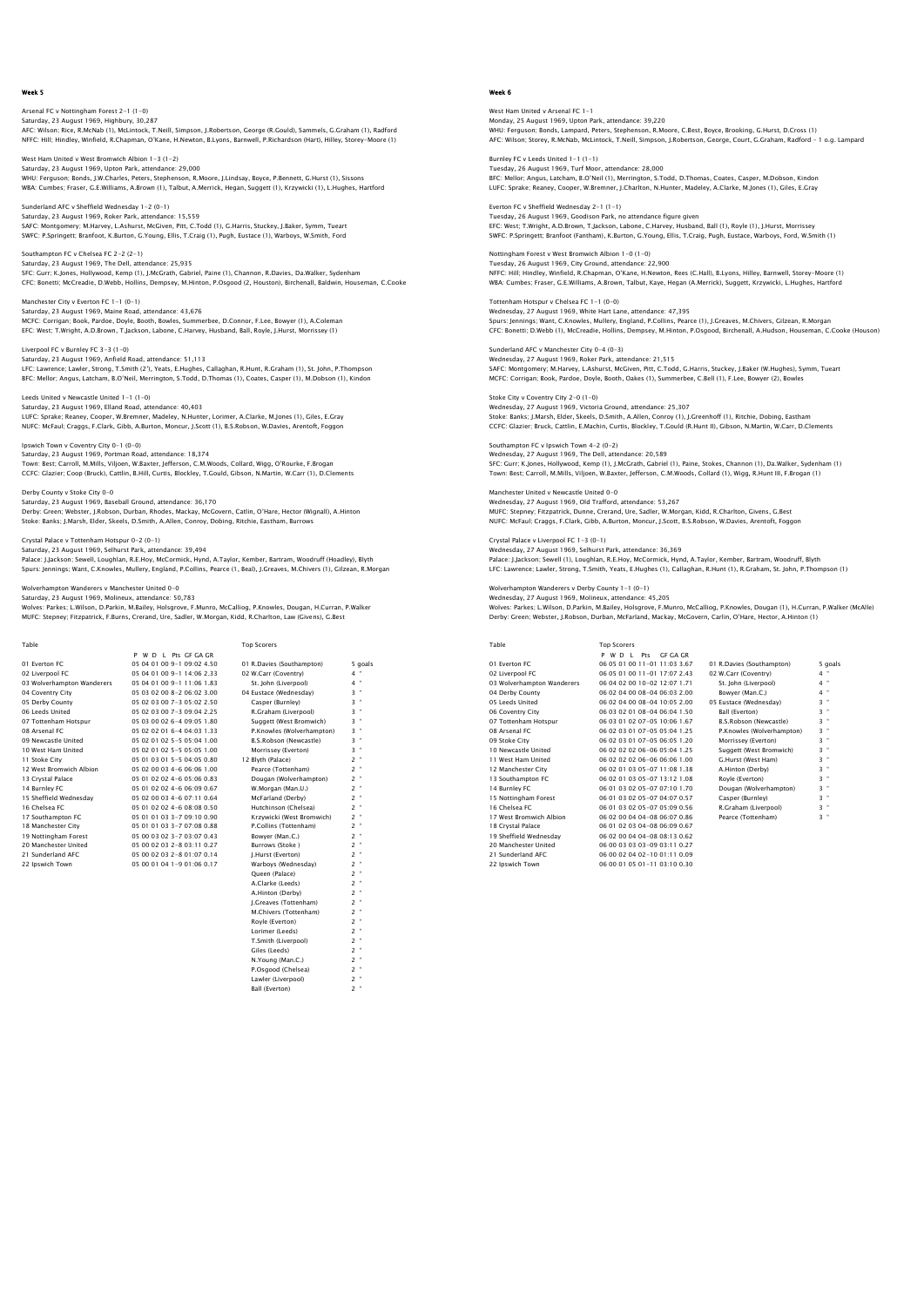# Arsenal FC v Nottingham Forest 2-1 (1-0) Saturday, 23 August 1969, Highbury, 30,287<br>AFC: Wilson; Rice, R.McNab (1), McLintock, T.Neill, Simpson, J.Robertson, George (R.Gould), Sammels, G.Graham (1), Radford<br>NFFC: Hill; Hindley, Winfield, R.Chapman, O'Kane, H.Newt

West Ham United v West Bromwich Albion 1-3 (1-2) Saturday, 23 August 1969, Upton Park, attendance: 29,000<br>WHU: Ferguson; Bonds, J.W.Charles, Peters, Stephenson, R.Moore, J.Lindsay, Boyce, P.Bennett, G.Hurst (1), Sissons<br>WBA: Cumbes; Fraser, G.E.Williams, A.Brown (1), Tal

Sunderland AFC v Sheffield Wednesday 1-2 (0-1) Saturday, 23 August 1969, Roker Park, attendance: 15,559<br>SAFC: Montgomery; M.Harvey, L.Ashurst, McGiven, Pitt, C.Todd (1), G.Harris, Stuckey, J.Baker, Symm, Tuear!<br>SWFC: P.Sprinqett: Branfoot, K.Burton, G.Younq, Ellis, T.C

Southampton FC v Chelsea FC 2-2 (2-1) Saturday, 23 August 1969, The Dell, attendance: 25,935<br>SFC: Gurr; K.Jones, Hollywood, Kemp (1), J.MCGrath, Gabriel, Paine (1), Channon, R.Davies, Da.Walker, Sydenham<br>CFC: Bonetti; McCreadie, D.Webb, Hollins, Dempsey, M.Hin

Manchester City v Everton FC 1-1 (0-1) Saturday, 23 August 1969, Maine Road, attendance: 43,676 MCFC: Corrigan; Book, Pardoe, Doyle, Booth, Bowles, Summerbee, D.Connor, F.Lee, Bowyer (1), A.Coleman EFC: West; T.Wright, A.D.Brown, T.Jackson, Labone, C.Harvey, Husband, Ball, Royle, J.Hurst, Morrissey (1)

Liverpool FC v Burnley FC 3-3 (1-0) Saturday, 23 August 1969, Anfield Road, attendance: 51,113<br>LFC: Lawrence; Lawler, Strong, T.Smith (2'), Yeats, E.Hughes, Callaghan, R.Hunt, R.Graham (1), St. John, P.Thompson<br>BFC: Mellor: Anqus, Latcham, B.O'Neil, Merrinqt

Leeds United v Newcastle United 1-1 (1-0) Saturday, 23 August 1969, Elland Road, attendance: 40,403 LUFC: Sprake; Reaney, Cooper, W.Bremner, Madeley, N.Hunter, Lorimer, A.Clarke, M.Jones (1), Giles, E.Gray NUFC: McFaul; Craggs, F.Clark, Gibb, A.Burton, Moncur, J.Scott (1), B.S.Robson, W.Davies, Arentoft, Foggon

Ipswich Town v Coventry City 0-1 (0-0) Saturday, 23 August 1969, Portman Road, attendance: 18,374 Town: Best; Carroll, M.Mills, Viljoen, W.Baxter, Jefferson, C.M.Woods, Collard, Wigg, O'Rourke, F.Brogan CCFC: Glazier; Coop (Bruck), Cattlin, B.Hill, Curtis, Blockley, T.Gould, Gibson, N.Martin, W.Carr (1), D.Clements

Derby County v Stoke City 0-0 Saturday, 23 August 1969, Baseball Ground, attendance: 36,170 Derby: Green; Webster, J.Robson, Durban, Rhodes, Mackay, McGovern, Catlin, O'Hare, Hector (Wignall), A.Hinton<br>Stoke: Banks; J.Marsh, Elder, Skeels, D.Smith, A.Allen, Conroy, Dobing, Ritchie, Eastham, Burrows

Crystal Palace v Tottenham Hotspur 0-2 (0-1)

Saturday, 23 August 1969, Selhurst Park, attendance: 39,494<br>Palace: J.Jackson; Sewell, Loughian, R.E.Hoy, McCormick, Hynd, A.Taylor, Kember, Bartram, Woodruff (Hoadley), Blyth<br>Spurs: Jennings; Want, C.Knowles, Mullery, Eng

rers v Manchester United 0-0

Saturday, 23 August 1969, Molineux, attendance: 50,783<br>Wolves: Parkes; L.Wilson, D.Parkin, M.Bailey, Holsgrove, F.Munro, McCalliog, P.Knowles, Dougan, H.Curran, P.Walker<br>MUFC: Stepney; Fitzpatrick, F.Burns, Crerand, Ure, S

| Table                      |                            | <b>Top Scorers</b>        |                     |
|----------------------------|----------------------------|---------------------------|---------------------|
|                            | P W D L Pts GF GA GR       |                           |                     |
| 01 Everton EC              | 05 04 01 00 9-1 09:02 4.50 | 01 R.Davies (Southampton) | 5 goals             |
| 02 Liverpool FC            | 05 04 01 00 9-1 14:06 2.33 | 02 W.Carr (Coventry)      | $4$ "               |
| 03 Wolverhampton Wanderers | 05 04 01 00 9-1 11:06 1.83 | St. John (Liverpool)      | $4$ "               |
| 04 Coventry City           | 05 03 02 00 8-2 06:02 3:00 | 04 Eustace (Wednesday)    | $3$ "               |
| 05 Derby County            | 05 02 03 00 7-3 05:02 2.50 | Casper (Burnley)          | $3 -$               |
| 06 Leeds United            | 05 02 03 00 7-3 09:04 2.25 | R.Graham (Liverpool)      | $3 -$               |
| 07 Tottenham Hotspur       | 05 03 00 02 6-4 09:05 1.80 | Suggett (West Bromwich)   | $3 -$               |
| 08 Arsenal FC              | 05 02 02 01 6-4 04:03 1.33 | P.Knowles (Wolverhampton) | $3 -$               |
| 09 Newcastle United        | 05 02 01 02 5-5 05:04 1.00 | B.S.Robson (Newcastle)    | $3$ "               |
| 10 West Ham United         | 05 02 01 02 5-5 05:05 1.00 | Morrissey (Everton)       | ×<br>3              |
| 11 Stoke City              | 05 01 03 01 5-5 04:05 0.80 | 12 Blvth (Palace)         | $2$ "               |
| 12 West Bromwich Albion    | 05 02 00 03 4-6 06:06 1.00 | Pearce (Tottenham)        | $2$ "               |
| 13 Crystal Palace          | 05 01 02 02 4-6 05:06 0.83 | Dougan (Wolverhampton)    | $2 -$               |
| 14 Burnley FC              | 05 01 02 02 4-6 06:09 0.67 | W.Morgan (Man.U.)         | $2 -$               |
| 15 Sheffield Wednesdav     | 05 02 00 03 4-6 07:11 0.64 | McFarland (Derby)         | $2$ "               |
| 16 Chelsea FC              | 05 01 02 02 4-6 08:08 0.50 | Hutchinson (Chelsea)      | $2$ "               |
| 17 Southampton FC          | 05 01 01 03 3-7 09:10 0.90 | Krzywicki (West Bromwich) | $2$ "               |
| 18 Manchester City         | 05 01 01 03 3-7 07:08 0.88 | P.Collins (Tottenham)     | $2$ "               |
| 19 Nottingham Forest       | 05 00 03 02 3-7 03:07 0.43 | Bowver (Man.C.)           | $2$ "               |
| 20 Manchester United       | 05 00 02 03 2-8 03:11 0.27 | Burrows (Stoke)           | $2$ "               |
| 21 Sunderland AFC          | 05 00 02 03 2-8 01:07 0.14 | I.Hurst (Everton)         | $2 -$               |
| 22 Ipswich Town            | 05 00 01 04 1-9 01:06 0.17 | Warboys (Wednesday)       | $2$ "               |
|                            |                            | Oueen (Palace)            | $2$ "               |
|                            |                            | A.Clarke (Leeds)          | $2$ "               |
|                            |                            | A.Hinton (Derby)          | $2 -$               |
|                            |                            | I.Greaves (Tottenham)     | ×<br>$\overline{2}$ |
|                            |                            | M.Chivers (Tottenham)     | $2 -$               |
|                            |                            | Royle (Everton)           | $2$ "               |
|                            |                            | Lorimer (Leeds)           | ×<br>$\overline{2}$ |
|                            |                            | T.Smith (Liverpool)       | $2 -$               |

Giles (Leeds) 2 "<br>
N.Young (Man.C.) 2 "<br>
P.Osgood (Chelsea) 2 "<br>
Lawler (Liverpool) 2 "<br>
2 " N.Young (Man.C.)

P.Osgood (Chelsea) 2 " Lawler (Liverpool) 2 " Ball (Everton) 2 "

# Week 6

West Ham United v Arsenal FC 1-1 Monday, 25 August 1969, Upton Park, attendance: 39,220<br>WHU: Ferguson; Bonds, Lampard, Peters, Stephenson, R.Moore, C.Best, Boyce, Brooking, G.Hurst, D.Cross (1)<br>AFC: Wilson; Storey, R.McNab, McLintock, T.Neill, Simpson, J.

Burnley FC v Leeds United 1-1 (1-1) Tuesday, 26 August 1969, Turf Moor, attendance: 28,000<br>BFC: Mellor; Angus, Latcham, B.O'Neil (1), Merrington, S.Todd, D.Thomas, Coates, Casper, M.Dobson, Kindor<br>LUFC: Sprake; Reaney, Cooper, W.Bremner, J.Charlton, N.Hunter

Everton FC v Sheffield Wednesday 2-1 (1-1) Tuesday, 26 August 1969, Goodison Park, no attendance figure given<br>EFC: West, T.Wright, A.D.Brown, T.Jackson, Labone, C.Harvey, Husband, Ball (1), Royle (1), J.Hurst, Morrissey<br>SWFC: P.Springett; Branfoot (Fantham), K.Burt

Nottingham Forest v West Bromwich Albion 1-0 (1-0) Tuesday, 26 August 1969, City Ground, attendance: 22,900<br>NFFC: Hilj. Hindley, Winfield, R.Chapman, O'Kane, H.Newton, Rees (C.Hall), B.Lyons, Hilley, Barnwell, Storey-Moore (1)<br>WBA: Cumbes: Fraser, G.E.Williams, A.Brown, Ta

Tottenham Hotspur v Chelsea FC 1-1 (0-0) Wednesday, 27 August 1969, White Hart Lane, attendance: 47,395 Spurs: Jennings; Want, C.Knowles, Mullery, England, P.Collins, Pearce (1), J.Greaves, M.Chivers, Gilzean, R.Morgan<br>CFC: Bonetti; D.Webb (1), McCreadie, Hollins, Dempsey, M.Hinton, P.Osqood, Birchenall, A.Hudson, Houseman,

Sunderland AFC v Manchester City 0-4 (0-3) Wednesday, 27 August 1969, Roker Park, attendance: 21,515<br>SAFC: Montgomery; M.Harvey, L.Ashurst, McGiven, Pitt, C.Todd, G.Harris, Stuckey, J.Baker (W.Hughes), Symm, Tuear1<br>MCFC: Corriqan; Book, Pardoe, Doyle, Booth, Oakes

Stoke City v Coventry City 2-0 (1-0) Wednesday, 27 August 1969, Victoria Ground, attendance: 25,307 Stoke: Banks; J.Marsh, Elder, Skeels, D.Smith, A.Allen, Conroy (1), J.Greenhoff (1), Ritchie, Dobing, Eastham<br>CCFC: Glazier; Bruck, Cattlin, E.Machin, Curtis, Blockley, T.Gould (R.Hunt II), Gibson, N.Martin, W.Carr, D.Clem

Southampton FC v Ipswich Town 4-2 (0-2) Wednesday, 27 August 1969, The Dell, attendance: 20,589 SFC: Gurr; K.Jones, Hollywood, Kemp (1), J.McGrath, Gabriel (1), Paine, Stokes, Channon (1), Da.Walker, Sydenham (1)<br>Town: Best; Carroll, M.Mills, Viljoen, W.Baxter, Jefferson, C.M.Woods, Collard (1), Wiqq, R.Hunt III, F.B

Manchester United v Newcastle United 0-0 Wednesday, 27 August 1969, Old Trafford, attendance: 53,267 MUFC: Stepney; Fitzpatrick, Dunne, Crerand, Ure, Sadler, W.Morgan, Kidd, R.Charlton, Givens, G.Best NUFC: McFaul; Craggs, F.Clark, Gibb, A.Burton, Moncur, J.Scott, B.S.Robson, W.Davies, Arentoft, Foggon

Crystal Palace v Liverpool FC 1-3 (0-1) Wednesday, 27 August 1969, Selhurst Park, attendance: 36,369 Palace: J.Jackson; Sewell (1), Loughlan, R.E.Hoy, McCormick, Hynd, A.Taylor, Kember, Bartram, Woodruff, Blyth LFC: Lawrence; Lawler, Strong, T.Smith, Yeats, E.Hughes (1), Callaghan, R.Hunt (1), R.Graham, St. John, P.Thompson (1)

enderers v Derby County 1-1 (0-1)

Wednesday, 27 August 1969, Molineux, attendance: 45,205 Wolves: Parkes; L.Wilson, D.Parkin, M.Bailey, Holsgrove, F.Munro, McCalliog, P.Knowles, Dougan (1), H.Curran, P.Walker (McAlle) Derby: Green; Webster, J.Robson, Durban, McFarland, Mackay, McGovern, Carlin, O'Hare, Hector, A.Hinton (1)

| Table                      | <b>Top Scorers</b>             |                               |                           |
|----------------------------|--------------------------------|-------------------------------|---------------------------|
|                            | WD I<br>GE GA GR<br>Pts<br>P   |                               |                           |
| 01 Everton EC              | 06 05 01 00 11 - 01 11:03 3.67 | 01 R.Davies (Southampton)     | 5 goals                   |
| 02 Liverpool FC            | 06 05 01 00 11 - 01 17:07 2.43 | 02 W.Carr (Coventry)          | $\ddot{\phantom{1}}$<br>4 |
| 03 Wolverhampton Wanderers | 06 04 02 00 10-02 12:07 1.71   | St. John (Liverpool)          | $4$ "                     |
| 04 Derby County            | 06 02 04 00 08-04 06:03 2.00   | Bowyer (Man.C.)               | 4 "                       |
| 05 Leeds United            | 06 02 04 00 08-04 10:05 2.00   | 05 Eustace (Wednesday)        | $3$ "                     |
| 06 Coventry City           | 06 03 02 01 08-04 06:04 1.50   | Ball (Everton)                | $3$ "                     |
| 07 Tottenham Hotspur       | 06 03 01 02 07-05 10:06 1.67   | <b>B.S.Robson (Newcastle)</b> | $3 -$                     |
| 08 Arsenal FC              | 06 02 03 01 07-05 05:04 1.25   | P.Knowles (Wolverhampton)     | $3 -$                     |
| 09 Stoke City              | 06 02 03 01 07-05 06:05 1.20   | Morrissev (Everton)           | $\ddot{\phantom{1}}$<br>3 |
| 10 Newcastle United        | 06 02 02 02 06-06 05:04 1.25   | Suggett (West Bromwich)       | $3 -$                     |
| 11 West Ham United         | 06 02 02 02 06-06 06:06 1.00   | G.Hurst (West Ham)            | $3$ "                     |
| 12 Manchester City         | 06 02 01 03 05-07 11:08 1.38   | A.Hinton (Derby)              | $3$ "                     |
| 13 Southampton FC          | 06 02 01 03 05-07 13:12 1.08   | Royle (Everton)               | $3$ "                     |
| 14 Burnley FC              | 06 01 03 02 05-07 07:10 1.70   | Dougan (Wolverhampton)        | $3 -$                     |
| 15 Nottingham Forest       | 06 01 03 02 05-07 04:07 0.57   | Casper (Burnley)              | $3$ "                     |
| 16 Chelsea EC              | 06 01 03 02 05-07 05:09 0.56   | R.Graham (Liverpool)          | 3 "                       |
| 17 West Bromwich Albion    | 06 02 00 04 04 - 08 06:07 0.86 | Pearce (Tottenham)            | $3 -$                     |
| 18 Crystal Palace          | 06 01 02 03 04-08 06:09 0.67   |                               |                           |
| 19 Sheffield Wednesdav     | 06 02 00 04 04 - 08 08 13 0.62 |                               |                           |
| 20 Manchester United       | 06 00 03 03 03-09 03:11 0.27   |                               |                           |
| 21 Sunderland AFC          | 06 00 02 04 02-10 01:11 0.09   |                               |                           |
| 22 Inswich Town            | 06.00.01.05.01-11.03:10.0.30   |                               |                           |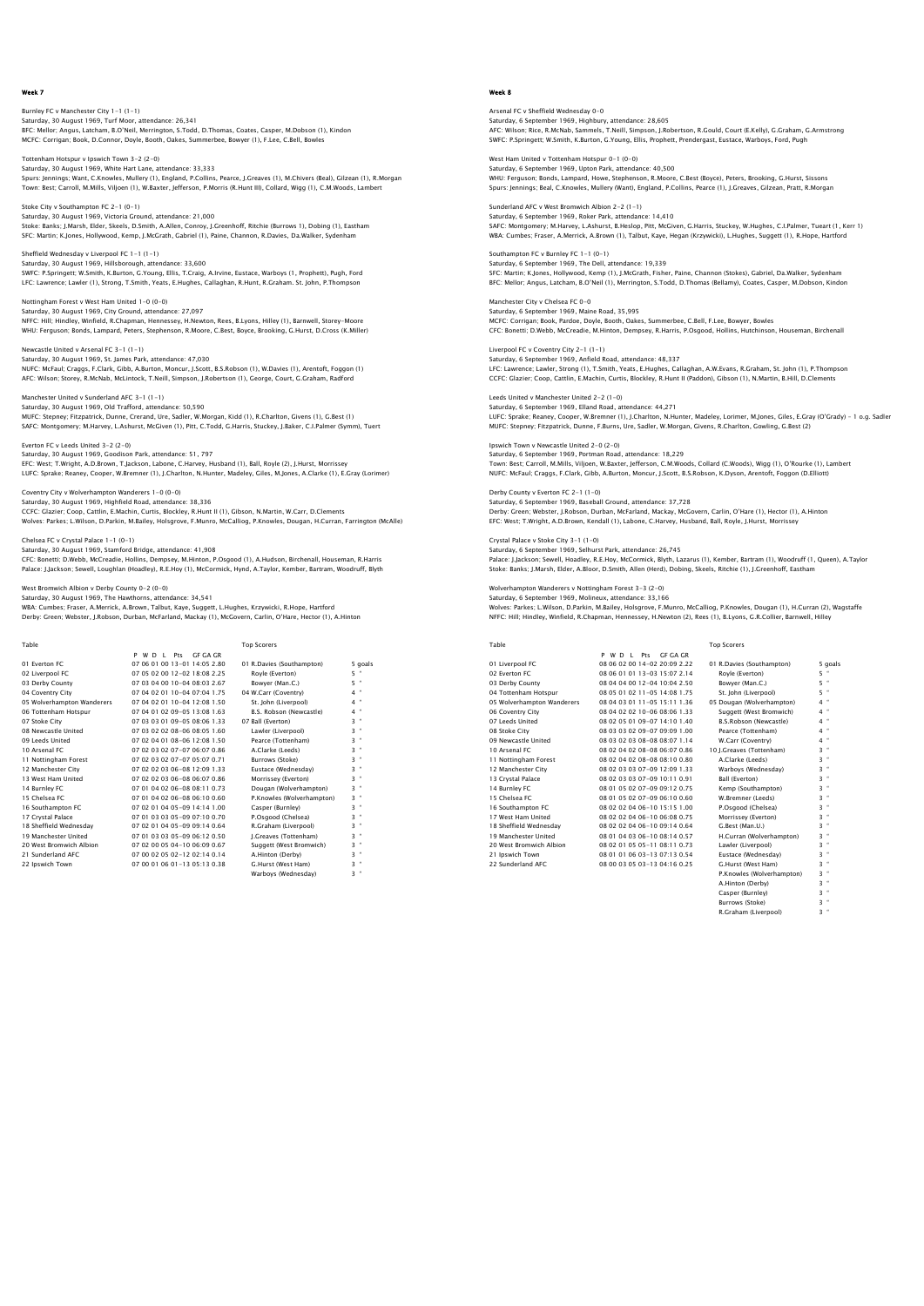Burnley FC v Manchester City 1-1 (1-1) Saturday, 30 August 1969, Turf Moor, attendance: 26,341<br>BFC: Mellor; Angus, Latcham, B.O'Neil, Merrington, S.Todd, D.Thomas, Coates, Casper, M.Dobson (1), Kindon<br>MCFC: Corriqan; Book, D.Connor, Dovle, Booth, Oakes, Summerb

Tottenham Hotspur v Ipswich Town 3-2 (2-0) Saturday, 30 August 1969, White Hart Lane, attendance: 33,333<br>Spurs: Jennings; Want, C.Knowles, Mullery (1), England, P.Collins, Pearce, J.Greaves (1), M.Chivers (Beal), Glizean (1), R.Morgan<br>Town: Best: Carroll, M.Mills,

Stoke City v Southampton FC 2-1 (0-1) Saturday, 30 August 1969, Victoria Ground, attendance: 21,000<br>Stoke: Banks; J.Marsh, Elder, Skeels, D.Smith, A.Allen, Conroy, J.Greenhoff, Ritchie (Burrows 1), Dobing (1), Eastham<br>SFC: Martin; K.Jones, Hollywood, Kemp., J.

Sheffield Wednesday v Liverpool FC 1-1 (1-1) Saturday, 30 August 1969, Hillsborough, attendance: 33,600 SWFC: P.Springett; W.Smith, K.Burton, G.Young, Ellis, T.Craig, A.Irvine, Eustace, Warboys (1, Prophett), Pugh, Ford<br>LFC: Lawrence; Lawler (1), Stronq, T.Smith, Yeats, E.Huqhes, Callaqhan, R.Hunt, R.Graham. St. John, P.Thom

Nottingham Forest v West Ham United 1-0 (0-0) Saturday, 30 August 1969, City Ground, attendance: 27,097 NFFC: Hill; Hindley, Winfield, R.Chapman, Hennessey, H.Newton, Rees, B.Lyons, Hilley (1), Barnwell, Storey–Moore<br>WHU: Ferquson; Bonds, Lampard, Peters, Stephenson, R.Moore, C.Best, Boyce, Brookinq, G.Hurst, D.Cross (K.Mill

Newcastle United v Arsenal FC 3-1 (1-1) Saturday, 30 August 1969, St. James Park, attendance: 47,030<br>NUFC: McFaul; Craggs, F.Clark, Gibb, A.Burton, Moncur, J.Scott, B.S.Robson (1), W.Davies (1), Arentoft, Foggon (1)<br>AFC: Wilson; Storey, R.McNab, McLintock, T.Nei

Manchester United v Sunderland AFC 3-1 (1-1) Saturday, 30 August 1969, Old Trafford, attendance: 50,590 MUFC: Stepney; Fitzpatrick, Dunne, Crerand, Ure, Sadler, W.Morgan, Kidd (1), R.Charlton, Givens (1), G.Best (1) SAFC: Montgomery; M.Harvey, L.Ashurst, McGiven (1), Pitt, C.Todd, G.Harris, Stuckey, J.Baker, C.I.Palmer (Symm), Tuert

Everton FC v Leeds United 3-2 (2-0) Saturday, 30 August 1969, Goodison Park, attendance: 51, 797 EFC: West; T.Wright, A.D.Brown, T.Jackson, Labone, C.Harvey, Husband (1), Ball, Royle (2), J.Hurst, Morrissey<br>LUFC: Sprake; Reaney, Cooper, W.Bremner (1), J.Charlton, N.Hunter, Madeley, Giles, M.Jones, A.Clarke (1), E.Gray

Coventry City v Wolverhampton Wanderers 1-0 (0-0) Saturday, 30 August 1969, Highfield Road, attendance: 38,336 CCFC: Glazier; Coop, Cattlin, E.Machin, Curtis, Blockley, R.Hunt II (1), Gibson, N.Martin, W.Carr, D.Clements<br>Wolves: Parkes; L.Wilson, D.Parkin, M.Bailey, Holsgrove, F.Munro, McCalliog, P.Knowles, Dougan, H.Curran, Farrin

Chelsea FC v Crystal Palace 1-1 (0-1)

Saturday, 30 August 1969, Stamford Bridge, attendance: 41,908

CFC: Bonetti; D.Webb, McCreadie, Hollins, Dempsey, M.Hinton, P.Osgood (1), A.Hudson, Birchenall, Houseman, R.Harris Palace: J.Jackson; Sewell, Loughlan (Hoadley), R.E.Hoy (1), McCormick, Hynd, A.Taylor, Kember, Bartram, Woodruff, Blyth

ch Albion v Derby County 0-2 (0-0)

Saturday, 30 August 1969, The Hawthorns, attendance: 34,541 WBA: Cumbes; Fraser, A.Merrick, A.Brown, Talbut, Kaye, Suggett, L.Hughes, Krzywicki, R.Hope, Hartford Derby: Green; Webster, J.Robson, Durban, McFarland, Mackay (1), McGovern, Carlin, O'Hare, Hector (1), A.Hinton

| Table                      |                                     | <b>Top Scorers</b>        |                   |
|----------------------------|-------------------------------------|---------------------------|-------------------|
|                            | GE GA GR<br><b>P</b><br>WD I<br>Prs |                           |                   |
| 01 Everton EC              | 07 06 01 00 13-01 14:05 2.80        | 01 R.Davies (Southampton) | 5 goals           |
| 02 Liverpool FC            | 07 05 02 00 12-02 18:08 2.25        | Royle (Everton)           | 5 "               |
| 03 Derby County            | 07 03 04 00 10-04 08:03 2.67        | Bowver (Man.C.)           | 5 "               |
| 04 Coventry City           | 07 04 02 01 10-04 07:04 1.75        | 04 W.Carr (Coventry)      | $4$ "             |
| 05 Wolverhampton Wanderers | 07 04 02 01 10-04 12:08 1.50        | St. John (Liverpool)      | $4$ "             |
| 06 Tottenham Hotspur       | 07 04 01 02 09-05 13:08 1.63        | B.S. Robson (Newcastle)   | 4 "               |
| 07 Stoke City              | 07 03 03 01 09-05 08:06 1.33        | 07 Ball (Everton)         | $3 -$             |
| 08 Newcastle United        | 07 03 02 02 08-06 08:05 1.60        | Lawler (Liverpool)        | $3 -$             |
| 09 Leeds United            | 07 02 04 01 08-06 12:08 1.50        | Pearce (Tottenham)        | $3 -$             |
| 10 Arsenal FC              | 07 02 03 02 07-07 06:07 0.86        | A.Clarke (Leeds)          | $3 -$             |
| 11 Nottingham Forest       | 07 02 03 02 07-07 05:07 0.71        | Burrows (Stoke)           | $3 -$             |
| 12 Manchester City         | 07 02 02 03 06-08 12:09 1.33        | Eustace (Wednesdav)       | $3 -$             |
| 13 West Ham United         | 07 02 02 03 06-08 06:07 0.86        | Morrissey (Everton)       | $3 -$             |
| 14 Burnley FC              | 07 01 04 02 06-08 08:11 0.73        | Dougan (Wolverhampton)    | $3 -$             |
| 15 Chelsea EC              | 07 01 04 02 06-08 06:10 0.60        | P.Knowles (Wolverhampton) | $3 -$             |
| 16 Southampton FC          | 07 02 01 04 05-09 14:14 1.00        | Casper (Burnley)          | $3 -$             |
| 17 Crystal Palace          | 07 01 03 03 05-09 07:10 0.70        | P.Osgood (Chelsea)        | $3 -$             |
| 18 Sheffield Wednesdav     | 07 02 01 04 05-09 09:14 0.64        | R.Graham (Liverpool)      | $3 -$             |
| 19 Manchester United       | 07 01 03 03 05-09 06:12 0.50        | I.Greaves (Tottenham)     | $3 -$             |
| 20 West Bromwich Albion    | 07 02 00 05 04-10 06:09 0.67        | Suggett (West Bromwich)   | $3 -$             |
| 21 Sunderland AEC          | 07 00 02 05 02-12 02:14 0.14        | A.Hinton (Derby)          | $3 -$             |
| 22 Ipswich Town            | 07 00 01 06 01 - 13 05:13 0.38      | G.Hurst (West Ham)        | $\mathbf{u}$<br>3 |
|                            |                                     | Warbovs (Wednesdav)       | $3 -$             |

# Week 8

Arsenal FC v Sheffield Wednesday 0-0 Saturday, 6 September 1969, Highbury, attendance: 28,605<br>AFC: Wilson; Rice, R.McNab, Sammels, T.Neill, Simpson, J.Robertson, R.Gould, Court (E.Kelly), G.Graham, G.Armstrong<br>SWFC: P.Sprinqett: W.Smith, K.Burton, G.Younq, El

West Ham United v Tottenham Hotspur 0-1 (0-0) Saturday, 6 September 1969, Upton Park, attendance: 40,500<br>WHU: Ferguson; Bonds, Lampard, Howe, Stephenson, R.Moore, C.Best (Boyce), Peters, Brooking, G.Hurst, Sissons<br>Spurs: Jennings: Beal, C.Knowles, Mullery (Want), Engl

Sunderland AFC v West Bromwich Albion 2-2 (1-1) Saturday, 6 September 1969, Roker Park, attendance: 14,410 SAFC: Montgomery; M.Harvey, L.Ashurst, B.Heslop, Pitt, McGiven, G.Harris, Stuckey, W.Hughes, C.I.Palmer, Tueart (1, Kerr 1)<br>WBA: Cumbes; Fraser, A.Merrick, A.Brown (1), Talbut, Kaye, Hegan (Krzywicki), L.Hughes, Suggett (1

Southampton FC v Burnley FC 1-1 (0-1) Saturday, 6 September 1969, The Dell, attendance: 19,339 SFC: Martin; K.Jones, Hollywood, Kemp (1), J.McGrath, Fisher, Paine, Channon (Stokes), Gabriel, Da.Walker, Sydenham<br>BFC: Mellor; Angus, Latcham, B.O'Neil (1), Merrington, S.Todd, D.Thomas (Bellamy), Coates, Casper, M.Dobso

Manchester City v Chelsea FC 0-0 Saturday, 6 September 1969, Maine Road, 35,995 MCFC: Corrigan; Book, Pardoe, Doyle, Booth, Oakes, Summerbee, C.Bell, F.Lee, Bowyer, Bowles CFC: Bonetti; D.Webb, McCreadie, M.Hinton, Dempsey, R.Harris, P.Osgood, Hollins, Hutchinson, Houseman, Birchenall

Liverpool FC v Coventry City 2-1 (1-1) Saturday, 6 September 1969, Anfield Road, attendance: 48,337 LFC: Lawrence; Lawler, Strong (1), T.Smith, Yeats, E.Hughes, Callaghan, A.W.Evans, R.Graham, St. John (1), P.Thompsor<br>CCFC: Glazier; Coop, Cattlin, E.Machin, Curtis, Blockley, R.Hunt II (Paddon), Gibson (1), N.Martin, B.Hi

Leeds United v Manchester United 2-2 (1-0) Saturday, 6 September 1969, Elland Road, attendance: 44,271 LUFC: Sprake; Reaney, Cooper, W.Bremner (1), J.Charlton, N.Hunter, Madeley, Lorimer, M.Jones, Giles, E.Gray (O'Grady) - 1 o.g. Sadlei<br>MUFC: Stepney; Fitzpatrick, Dunne, F.Burns, Ure, Sadler, W.Morqan, Givens, R.Charlton, G

Ipswich Town v Newcastle United 2-0 (2-0) Saturday, 6 September 1969, Portman Road, attendance: 18,229 Town: Best; Carroll, M.Mills, Viljoen, W.Baxter, Jefferson, C.M.Woods, Collard (C.Woods), Wigg (1), O'Rourke (1), Lambert NUFC: McFaul; Craggs, F.Clark, Gibb, A.Burton, Moncur, J.Scott, B.S.Robson, K.Dyson, Arentoft, Foggon (D.Elliott)

Derby County v Everton FC 2-1 (1-0) Saturday, 6 September 1969, Baseball Ground, attendance: 37,728 Derby: Green; Webster, J.Robson, Durban, McFarland, Mackay, McGovern, Carlin, O'Hare (1), Hector (1), A.Hinton EFC: West; T.Wright, A.D.Brown, Kendall (1), Labone, C.Harvey, Husband, Ball, Royle, J.Hurst, Morrissey

Crystal Palace v Stoke City 3-1 (1-0) Saturday, 6 September 1969, Selhurst Park, attendance: 26,745 Palace: J.Jackson; Sewell, Hoadley, R.E.Hoy, McCormick, Blyth, Lazarus (1), Kember, Bartram (1), Woodruff (1, Queen), A.Taylor Stoke: Banks; J.Marsh, Elder, A.Bloor, D.Smith, Allen (Herd), Dobing, Skeels, Ritchie (1), J.Greenhoff, Eastham

on Wanderers v Nottingham Forest 3-3 (2-0)

Saturday, 6 September 1969, Molineux, attendance: 33,166 Wolves: Parkes; L.Wilson, D.Parkin, M.Bailey, Holsgrove, F.Munro, McCalliog, P.Knowles, Dougan (1), H.Curran (2), Wagstaffe NFFC: Hill; Hindley, Winfield, R.Chapman, Hennessey, H.Newton (2), Rees (1), B.Lyons, G.R.Collier, Barnwell, Hilley

| Table                      |      |  |     |                              | <b>Top Scorers</b>            |       |         |
|----------------------------|------|--|-----|------------------------------|-------------------------------|-------|---------|
|                            | PWDI |  | Pts | GE GA GR                     |                               |       |         |
| 01 Liverpool FC            |      |  |     | 08 06 02 00 14-02 20:09 2.22 | 01 R.Davies (Southampton)     |       | 5 goals |
| 02 Everton EC              |      |  |     | 08 06 01 01 13-03 15:07 2.14 | Royle (Everton)               | 5 "   |         |
| 03 Derby County            |      |  |     | 08 04 04 00 12-04 10:04 2.50 | Bowver (Man.C.)               | 5 "   |         |
| 04 Tottenham Hotspur       |      |  |     | 08 05 01 02 11-05 14:08 1.75 | St. John (Liverpool)          | $5$ " |         |
| 05 Wolverhampton Wanderers |      |  |     | 08 04 03 01 11-05 15:11 1.36 | 05 Dougan (Wolverhampton)     | $4$ " |         |
| 06 Coventry City           |      |  |     | 08 04 02 02 10-06 08:06 1.33 | Suggett (West Bromwich)       | $4$ " |         |
| 07 Leeds United            |      |  |     | 08 02 05 01 09-07 14:10 1.40 | <b>B.S.Robson (Newcastle)</b> | $4$ " |         |
| 08 Stoke City              |      |  |     | 08 03 03 02 09-07 09:09 1.00 | Pearce (Tottenham)            | $4$ " |         |
| 09 Newcastle United        |      |  |     | 08 03 02 03 08-08 08:07 1.14 | W.Carr (Coventry)             | $4$ " |         |
| 10 Arsenal FC              |      |  |     | 08 02 04 02 08-08 06:07 0.86 | 10 I.Greaves (Tottenham)      | $3$ " |         |
| 11 Nottingham Forest       |      |  |     | 08 02 04 02 08-08 08:10 0.80 | A.Clarke (Leeds)              | $3$ " |         |
| 12 Manchester City         |      |  |     | 08 02 03 03 07-09 12:09 1.33 | Warbovs (Wednesdav)           | $3$ " |         |
| 13 Crystal Palace          |      |  |     | 08 02 03 03 07-09 10:11 0.91 | Ball (Everton)                | $3$ " |         |
| 14 Burnley FC              |      |  |     | 08 01 05 02 07-09 09:12 0.75 | Kemp (Southampton)            | 3 "   |         |
| 15 Chelsea EC              |      |  |     | 08 01 05 02 07-09 06:10 0.60 | W.Bremner (Leeds)             | $3$ " |         |
| 16 Southampton FC          |      |  |     | 08 02 02 04 06-10 15:15 1.00 | P.Osgood (Chelsea)            | $3$ " |         |
| 17 West Ham United         |      |  |     | 08 02 02 04 06-10 06:08 0.75 | Morrissev (Everton)           | $3$ " |         |
| 18 Sheffield Wednesday     |      |  |     | 08 02 02 04 06-10 09:14 0.64 | G.Best (Man.U.)               | $3$ " |         |
| 19 Manchester United       |      |  |     | 08 01 04 03 06-10 08:14 0.57 | H.Curran (Wolverhampton)      | $3$ " |         |
| 20 West Bromwich Albion    |      |  |     | 08 02 01 05 05-11 08:11 0.73 | Lawler (Liverpool)            | $3$ " |         |
| 21 Ipswich Town            |      |  |     | 08 01 01 06 03-13 07:13 0.54 | Eustace (Wednesdav)           | $3$ " |         |
| 22 Sunderland AFC          |      |  |     | 08 00 03 05 03-13 04:16 0.25 | G.Hurst (West Ham)            | $3$ " |         |
|                            |      |  |     |                              | P.Knowles (Wolverhampton)     | $3 -$ |         |
|                            |      |  |     |                              | A Hinton (Dochu)              | ъ н   |         |

 A.Hinton (Derby) 3 " Casper (Burnley) 3 " Burrows (Stoke) 3 " R.Graham (Liverpool)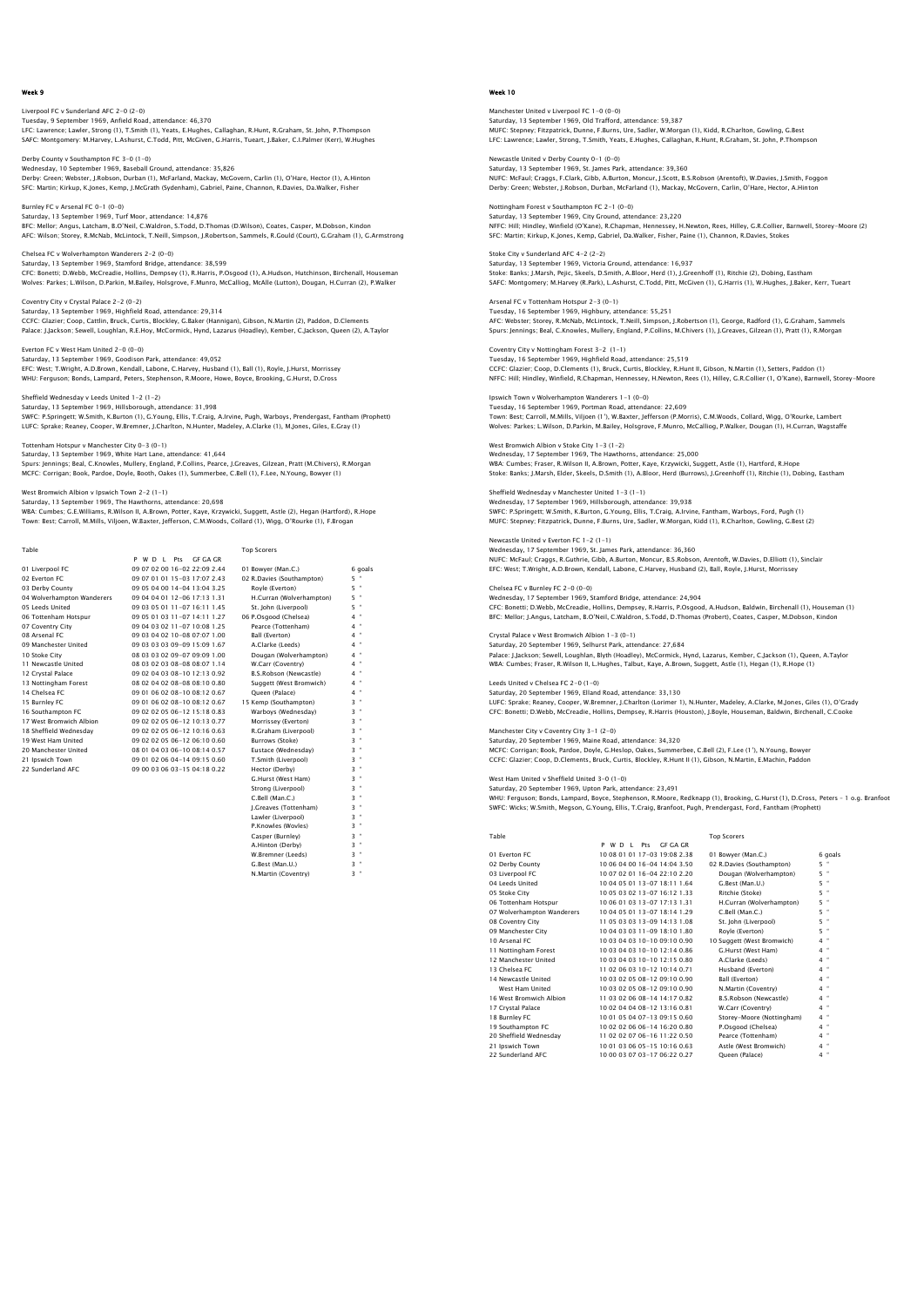# Liverpool FC v Sunderland AFC 2-0 (2-0) Tuesday, 9 September 1969, Anfield Road, attendance: 46,370<br>LFC: Lawrence; Lawler, Strong (1), T.Smith (1), Yeats, E.Hughes, Callaghan, R.Hunt, R.Graham, St. John, P.Thompson<br>SAFC: Montgomery: M.Harvey, L.Ashurst, C.Todd,

Derby County v Southampton FC 3-0 (1-0) Wednesday, 10 September 1969, Baseball Ground, attendance: 35,826<br>Derby: Green; Webster, J.Robson, Durban (1), MCFarland, Mackay, MCGovern, Carlin (1), O'Hare, Hector (1), A.Hinton<br>SFC: Martin; Kirkup, K.Jones, Kemp, J.McG

Burnley FC v Arsenal FC 0-1 (0-0) Saturday, 13 September 1969, Turf Moor, attendance: 14,876 BFC: Mellor; Angus, Latcham, B.O'Neil, C.Waldron, S.Todd, D.Thomas (D.Wilson), Coates, Casper, M.Dobson, Kindon<br>AFC: Wilson: Storey, R.McNab, McLintock, T.Neill, Simpson, J.Robertson, Sammels, R.Gould (Court), G.Graham (1)

Chelsea FC v Wolverhampton Wanderers 2-2 (0-0) Saturday, 13 September 1969, Stamford Bridge, attendance: 38,599<br>CFC: Bonetti; D.Webb, McCreadie, Hollins, Dempsey (1), R.Harris, P.Osgood (1), A.Hudson, Hutchinson, Birchenall, Houseman<br>Wolves: Parkes; L.Wilson, D.Parkin,

Coventry City v Crystal Palace 2-2 (0-2) Saturday, 13 September 1969, Highfield Road, attendance: 29,314<br>CCFC: Glazier; Coop, Cattlin, Bruck, Curtis, Blockley, G.Baker (Hannigan), Gibson, N.Martin (2), Paddon, D.Clements<br>Palace: J.Jackson; Sewell, Loughlan, R.E.H

Everton FC v West Ham United 2-0 (0-0) Saturday, 13 September 1969, Goodison Park, attendance: 49,052

EFC: West; T.Wright, A.D.Brown, Kendall, Labone, C.Harvey, Husband (1), Ball (1), Royle, J.Hurst, Morrissey WHU: Ferguson; Bonds, Lampard, Peters, Stephenson, R.Moore, Howe, Boyce, Brooking, G.Hurst, D.Cross

# Sheffield Wednesday v Leeds United 1-2 (1-2)

Saturday, 13 September 1969, Hillsborough, attendance: 31,998<br>SWFC: P.Springett; W.Smith, K.Burton (1), G.Young, Ellis, T.Craig, A.Irvine, Pugh, Warboys, Prendergast, Fantham (Prophett)<br>LUFC: Sprake: Reaney, Cooper, W.Brem

#### Tottenham Hotspur v Manchester City 0-3 (0-1) Saturday, 13 September 1969, White Hart Lane, attendance: 41,644

Spurs: Jennings; Beal, C.Knowles, Mullery, England, P.Collins, Pearce, J.Greaves, Gilzean, Pratt (M.Chivers), R.Morgan<br>MCFC: Corrigan; Book, Pardoe, Doyle, Booth, Oakes (1), Summerbee, C.Bell (1), F.Lee, N.Young, Bowyer (1

West Bromwich Albion v Ipswich Town 2-2 (1-1)

Saturday, 13 September 1969, The Hawthorns, attendance: 20,698 WBA: Cumbes; G.E.Williams, R.Wilson II, A.Brown, Potter, Kaye, Krzywicki, Suggett, Astle (2), Hegan (Hartford), R.Hope<br>Town: Best; Carroll, M.Mills, Viljoen, W.Baxter, Jefferson, C.M.Woods, Collard (1), Wiqq, O'Rourke (1),

| Table                      |                              | <b>Top Scorers</b>        |               |
|----------------------------|------------------------------|---------------------------|---------------|
|                            | GE GA GR<br>P W D I Pts      |                           |               |
| 01 Liverpool FC            | 09 07 02 00 16-02 22:09 2.44 | 01 Bowyer (Man.C.)        | 6 goals       |
| 02 Everton EC              | 09 07 01 01 15-03 17:07 2.43 | 02 R.Davies (Southampton) | $5 -$         |
| 03 Derby County            | 09 05 04 00 14-04 13:04 3.25 | Rovle (Everton)           | 5 "           |
| 04 Wolverhampton Wanderers | 09 04 04 01 12-06 17:13 1.31 | H.Curran (Wolverhampton)  | 5 "           |
| 05 Leeds United            | 09 03 05 01 11-07 16:11 1.45 | St. John (Liverpool)      | 5 "           |
| 06 Tottenham Hotspur       | 09 05 01 03 11-07 14:11 1.27 | 06 P.Osgood (Chelsea)     | $4$ "         |
| 07 Coventry City           | 09 04 03 02 11-07 10:08 1.25 | Pearce (Tottenham)        | $4$ "         |
| 08 Arsenal FC              | 09 03 04 02 10-08 07:07 1.00 | Ball (Everton)            | $4$ "         |
| 09 Manchester United       | 09 03 03 03 09-09 15:09 1.67 | A.Clarke (Leeds)          | $4$ "         |
| 10 Stoke City              | 08 03 03 02 09-07 09:09 1.00 | Dougan (Wolverhampton)    | 4 "           |
| 11 Newcastle United        | 08 03 02 03 08-08 08:07 1.14 | W.Carr (Coventry)         | $4$ "         |
| 12 Crystal Palace          | 09 02 04 03 08-10 12:13 0.92 | B.S.Robson (Newcastle)    | $4$ "         |
| 13 Nottingham Forest       | 08 02 04 02 08-08 08:10 0.80 | Suggett (West Bromwich)   | $4$ "         |
| 14 Chelsea EC              | 09 01 06 02 08-10 08:12 0.67 | Oueen (Palace)            | $4$ "         |
| 15 Burnley FC              | 09 01 06 02 08-10 08:12 0.67 | 15 Kemp (Southampton)     | $3$ "         |
| 16 Southampton FC          | 09 02 02 05 06-12 15:18 0.83 | Warbovs (Wednesdav)       | $3 -$         |
| 17 West Bromwich Albion    | 09 02 02 05 06-12 10:13 0.77 | Morrissey (Everton)       | $3 -$         |
| 18 Sheffield Wednesday     | 09 02 02 05 06-12 10:16 0.63 | R.Graham (Liverpool)      | $3 -$         |
| 19 West Ham United         | 09 02 02 05 06-12 06:10 0.60 | Burrows (Stoke)           | $3 -$         |
| 20 Manchester United       | 08 01 04 03 06-10 08:14 0.57 | Eustace (Wednesday)       | ×<br>3        |
| 21 Ipswich Town            | 09 01 02 06 04-14 09:15 0.60 | T.Smith (Liverpool)       | $3 -$         |
| 22 Sunderland AFC          | 09 00 03 06 03-15 04:18 0.22 | Hector (Derby)            | $3 -$         |
|                            |                              | G.Hurst (West Ham)        | $3$ "         |
|                            |                              | Strong (Liverpool)        | $3 -$         |
|                            |                              | C.Bell (Man.C.)           | $3 -$         |
|                            |                              | I.Greaves (Tottenham)     | $3 -$         |
|                            |                              | Lawler (Liverpool)        | $3 -$         |
|                            |                              | P.Knowles (Wovles)        | $3 -$         |
|                            |                              | Casper (Burnley)          | 3<br>×        |
|                            |                              | A.Hinton (Derby)          | $\alpha$<br>3 |

W.Bremner (Leeds) G. Best (Man. U.) N.Martin (Coventry) 3 "

### Week 10

Manchester United v Liverpool FC 1-0 (0-0) Saturday, 13 September 1969, Old Trafford, attendance: 59,387<br>MUFC: Stepney; Fitzpatrick, Dunne, F.Burns, Ure, Sadler, W.Morgan (1), Kidd, R.Charlton, Gowling, G.Best<br>LFC: Lawrence; Lawler, Stronq, T.Smith, Yeats, E.Hughes

Newcastle United v Derby County 0-1 (0-0) Saturday, 13 September 1969, St. James Park, attendance: 39,360<br>NUFC: McFaul; Craggs, F.Clark, Gibb, A.Burton, Moncur, J.Scott, B.S.Robson (Arentoft), W.Davies, J.Smith, Foggor<br>Derby: Green; Webster, J.Robson, Durban, McFa

Nottingham Forest v Southampton FC 2-1 (0-0) Saturday, 13 September 1969, City Ground, attendance: 23,220 NFFC: Hill; Hindley, Winfield (O'Kane), R.Chapman, Hennessey, H.Newton, Rees, Hilley, G.R.Collier, Barnwell, Storey-Moore (2)<br>SFC: Martin; Kirkup, K.Jones, Kemp, Gabriel, Da.Walker, Fisher, Paine (1), Channon, R.Davies, St

### Stoke City v Sunderland AFC 4-2 (2-2) Saturday, 13 September 1969, Victoria Ground, attendance: 16,937 Stoke: Banks; J.Marsh, Pejic, Skeels, D.Smith, A.Bloor, Herd (1), J.Greenhoff (1), Ritchie (2), Dobing, Eastham<br>SAFC: Montqomery; M.Harvey (R.Park), L.Ashurst, C.Todd, Pitt, McGiven (1), G.Harris (1), W.Huqhes, J.Baker, Ke

Arsenal FC v Tottenham Hotspur 2-3 (0-1) Tuesday, 16 September 1969, Highbury, attendance: 55,251<br>AFC: Webster; Storey, R.McNab, McLintock, T.Neill, Simpson, J.Robertson (1), George, Radford (1), G.Graham, Sammels<br>Spurs: Jennings; Beal, C.Knowles, Mullery, Englan

Coventry City v Nottingham Forest 3-2 (1-1) Tuesday, 16 September 1969, Highfield Road, attendance: 25,519 CCFC: Glazier; Coop, D.Clements (1), Bruck, Curtis, Blockley, R.Hunt II, Gibson, N.Martin (1), Setters, Paddon (1)<br>NFFC: Hill: Hindlev. Winfield. R.Chapman. Hennessev. H.Newton. Rees (1). Hillev. G.R.Collier (1. O'Kane). B NFFC: Hill; Hindley, Winfield, R.Chapman, Hennessey, H.Newton, Rees (1), Hilley, G.R.Collier (1, O'Kane), Barnwell, Storey-Moore

Ipswich Town v Wolverhampton Wanderers 1-1 (0-0) Tuesday, 16 September 1969, Portman Road, attendance: 22,609 Town: Best; Carroll, M.Mills, Viljoen (1'), W.Baxter, Jefferson (P.Morris), C.M.Woods, Collard, Wigg, O'Rourke, Lambert<br>Wolves: Parkes; L.Wilson, D.Parkin, M.Bailey, Holsgrove, F.Munro, McCalliog, P.Walker, Dougan (1), H.C

#### West Bromwich Albion v Stoke City 1-3 (1-2) Wednesday, 17 September 1969, The Hawthorns, attendance: 25,000

WBA: Cumbes; Fraser, R.Wilson II, A.Brown, Potter, Kaye, Krzywicki, Suggett, Astle (1), Hartford, R.Hope<br>Stoke: Banks; J.Marsh, Elder, Skeels, D.Smith (1), A.Bloor, Herd (Burrows), J.Greenhoff (1), Ritchie (1), Dobinq, Eas

# Sheffield Wednesday v Manchester United 1-3 (1-1) Wednesday, 17 September 1969, Hillsborough, attendance: 39,938

SWFC: P.Springett; W.Smith, K.Burton, G.Young, Ellis, T.Craig, A.Irvine, Fantham, Warboys, Ford, Pugh (1) MUFC: Stepney; Fitzpatrick, Dunne, F.Burns, Ure, Sadler, W.Morgan, Kidd (1), R.Charlton, Gowling, G.Best (2)

# Newcastle United v Everton FC 1-2 (1-1) Wednesday, 17 September 1969, St. James Park, attendance: 36,360 NUFC: McFaul; Craggs, R.Guthrie, Gibb, A.Burton, Moncur, B.S.Robson, Arentoft, W.Davies, D.Elliott (1), Sinclair EFC: West; T.Wright, A.D.Brown, Kendall, Labone, C.Harvey, Husband (2), Ball, Royle, J.Hurst, Morrissey

Chelsea FC v Burnley FC 2-0 (0-0)

Wednesday, 17 September 1969, Stamford Bridge, attendance: 24,904<br>CFC: Bonetti; D.Webb, McCreadie, Hollins, Dempsey, R.Harris, P.Osgood, A.Hudson, Baldwin, Birchenall (1), Houseman (1)<br>BFC: Mellor: J.Anqus, Latcham, B.O'Ne

#### Crystal Palace v West Bromwich Albion 1-3 (0-1) Saturday, 20 September 1969, Selhurst Park, attendance: 27,684

Palace: J.Jackson; Sewell, Loughlan, Blyth (Hoadley), McCormick, Hynd, Lazarus, Kember, C.Jackson (1), Queen, A.Tayloı<br>WBA: Cumbes; Fraser, R.Wilson II, L.Huqhes, Talbut, Kaye, A.Brown, Suqqett, Astle (1), Heqan (1), R.Hop

Leeds United v Chelsea FC 2–0 (1–0)<br>Saturday, 20 September 1969, Elland Road, attendance: 33,130<br>LUFC: Sprake; Reaney, Cooper, W.Bremner, J.Charlton (Lorimer 1), N.Hunter, Madeley, A.Clarke, M.Jones, Giles (1), O'Grady<br>LUF

Manchester City v Coventry City 3–1 (2–0)<br>Saturday, 20 September 1969, Maine Road, attendance: 34,320<br>MCFC: Corrigan; Book, Pardoe, Doyle, G.Heslop, Oakes, Summerbee, C.Bell (2), F.Lee (1'), N.Young, Bowyer<br>NCFC: Glazier;

West Ham United v Sheffield United 3–0 (1–0)<br>Saturday, 20 September 1969, Upton Park, attendance: 23,491<br>WHU: Ferguson; Bonds, Lampard, Boyce, Stephenson, R.Moore, Redknapp (1), Brooking, G.Hurst (1), D.Cross, Peters – 1 0

| Table                      |                              | <b>Top Scorers</b>         |         |
|----------------------------|------------------------------|----------------------------|---------|
|                            | GE GA GR<br>P W D I<br>Pts   |                            |         |
| 01 Everton EC              | 10 08 01 01 17-03 19:08 2.38 | 01 Bowver (Man.C.)         | 6 goals |
| 02 Derby County            | 10 06 04 00 16-04 14:04 3.50 | 02 R.Davies (Southampton)  | 5 "     |
| 03 Liverpool FC            | 10 07 02 01 16-04 22:10 2.20 | Dougan (Wolverhampton)     | 5 "     |
| 04 Leeds United            | 10 04 05 01 13-07 18:11 1.64 | G.Best (Man.U.)            | $5$ "   |
| 05 Stoke City              | 10 05 03 02 13-07 16:12 1.33 | Ritchie (Stoke)            | 5 "     |
| 06 Tottenham Hotspur       | 10 06 01 03 13-07 17:13 1.31 | H.Curran (Wolverhampton)   | 5 "     |
| 07 Wolverhampton Wanderers | 10 04 05 01 13-07 18:14 1.29 | C.Bell (Man.C.)            | 5 "     |
| 08 Coventry City           | 11 05 03 03 13-09 14:13 1.08 | St. John (Liverpool)       | 5 "     |
| 09 Manchester City         | 10 04 03 03 11-09 18:10 1.80 | Rovle (Everton)            | 5 "     |
| 10 Arsenal FC              | 10 03 04 03 10-10 09:10 0.90 | 10 Suggett (West Bromwich) | $4$ "   |
| 11 Nottingham Forest       | 10 03 04 03 10-10 12:14 0.86 | G.Hurst (West Ham)         | 4 "     |
| 12 Manchester United       | 10 03 04 03 10-10 12:15 0.80 | A.Clarke (Leeds)           | $4$ "   |
| 13 Chelsea EC              | 11 02 06 03 10-12 10:14 0.71 | Husband (Everton)          | $4$ "   |
| 14 Newcastle United        | 10.03.02.05.08-12.09:10.0.90 | Ball (Everton)             | $4$ "   |
| West Ham United            | 10 03 02 05 08-12 09:10 0.90 | N.Martin (Coventry)        | $4$ "   |
| 16 West Bromwich Albion    | 11 03 02 06 08-14 14:17 0.82 | B.S.Robson (Newcastle)     | $4$ "   |
| 17 Crystal Palace          | 10 02 04 04 08-12 13:16 0.81 | W.Carr (Coventry)          | $4$ "   |
| 18 Burnley FC              | 10 01 05 04 07-13 09:15 0.60 | Storey-Moore (Nottingham)  | $4$ "   |
| 19 Southampton FC          | 10 02 02 06 06-14 16:20 0.80 | P.Osqood (Chelsea)         | 4 "     |
| 20 Sheffield Wednesday     | 11 02 02 07 06-16 11:22 0.50 | Pearce (Tottenham)         | $4$ "   |
| 21 Ipswich Town            | 10 01 03 06 05-15 10:16 0.63 | Astle (West Bromwich)      | $4$ "   |
| 22 Sunderland AFC          | 10 00 03 07 03-17 06:22 0.27 | Oueen (Palace)             | $4$ "   |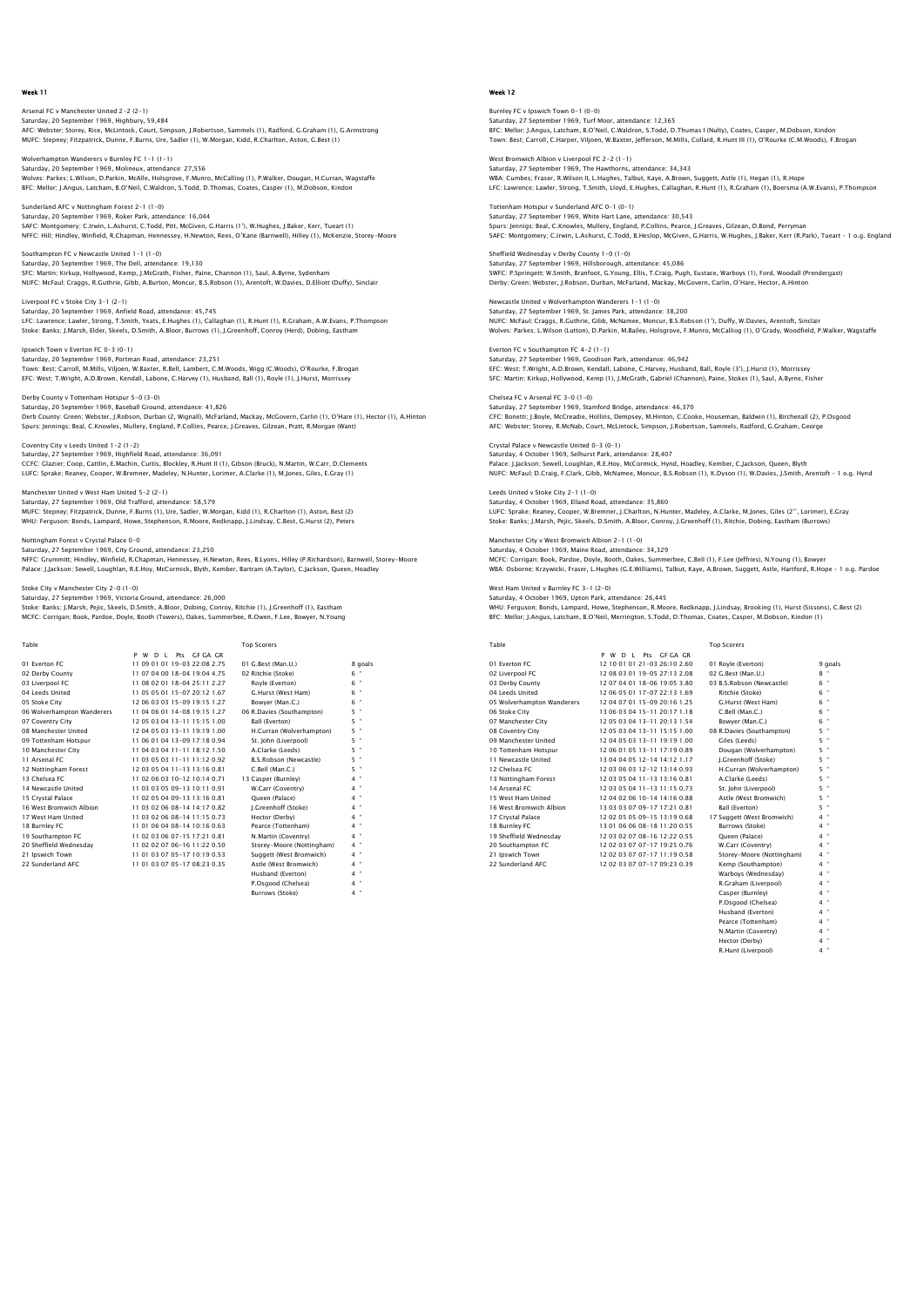# Arsenal FC v Manchester United 2-2 (2-1) Saturday, 20 September 1969, Highbury, 59,484<br>AFC: Webster; Storey, Rice, McLintock, Court, Simpson, J.Robertson, Sammels (1), Radford, G.Graham (1), G.Armstrong<br>MUFC: Stepney; Fitzpatrick, Dunne, F.Burns, Ure, Sadler (1),

Wolverhampton Wanderers v Burnley FC 1-1 (1-1) Saturday, 20 September 1969, Molineux, attendance: 27,556<br>Wolves: Parkes; L.Wilson, D.Parkin, McAlle, Holsgrove, F. Munro, McCalliog (1), P.Walker, Dougan, H.Curran, Wagstaffe<br>BFC: Mellor: J.Anqus, Latcham, B.O'Neil, C.Wal

Sunderland AFC v Nottingham Forest 2-1 (1-0) Saturday, 20 September 1969, Roker Park, attendance: 16,044 SAFC: Montgomery; C.Irwin, L.Ashurst, C.Todd, Pitt, McGiven, G.Harris (1'), W.Hughes, J.Baker, Kerr, Tueart (1)<br>NFFC: Hill; Hindley, Winfield, R.Chapman, Hennessey, H.Newton, Rees, O'Kane (Barnwell), Hilley (1), McKenzie,

Southampton FC v Newcastle United 1-1 (1-0)<br>Saturday, 20 September 1969, The Dell, attendance: 19,130 Saturday, 20 September 1969, The Dell, attendance: 19,130<br>SFC: Martin; Kirkup, Hollywood, Kemp, J.McCrath, Fisher, Paine, Channon (1), Saul, A.Byrne, Sydenham<br>NUFC: McFaul: Craggs, R.Guthrie, Gibb, A.Burton, Moncur, B.S.Ro

Liverpool FC v Stoke City 3-1 (2-1) Saturday, 20 September 1969, Anfield Road, attendance: 45,745 LFC: Lawrence; Lawler, Strong, T.Smith, Yeats, E.Hughes (1), Callaghan (1), R.Hunt (1), R.Graham, A.W.Evans, P.Thompson<br>Stoke: Banks; J.Marsh, Elder, Skeels, D.Smith, A.Bloor, Burrows (1), J.Greenhoff, Conroy (Herd), Dobin

Ipswich Town v Everton FC 0-3 (0-1) Saturday, 20 September 1969, Portman Road, attendance: 23,251 Town: Best; Carroll, M.Mills, Viljoen, W.Baxter, R.Bell, Lambert, C.M.Woods, Wigg (C.Woods), O'Rourke, F.Brogan EFC: West; T.Wright, A.D.Brown, Kendall, Labone, C.Harvey (1), Husband, Ball (1), Royle (1), J.Hurst, Morrissey

Derby County v Tottenham Hotspur 5-0 (3-0) Saturday, 20 September 1969, Baseball Ground, attendance: 41,826 Derb County: Green; Webster, J.Robson, Durban (2, Wignall), McFarland, Mackay, McGovern, Carlin (1), O'Hare (1), Hector (1), A.Hinton Spurs: Jennings; Beal, C.Knowles, Mullery, England, P.Collins, Pearce, J.Greaves, Gilzean, Pratt, R.Morgan (Want)

Coventry City v Leeds United 1-2 (1-2) Saturday, 27 September 1969, Highfield Road, attendance: 36,091 CCFC: Glazier; Coop, Cattlin, E.Machin, Curtis, Blockley, R.Hunt II (1), Gibson (Bruck), N.Martin, W.Carr, D.Clements<br>LUFC: Sprake; Reaney, Cooper, W.Bremner, Madeley, N.Hunter, Lorimer, A.Clarke (1), M.Jones, Giles, E.Gra

Manchester United v West Ham United 5-2 (2-1) Saturday, 27 September 1969, Old Trafford, attendance: 58,579 MUFC: Stepney; Fitzpatrick, Dunne, F.Burns (1), Ure, Sadler, W.Morgan, Kidd (1), R.Charlton (1), Aston, Best (2) WHU: Ferguson; Bonds, Lampard, Howe, Stephenson, R.Moore, Redknapp, J.Lindsay, C.Best, G.Hurst (2), Peters

#### Nottingham Forest v Crystal Palace 0-0 Saturday, 27 September 1969, City Ground, attendance: 23,250

NFFC: Grummitt; Hindley, Winfield, R.Chapman, Hennessey, H.Newton, Rees, B.Lyons, Hilley (P.Richardson), Barnwell, Storey–Moore<br>Palace: J.Jackson; Sewell, Loughlan, R.E.Hoy, McCormick, Blyth, Kember, Bartram (A.Taylor), C.

### Stoke City v Manchester City 2-0 (1-0)

Saturday, 27 September 1969, Victoria Ground, attendance: 26,000 Stoke: Banks; J.Marsh, Pejic, Skeels, D.Smith, A.Bloor, Dobing, Conroy, Ritchie (1), J.Greenhoff (1), Eastham MCFC: Corrigan; Book, Pardoe, Doyle, Booth (Towers), Oakes, Summerbee, R.Owen, F.Lee, Bowyer, N.Young

| Table                      |                                | <b>Top Scorers</b>        |         |
|----------------------------|--------------------------------|---------------------------|---------|
|                            | Pts GF GA GR<br>W D I<br>P     |                           |         |
| 01 Everton EC              | 11 09 01 01 19-03 22:08 2.75   | 01 G.Best (Man.U.)        | 8 goals |
| 02 Derby County            | 11 07 04 00 18-04 19:04 4.75   | 02 Ritchie (Stoke)        | 6 "     |
| 03 Liverpool FC            | 11 08 02 01 18-04 25:11 2.27   | Rovle (Everton)           | 6 "     |
| 04 Leeds United            | 11 05 05 01 15-07 20:12 1.67   | G.Hurst (West Ham)        | 6 "     |
| 05 Stoke City              | 12 06 03 03 15-09 19:15 1.27   | Bowver (Man.C.)           | $6$ "   |
| 06 Wolverhampton Wanderers | 11 04 06 01 14-08 19:15 1.27   | 06 R.Davies (Southampton) | 5 "     |
| 07 Coventry City           | 12 05 03 04 13-11 15:15 1.00   | Ball (Everton)            | 5 "     |
| 08 Manchester United       | 12 04 05 03 13-11 19:19 1.00   | H.Curran (Wolverhampton)  | 5 "     |
| 09 Tottenham Hotspur       | 11 06 01 04 13-09 17:18 0.94   | St. John (Liverpool)      | 5 "     |
| 10 Manchester City         | 11 04 03 04 11-11 18:12 1.50   | A.Clarke (Leeds)          | 5 "     |
| 11 Arsenal FC              | 11 03 05 03 11-11 11:12 0.92   | B.S.Robson (Newcastle)    | 5<br>×  |
| 12 Nottingham Forest       | 12 03 05 04 11 - 13 13 16 0.81 | C.Bell (Man.C.)           | 5 "     |
| 13 Chelsea EC              | 11 02 06 03 10-12 10:14 0.71   | 13 Casper (Burnley)       | 4 "     |
| 14 Newcastle United        | 11 03 03 05 09-13 10:11 0.91   | W.Carr (Coventry)         | $4$ "   |
| 15 Crystal Palace          | 11 02 05 04 09-13 13:16 0.81   | Oueen (Palace)            | $4$ "   |
| 16 West Bromwich Albion    | 11 03 02 06 08-14 14:17 0.82   | I.Greenhoff (Stoke)       | 4 "     |
| 17 West Ham United         | 11 03 02 06 08-14 11:15 0.73   | Hector (Derby)            | $4$ "   |
| 18 Burnley FC              | 11 01 06 04 08-14 10:16 0.63   | Pearce (Tottenham)        | $4$ "   |
| 19 Southampton FC          | 11 02 03 06 07-15 17:21 0.81   | N.Martin (Coventry)       | $4$ "   |
| 20 Sheffield Wednesdav     | 11 02 02 07 06-16 11:22 0.50   | Storey-Moore (Nottingham) | $4$ "   |
| 21 Ipswich Town            | 11 01 03 07 05-17 10:19 0.53   | Suggett (West Bromwich)   | 4 "     |
| 22 Sunderland AFC          | 11 01 03 07 05-17 08:23 0.35   | Astle (West Bromwich)     | 4 "     |
|                            |                                | Husband (Everton)         | $4$ "   |
|                            |                                | P.Osgood (Chelsea)        | $4$ "   |
|                            |                                | <b>Burrows (Stoke)</b>    | $4$ "   |

# Week 12

Burnley FC v Ipswich Town 0-1 (0-0) Saturday, 27 September 1969, Turf Moor, attendance: 12,365<br>BFC: Mellor; J.Angus, Latcham, B.O'Neil, C.Waldron, S.Todd, D.Thumas I (Nulty), Coates, Casper, M.Dobson, Kindon<br>Town: Best: Carroll, C.Harper, Viljoen, W.Baxter,

West Bromwich Albion v Liverpool FC 2-2 (1-1) Saturday, 27 September 1969, The Hawthorns, attendance: 34,343<br>WBA: Cumbes; Fraser, R.Wilson II, L.Hughes, Talbut, Kaye, A.Brown, Suggett, Astle (1), Hegan (1), R.Hope<br>LFC: Lawrence; Lawler, Stronq, T.Smith, Lloyd, E.Hughe

Tottenham Hotspur v Sunderland AFC 0-1 (0-1) Saturday, 27 September 1969, White Hart Lane, attendance: 30,543 Spurs: Jennigs; Beal, C.Knowles, Mullery, England, P.Collins, Pearce, J.Greaves, Gilzean, D.Bond, Perryman<br>SAFC: Montqomery; C.Irwin, L.Ashurst, C.Todd, B.Heslop, McGiven, G.Harris, W.Huqhes, J.Baker, Kerr (R.Park), Tueart

Sheffield Wednesday v Derby County 1-0 (1-0) Saturday, 27 September 1969, Hillsborough, attendance: 45,086<br>SWFC: P.Springett; W.Smith, Branfoot, G.Young, Ellis, T.Craig, Pugh, Eustace, Warboys (1), Ford, Woodall (Prendergast)<br>Derby: Green; Webster, J.Robson, Durban,

Newcastle United v Wolverhampton Wanderers 1-1 (1-0) Saturday, 27 September 1969, St. James Park, attendance: 38,200<br>NUFC: McFaul; Craggs, R.Cuthrie, Gibb, McNamee, Moncur, B.S.Robson (1'), Duffy, W.Davies, Arentoft, Sinclair<br>Wolves: Parkes; L.Wilson (Lutton), D.Parkin, M.Ba

Everton FC v Southampton FC 4-2 (1-1) Saturday, 27 September 1969, Goodison Park, attendance: 46,942 EFC: West; T.Wright, A.D.Brown, Kendall, Labone, C.Harvey, Husband, Ball, Royle (3'), J.Hurst (1), Morrissey SFC: Martin; Kirkup, Hollywood, Kemp (1), J.McGrath, Gabriel (Channon), Paine, Stokes (1), Saul, A.Byrne, Fisher

Chelsea FC v Arsenal FC 3-0 (1-0) Saturday, 27 September 1969, Stamford Bridge, attendance: 46,370 CFC: Bonetti; J.Boyle, McCreadie, Hollins, Dempsey, M.Hinton, C.Cooke, Houseman, Baldwin (1), Birchenall (2), P.Osgood AFC: Webster; Storey, R.McNab, Court, McLintock, Simpson, J.Robertson, Sammels, Radford, G.Graham, George

Crystal Palace v Newcastle United 0-3 (0-1) Saturday, 4 October 1969, Selhurst Park, attendance: 28,407 Palace: J.Jackson; Sewell, Loughlan, R.E.Hoy, McCormick, Hynd, Hoadley, Kember, C.Jackson, Queen, Blyth<br>NUFC: McFaul; D.Craiq, F.Clark, Gibb, McNamee, Moncur, B.S.Robson (1), K.Dyson (1), W.Davies, J.Smith, Arentoft - 1 o.

Leeds United v Stoke City 2-1 (1-0) Saturday, 4 October 1969, Elland Road, attendance: 35,860 LUFC: Sprake; Reaney, Cooper, W.Bremner, J.Charlton, N.Hunter, Madeley, A.Clarke, M.Jones, Giles (2'', Lorimer), E.Gray<br>Stoke: Banks; J.Marsh, Pejic, Skeels, D.Smith, A.Bloor, Conroy, J.Greenhoff (1), Ritchie, Dobing, East

Manchester City v West Bromwich Albion 2-1 (1-0) Saturday, 4 October 1969, Maine Road, attendance: 34,329 MCFC: Corrigan; Book, Pardoe, Doyle, Booth, Oakes, Summerbee, C.Bell (1), F.Lee (Jeffries), N.Young (1), Bowyer were: Corngan, Book, Fardoe, Doyle, Boom, Oakes, Summerbee, C.Ben (1), F.Cee gennes), K.Toung (1), Bowyer<br>WBA: Osborne: Krzywicki, Fraser, L.Hughes (G.E.Williams), Talbut, Kaye, A.Brown, Suggett, Astle, Hartford, R.Hope –

# West Ham United v Burnley FC 3-1 (2-0)

Saturday, 4 October 1969, Upton Park, attendance: 26,445 WHU: Ferguson; Bonds, Lampard, Howe, Stephenson, R.Moore, Redknapp, J.Lindsay, Brooking (1), Hurst (Sissons), C.Best (2) BFC: Mellor; J.Angus, Latcham, B.O'Neil, Merrington, S.Todd, D.Thomas, Coates, Casper, M.Dobson, Kindon (1)

| Table                      |                                       | <b>Top Scorers</b>         |         |
|----------------------------|---------------------------------------|----------------------------|---------|
|                            | Pts GF GA GR<br>P W<br>D <sub>1</sub> |                            |         |
| 01 Everton EC              | 12 10 01 01 21-03 26:10 2.60          | 01 Royle (Everton)         | 9 goals |
| 02 Liverpool FC            | 12 08 03 01 19-05 27:13 2.08          | 02 G.Best (Man.U.)         | $8 -$   |
| 03 Derby County            | 12 07 04 01 18-06 19:05 3.80          | 03 B.S.Robson (Newcastle)  | 6 "     |
| 04 Leeds United            | 12 06 05 01 17-07 22:13 1.69          | Ritchie (Stoke)            | $6$ "   |
| 05 Wolverhampton Wanderers | 12 04 07 01 15-09 20:16 1.25          | G.Hurst (West Ham)         | $6$ "   |
| 06 Stoke City              | 13 06 03 04 15-11 20:17 1.18          | C.Bell (Man.C.)            | 6 "     |
| 07 Manchester City         | 12 05 03 04 13-11 20:13 1.54          | Bowver (Man.C.)            | $6$ "   |
| 08 Coventry City           | 12 05 03 04 13-11 15:15 1.00          | 08 R.Davies (Southampton)  | $5$ "   |
| 09 Manchester United       | 12 04 05 03 13-11 19:19 1.00          | Giles (Leeds)              | $5$ "   |
| 10 Tottenham Hotspur       | 12 06 01 05 13-11 17:19 0.89          | Dougan (Wolverhampton)     | $5$ "   |
| 11 Newcastle United        | 13 04 04 05 12-14 14:12 1.17          | I.Greenhoff (Stoke)        | $5$ "   |
| 12 Chelsea EC              | 12 03 06 03 12-12 13:14 0.93          | H.Curran (Wolverhampton)   | 5 "     |
| 13 Nottingham Forest       | 12 03 05 04 11-13 13:16 0.81          | A.Clarke (Leeds)           | 5 "     |
| 14 Arsenal FC              | 12 03 05 04 11-13 11:15 0.73          | St. John (Liverpool)       | 5 "     |
| 15 West Ham United         | 12 04 02 06 10-14 14:16 0.88          | Astle (West Bromwich)      | $5$ "   |
| 16 West Bromwich Albion    | 13 03 03 07 09-17 17:21 0.81          | Ball (Everton)             | $5$ "   |
| 17 Crystal Palace          | 12 02 05 05 09-15 13:19 0.68          | 17 Suggett (West Bromwich) | $4$ "   |
| 18 Burnley FC              | 13 01 06 06 08-18 11:20 0.55          | Burrows (Stoke)            | 4 "     |
| 19 Sheffield Wednesday     | 12 03 02 07 08-16 12:22 0.55          | Oueen (Palace)             | $4$ "   |
| 20 Southampton FC          | 12 02 03 07 07-17 19:25 0.76          | W.Carr (Coventry)          | 4 "     |
| 21 Ipswich Town            | 12 02 03 07 07-17 11:19 0.58          | Storey-Moore (Nottingham)  | $4$ "   |
| 22 Sunderland AFC          | 12 02 03 07 07-17 09:23 0.39          | Kemp (Southampton)         | $4$ "   |
|                            |                                       | Warbovs (Wednesdav)        | $4$ "   |
|                            |                                       | R.Graham (Liverpool)       | $4$ "   |
|                            |                                       | Casper (Burnley)           | $4$ "   |

P.Osgood (Chelsea) Husband (Everton) Pearce (Tottenham) N.Martin (Coventry) 4 " Hector (Derby) 4 " R.Hunt (Liverpool) 4 "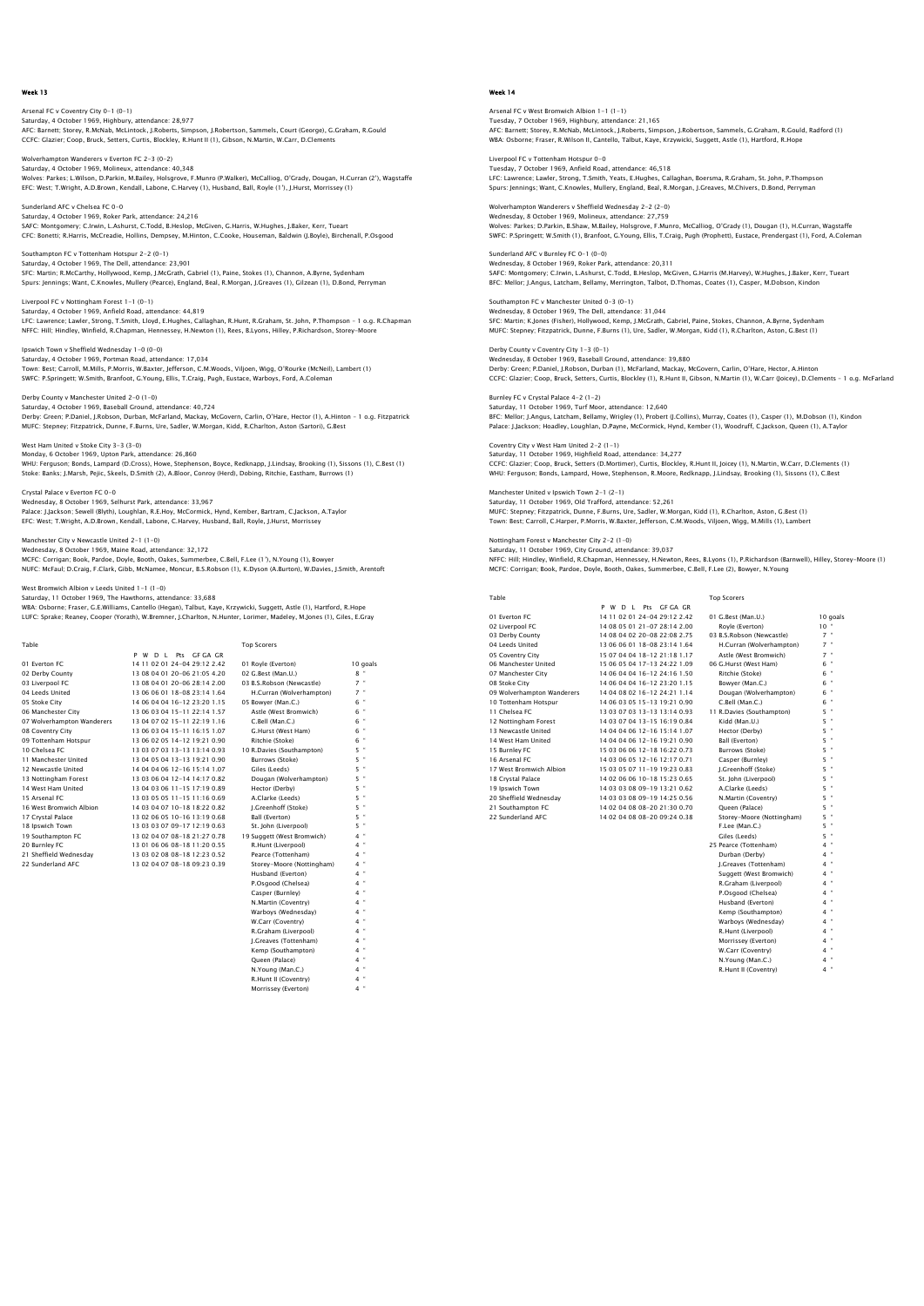Arsenal FC v Coventry City 0-1 (0-1) Saturday, 4 October 1969, Highbury, attendance: 28,977<br>AFC: Barnett; Storey, R.McNab, McLintock, J.Roberts, Simpson, J.Robertson, Sammels, Court (George), G.Graham, R.Gould<br>CCFC: Glazier; Coop, Bruck, Setters, Curtis, Bloc

Wolverhampton Wanderers v Everton FC 2-3 (0-2)<br>Saturday 4 October 1969, Molineux, attendance: 40.348 Saturday, 4 October 1969, Molineux, attendance: 40,348<br>Wolves: Parkes; L.Wilson, D.Parkin, M.Balley, Holsgrove, F.Munro (P.Walker), McCalliog, O'Grady, Dougan, H.Curran (2'), Wagstaffe<br>EFC: West; T.Wright, A.D.Brown, Kenda

Sunderland AFC v Chelsea FC 0-0 Saturday, 4 October 1969, Roker Park, attendance: 24,216 SAFC: Montgomery; C.Irwin, L.Ashurst, C.Todd, B.Heslop, McGiven, G.Harris, W.Hughes, J.Baker, Kerr, Tueart<br>CFC: Bonetti; R.Harris, McCreadie, Hollins, Dempsey, M.Hinton, C.Cooke, Houseman, Baldwin (J.Boyle), Birchenall, P.

Southampton FC v Tottenham Hotspur 2-2 (0-1) Saturday, 4 October 1969, The Dell, attendance: 23,901 SFC: Martin; R.McCarthy, Hollywood, Kemp, J.McGrath, Gabriel (1), Paine, Stokes (1), Channon, A.Byrne, Sydenham<br>Spurs: Jennings; Want, C.Knowles, Mullery (Pearce), England, Beal, R.Morgan, J.Greaves (1), Gilzean (1), D.Bon

Liverpool FC v Nottingham Forest 1-1 (0-1) Saturday, 4 October 1969, Anfield Road, attendance: 44,819 LFC: Lawrence; Lawler, Strong, T.Smith, Lloyd, E.Hughes, Callaghan, R.Hunt, R.Graham, St. John, P.Thompson - 1 o.g. R.Chapman<br>NFFC: Hill; Hindley, Winfield, R.Chapman, Hennessey, H.Newton (1), Rees, B.Lyons, Hilley, P.Rich

Ipswich Town v Sheffield Wednesday 1-0 (0-0) Saturday, 4 October 1969, Portman Road, attendance: 17,034 Town: Best; Carroll, M.Mills, P.Morris, W.Baxter, Jefferson, C.M.Woods, Viljoen, Wigg, O'Rourke (McNeil), Lambert (1)<br>SWFC: P.Springett; W.Smith, Branfoot, G.Young, Ellis, T.Craig, Pugh, Eustace, Warboys, Ford, A.Coleman

Derby County v Manchester United 2-0 (1-0) Saturday, 4 October 1969, Baseball Ground, attendance: 40,724 Derby: Green; P.Daniel, J.Robson, Durban, McFarland, Mackay, McGovern, Carlin, O'Hare, Hector (1), A.Hinton – 1 o.g. Fitzpatrick<br>MUFC: Stepney; Fitzpatrick, Dunne, F.Burns, Ure, Sadler, W.Morqan, Kidd, R.Charlton, Aston (S

West Ham United v Stoke City 3-3 (3-0) Monday, 6 October 1969, Upton Park, attendance: 26,860 WHU: Ferguson; Bonds, Lampard (D.Cross), Howe, Stephenson, Boyce, Redknapp, J.Lindsay, Brooking (1), Sissons (1), C.Best (1)<br>Stoke: Banks; J.Marsh, Pejic, Skeels, D.Smith (2), A.Bloor, Conroy (Herd), Dobinq, Ritchie, Easth

Crystal Palace v Everton FC 0-0 Wednesday, 8 October 1969, Selhurst Park, attendance: 33,967 Palace: J.Jackson; Sewell (Blyth), Loughlan, R.E.Hoy, McCormick, Hynd, Kember, Bartram, C.Jackson, A.Taylor EFC: West; T.Wright, A.D.Brown, Kendall, Labone, C.Harvey, Husband, Ball, Royle, J.Hurst, Morrissey

#### Manchester City v Newcastle United 2-1 (1-0) Wednesday, 8 October 1969, Maine Road, attendance: 32,172

MCFC: Corrigan; Book, Pardoe, Doyle, Booth, Oakes, Summerbee, C.Bell, F.Lee (1'), N.Young (1), Bowyer NUFC: McFaul; D.Craig, F.Clark, Gibb, McNamee, Moncur, B.S.Robson (1), K.Dyson (A.Burton), W.Davies, J.Smith, Arentoft

n<br>Albion v Leeds United 1-1 (1-0)

Saturday, 11 October 1969, The Hawthorns, attendance: 33,688 WBA: Osborne; Fraser, G.E.Williams, Cantello (Hegan), Talbut, Kaye, Krzywicki, Suggett, Astle (1), Hartford, R.Hope LUFC: Sprake; Reaney, Cooper (Yorath), W.Bremner, J.Charlton, N.Hunter, Lorimer, Madeley, M.Jones (1), Giles, E.Gray

| Table                      |                              | <b>Top Scorers</b>         |          |
|----------------------------|------------------------------|----------------------------|----------|
|                            | P W D L Pts GF GA GR         |                            |          |
| 01 Everton EC              | 14 11 02 01 24-04 29:12 2.42 | 01 Royle (Everton)         | 10 goals |
| 02 Derby County            | 13 08 04 01 20-06 21:05 4.20 | 02 G.Best (Man.U.)         | $8 -$    |
| 03 Liverpool FC            | 13 08 04 01 20-06 28:14 2.00 | 03 B.S.Robson (Newcastle)  | $7$ "    |
| 04 Leeds United            | 13 06 06 01 18-08 23:14 1.64 | H.Curran (Wolverhampton)   | $7 -$    |
| 05 Stoke City              | 14 06 04 04 16-12 23:20 1.15 | 05 Bowver (Man.C.)         | $6$ "    |
| 06 Manchester City         | 13 06 03 04 15-11 22:14 1.57 | Astle (West Bromwich)      | $6$ "    |
| 07 Wolverhampton Wanderers | 13 04 07 02 15-11 22:19 1.16 | C.Bell (Man.C.)            | $6$ "    |
| 08 Coventry City           | 13 06 03 04 15-11 16:15 1.07 | G.Hurst (West Ham)         | $6$ "    |
| 09 Tottenham Hotspur       | 13 06 02 05 14-12 19:21 0.90 | Ritchie (Stoke)            | $6$ "    |
| 10 Chelsea EC              | 13 03 07 03 13-13 13:14 0.93 | 10 R.Davies (Southampton)  | 5 "      |
| 11 Manchester United       | 13 04 05 04 13-13 19:21 0.90 | Burrows (Stoke)            | $5 -$    |
| 12 Newcastle United        | 14 04 04 06 12-16 15:14 1.07 | Giles (Leeds)              | 5 "      |
| 13 Nottingham Forest       | 13 03 06 04 12-14 14:17 0.82 | Dougan (Wolverhampton)     | $5 -$    |
| 14 West Ham United         | 13 04 03 06 11-15 17:19 0.89 | Hector (Derby)             | $5 -$    |
| 15 Arsenal FC              | 13 03 05 05 11-15 11:16 0.69 | A.Clarke (Leeds)           | $5 -$    |
| 16 West Bromwich Albion    | 14 03 04 07 10-18 18:22 0.82 | I.Greenhoff (Stoke)        | $5 -$    |
| 17 Crystal Palace          | 13 02 06 05 10-16 13:19 0.68 | Ball (Everton)             | $5 -$    |
| 18 Ipswich Town            | 13 03 03 07 09-17 12:19 0.63 | St. John (Liverpool)       | 5 "      |
| 19 Southampton FC          | 13 02 04 07 08-18 21:27 0.78 | 19 Suggett (West Bromwich) | $4$ "    |
| 20 Burnley FC              | 13 01 06 06 08-18 11:20 0.55 | R.Hunt (Liverpool)         | $4 -$    |
| 21 Sheffield Wednesdav     | 13 03 02 08 08-18 12:23 0.52 | Pearce (Tottenham)         | $4 -$    |
| 22 Sunderland AFC          | 13 02 04 07 08-18 09:23 0.39 | Storey-Moore (Nottingham)  | $4$ "    |
|                            |                              | Husband (Everton)          | $4$ "    |
|                            |                              | P.Osgood (Chelsea)         | $4 -$    |
|                            |                              | Casper (Burnley)           | $4$ "    |
|                            |                              | N.Martin (Coventry)        | $4 -$    |
|                            |                              | Warboys (Wednesday)        | $4 -$    |
|                            |                              | W.Carr (Coventry)          | $4 -$    |
|                            |                              | R.Graham (Liverpool)       | $4 -$    |
|                            |                              | J.Greaves (Tottenham)      | $4 -$    |
|                            |                              | Kemp (Southampton)         | $4 -$    |
|                            |                              | Oueen (Palace)             | $4 -$    |
|                            |                              | N.Young (Man.C.)           | $4$ "    |
|                            |                              | R.Hunt II (Coventry)       | $4$ "    |
|                            |                              | $14 - 24 = 22 - 17$        | $A$ $B$  |

N.Young (Man.C.) 4 " R.Hunt II (Coventry) 4 " Morrissey (Everton) 4 "

# Week 14

Arsenal FC v West Bromwich Albion 1-1 (1-1) Tuesday, 7 October 1969, Highbury, attendance: 21,165<br>AFC: Barnett; Storey, R.McNab, McLintock, J.Roberts, Simpson, J.Robertson, Sammels, G.Graham, R.Gould, Radford (1)<br>WBA: Osborne; Fraser, R.Wilson II, Cantello, Talbut,

Liverpool FC v Tottenham Hotspur 0-0 Tuesday, 7 October 1969, Anfield Road, attendance: 46,518 LFC: Lawrence; Lawler, Strong, T.Smith, Yeats, E.Hughes, Callaghan, Boersma, R.Graham, St. John, P.Thompson Spurs: Jennings; Want, C.Knowles, Mullery, England, Beal, R.Morgan, J.Greaves, M.Chivers, D.Bond, Perryman

Wolverhampton Wanderers v Sheffield Wednesday 2-2 (2-0) Wednesday, 8 October 1969, Molineux, attendance: 27,759 Wolves: Parkes; D.Parkin, B.Shaw, M.Bailey, Holsgrove, F.Munro, McCalliog, O'Grady (1), Dougan (1), H.Curran, Wagstaffe<br>SWFC: P.Springett; W.Smith (1), Branfoot, G.Younq, Ellis, T.Craig, Pugh (Prophett), Eustace, Prenderga

Sunderland AFC v Burnley FC 0-1 (0-0) Wednesday, 8 October 1969, Roker Park, attendance: 20,311 SAFC: Montgomery; C.Irwin, L.Ashurst, C.Todd, B.Heslop, McGiven, G.Harris (M.Harvey), W.Hughes, J.Baker, Kerr, Tueart BFC: Mellor; J.Angus, Latcham, Bellamy, Merrington, Talbot, D.Thomas, Coates (1), Casper, M.Dobson, Kindon

Southampton FC v Manchester United 0-3 (0-1) Wednesday, 8 October 1969, The Dell, attendance: 31,044 SFC: Martin; K.Jones (Fisher), Hollywood, Kemp, J.McGrath, Gabriel, Paine, Stokes, Channon, A.Byrne, Sydenham MUFC: Stepney; Fitzpatrick, Dunne, F.Burns (1), Ure, Sadler, W.Morgan, Kidd (1), R.Charlton, Aston, G.Best (1)

Derby County v Coventry City 1-3 (0-1) Wednesday, 8 October 1969, Baseball Ground, attendance: 39,880 Derby: Green; P.Daniel, J.Robson, Durban (1), McFarland, Mackay, McGovern, Carlin, O'Hare, Hector, A.Hinton<br>CCFC: Glazier; Coop, Bruck, Setters, Curtis, Blockley (1), R.Hunt II, Gibson, N.Martin (1), W.Carr (Joicey), D.Cle

Burnley FC v Crystal Palace 4-2 (1-2) Saturday, 11 October 1969, Turf Moor, attendance: 12,640 BFC: Mellor; J.Angus, Latcham, Bellamy, Wrigley (1), Probert (J.Collins), Murray, Coates (1), Casper (1), M.Dobson (1), Kindon Palace: J.Jackson; Hoadley, Loughlan, D.Payne, McCormick, Hynd, Kember (1), Woodruff, C.Jackson, Queen (1), A.Taylor

Coventry City v West Ham United 2-2 (1-1) Saturday, 11 October 1969, Highfield Road, attendance: 34,277 CCFC: Glazier; Coop, Bruck, Setters (D.Mortimer), Curtis, Blockley, R.Hunt II, Joicey (1), N.Martin, W.Carr, D.Clements (1)<br>WHU: Ferquson; Bonds, Lampard, Howe, Stephenson, R.Moore, Redknapp, J.Lindsay, Brookinq (1), Sisso

Manchester United v Ipswich Town 2-1 (2-1) Saturday, 11 October 1969, Old Trafford, attendance: 52,261 MUFC: Stepney; Fitzpatrick, Dunne, F.Burns, Ure, Sadler, W.Morgan, Kidd (1), R.Charlton, Aston, G.Best (1) Town: Best; Carroll, C.Harper, P.Morris, W.Baxter, Jefferson, C.M.Woods, Viljoen, Wigg, M.Mills (1), Lambert

Nottingham Forest v Manchester City 2-2 (1-0) Saturday, 11 October 1969, City Ground, attendance: 39,037<br>NFFC: Hill; Hindley, Winfield, R.Chapman, Hennessey, H.Newton, Rees, B.Lyons (1), P.Richardson (Barnwell), Hilley, Storey–Moore (1) MCFC: Corrigan; Book, Pardoe, Doyle, Booth, Oakes, Summerbee, C.Bell, F.Lee (2), Bowyer, N.Young

Top Scorers

| Table                      |
|----------------------------|
| 01 Everton EC              |
| 02 Liverpool FC            |
| 03 Derby County            |
| 04 Leeds United            |
| 05 Coventry City           |
| 06 Manchester United       |
| 07 Manchester City         |
| 08 Stoke City              |
| 09 Wolverhampton Wanderers |
| 10 Tottenham Hotspur       |
| 11 Chelsea EC              |
| 12 Nottingham Forest       |
| 13 Newcastle United        |
| 14 West Ham United         |
| 15 Burnley FC              |
| 16 Arsenal FC              |
| 17 West Bromwich Albion    |
| 18 Crystal Palace          |
| 19 Ipswich Town            |
| 20 Sheffield Wednesday     |
| 21 Southampton FC          |

P W D L Pts GF GA GR 14 11 02 01 24-04 29:12 2.42 01 G.Best (Man.U.) 10 goals<br>14 08 05 01 21-07 28:14 2.00 Royle (Everton) 10 <sup>n</sup><br>14 08 04 02 20-08 22:08 2.75 03 B.S.Robson (Newcastle) 7 <sup>n</sup><br>13 06 06 01 18-08 23:14 1.64 H.Curran (Wolverhampto 02 Liverpool FC 19805 01 21-07 28:14 2.00 Royle (Everton) 10<br>19 Oserby County 14 00 14 02 20-08 22:08 2.75 03 B.S.Robson (Newcastle) 7<br>19 Oserby Lincolness 13 06 06 01 18-08 23:14 1.64 H.Curran (Nolverhampton) 7<br>19 Oserby 16 06 05 04 17-13 24:22 1.09 06 G.Hurst (West Ham) 6<br>14 06 04 04 16-12 24:16 1.50 Ritchie (Stoke) 6<br>14 06 04 04 16-12 23:20 1.15 Bowyer (Man.C.) 6 07 Manchester City 14 06 04 04 16-12 24:16 1.50 Ritchie (Stoke) 6 "<br>08 Stoke City 10 06 04 16 10 12 23:20 1.15 Bowyer (Man.C.) 6 "6<br>19 Wolverhampton Wanderers 14 04 08 02 16-12 24:21 1.14 Dougan (Wolverhampton) 6 "6 14 06 03 05 15-13 19:21 0.90 C.Bell (Man.C.) 6<br>13 03 07 03 13-13 13:14 0.93 11 R Davies (Southampton) 5 11 R.Davies (Southampton)<br>Kidd (Man.II.) 12 Nottingham Forest 14 03 07 04 13-15 16:19 0.84 Kidd (Man.U.) 5 \*<br>13 Newcastle United 14 04 04 06 12-16 15:14 1.07 1.07 Hector (Derby) 5 \* 5 \*<br>14 West Ham United 5 \* 14 04 04 06 12-16 19:21 0.90 Ball (Everton) 15 03 06 06 12-18 16:22 0.73 Burrows (Stoke) 5<br>14 03 06 05 12-16 12:17 0.71 Casper (Burnley) 5 16 Arsenal FC 16 12:17 0.71<br>16 Arsenal FC 11 0:23 0.83<br>16 Arsenal FC 10-19 12:23 0.65<br>14 03 03 08 09-19 13:21 0.62<br>2 M. Clarke (Leeds) ' 7 West Bromwich Albion 15 03 05 07 11 - 19 19:23 0.83 J. Greenhoff (Stoke) 5<br>18 Crystal Palace 14 02 06 06 10 - 18 15:23 0.65 St. John (Liverpool) 5<br>19 Joswich Town 14 03 03 08 09 - 19 13:23 0.65 N. Clarke (Leeds) 5<br>19 O 21 Southampton FC 14 02 04 08 08-20 21:30 0.70 Queen (Palace)<br>
22 Sunderland AFC 14 02 04 08 08-20 09:24 0.38 Storey-Moore 22 Storey-Moore (Nottingham)<br>F.Lee (Man.C.) .y-<sub>'''</sub><br>' (Man.C.) Giles (Leeds) 5 " 25 Pearce (Tottenham) 4 " Durban (Derby) J.Greaves (Tottenham)<br>Suggett (West Bromwich) Suggett (West Bromwich) 4 " R.Graham (Liverpool) 4 " P.Osgood (Chelsea) 4 " Husband (Everton) Kemp (Southampton) Warboys (Wednesday) 4 " R.Hunt (Liverpool) 4 " Morrissey (Everton) 4 "

W.Carr (Coventry)  $4 \times 1$ <br>
N.Young (Man.C.)  $4 \times 1$ <br>
P. Hunt II (Coventry)  $4 \times 1$ N.Young (Man.C.) **P. Hunt II (Cove**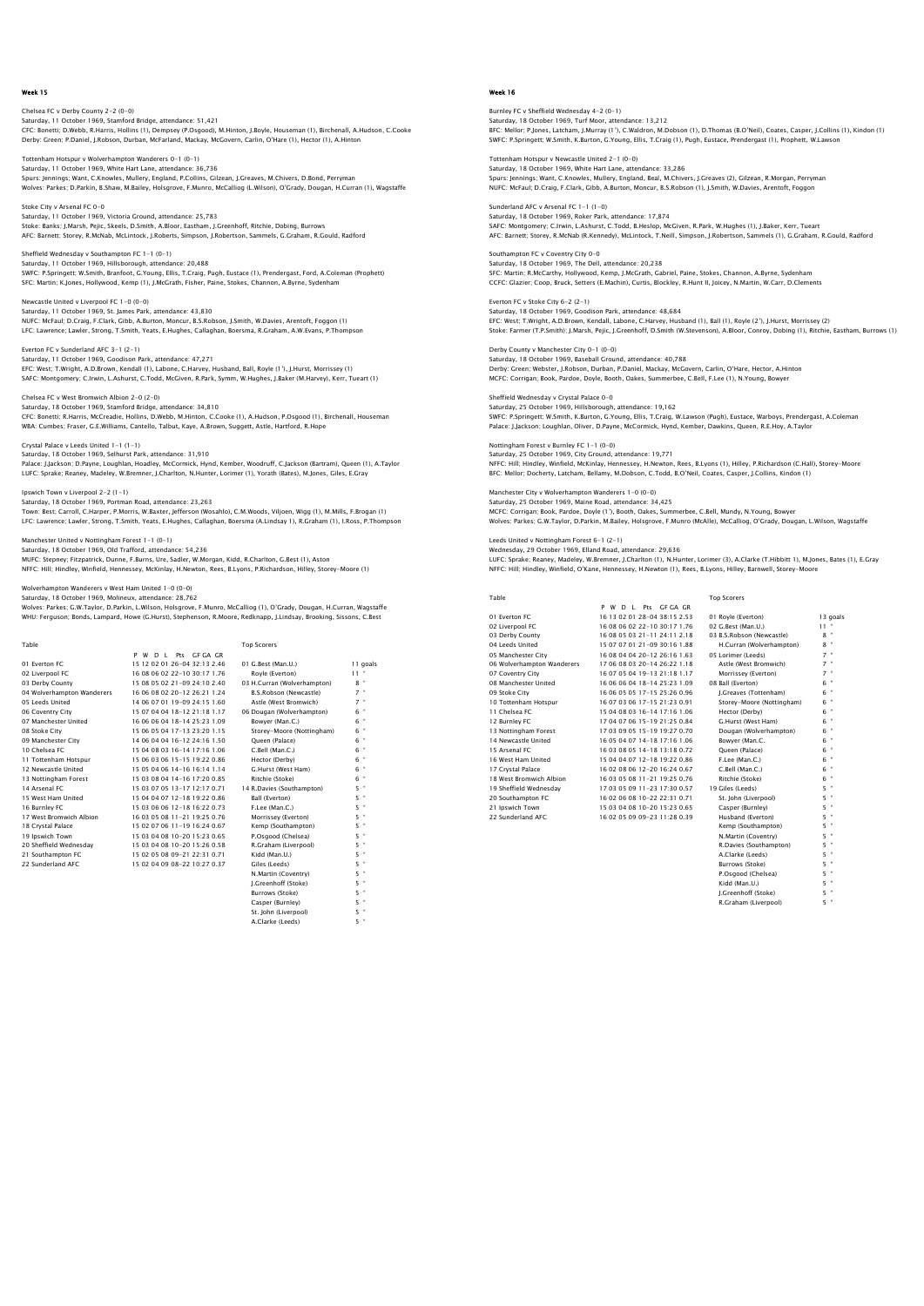# Chelsea FC v Derby County 2-2 (0-0) Saturday, 11 October 1969, Stamford Bridge, attendance: 51,421<br>CFC: Bonetti; D.Webb, R.Harris, Hollins (1), Dempsey (P.Osgood), M.Hinton, J.Boyle, Houseman (1), Birchenall, A.Hudson, C.Cooke<br>Derby: Green: P.Daniel, J.Robso

Tottenham Hotspur v Wolverhampton Wanderers 0-1 (0-1) Saturday, 11 October 1969, White Hart Lane, attendance: 36,736<br>Spurs: Jennings; Want, C.Knowles, Mullery, England, P.Collins, Gilzean, J.Greaves, M.Chivers, D.Bond, Perryman<br>Wolves: Parkes; D.Parkin, B.Shaw, M.Bailey, Hols

Stoke City v Arsenal FC 0-0 Saturday, 11 October 1969, Victoria Ground, attendance: 25,783<br>Stoke: Banks; J.Marsh, Pejic, Skeels, D.Smith, A.Bloor, Eastham, J.Greenhoff, Ritchie, Dobing, Burrows<br>AFC: Barnett: Storey, R.McNab, McLintock, J.Roberts, Sim

Sheffield Wednesday v Southampton FC 1-1 (0-1) Saturday, 11 October 1969, Hillsborough, attendance: 20,488<br>SWFC: P.Springett; W.Smith, Branfoot, G.Young, Ellis, T.Craig, Pugh, Eustace (1), Prendergast, Ford, A.Coleman (Prophett)<br>SFC: Martin; K.Jones, Hollywood, Kemp (1

Newcastle United v Liverpool FC 1-0 (0-0) Saturday, 11 October 1969, St. James Park, attendance: 43,830<br>NUFC: McFaul; D.Craig, F.Clark, Gibb, A.Burton, Moncur, B.S.Robson, J.Smith, W.Davies, Arentoft, Foggon (1)<br>LFC: Lawrence; Lawler, Stronq, T.Smith, Yeats, E.Huq

Everton FC v Sunderland AFC 3-1 (2-1) Saturday, 11 October 1969, Goodison Park, attendance: 47,271 EFC: West; T.Wright, A.D.Brown, Kendall (1), Labone, C.Harvey, Husband, Ball, Royle (1'), J.Hurst, Morrissey (1)<br>SAFC: Montqomery; C.Irwin, L.Ashurst, C.Todd, McGiven, R.Park, Symm, W.Huqhes, J.Baker (M.Harvey), Kerr, Tuea

Chelsea FC v West Bromwich Albion 2-0 (2-0) Saturday, 18 October 1969, Stamford Bridge, attendance: 34,810 CFC: Bonetti; R.Harris, McCreadie, Hollins, D.Webb, M.Hinton, C.Cooke (1), A.Hudson, P.Osgood (1), Birchenall, Houseman WBA: Cumbes; Fraser, G.E.Williams, Cantello, Talbut, Kaye, A.Brown, Suggett, Astle, Hartford, R.Hope

Crystal Palace v Leeds United 1-1 (1-1) Saturday, 18 October 1969, Selhurst Park, attendance: 31,910 Palace: J.Jackson; D.Payne, Loughlan, Hoadley, McCormick, Hynd, Kember, Woodruff, C.Jackson (Bartram), Queen (1), A.Taylor<br>LUFC: Sprake; Reaney, Madeley, W.Bremner, J.Charlton, N.Hunter, Lorimer (1), Yorath (Bates), M.Jone

Ipswich Town v Liverpool 2-2 (1-1) Saturday, 18 October 1969, Portman Road, attendance: 23,263

Town: Best; Carroll, C.Harper, P.Morris, W.Baxter, Jefferson (Wosahlo), C.M.Woods, Viljoen, Wigg (1), M.Mills, F.Brogan (1) LFC: Lawrence; Lawler, Strong, T.Smith, Yeats, E.Hughes, Callaghan, Boersma (A.Lindsay 1), R.Graham (1), I.Ross, P.Thompson

#### Jnited v Nottingham Forest 1-1 (0-1) Saturday, 18 October 1969, Old Trafford, attendance: 54,236

MUFC: Stepney; Fitzpatrick, Dunne, F.Burns, Ure, Sadler, W.Morgan, Kidd, R.Charlton, G.Best (1), Aston NFFC: Hill; Hindley, Winfield, Hennessey, McKinlay, H.Newton, Rees, B.Lyons, P.Richardson, Hilley, Storey-Moore (1)

## errs v West Ham United 1-0 (0-0)

Saturday, 18 October 1969, Molineux, attendance: 28,762<br>Wolves: Parkes; G.W.Taylor, D.Parkin, L.Wilson, Holsgrove, F.Munro, McCalliog (1), O'Grady, Dougan, H.Curran, Wagstaffe<br>WHU: Ferquson; Bonds, Lampard, Howe (G.Hurst),

| Table                      |                              | <b>Top Scorers</b>          |          |
|----------------------------|------------------------------|-----------------------------|----------|
|                            | P W D I Pts GEGA GR          |                             |          |
| 01 Everton EC              | 15 12 02 01 26-04 32:13 2.46 | 01 G.Best (Man.U.)          | 11 goals |
| 02 Liverpool FC            | 16 08 06 02 22-10 30:17 1.76 | Rovle (Everton)             | $11 -$   |
| 03 Derby County            | 15 08 05 02 21-09 24:10 2.40 | 03 H.Curran (Wolverhampton) | $8 -$    |
| 04 Wolverhampton Wanderers | 16 06 08 02 20-12 26:21 1.24 | B.S.Robson (Newcastle)      | $7$ "    |
| 05 Leeds United            | 14 06 07 01 19-09 24:15 1.60 | Astle (West Bromwich)       | $7$ "    |
| 06 Coventry City           | 15 07 04 04 18-12 21:18 1.17 | 06 Dougan (Wolverhampton)   | 6 "      |
| 07 Manchester United       | 16 06 06 04 18-14 25:23 1.09 | Bowver (Man.C.)             | 6 "      |
| 08 Stoke City              | 15 06 05 04 17-13 23:20 1.15 | Storey-Moore (Nottingham)   | $6$ "    |
| 09 Manchester City         | 14 06 04 04 16-12 24:16 1.50 | Oueen (Palace)              | 6 "      |
| 10 Chelsea EC              | 15 04 08 03 16-14 17:16 1.06 | C.Bell (Man.C.)             | $6$ "    |
| 11 Tottenham Hotspur       | 15 06 03 06 15-15 19:22 0.86 | Hector (Derby)              | $6$ "    |
| 12 Newcastle United        | 15 05 04 06 14-16 16:14 1.14 | G.Hurst (West Ham)          | $6$ "    |
| 13 Nottingham Forest       | 15 03 08 04 14-16 17:20 0.85 | Ritchie (Stoke)             | $6$ "    |
| 14 Arsenal FC              | 15 03 07 05 13-17 12:17 0.71 | 14 R.Davies (Southampton)   | $5 -$    |
| 15 West Ham United         | 15 04 04 07 12-18 19:22 0.86 | Ball (Everton)              | 5 "      |
| 16 Burnley FC              | 15 03 06 06 12-18 16:22 0.73 | F.Lee (Man.C.)              | $5$ "    |
| 17 West Bromwich Albion    | 16.03.05.08.11-21.19:25.0.76 | Morrissey (Everton)         | 5 "      |
| 18 Crystal Palace          | 15 02 07 06 11-19 16:24 0.67 | Kemp (Southampton)          | 5 "      |
| 19 Ipswich Town            | 15 03 04 08 10-20 15:23 0.65 | P.Osgood (Chelsea)          | $5$ "    |
| 20 Sheffield Wednesdav     | 15 03 04 08 10-20 15:26 0.58 | R.Graham (Liverpool)        | $5 -$    |
| 21 Southampton FC          | 15 02 05 08 09-21 22:31 0.71 | Kidd (Man.U.)               | 5 "      |
| 22 Sunderland AFC          | 15 02 04 09 08-22 10:27 0.37 | Giles (Leeds)               | $5 -$    |
|                            |                              | N.Martin (Coventry)         | 5 "      |
|                            |                              | I.Greenhoff (Stoke)         | 5 "      |
|                            |                              | Burrows (Stoke)             | 5 "      |
|                            |                              | Casper (Burnley)            | $5$ "    |
|                            |                              | St. John (Liverpool)        | 5 "      |
|                            |                              | A Cleater (Federal)         | $r = n$  |

A.Clarke (Leeds)

# Week 16

Burnley FC v Sheffield Wednesday 4-2 (0-1) Saturday, 18 October 1969, Turf Moor, attendance: 13,212<br>BFC: Mellor; P.Jones, Latcham, J.Murray (1'), C.Waldron, M.Dobson (1), D.Thomas (B.O'Neil), Coates, Casper, J.Collins (1), Kindon (1)<br>SWFC: P.Soringett; W.Smith, K.B

Tottenham Hotspur v Newcastle United 2-1 (0-0) Saturday, 18 October 1969, White Hart Lane, attendance: 33,286<br>Spurs: Jennings; Want, C.Knowles, Mullery, England, Beal, M.Chivers, J.Greaves (2), Gilzean, R.Morgan, Perryman<br>NUFC: McFaul: D.Craiq, F.Clark, Gibb, A.Burton,

Sunderland AFC v Arsenal FC 1-1 (1-0) Saturday, 18 October 1969, Roker Park, attendance: 17,874 SAFC: Montgomery; C.Irwin, L.Ashurst, C.Todd, B.Heslop, McGiven, R.Park, W.Hughes (1), J.Baker, Kerr, Tueart<br>AFC: Barnett: Storey, R.McNab (R.Kennedy), McLintock, T.Neill, Simpson, J.Robertson, Sammels (1), G.Graham, R.Gou

Southampton FC v Coventry City 0-0 Saturday, 18 October 1969, The Dell, attendance: 20,238 SFC: Martin; R.McCarthy, Hollywood, Kemp, J.McGrath, Gabriel, Paine, Stokes, Channon, A.Byrne, Sydenham CCFC: Glazier; Coop, Bruck, Setters (E.Machin), Curtis, Blockley, R.Hunt II, Joicey, N.Martin, W.Carr, D.Clements

Everton FC v Stoke City 6-2 (2-1) Saturday, 18 October 1969, Goodison Park, attendance: 48,684 EFC: West; T.Wright, A.D.Brown, Kendall, Labone, C.Harvey, Husband (1), Ball (1), Royle (2'), J.Hurst, Morrissey (2)<br>Stoke: Farmer (T.P.Smith): J.Marsh, Pejic, J.Greenhoff, D.Smith (W.Stevenson), A.Bloor, Conroy, Dobing (1

Derby County v Manchester City 0-1 (0-0) Saturday, 18 October 1969, Baseball Ground, attendance: 40,788 Derby: Green; Webster, J.Robson, Durban, P.Daniel, Mackay, McGovern, Carlin, O'Hare, Hector, A.Hinton MCFC: Corrigan; Book, Pardoe, Doyle, Booth, Oakes, Summerbee, C.Bell, F.Lee (1), N.Young, Bowyer

Sheffield Wednesday v Crystal Palace 0-0 Saturday, 25 October 1969, Hillsborough, attendance: 19,162<br>SWFC: P.Springett; W.Smith, K.Burton, G.Young, Ellis, T.Craig, W.Lawson (Pugh), Eustace, Warboys, Prendergast, A.Colemar<br>Palace: J.Jackson; Loughlan, Oliver, D.Pa

Nottingham Forest v Burnley FC 1-1 (0-0) Saturday, 25 October 1969, City Ground, attendance: 19,771 NFFC: Hill; Hindley, Winfield, McKinlay, Hennessey, H.Newton, Rees, B.Lyons (1), Hilley, P.Richardson (C.Hall), Storey–Moore<br>BFC: Mellor; Docherty, Latcham, Bellamy, M.Dobson, C.Todd, B.O'Neil, Coates, Casper, J.Collins, K

Manchester City v Wolverhampton Wanderers 1-0 (0-0) Saturday, 25 October 1969, Maine Road, attendance: 34,425 MCFC: Corrigan; Book, Pardoe, Doyle (1'), Booth, Oakes, Summerbee, C.Bell, Mundy, N.Young, Bowyer Wolves: Parkes; G.W.Taylor, D.Parkin, M.Bailey, Holsgrove, F.Munro (McAlle), McCalliog, O'Grady, Dougan, L.Wilson, Wagstaffe

Leeds United v Nottingham Forest 6-1 (2-1) Wednesday, 29 October 1969, Elland Road, attendance: 29,636

LUFC: Sprake; Reaney, Madeley, W.Bremner, J.Charlton (1), N.Hunter, Lorimer (3), A.Clarke (T.Hibbitt 1), M.Jones, Bates (1), E.Gray NFFC: Hill; Hindley, Winfield, O'Kane, Hennessey, H.Newton (1), Rees, B.Lyons, Hilley, Barnwell, Storey-Moore

| Table                      |                                       | <b>Top Scorers</b>        |          |
|----------------------------|---------------------------------------|---------------------------|----------|
|                            | P W<br>Pts GE GA GR<br>D <sub>1</sub> |                           |          |
| 01 Everton EC              | 16 13 02 01 28-04 38:15 2.53          | 01 Royle (Everton)        | 13 goals |
| 02 Liverpool FC            | 16.08.06.02.22-10.30:17.1.76          | 02 G.Best (Man.U.)        | $11 -$   |
| 03 Derby County            | 16.08.05.03.21-11.24:11.2.18          | 03 B.S.Robson (Newcastle) | $8 -$    |
| 04 Leeds United            | 15 07 07 01 21-09 30:16 1.88          | H.Curran (Wolverhampton)  | $8 -$    |
| 05 Manchester City         | 16 08 04 04 20-12 26:16 1.63          | 05 Lorimer (Leeds)        | $7 -$    |
| 06 Wolverhampton Wanderers | 17 06 08 03 20-14 26:22 1.18          | Astle (West Bromwich)     | $7 -$    |
| 07 Coventry City           | 16 07 05 04 19-13 21:18 1.17          | Morrissey (Everton)       | $7 -$    |
| 08 Manchester United       | 16 06 06 04 18-14 25:23 1.09          | 08 Ball (Everton)         | 6 "      |
| 09 Stoke City              | 16 06 05 05 17-15 25:26 0.96          | I.Greaves (Tottenham)     | 6 "      |
| 10 Tottenham Hotspur       | 16.07.03.06.17-15.21:23.0.91          | Storey-Moore (Nottingham) | 6 "      |
| 11 Chelsea EC              | 15 04 08 03 16-14 17:16 1.06          | Hector (Derby)            | 6 "      |
| 12 Burnley FC              | 17 04 07 06 15-19 21:25 0.84          | G.Hurst (West Ham)        | 6 "      |
| 13 Nottingham Forest       | 17 03 09 05 15-19 19:27 0.70          | Dougan (Wolverhampton)    | $6 -$    |
| 14 Newcastle United        | 16.05.04.07.14-18.17:16.1.06          | Bowver (Man.C.            | 6 "      |
| 15 Arsenal FC              | 16 03 08 05 14-18 13:18 0.72          | Oueen (Palace)            | $6 -$    |
| 16 West Ham United         | 15 04 04 07 12-18 19:22 0.86          | F.Lee (Man.C.)            | $6 -$    |
| 17 Crystal Palace          | 16.02.08.06.12-20.16:24.0.67          | C.Bell (Man.C.)           | $6 -$    |
| 18 West Bromwich Albion    | 16.03.05.08.11-21.19:25.0.76          | Ritchie (Stoke)           | 6 "      |
| 19 Sheffield Wednesdav     | 17 03 05 09 11-23 17:30 0.57          | 19 Giles (Leeds)          | 5. "     |
| 20 Southampton FC          | 16 02 06 08 10-22 22:31 0.71          | St. John (Liverpool)      | 5. "     |
| 21 Ipswich Town            | 15 03 04 08 10-20 15:23 0.65          | Casper (Burnley)          | $5 -$    |
| 22 Sunderland AFC          | 16 02 05 09 09-23 11:28 0.39          | Husband (Everton)         | 5 "      |

| <b>TOP SCOTERS</b>        |                     |
|---------------------------|---------------------|
| 01 Rovie (Everton)        | 13q                 |
| 02 G.Best (Man.U.)        | 11                  |
| 03 B.S.Robson (Newcastle) | f<br>8.             |
| H.Curran (Wolverhampton)  | f<br>8              |
| 05 Lorimer (Leeds)        | ł<br>$\overline{z}$ |
| Astle (West Bromwich)     | ł<br>$\overline{7}$ |
| Morrissev (Everton)       | 7 <sup>1</sup>      |
| 08 Ball (Everton)         | ł<br>6              |
| I.Greaves (Tottenham)     | f<br>6              |
| Storev-Moore (Nottingham) | ł<br>6              |
| Hector (Derby)            | ł<br>6              |
| G.Hurst (West Ham)        | f<br>6              |
| Dougan (Wolverhampton)    | f<br>6              |
| Bowver (Man.C.            | ł<br>6              |
| Oueen (Palace)            | ł<br>6.             |
| F.Lee (Man.C.)            | f<br>6              |
| C.Bell (Man.C.)           | ł<br>6              |
| Ritchie (Stoke)           | ł<br>6              |
| 19 Giles (Leeds)          | f<br>5              |
| St. John (Liverpool)      | ł<br>5              |
| Casper (Burnley)          | ł<br>5              |
| Husband (Everton)         | f<br>5              |
| Kemp (Southampton)        | f<br>5              |
| N.Martin (Coventry)       | ł<br>5              |
| R.Davies (Southampton)    | f<br>5              |
| A.Clarke (Leeds)          | ł<br>5              |
| Burrows (Stoke)           | ł<br>5.             |
| P.Osgood (Chelsea)        | ł<br>5              |
| Kidd (Man.U.)             | ł<br>5              |
| J.Greenhoff (Stoke)       | ł<br>5              |
| R.Graham (Liverpool)      | ł<br>5              |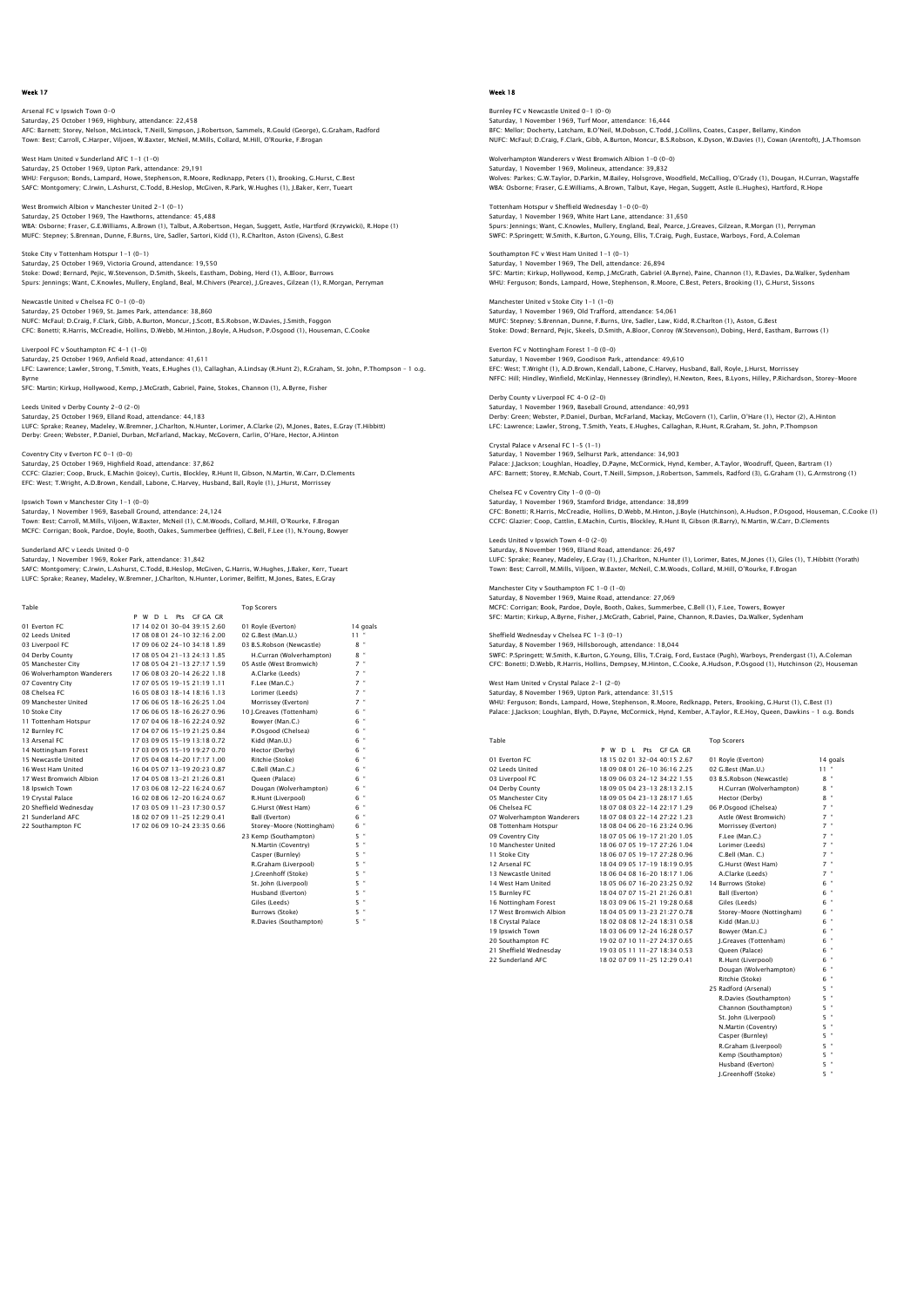Arsenal FC v Ipswich Town 0-0 Saturday, 25 October 1969, Highbury, attendance: 22,458<br>AFC: Barnett; Storey, Nelson, McLintock, T.Neill, Simpson, J.Robertson, Sammels, R.Gould (George), G.Graham, Radford<br>Town: Best; Carroll, C.Harper, Viljoen, W.Baxter,

West Ham United v Sunderland AEC 1-1 (1-0) Saturday, 25 October 1969, Upton Park, attendance: 29,191<br>WHU: Ferguson; Bonds, Lampard, Howe, Stephenson, R.Moore, Redknapp, Peters (1), Brooking, G.Hurst, C.Best<br>SAFC: Montqomery: C.Irwin, L.Ashurst, C.Todd, B.Heslop, Mc

West Bromwich Albion v Manchester United 2-1 (0-1) Saturday, 25 October 1969, The Hawthorns, attendance: 45,488<br>WBA: Osborne; Fraser, G.E.Williams, A.Brown (1), Talbut, A.Robertson, Hegan, Suggett, Astle, Hartford (Krzywicki), R.Hope (1)<br>MUFC: Stepney; S.Brennan, Dunne, F.

Stoke City v Tottenham Hotspur 1-1 (0-1) Saturday, 25 October 1969, Victoria Ground, attendance: 19,550<br>Stoke: Dowd; Bernard, Pejic, W.Stevenson, D.Smith, Skeels, Eastham, Dobing, Herd (1), A.Bloor, Burrows<br>Spurs: Jennings; Want, C.Knowles, Mullery, England, Beal

Newcastle United v Chelsea FC 0-1 (0-0) Saturday, 25 October 1969, St. James Park, attendance: 38,860<br>NUFC: McFaul; D.Craig, F.Clark, Gibb, A.Burton, Moncur, J.Scott, B.S.Robson, W.Davies, J.Smith, Foggon<br>CFC: Bonetti: R.Harris, McCreadie, Hollins, D.Webb, M.Hin

Liverpool FC v Southampton FC 4-1 (1-0) Saturday, 25 October 1969, Anfield Road, attendance: 41,611 LFC: Lawrence; Lawler, Strong, T.Smith, Yeats, E.Hughes (1), Callaghan, A.Lindsay (R.Hunt 2), R.Graham, St. John, P.Thompson – 1 o.g.

Byrne SFC: Martin; Kirkup, Hollywood, Kemp, J.McGrath, Gabriel, Paine, Stokes, Channon (1), A.Byrne, Fisher

Leeds United v Derby County 2-0 (2-0) Saturday, 25 October 1969, Elland Road, attendance: 44,183 LUFC: Sprake; Reaney, Madeley, W.Bremner, J.Charlton, N.Hunter, Lorimer, A.Clarke (2), M.Jones, Bates, E.Gray (T.Hibbitt)<br>Derby: Green; Webster, P.Daniel, Durban, McFarland, Mackay, McGovern, Carlin, O'Hare, Hector, A.Hint

Coventry City v Everton FC 0-1 (0-0) Saturday, 25 October 1969, Highfield Road, attendance: 37,862<br>CCFC: Giazier; Coop, Bruck, E.Machin (Joicey), Curtis, Blockley, R.Hunt II, Gibson, N.Martin, W.Carr, D.Clements<br>EFC: West; T.Wright, A.D.Brown, Kendall, Labone

Ipswich Town v Manchester City 1-1 (0-0) Saturday, 1 November 1969, Baseball Ground, attendance: 24,124 Town: Best; Carroll, M.Mills, Viljoen, W.Baxter, McNeil (1), C.M.Woods, Collard, M.Hill, O'Rourke, F.Brogan MCFC: Corrigan; Book, Pardoe, Doyle, Booth, Oakes, Summerbee (Jeffries), C.Bell, F.Lee (1), N.Young, Bowyer

Sunderland AFC v Leeds United 0-0

Saturday, 1 November 1969, Roker Park, attendance: 31,842 SAFC: Montgomery; C.Irwin, L.Ashurst, C.Todd, B.Heslop, McGiven, G.Harris, W.Hughes, J.Baker, Kerr, Tueart LUFC: Sprake; Reaney, Madeley, W.Bremner, J.Charlton, N.Hunter, Lorimer, Belfitt, M.Jones, Bates, E.Gray

| Table                      |                              | <b>Top Scorers</b>        |                |
|----------------------------|------------------------------|---------------------------|----------------|
|                            | P W D L Pts GF GA GR         |                           |                |
| 01 Everton EC              | 1714020130-0439152.60        | 01 Royle (Everton)        | 14 goals       |
| 02 Leeds United            | 17 08 08 01 24-10 32:16 2.00 | 02 G.Best (Man.U.)        | $11 -$         |
| 03 Liverpool FC            | 17 09 06 02 24-10 34:18 1.89 | 03 B.S.Robson (Newcastle) | $8$ "          |
| 04 Derby County            | 17 08 05 04 21-13 24:13 1.85 | H.Curran (Wolverhampton)  | $8$ "          |
| 05 Manchester City         | 17 08 05 04 21-13 27:17 1.59 | 05 Astle (West Bromwich)  | $7$ "          |
| 06 Wolverhampton Wanderers | 17 06 08 03 20-14 26:22 1.18 | A.Clarke (Leeds)          | $7 -$          |
| 07 Coventry City           | 17 07 05 05 19-15 21:19 1.11 | F.Lee (Man.C.)            | $7$ "          |
| 08 Chelsea EC              | 16.05.08.03.18-14.18:16.1.13 | Lorimer (Leeds)           | $7$ "          |
| 09 Manchester United       | 17 06 06 05 18-16 26:25 1.04 | Morrissey (Everton)       | $7$ "          |
| 10 Stoke City              | 17 06 06 05 18-16 26:27 0.96 | 10 I.Greaves (Tottenham)  | $6$ "          |
| 11 Tottenham Hotspur       | 17 07 04 06 18-16 22:24 0.92 | Bowver (Man.C.)           | $6$ "          |
| 12 Burnley FC              | 17 04 07 06 15-19 21:25 0.84 | P.Osgood (Chelsea)        | 6 "            |
| 13 Arsenal FC              | 1703090515-1913180.72        | Kidd (Man.U.)             | $6$ "          |
| 14 Nottingham Forest       | 17 03 09 05 15-19 19:27 0.70 | Hector (Derby)            | $6$ "          |
| 15 Newcastle United        | 17 05 04 08 14-20 17:17 1.00 | Ritchie (Stoke)           | $6$ "          |
| 16 West Ham United         | 16 04 05 07 13-19 20:23 0.87 | C.Bell (Man.C.)           | $\bullet$<br>6 |
| 17 West Bromwich Albion    | 17 04 05 08 13-21 21:26 0.81 | Oueen (Palace)            | 6 "            |
| 18 Ipswich Town            | 17 03 06 08 12-22 16:24 0.67 | Dougan (Wolverhampton)    | $6$ "          |
| 19 Crystal Palace          | 16 02 08 06 12-20 16:24 0.67 | R.Hunt (Liverpool)        | $6$ "          |
| 20 Sheffield Wednesdav     | 17 03 05 09 11-23 17:30 0.57 | G.Hurst (West Ham)        | $6$ "          |
| 21 Sunderland AFC          | 18 02 07 09 11-25 12:29 0.41 | Ball (Everton)            | $\bullet$<br>6 |
| 22 Southampton FC          | 17 02 06 09 10-24 23:35 0.66 | Storey-Moore (Nottingham) | $6$ "          |
|                            |                              | 23 Kemp (Southampton)     | $5 -$          |
|                            |                              | N.Martin (Coventry)       | 5 "            |
|                            |                              | Casper (Burnley)          | $5 -$          |
|                            |                              | R.Graham (Liverpool)      | 5 "            |
|                            |                              | I.Greenhoff (Stoke)       | 5 "            |
|                            |                              | St. John (Liverpool)      | 5 "            |
|                            |                              | Husband (Everton)         | 5 "            |

Giles (Leeds) Burrows (Stoke) Barrons (Stoke)<br>R.Davies (Southampton)

### Week 18

Burnley FC v Newcastle United 0-1 (0-0) Saturday, 1 November 1969, Turf Moor, attendance: 16,444<br>BFC: Mellor; Docherty, Latcham, B.O'Neil, M.Dobson, C.Todd, J.Collins, Coates, Casper, Bellamy, Kindon<br>NUFC: McFaul; D.Craiq, F.Clark, Gibb, A.Burton, Moncur, B.S.Ro

Wolverhampton Wanderers v West Bromwich Albion 1-0 (0-0) Saturday, 1 November 1969, Molineux, attendance: 39,832<br>Wolves: Parkes; G.W.Taylor, D.Parkin, M.Bailey, Holsgrove, Woodfield, McCalliog, O'Grady (1), Dougan, H.Curran, Wagstaffe<br>WBA: Osborne; Fraser, G.E.Williams, A.Brown,

Tottenham Hotspur v Sheffield Wednesday 1-0 (0-0) Saturday, 1 November 1969, White Hart Lane, attendance: 31,650 Spurs: Jennings; Want, C.Knowles, Mullery, England, Beal, Pearce, J.Greaves, Gilzean, R.Morgan (1), Perryman SWFC: P.Springett; W.Smith, K.Burton, G.Young, Ellis, T.Craig, Pugh, Eustace, Warboys, Ford, A.Coleman

Southampton FC v West Ham United 1-1 (0-1) Saturday, 1 November 1969, The Dell, attendance: 26,894 SFC: Martin; Kirkup, Hollywood, Kemp, J.McGrath, Gabriel (A.Byrne), Paine, Channon (1), R.Davies, Da.Walker, Sydenham WHU: Ferguson; Bonds, Lampard, Howe, Stephenson, R.Moore, C.Best, Peters, Brooking (1), G.Hurst, Sissons

Manchester United v Stoke City 1-1 (1-0) Saturday, 1 November 1969, Old Trafford, attendance: 54,061 MUFC: Stepney; S.Brennan, Dunne, F.Burns, Ure, Sadler, Law, Kidd, R.Charlton (1), Aston, G.Best Stoke: Dowd; Bernard, Pejic, Skeels, D.Smith, A.Bloor, Conroy (W.Stevenson), Dobing, Herd, Eastham, Burrows (1)

Everton FC v Nottingham Forest 1-0 (0-0) Saturday, 1 November 1969, Goodison Park, attendance: 49,610 EFC: West; T.Wright (1), A.D.Brown, Kendall, Labone, C.Harvey, Husband, Ball, Royle, J.Hurst, Morrissey<br>NFFC: Hill; Hindley, Winfield, McKinlay, Hennessey (Brindley), H.Newton, Rees, B.Lyons, Hilley, P.Richardson, Storey-M

Derby County v Liverpool FC 4-0 (2-0) Saturday, 1 November 1969, Baseball Ground, attendance: 40,993 Derby: Green; Webster, P.Daniel, Durban, McFarland, Mackay, McGovern (1), Carlin, O'Hare (1), Hector (2), A.Hinton LFC: Lawrence; Lawler, Strong, T.Smith, Yeats, E.Hughes, Callaghan, R.Hunt, R.Graham, St. John, P.Thompson

Crystal Palace v Arsenal FC 1-5 (1-1) Saturday, 1 November 1969, Selhurst Park, attendance: 34,903 Palace: J.Jackson; Loughlan, Hoadley, D.Payne, McCormick, Hynd, Kember, A.Taylor, Woodruff, Queen, Bartram (1)<br>AFC: Barnett; Storey, R.McNab, Court, T.Neill, Simpson, J.Robertson, Sammels, Radford (3), G.Graham (1), G.Arms

Chelsea FC v Coventry City 1-0 (0-0) Saturday, 1 November 1969, Stamford Bridge, attendance: 38,899 CFC: Bonetti; R.Harris, McCreadie, Hollins, D.Webb, M.Hinton, J.Boyle (Hutchinson), A.Hudson, P.Osgood, Houseman, C.Cooke (1)<br>CCFC: Glazier; Coop, Cattlin, E.Machin, Curtis, Blockley, R.Hunt II, Gibson (R.Barry), N.Martin,

Leeds United v Ipswich Town 4-0 (2-0) Saturday, 8 November 1969, Elland Road, attendance: 26,497 LUFC: Sprake; Reaney, Madeley, E.Gray (1), J.Charlton, N.Hunter (1), Lorimer, Bates, M.Jones (1), Giles (1), T.Hibbitt (Yorath)<br>Town: Best; Carroll, M.Mills, Viljoen, W.Baxter, McNeil, C.M.Woods, Collard, M.Hill, O'Rourke,

er City v Southampton FC 1-0 (1-0) Saturday, 8 November 1969, Maine Road, attendance: 27,069 MCFC: Corrigan; Book, Pardoe, Doyle, Booth, Oakes, Summerbee, C.Bell (1), F.Lee, Towers, Bowyer SFC: Martin; Kirkup, A.Byrne, Fisher, J.McGrath, Gabriel, Paine, Channon, R.Davies, Da.Walker, Sydenham

#### dnesday v Chelsea FC 1−3 (0−1) Saturday, 8 November 1969, Hillsborough, attendance: 18,044

SWFC: P.Springett; W.Smith, K.Burton, G.Young, Ellis, T.Craig, Ford, Eustace (Pugh), Warboys, Prendergast (1), A.Coleman CFC: Bonetti; D.Webb, R.Harris, Hollins, Dempsey, M.Hinton, C.Cooke, A.Hudson, P.Osgood (1), Hutchinson (2), Houseman

West Ham United v Crystal Palace 2–1 (2–0)<br>Saturday, 8 November 1969, Upton Park, attendance: 31,515<br>WHU: Ferguson; Bonds, Lampard, Howe, Stephenson, R.Moore, Redknapp, Peters, Brooking, G.Hurst (1), C.Best (1)<br>Palace: J.J

| Table                      |                                       | <b>Top Scorers</b> |
|----------------------------|---------------------------------------|--------------------|
|                            | P W<br>Pts GF GA GR<br>D <sub>1</sub> |                    |
| 01 Everton FC              | 18 15 02 01 32-04 40:15 2.67          | 01 Royle (Ev       |
| 02 Leeds United            | 18 09 08 01 26-10 36:16 2.25          | 02 G.Best (M       |
| 03 Liverpool FC            | 18 09 06 03 24-12 34:22 1.55          | 03 B.S.Robs        |
| 04 Derby County            | 18 09 05 04 23-13 28:13 2.15          | H.Curran           |
| 05 Manchester City         | 18 09 05 04 23-13 28:17 1.65          | Hector (D          |
| 06 Chelsea EC              | 18 07 08 03 22-14 22:17 1.29          | 06 P.Osgood        |
| 07 Wolverhampton Wanderers | 18 07 08 03 22-14 27:22 1.23          | Astle (We          |
| 08 Tottenham Hotspur       | 18 08 04 06 20-16 23:24 0.96          | Morrisse           |
| 09 Coventry City           | 18 07 05 06 19-17 21:20 1.05          | F.Lee (Ma          |
| 10 Manchester United       | 18 06 07 05 19-17 27:26 1.04          | Lorimer (          |
| 11 Stoke City              | 18 06 07 05 19-17 27:28 0.96          | C.Bell (M          |
| 12 Arsenal FC              | 18 04 09 05 17-19 18:19 0.95          | G.Hurst (          |
| 13 Newcastle United        | 18 06 04 08 16-20 18:17 1.06          | A.Clarke           |
| 14 West Ham United         | 18 05 06 07 16-20 23:25 0.92          | 14 Burrows         |
| 15 Burnley FC              | 18 04 07 07 15-21 21:26 0.81          | <b>Ball (Ever</b>  |
| 16 Nottingham Forest       | 18 03 09 06 15-21 19:28 0.68          | Giles (Le          |
| 17 West Bromwich Albion    | 18 04 05 09 13-23 21:27 0.78          | Storey-M           |
| 18 Crystal Palace          | 18 02 08 08 12-24 18:31 0.58          | Kidd (Ma           |
| 19 Ipswich Town            | 18 03 06 09 12-24 16:28 0.57          | Bowyer (I          |
| 20 Southampton FC          | 19 02 07 10 11-27 24:37 0.65          | J.Greaves          |
| 21 Shaffiald Wadnesday     | 10.02.05.11.11_27.18:24.0.52          | Ougan (D           |

P W D L Pts GF GA GR 01 Everton FC 18 15 02 01 32-04 40:15 2.67 01 Royle (Everton) 14 goals 18 09 08 01 26-10 36:16 2.25 02 G.Best (Man.U.) 11<br>
18 09 06 03 24-12 34:22 1.55 03 B.S.Robson (Newcastle) 8<br>
18 09 05 04 23-13 28:13 2.15 H.Curran (Wolverhampton) 8 03 Liverpool FC 18 09 06 03 24-12 34:22 1.55 03 B.S.Robson (Newcastle) 8 " 04 Derby County 18 09 05 04 23-13 28:13 2.15 H.Curran (Wolverhampton) 8 " 05 Manchester City 18 09 05 04 23-13 28:17 1.65 Hector (Derby) 8 " 18 07 08 03 22-14 22:17 1.29 06 P.Osgood (Chelsea) 7<br>18 07 08 03 22-14 27:22 1.23 Astle (West Bromwich) 7 18 07 08 03 22-14 27:22 1.23 Astle (West Bromwi<br>18 08 04 06 20-16 23:24 0.96 Morrissey (Everton)<br>18 07 05 06 19-17 21:20 1.05 F.Lee (Man.C.) 08 Tottenham Hotspur 18 08 04 06 20-16 23:24 0.96 Morrissey (Everton) 7 " 09 Coventry City 18 07 05 06 19-17 21:20 1.05 F.Lee (Man.C.) 7 " 10 Manchester United 18 06 07 05 19-17 27:26 1.04 Lorimer (Leeds) 7 " 12 12 13 06 07 05 19-17 27:28 0.96 C.Bell (Man. C.)<br>18 04 09 05 17-19 18:19 0.95 C.Bell (Man. C.) 12 12 04 09 05 17-19 18:19 0.95 G.Hurst (West H<br>12 06 04 08 16-20 18:17 1.06 A.Clarke (Leeds) 13 Newcastle United 18 06 04 08 16-20 18:17 1.06 A.Clarke (Leeds) 7 "<br>14 West Ham United 18 05 06 07 16-20 23:25 0.92 14 Burrows (Stoke) 6 "6<br>15 Burnley FC 18 04 07 07 15-21 21:26 0.81 Ball (Everton) 6 "1 18 03 09 06 15-21 19:28 0.68 Giles (Leeds) 6 6<br>18 04 05 09 13-23 21:27 0.78 Storev-Moore (Nottingham) 6 18 04 05 09 13-23 21:27 0.78 Storey-Moore<br>18 02 08 08 12-24 18:31 0.58 Kidd (Man.II.) 18 O 20 3 08 12 - 24 18:31 0.58<br>
18 O 20 8 08 12 - 24 18:31 0.58 Kidd (Man.U.)<br>
19 O 20 7 10 11 - 27 24:37 0.65 J. Greaves (Tottenham) 19 Ipswich Town 18 03 06 09 12-24 16:28 0.57 Bowyer (Man.C.) 6 " 20 Southampton FC 19 02 07 10 11-27 24:37 0.65 J.Greaves (Tottenham) 6 " 21 Sheffield Wednesday 19 03 05 11 11-27 18:34 0.53 Queen (Palace) 6 " 22 Sunderland AFC 18 02 07 09 11-25 12:29 0.41 R.Hunt (Liverpool) 6 " Dougan (Wolverhampton) 6 " Ritchie (Stoke) 6 " name (exerc)<br>Radford (Arsenal) R.Davies (Southampton) Channon (Southampton) St. John (Liverpool) 5 " N.Martin (Coventry) 5 " Casper (Burnley) 5 " R.Graham (Liverpool) 5 " Kemp (Southampton)<br>
Husband (Everton)<br>
1.Greenhoff (Stoke)<br>
5 "

Husband (Everton) I.Greenhoff (Stoke)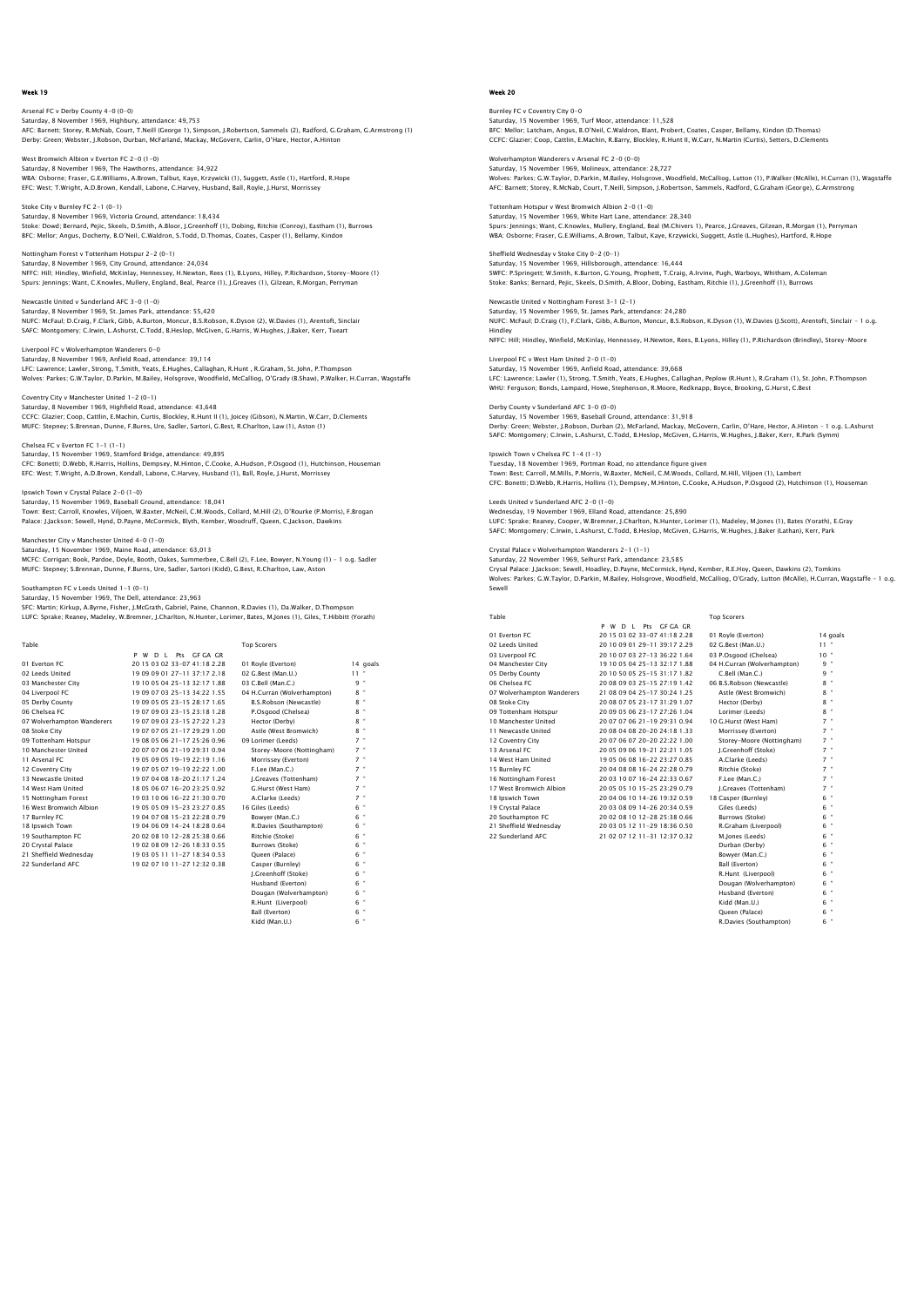# Arsenal FC v Derby County 4-0 (0-0) Saturday, 8 November 1969, Highbury, attendance: 49,753<br>AFC: Barnett; Storey, R.McNab, Court, T.Neill (George 1), Simpson, J.Robertson, Sammels (2), Radford, G.Graham, G.Armstrong (1)<br>Derby: Green; Webster, J.Robson, Durba

West Bromwich Albion v Everton FC 2-0 (1-0)<br>Saturday & November 1969, The Hawthorns Saturday, 8 November 1969, The Hawthorns, attendance: 34,922<br>WBA: Osborne; Fraser, G.E.Williams, A.Brown, Talbut, Kaye, Krzywicki (1), Suggett, Astle (1), Hartford, R.Hope<br>EFC: West: T.Wright, A.D.Brown, Kendall, Labone, C

Stoke City v Burnley FC 2-1 (0-1) Saturday, 8 November 1969, Victoria Ground, attendance: 18,434 Stoke: Dowd; Bernard, Pejic, Skeels, D.Smith, A.Bloor, J.Greenhoff (1), Dobing, Ritchie (Conroy), Eastham (1), Burrows<br>BFC: Mellor; Anqus, Docherty, B.O'Neil, C.Waldron, S.Todd, D.Thomas, Coates, Casper (1), Bellamy, Kindo

Nottingham Forest v Tottenham Hotspur 2-2 (0-1) Saturday, 8 November 1969, City Ground, attendance: 24,034 NFFC: Hill; Hindley, Winfield, McKinlay, Hennessey, H.Newton, Rees (1), B.Lyons, Hilley, P.Richardson, Storey–Moore (1)<br>Spurs: Jennings; Want, C.Knowles, Mullery, England, Beal, Pearce (1), J.Greaves (1), Gilzean, R.Morgan

Newcastle United v Sunderland AFC 3-0 (1-0) Saturday, 8 November 1969, St. James Park, attendance: 55,420<br>NUFC: McFaul; D.Craig, F.Clark, Gibb, A.Burton, Moncur, B.S.Robson, K.Dyson (2), W.Davies (1), Arentoft, Sinclai<br>SAFC: Montqomery; C.Irwin, L.Ashurst, C.Todd, B

Saturday, 8 November 1969, Anfield Road, attendance: 39,114<br>LEC: Lawrence: Lawler, Strong, T.Smith, Yeats, E.Hughes, Callag LFC: Lawrence; Lawler, Strong, T.Smith, Yeats, E.Hughes, Callaghan, R.Hunt , R.Graham, St. John, P.Thompson<br>Wolves: Parkes; G.W.Taylor, D.Parkin, M.Bailey, Holsgrove, Woodfield, McCalliog, O'Grady (B.Shaw), P.Walker, H.Cur

Coventry City v Manchester United 1-2 (0-1) Saturday, 8 November 1969, Highfield Road, attendance: 43,648 CCFC: Glazier; Coop, Cattlin, E.Machin, Curtis, Blockley, R.Hunt II (1), Joicey (Gibson), N.Martin, W.Carr, D.Clements<br>MUFC: Stepney; S.Brennan, Dunne, F.Burns, Ure, Sadler, Sartori, G.Best, R.Charlton, Law (1), Aston (1)

Chelsea FC v Everton FC 1-1 (1-1) Saturday, 15 November 1969, Stamford Bridge, attendance: 49,895 CFC: Bonetti; D.Webb, R.Harris, Hollins, Dempsey, M.Hinton, C.Cooke, A.Hudson, P.Osgood (1), Hutchinson, Houseman<br>EFC: West; T.Wright, A.D.Brown, Kendall, Labone, C.Harvey, Husband (1), Ball, Royle, J.Hurst, Morrissey

Ipswich Town v Crystal Palace 2-0 (1-0) Saturday, 15 November 1969, Baseball Ground, attendance: 18,041 Town: Best; Carroll, Knowles, Viljoen, W.Baxter, McNeil, C.M.Woods, Collard, M.Hill (2), O'Rourke (P.Morris), F.Brogan<br>Palace: J.Jackson; Sewell, Hynd, D.Payne, McCormick, Blyth, Kember, Woodruff, Queen, C.Jackson, Dawkins

#### Manchester City v Manchester United 4-0 (1-0) Saturday, 15 November 1969, Maine Road, attendance: 63,013

MCFC: Corrigan; Book, Pardoe, Doyle, Booth, Oakes, Summerbee, C.Bell (2), F.Lee, Bowyer, N.Young (1) – 1 o.g. Sadler MUFC: Stepney; S.Brennan, Dunne, F.Burns, Ure, Sadler, Sartori (Kidd), G.Best, R.Charlton, Law, Aston

on FC v Leeds United 1-1 (0-1)

Liverpool FC v Wolverhampton Wanderers 0-0

Saturday, 15 November 1969, The Dell, attendance: 23,963

SFC: Martin; Kirkup, A.Byrne, Fisher, J.McGrath, Gabriel, Paine, Channon, R.Davies (1), Da.Walker, D.Thompson LUFC: Sprake; Reaney, Madeley, W.Bremner, J.Charlton, N.Hunter, Lorimer, Bates, M.Jones (1), Giles, T.Hibbitt (Yorath)

| Table                      |                                | <b>Top Scorers</b>          |                   |
|----------------------------|--------------------------------|-----------------------------|-------------------|
|                            | Pts GF GA GR<br>P W D I        |                             |                   |
| 01 Everton EC              | 20 15 03 02 33-07 41:18 2.28   | 01 Royle (Everton)          | 14 goals          |
| 02 Leeds United            | 19 09 09 01 27-11 37:17 2.18   | 02 G.Best (Man.U.)          | $11 -$            |
| 03 Manchester City         | 19 10 05 04 25-13 32:17 1.88   | 03 C.Bell (Man.C.)          | 9 "               |
| 04 Liverpool FC            | 19 09 07 03 25-13 34:22 1.55   | 04 H.Curran (Wolverhampton) | $8 -$             |
| 05 Derby County            | 19 09 05 05 23-15 28:17 1.65   | B.S.Robson (Newcastle)      | $8$ "             |
| 06 Chelsea FC              | 1907090323-1523:181.28         | P.Osgood (Chelsea)          | 8 "               |
| 07 Wolverhampton Wanderers | 19 07 09 03 23-15 27:22 1.23   | Hector (Derby)              | 8 "               |
| 08 Stoke City              | 19 07 07 05 21-17 29:29 1.00   | Astle (West Bromwich)       | 8 "               |
| 09 Tottenham Hotspur       | 19 08 05 06 21-17 25:26 0.96   | 09 Lorimer (Leeds)          | $7 -$             |
| 10 Manchester United       | 20 07 07 06 21-19 29:31 0.94   | Storev-Moore (Nottingham)   | $7$ "             |
| 11 Arsenal FC              | 1905090519-1922191.16          | Morrissey (Everton)         | $7 -$             |
| 12 Coventry City           | 19 07 05 07 19-19 22:22 1.00   | F.Lee (Man.C.)              | $7 -$             |
| 13 Newcastle United        | 1907040818-202117124           | J.Greaves (Tottenham)       | $7$ "             |
| 14 West Ham United         | 18 05 06 07 16-20 23:25 0.92   | G.Hurst (West Ham)          | $7 -$             |
| 15 Nottingham Forest       | 19 03 10 06 16-22 21:30 0.70   | A.Clarke (Leeds)            | $7 -$             |
| 16 West Bromwich Albion    | 19 05 05 09 15-23 23:27 0.85   | 16 Giles (Leeds)            | 6 "               |
| 17 Burnley FC              | 19 04 07 08 15-23 22:28 0.79   | Bowyer (Man.C.)             | 6 "               |
| 18 Ipswich Town            | 19 04 06 09 14-24 18:28 0.64   | R.Davies (Southampton)      | 6 "               |
| 19 Southampton FC          | 20 02 08 10 12-28 25:38 0.66   | Ritchie (Stoke)             | 6 "               |
| 20 Crystal Palace          | 1902080912-2618:330.55         | Burrows (Stoke)             | 6 "               |
| 21 Sheffield Wednesdav     | 19 03 05 11 11 - 27 18 34 0.53 | Oueen (Palace)              | 6 "               |
| 22 Sunderland AFC          | 19 02 07 10 11-27 12:32 0.38   | Casper (Burnley)            | 6 "               |
|                            |                                | I.Greenhoff (Stoke)         | 6 "               |
|                            |                                | Husband (Everton)           | 6 "               |
|                            |                                | Dougan (Wolverhampton)      | 6 "               |
|                            |                                | R.Hunt (Liverpool)          | $\mathbf{u}$<br>6 |

Ball (Everton) Kidd (Man.U.) Week 20

# Burnley FC v Coventry City 0-0 Saturday, 15 November 1969, Turf Moor, attendance: 11,528<br>BFC: Mellor; Latcham, Angus, B.O'Neil, C.Waldron, Blant, Probert, Coates, Casper, Bellamy, Kindon (D.Thomas)<br>CCFC: Glazier; Coop, Cattlin, E.Machin, R.Barry, Blockl

Wolverhampton Wanderers v Arsenal FC 2-0 (0-0)<br>Saturday, 15 November 1969, Molineux, attendance: 28 727 Saturday, 15 November 1969, Molineux, attendance: 28,727<br>Wolves: Parkes; G.W.Taylor, D.Parkin, M.Baliey, Holsgrove, Woodfield, McCalliog, Lutton (1), P.Walker (McAlle), H.Curran (1), Wagstaffe<br>AFC: Barnett; Storey, R.McNab

Tottenham Hotspur v West Bromwich Albion 2-0 (1-0) Saturday, 15 November 1969, White Hart Lane, attendance: 28,340 Spurs: Jennings; Want, C.Knowles, Mullery, England, Beal (M.Chivers 1), Pearce, J.Greaves, Gilzean, R.Morgan (1), Perryman<br>WBA: Osborne; Fraser, G.E.Williams, A.Brown, Talbut, Kaye, Krzywicki, Suqqett, Astle (L.Huqhes), Ha

# Sheffield Wednesday v Stoke City 0-2 (0-1) Saturday, 15 November 1969, Hillsborough, attendance: 16,444

SWFC: P.Springett; W.Smith, K.Burton, G.Young, Prophett, T.Craig, A.Irvine, Pugh, Warboys, Whitham, A.Coleman Stoke: Banks; Bernard, Pejic, Skeels, D.Smith, A.Bloor, Dobing, Eastham, Ritchie (1), J.Greenhoff (1), Burrows

Newcastle United v Nottingham Forest 3-1 (2-1) Saturday, 15 November 1969, St. James Park, attendance: 24,280 NUFC: McFaul; D.Craig (1), F.Clark, Gibb, A.Burton, Moncur, B.S.Robson, K.Dyson (1), W.Davies (J.Scott), Arentoft, Sinclair – 1 o.g. Hindley NFFC: Hill; Hindley, Winfield, McKinlay, Hennessey, H.Newton, Rees, B.Lyons, Hilley (1), P.Richardson (Brindley), Storey-Moore

Liverpool FC v West Ham United 2-0 (1-0)

Saturday, 15 November 1969, Anfield Road, attendance: 39,668 LFC: Lawrence; Lawler (1), Strong, T.Smith, Yeats, E.Hughes, Callaghan, Peplow (R.Hunt ), R.Graham (1), St. John, P.Thompsor<br>WHU: Ferquson; Bonds, Lampard, Howe, Stephenson, R.Moore, Redknapp, Boyce, Brooking, G.Hurst, C.B

#### Derby County v Sunderland AFC 3-0 (0-0) Saturday, 15 November 1969, Baseball Ground, attendance: 31,918

Derby: Green; Webster, J.Robson, Durban (2), McFarland, Mackay, McGovern, Carlin, O'Hare, Hector, A.Hinton – 1 o.g. L.Ashurst<br>SAFC: Montqomery; C.Irwin, L.Ashurst, C.Todd, B.Heslop, McGiven, G.Harris, W.Huqhes, J.Baker, Ke

Ipswich Town v Chelsea FC 1-4 (1-1) Tuesday, 18 November 1969, Portman Road, no attendance figure given Town: Best; Carroll, M.Mills, P.Morris, W.Baxter, McNeil, C.M.Woods, Collard, M.Hill, Viljoen (1), Lambert CFC: Bonetti; D.Webb, R.Harris, Hollins (1), Dempsey, M.Hinton, C.Cooke, A.Hudson, P.Osgood (2), Hutchinson (1), Houseman

Leeds United v Sunderland AFC 2-0 (1-0) Wednesday, 19 November 1969, Elland Road, attendance: 25,890 LUFC: Sprake; Reaney, Cooper, W.Bremner, J.Charlton, N.Hunter, Lorimer (1), Madeley, M.Jones (1), Bates (Yorath), E.Gray SAFC: Montgomery; C.Irwin, L.Ashurst, C.Todd, B.Heslop, McGiven, G.Harris, W.Hughes, J.Baker (Lathan), Kerr, Park

### Crystal Palace v Wolverhampton Wanderers 2-1 (1-1)

Saturday, 22 November 1969, Selhurst Park, attendance: 23,585<br>Crysal Palace: Llackson: Sewell. Hoadlev. D.Payne. McCormick. Hynd. Kember. R.E.Hov. Oueen. Dawkins (2). Tomkins Crysal Palace: J.Jackson; Sewell, Hoadley, D.Payne, McCormick, Hynd, Kember, R.E.Hoy, Queen, Dawkins (2), Tomkins<br>Wolves: Parkes; G.W.Taylor, D.Parkin, M.Bailey, Holsgrove, Woodfield, McCalliog, O'Grady, Lutton (McAlle), H

| Table                      |                                 | <b>Top Scorers</b>          |           |
|----------------------------|---------------------------------|-----------------------------|-----------|
|                            | Pts GE GA GR<br>P W<br>$D \mid$ |                             |           |
| 01 Everton EC              | 20 15 03 02 33-07 41:18 2.28    | 01 Royle (Everton)          | 14 goals  |
| 02 Leeds United            | 20 10 09 01 29-11 39:17 2.29    | 02 G.Best (Man.U.)          | $11 -$    |
| 03 Liverpool FC            | 20 10 07 03 27-13 36:22 1.64    | 03 P.Osqood (Chelsea)       | $10^{-4}$ |
| 04 Manchester City         | 19 10 05 04 25-13 32:17 1.88    | 04 H.Curran (Wolverhampton) | $9 -$     |
| 05 Derby County            | 20 10 50 05 25-15 31:17 1.82    | C.Bell (Man.C.)             | $9 -$     |
| 06 Chelsea EC              | 20 08 09 03 25-15 27:19 1.42    | 06 B.S.Robson (Newcastle)   | $8 -$     |
| 07 Wolverhampton Wanderers | 21 08 09 04 25-17 30:24 1.25    | Astle (West Bromwich)       | $8 -$     |
| 08 Stoke City              | 20 08 07 05 23-17 31:29 1.07    | Hector (Derby)              | $8 -$     |
| 09 Tottenham Hotspur       | 20 09 05 06 23-17 27:26 1.04    | Lorimer (Leeds)             | $8 -$     |
| 10 Manchester United       | 20 07 07 06 21-19 29:31 0.94    | 10 G.Hurst (West Ham)       | $7 -$     |
| 11 Newcastle United        | 20 08 04 08 20-20 24:18 1.33    | Morrissey (Everton)         | $7 -$     |
| 12 Coventry City           | 20 07 06 07 20-20 22:22 1.00    | Storey-Moore (Nottingham)   | $7 -$     |
| 13 Arsenal FC              | 20 05 09 06 19-21 22:21 1.05    | J.Greenhoff (Stoke)         | $7 -$     |
| 14 West Ham United         | 19 05 06 08 16-22 23:27 0.85    | A.Clarke (Leeds)            | $7 -$     |
| 15 Burnley FC              | 20 04 08 08 16-24 22:28 0.79    | Ritchie (Stoke)             | $7 -$     |
| 16 Nottingham Forest       | 20 03 10 07 16-24 22:33 0.67    | F.Lee (Man.C.)              | $7 -$     |
| 17 West Bromwich Albion    | 20 05 05 10 15-25 23:29 0.79    | I.Greaves (Tottenham)       | $7 -$     |
| 18 Ipswich Town            | 20 04 06 10 14-26 19:32 0.59    | 18 Casper (Burnley)         | $6 -$     |
| 19 Crystal Palace          | 20 03 08 09 14-26 20:34 0.59    | Giles (Leeds)               | $6 -$     |
| 20 Southampton FC          | 20 02 08 10 12-28 25:38 0.66    | Burrows (Stoke)             | $6 -$     |
| 21 Sheffield Wednesdav     | 20 03 05 12 11-29 18:36 0.50    | R.Graham (Liverpool)        | $6 -$     |
| 22 Sunderland AFC          | 21 02 07 12 11-31 12:37 0.32    | M.lones (Leeds)             | $6 -$     |

| 01 Rovie (Everton)            | 14q                 |
|-------------------------------|---------------------|
| 02 G.Best (Man.U.)            | 11                  |
| 03 P.Osqood (Chelsea)         | 10 <sup>1</sup>     |
| 04 H.Curran (Wolverhampton)   | ł<br>9              |
| C.Bell (Man.C.)               | ł<br>9              |
| 06 B.S.Robson (Newcastle)     | ł<br>8              |
| Astle (West Bromwich)         | ł<br>8              |
| Hector (Derby)                | ł<br>8              |
| Lorimer (Leeds)               | ł<br>8              |
| 10 G.Hurst (West Ham)         | ł<br>$\overline{z}$ |
| Morrissey (Everton)           | f<br>$\overline{7}$ |
| Storey-Moore (Nottingham)     | ł<br>$\overline{7}$ |
| J.Greenhoff (Stoke)           | ł<br>$\overline{z}$ |
| A.Clarke (Leeds)              | $7$ .               |
| Ritchie (Stoke)               | ł<br>$\overline{7}$ |
| F.Lee (Man.C.)                | ł<br>7              |
| I.Greaves (Tottenham)         | ł<br>$\overline{7}$ |
| 18 Casper (Burnley)           | ł<br>6              |
| Giles (Leeds)                 | f<br>6              |
| Burrows (Stoke)               | ł<br>6              |
| R.Graham (Liverpool)          | ł<br>6              |
| M.lones (Leeds)               | f<br>6              |
| Durban (Derby)                | ł<br>6              |
| Bowver (Man.C.)               | ł<br>6              |
| Ball (Everton)                | ł<br>6              |
| R.Hunt (Liverpool)            | ł<br>6              |
| Dougan (Wolverhampton)        | ł<br>6              |
| Husband (Everton)             | f<br>6              |
| Kidd (Man.U.)                 | ł<br>6              |
| Oueen (Palace)                | f<br>6              |
| <b>R.Davies (Southampton)</b> | ł<br>6              |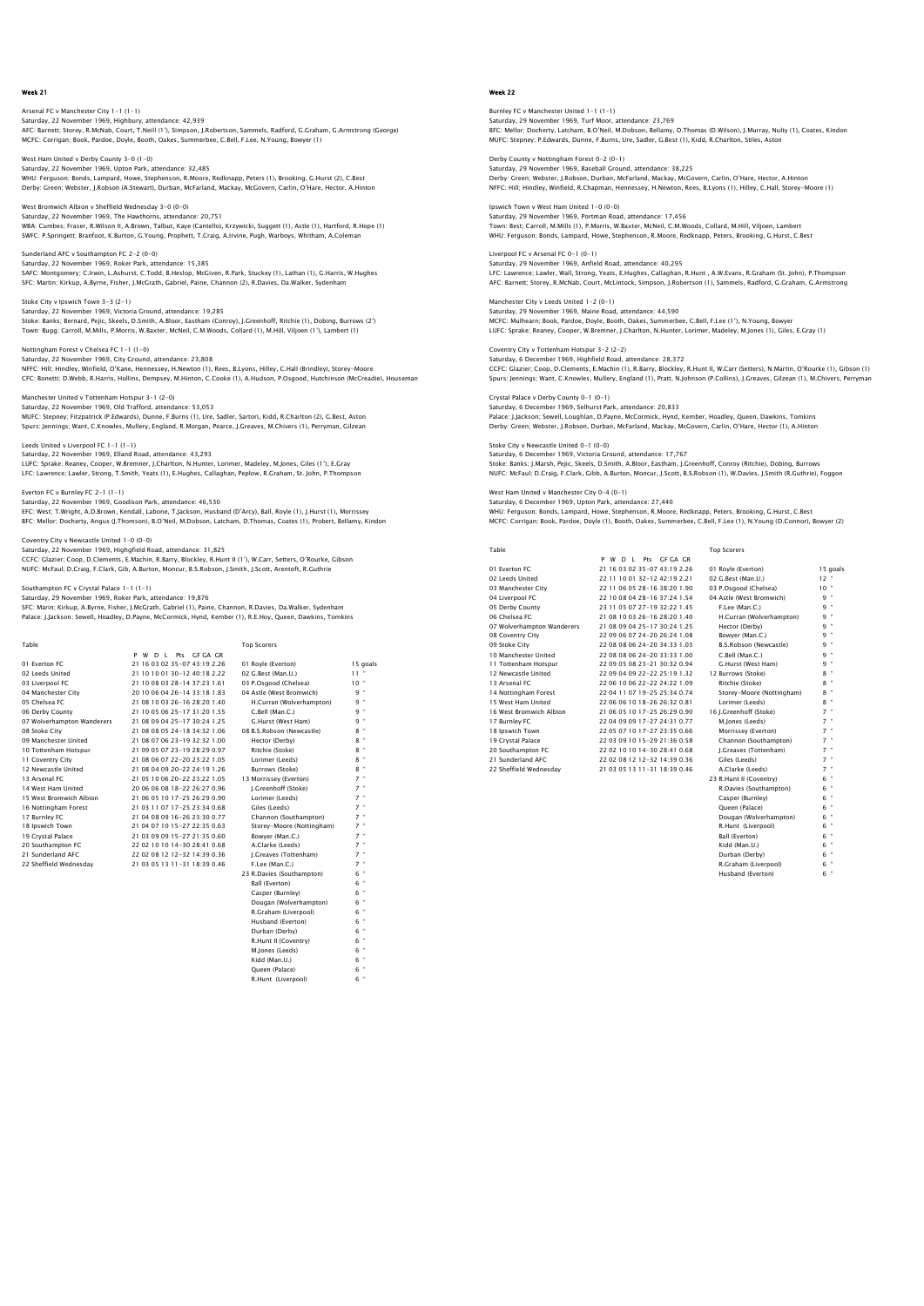Arsenal FC v Manchester City 1-1 (1-1) Saturday, 22 November 1969, Highbury, attendance: 42,939<br>AFC: Barnett; Storey, R.McNab, Court, T.Neill (1), Simpson, J.Robertson, Sammels, Radford, G.Graham, G.Armstrong (George)<br>MCFC: Corriqan: Book, Pardoe, Doyle, Booth,

West Ham United v Derby County 3-0 (1-0) Saturday, 22 November 1969, Upton Park, attendance: 32,485<br>WHU: Ferguson; Bonds, Lampard, Howe, Stephenson, R.Moore, Redknapp, Peters (1), Brooking, G.Hurst (2), C.Best<br>Derby: Green; Webster, J.Robson (A.Stewart), Durban,

West Bromwich Albion v Sheffield Wednesday 3-0 (0-0) Saturday, 22 November 1969, The Hawthorns, attendance: 20,751 WBA: Cumbes; Fraser, R.Wilson II, A.Brown, Talbut, Kaye (Cantello), Krzywicki, Suggett (1), Astle (1), Hartford, R.Hope (1)<br>SWFC: P.Springett; Branfoot, K.Burton, G.Young, Prophett, T.Craig, A.Irvine, Pugh, Warboys, Whitha

Sunderland AFC v Southampton FC 2-2 (0-0)<br>Saturday, 22 November 1969, Roker Park, attendance: 15.385 Saturday, 22 November 1969, Roker Park, attendance: 15,385<br>SAFC: Montgomery; C.Irwin, L.Ashurst, C.Todd, B.Heslop, McGiven, R.Park, Stuckey (1), Lathan (1), G.Harris, W.Hughes<br>SFC: Martin; Kirkup, A.Byrne, Fisher, J.McGrat

Stoke City v Ipswich Town 3-3 (2-1) Saturday, 22 November 1969, Victoria Ground, attendance: 19,285 Stoke: Banks; Bernard, Pejic, Skeels, D.Smith, A.Bloor, Eastham (Conroy), J.Greenhoff, Ritchie (1), Dobing, Burrows (2')<br>Town: Buqq; Carroll, M.Mills, P.Morris, W.Baxter, McNeil, C.M.Woods, Collard (1), M.Hill, Viljoen (1'

Nottingham Forest v Chelsea FC 1-1 (1-0) Saturday, 22 November 1969, City Ground, attendance: 23,808<br>NFFC: Hilj: Hindley, Winfield, O'Kane, Hennessey, H.Newton (1), Rees, B.Lyons, Hilley, C.Hall (Brindley), Storey–Moore<br>CFC: Bonetti; D.Webb, R.Harris, Hollins, De

Manchester United v Tottenham Hotspur 3-1 (2-0) Saturday, 22 November 1969, Old Trafford, attendance: 53,053 MUFC: Stepney; Fitzpatrick (P.Edwards), Dunne, F.Burns (1), Ure, Sadler, Sartori, Kidd, R.Charlton (2), G.Best, Aston Spurs: Jennings; Want, C.Knowles, Mullery, England, R.Morgan, Pearce, J.Greaves, M.Chivers (1), Perryman, Gilzean

Leeds United v Liverpool FC 1-1 (1-1) Saturday, 22 November 1969, Elland Road, attendance: 43,293 LUFC: Sprake; Reaney, Cooper, W.Bremner, J.Charlton, N.Hunter, Lorimer, Madeley, M.Jones, Giles (1'), E.Gray LFC: Lawrence; Lawler, Strong, T.Smith, Yeats (1), E.Hughes, Callaghan, Peplow, R.Graham, St. John, P.Thompson

Everton FC v Burnley FC 2-1 (1-1) Saturday, 22 November 1969, Goodison Park, attendance: 46,530 EFC: West; T.Wright, A.D.Brown, Kendall, Labone, T.Jackson, Husband (D'Arcy), Ball, Royle (1), J.Hurst (1), Morrissey<br>BFC: Mellor; Docherty, Angus (J.Thomson), B.O'Neil, M.Dobson, Latcham, D.Thomas, Coates (1), Probert, Be

Coventry City v Newcastle United 1-0 (0-0)

Saturday, 22 November 1969, Highgfield Road, attendance: 31,825

CCFC: Glazier; Coop, D.Clements, E.Machin, R.Barry, Blockley, R.Hunt II (1'), W.Carr, Setters, O'Rourke, Gibson<br>NUFC: McFaul; D.Craig, F.Clark, Gib, A.Burton, Moncur, B.S.Robson, J.Smith, J.Scott, Arentoft, R.Guthrie

s<br>Southampton FC v Crystal Palace 1-1 (1-1)

Saturday, 29 November 1969, Roker Park, attendance: 19,876 SFC: Marin; Kirkup, A.Byrne, Fisher, J.McGrath, Gabriel (1), Paine, Channon, R.Davies, Da.Walker, Sydenham Palace: J.Jackson; Sewell, Hoadley, D.Payne, McCormick, Hynd, Kember (1), R.E.Hoy, Queen, Dawkins, Tomkins

| Table                      |                                | <b>Top Scorers</b>        |                |
|----------------------------|--------------------------------|---------------------------|----------------|
|                            | D L Pts GF GA GR<br>P W        |                           |                |
| 01 Everton EC              | 21 16 03 02 35-07 43:19 2.26   | 01 Royle (Everton)        | 15 goals       |
| 02 Leeds United            | 21 10 10 01 30-12 40:18 2.22   | 02 G.Best (Man.U.)        | 11             |
| 03 Liverpool FC            | 21 10 08 03 28-14 37:23 1.61   | 03 P.Osgood (Chelsea)     | $10 -$         |
| 04 Manchester City         | 20 10 06 04 26-14 33:18 1.83   | 04 Astle (West Bromwich)  | 9 "            |
| 05 Chelsea EC              | 21 08 10 03 26-16 28:20 1.40   | H.Curran (Wolverhampton)  | 9 "            |
| 06 Derby County            | 21 10 05 06 25-17 31:20 1.55   | C.Bell (Man.C.)           | 9 "            |
| 07 Wolverhampton Wanderers | 21 08 09 04 25-17 30:24 1.25   | G.Hurst (West Ham)        | $\bullet$<br>9 |
| 08 Stoke City              | 21 08 08 05 24-18 34:32 1.06   | 08 B.S.Robson (Newcastle) | $8$ "          |
| 09 Manchester United       | 21 08 07 06 23-19 32:32 1.00   | Hector (Derby)            | $8$ "          |
| 10 Tottenham Hotspur       | 21 09 05 07 23-19 28:29 0.97   | Ritchie (Stoke)           | 8 "            |
| 11 Coventry City           | 21 08 06 07 22-20 23:22 1.05   | Lorimer (Leeds)           | $8$ "          |
| 12 Newcastle United        | 21 08 04 09 20-22 24:19 1.26   | Burrows (Stoke)           | ×<br>8.        |
| 13 Arsenal FC              | 21 05 10 06 20-22 23:22 1.05   | 13 Morrissey (Everton)    | $7$ "          |
| 14 West Ham United         | 20 06 06 08 18-22 26:27 0.96   | I.Greenhoff (Stoke)       | $7$ "          |
| 15 West Bromwich Albion    | 21 06 05 10 17-25 26:29 0.90   | Lorimer (Leeds)           | $7$ "          |
| 16 Nottingham Forest       | 21 03 11 07 17-25 23:34 0.68   | Giles (Leeds)             | $7$ $"$        |
| 17 Burnley FC              | 21 04 08 09 16-26 23:30 0.77   | Channon (Southampton)     | $7$ "          |
| 18 Ipswich Town            | 21 04 07 10 15-27 22:35 0.63   | Storey-Moore (Nottingham) | $7$ "          |
| 19 Crystal Palace          | 21 03 09 09 15-27 21:35 0.60   | Bowver (Man.C.)           | $7 -$          |
| 20 Southampton FC          | 22 02 10 10 14-30 28:41 0.68   | A.Clarke (Leeds)          | $7$ "          |
| 21 Sunderland AFC          | 22 02 08 12 12-32 14:39 0.36   | I.Greaves (Tottenham)     | $7$ "          |
| 22 Sheffield Wednesday     | 21 03 05 13 11 - 31 18:39 0.46 | F.Lee (Man.C.)            | $7$ "          |
|                            |                                | 23 R.Davies (Southampton) | 6 "            |
|                            |                                | Ball (Everton)            | $6$ "          |
|                            |                                | Casper (Burnley)          | $6$ "          |
|                            |                                | Dougan (Wolverhampton)    | ×<br>6.        |
|                            |                                | R.Graham (Liverpool)      | $6$ "          |
|                            |                                | Husband (Everton)         | $6$ "          |
|                            |                                | Durban (Derby)            | $6$ "          |

R.Hunt II (Coventry) M.Jones (Leeds)  $Kidd$  (Man.U.)

Queen (Palace) 6 " R.Hunt (Liverpool) 6 "

# Week 22

Burnley FC v Manchester United 1-1 (1-1) Saturday, 29 November 1969, Turf Moor, attendance: 23,769<br>BFC: Mellor; Docherty, Latcham, B.O. Yeil, M.Dobson, Bellamy, D.Thomas (D.Wilson), J.Murray, Nulty (1), Coates, Kindon<br>MUFC: Stepney: P.Edwards, Dunne, F.Burns, Ure

Derby County v Nottingham Forest 0-2 (0-1) Saturday, 29 November 1969, Baseball Ground, attendance: 38,225<br>Derby: Green; Webster, J.Robson, Durban, McFarland, Mackay, McGovern, Carlin, O'Hare, Hector, A.Hinton<br>NFFC: Hill; Hindley, Winfield, R.Chapman, Hennessey, H.

Ipswich Town v West Ham United 1-0 (0-0) Saturday, 29 November 1969, Portman Road, attendance: 17,456<br>Town: Best; Carroll, M.Mills (1), P.Morris, W.Baxter, McNeil, C.M.Woods, Collard, M.Hill, Viljoen, Lambert<br>WHU: Ferquson: Bonds, Lampard, Howe, Stephenson, R.Moo

Liverpool FC v Arsenal FC 0-1 (0-1) Saturday, 29 November 1969, Anfield Road, attendance: 40,295 LFC: Lawrence; Lawler, Wall, Strong, Yeats, E.Hughes, Callaghan, R.Hunt , A.W.Evans, R.Graham (St. John), P.Thompson<br>AFC: Barnett; Storey, R.McNab, Court, McLintock, Simpson, J.Robertson (1), Sammels, Radford, G.Graham, G.

Manchester City v Leeds United 1-2 (0-1) Saturday, 29 November 1969, Maine Road, attendance: 44,590 MCFC: Mulhearn; Book, Pardoe, Doyle, Booth, Oakes, Summerbee, C.Bell, F.Lee (1'), N.Young, Bowyer LUFC: Sprake; Reaney, Cooper, W.Bremner, J.Charlton, N.Hunter, Lorimer, Madeley, M.Jones (1), Giles, E.Gray (1)

Coventry City v Tottenham Hotspur 3-2 (2-2) Saturday, 6 December 1969, Highfield Road, attendance: 28,372 CCFC: Glazier; Coop, D.Clements, E.Machin (1), R.Barry, Blockley, R.Hunt II, W.Carr (Setters), N.Martin, O'Rourke (1), Gibson (1)<br>Spurs: Jennings; Want, C.Knowles, Mullery, England (1), Pratt, N.Johnson (P.Collins), J.Grea

Crystal Palace v Derby County 0-1 (0-1) Saturday, 6 December 1969, Selhurst Park, attendance: 20,833 Palace: J.Jackson; Sewell, Loughlan, D.Payne, McCormick, Hynd, Kember, Hoadley, Queen, Dawkins, Tomkins Derby: Green; Webster, J.Robson, Durban, McFarland, Mackay, McGovern, Carlin, O'Hare, Hector (1), A.Hinton

Stoke City v Newcastle United 0-1 (0-0) Saturday, 6 December 1969, Victoria Ground, attendance: 17,767 Stoke: Banks; J.Marsh, Pejic, Skeels, D.Smith, A.Bloor, Eastham, J.Greenhoff, Conroy (Ritchie), Dobing, Burrows<br>NUFC: McFaul; D.Craiq, F.Clark, Gibb, A.Burton, Moncur, J.Scott, B.S.Robson (1), W.Davies, J.Smith (R.Guthrie)

West Ham United v Manchester City 0-4 (0-1) Saturday, 6 December 1969, Upton Park, attendance: 27,440 WHU: Ferguson; Bonds, Lampard, Howe, Stephenson, R.Moore, Redknapp, Peters, Brooking, G.Hurst, C.Best MCFC: Corrigan; Book, Pardoe, Doyle (1), Booth, Oakes, Summerbee, C.Bell, F.Lee (1), N.Young (D.Connor), Bowyer (2)

| i dule                     |                                   | 100 <b>JUULEIS</b>        |                 |
|----------------------------|-----------------------------------|---------------------------|-----------------|
|                            | P<br>Pts GF GA GR<br>w<br>D<br>л. |                           |                 |
| 01 Everton EC              | 21 16 03 02 35-07 43:19 2.26      | 01 Royle (Everton)        | 15c             |
| 02 Leeds United            | 22 11 10 01 32-12 42:19 2.21      | 02 G.Best (Man.U.)        | 12 <sup>7</sup> |
| 03 Manchester City         | 22 11 06 05 28-16 38:20 1.90      | 03 P.Osgood (Chelsea)     | 10 <sup>1</sup> |
| 04 Liverpool FC            | 22 10 08 04 28-16 37:24 1.54      | 04 Astle (West Bromwich)  | 9 <sup>1</sup>  |
| 05 Derby County            | 23 11 05 07 27-19 32:22 1.45      | F.Lee (Man.C.)            | 9               |
| 06 Chelsea EC              | 21 08 10 03 26-16 28:20 1.40      | H.Curran (Wolverhampton)  | 9               |
| 07 Wolverhampton Wanderers | 21 08 09 04 25-17 30:24 1.25      | Hector (Derby)            | 9 <sup>1</sup>  |
| 08 Coventry City           | 22 09 06 07 24-20 26:24 1.08      | Bowyer (Man.C.)           | 9 <sup>1</sup>  |
| 09 Stoke City              | 22 08 08 06 24-20 34:33 1.03      | B.S.Robson (Newcastle)    | 9               |
| 10 Manchester United       | 22 08 08 06 24-20 33:33 1.00      | C.Bell (Man.C.)           | 9               |
| 11 Tottenham Hotspur       | 22 09 05 08 23-21 30:32 0.94      | G.Hurst (West Ham)        | 9               |
| 12 Newcastle United        | 22 09 04 09 22-22 25:19 1.32      | 12 Burrows (Stoke)        | 8               |
| 13 Arsenal FC              | 22 06 10 06 22-22 24:22 1.09      | Ritchie (Stoke)           | 8 <sup>1</sup>  |
| 14 Nottingham Forest       | 22 04 11 07 19-25 25:34 0.74      | Storey-Moore (Nottingham) | 8               |
| 15 West Ham United         | 22 06 06 10 18-26 26:32 0.81      | Lorimer (Leeds)           | 8               |
| 16 West Bromwich Albion    | 21 06 05 10 17-25 26:29 0.90      | 16 I.Greenhoff (Stoke)    | 7 <sup>1</sup>  |
| 17 Burnley FC              | 22 04 09 09 17-27 24:31 0.77      | M.Jones (Leeds)           | 7 <sup>1</sup>  |
| 18 Ipswich Town            | 22 05 07 10 17-27 23:35 0.66      | Morrissey (Everton)       | 7 <sup>1</sup>  |
| 19 Crystal Palace          | 22 03 09 10 15-29 21:36 0.58      | Channon (Southampton)     | 7 <sup>1</sup>  |
| 20 Southampton FC          | 22 02 10 10 14-30 28:41 0.68      | J.Greaves (Tottenham)     | 7 <sup>1</sup>  |
| 21 Sunderland AFC          | 22 02 08 12 12-32 14:39 0.36      | Giles (Leeds)             | 7 <sup>1</sup>  |
| 22 Sheffield Wednesdav     | 21 03 05 13 11-31 18:39 0.46      | A.Clarke (Leeds)          | $\overline{7}$  |

Top Scorers 21 16 03 02 35-07 43:19 2.26 01 Royle (Everton) 15 goals<br>22 11 10 01 32-12 42:19 2.21 02 G.Best (Man.U.) 12 °<br>22 11 06 05 28-16 38:20 1.90 03 P.Osgood (Chelsea) 10 °<br>22 10 08 04 28-16 37:24 1.54 04 Astle (West Bromwich) 9 22 10 08 04 28-16 37:24 1.54 04 Astle (West Bromwich) 9

| <b>US Derby County</b>     | 73 LL 05 07 77-19 37 77 L.45 | F.Lee (Man.C.)            | ч.             |
|----------------------------|------------------------------|---------------------------|----------------|
| 06 Chelsea EC              | 21 08 10 03 26-16 28:20 1.40 | H.Curran (Wolverhampton)  | 9.             |
| 07 Wolverhampton Wanderers | 21 08 09 04 25-17 30:24 1.25 | Hector (Derby)            | 9.             |
| 08 Coventry City           | 22 09 06 07 24-20 26:24 1.08 | Bowver (Man.C.)           | 9.             |
| 09 Stoke City              | 22 08 08 06 24-20 34:33 1.03 | B.S.Robson (Newcastle)    | 9.             |
| 10 Manchester United       | 22 08 08 06 24-20 33:33 1.00 | C.Bell (Man.C.)           | 9.             |
| 11 Tottenham Hotspur       | 22 09 05 08 23-21 30:32 0.94 | G.Hurst (West Ham)        | 9.             |
| 12 Newcastle United        | 22 09 04 09 22-22 25:19 1.32 | 12 Burrows (Stoke)        | $8 -$          |
| 13 Arsenal FC              | 22 06 10 06 22-22 24:22 1.09 | Ritchie (Stoke)           | $8 -$          |
| 14 Nottingham Forest       | 22 04 11 07 19-25 25:34 0.74 | Storey-Moore (Nottingham) | $8 -$          |
| 15 West Ham United         | 22 06 06 10 18-26 26:32 0.81 | Lorimer (Leeds)           | $8 -$          |
| 16 West Bromwich Albion    | 21 06 05 10 17-25 26:29 0.90 | 16 I.Greenhoff (Stoke)    | 7 <sup>1</sup> |
| 17 Burnley FC              | 22 04 09 09 17-27 24:31 0.77 | M.lones (Leeds)           | 7 <sup>1</sup> |
| 18 Ipswich Town            | 22 05 07 10 17-27 23:35 0.66 | Morrissey (Everton)       | 7 <sup>1</sup> |
| 19 Crystal Palace          | 22 03 09 10 15-29 21:36 0.58 | Channon (Southampton)     | 7 <sup>o</sup> |
| 20 Southampton FC          | 22 02 10 10 14-30 28:41 0.68 | I.Greaves (Tottenham)     | 7 <sup>o</sup> |
| 21 Sunderland AFC          | 22 02 08 12 12-32 14:39 0.36 | Giles (Leeds)             | 7 <sup>1</sup> |
| 22 Sheffield Wednesday     | 21 03 05 13 11-31 18:39 0.46 | A.Clarke (Leeds)          | 7 <sup>1</sup> |
|                            |                              | 23 R.Hunt II (Coventry)   | $6 -$          |
|                            |                              | R.Davies (Southampton)    | $6 -$          |
|                            |                              | Casper (Burnley)          | 6 <sup>1</sup> |
|                            |                              | Oueen (Palace)            | $6 -$          |
|                            |                              | Dougan (Wolverhampton)    | $6 -$          |
|                            |                              | R.Hunt (Liverpool)        | $6 -$          |
|                            |                              | Ball (Everton)            | $6 -$          |
|                            |                              | Kidd (Man.U.)             | $6 -$          |
|                            |                              | Durban (Derby)            | $6 -$          |
|                            |                              | R.Graham (Liverpool)      | 6 <sup>1</sup> |
|                            |                              | Husband (Everton)         | $6 -$          |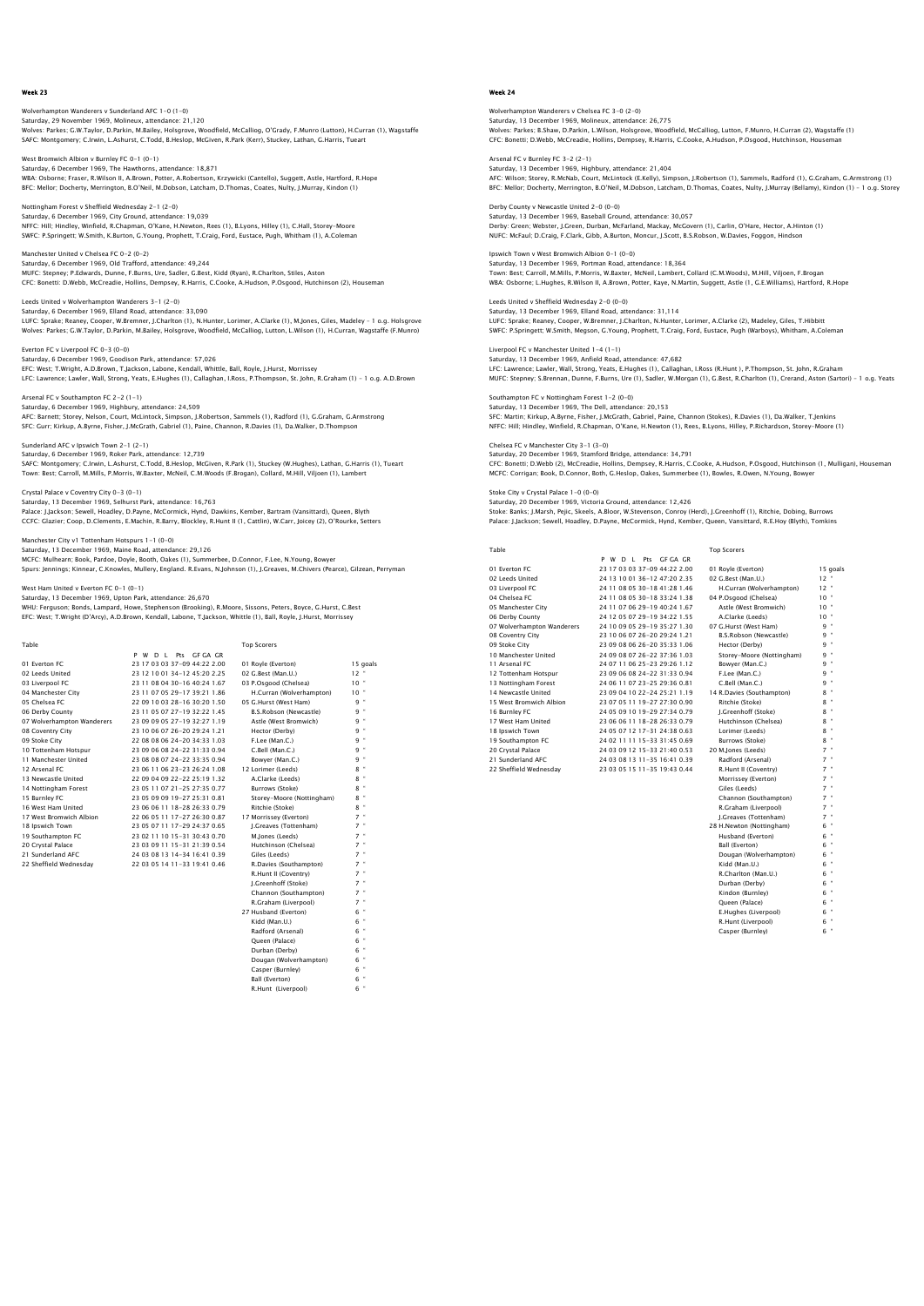Wolverhampton Wanderers v Sunderland AFC 1-0 (1-0) Saturday, 29 November 1969, Molineux, attendance: 21,120<br>Wolves: Parkes; G.W.Taylor, D.Parkin, M.Bailey, Holsgrove, Woodfield, McCalliog, O'Grady, F.Munro (Lutton), H.Curran (1), Wagstaffe<br>SAFC: Montgomery: C.Irwin, L.Ashu

West Bromwich Albion v Burnley FC 0-1 (0-1) Saturday, 6 December 1969, The Hawthorns, attendance: 18,871<br>WBA: Osborne; Fraser, R.Wilson II, A.Brown, Potter, A.Robertson, Krzywicki (Cantello), Suggett, Astle, Hartford, R.Hope<br>BFC: Mellor; Docherty, Merrinqton, B.O'Ne

Nottingham Forest v Sheffield Wednesday 2-1 (2-0) Saturday, 6 December 1969, City Ground, attendance: 19,039 NFFC: Hill; Hindley, Winfield, R.Chapman, O'Kane, H.Newton, Rees (1), B.Lyons, Hilley (1), C.Hall, Storey-Moore SWFC: P.Springett; W.Smith, K.Burton, G.Young, Prophett, T.Craig, Ford, Eustace, Pugh, Whitham (1), A.Coleman

Manchester United v Chelsea FC 0-2 (0-2) Saturday, 6 December 1969, Old Trafford, attendance: 49,244 MUFC: Stepney; P.Edwards, Dunne, F.Burns, Ure, Sadler, G.Best, Kidd (Ryan), R.Charlton, Stiles, Aston CFC: Bonetti: D.Webb, McCreadie, Hollins, Dempsey, R.Harris, C.Cooke, A.Hudson, P.Osgood, Hutchinson (2), Houseman

Leeds United v Wolverhampton Wanderers 3-1 (2-0) Saturday, 6 December 1969, Elland Road, attendance: 33,090 LUFC: Sprake; Reaney, Cooper, W.Bremner, J.Charlton (1), N.Hunter, Lorimer, A.Clarke (1), M.Jones, Giles, Madeley – 1 o.g. Holsgrove<br>Wolves: Parkes; G.W.Taylor, D.Parkin, M.Bailey, Holsgrove, Woodfield, McCallioq, Lutton,

Everton FC v Liverpool FC 0-3 (0-0) Saturday, 6 December 1969, Goodison Park, attendance: 57,026 EFC: West; T.Wright, A.D.Brown, T.Jackson, Labone, Kendall, Whittle, Ball, Royle, J.Hurst, Morrissey LFC: Lawrence; Lawler, Wall, Strong, Yeats, E.Hughes (1), Callaghan, I.Ross, P.Thompson, St. John, R.Graham (1) – 1 o.g. A.D.Brown

Arsenal FC v Southampton FC 2-2 (1-1) Saturday, 6 December 1969, Highbury, attendance: 24,509<br>AFC: Barnett; Storey, Nelson, Court, McLintock, Simpson, J.Robertson, Sammels (1), Radford (1), G.Graham, G.Armstrong<br>SFC: Gurr; Kirkup, A.Byrne, Fisher, J.McGrath, G

Sunderland AFC v Ipswich Town 2-1 (2-1) Saturday, 6 December 1969, Roker Park, attendance: 12,739 SAFC: Montgomery; C.Irwin, L.Ashurst, C.Todd, B.Heslop, McGiven, R.Park (1), Stuckey (W.Hughes), Lathan, G.Harris (1), Tueart<br>Town: Best; Carroll, M.Mills, P.Morris, W.Baxter, McNeil, C.M.Woods (F.Broqan), Collard, M.Hill,

Crystal Palace v Coventry City 0-3 (0-1) Saturday, 13 December 1969, Selhurst Park, attendance: 16,763 Palace: J.Jackson; Sewell, Hoadley, D.Payne, McCormick, Hynd, Dawkins, Kember, Bartram (Vansittard), Queen, Blyth<br>CCFC: Glazier; Coop, D.Clements, E.Machin, R.Barry, Blockley, R.Hunt II (1, Cattlin), W.Carr, Joicey (2), O'

Manchester City v1 Tottenham Hotspurs 1-1 (0-0) Saturday, 13 December 1969, Maine Road, attendance: 29,126

MCFC: Mulhearn; Book, Pardoe, Doyle, Booth, Oakes (1), Summerbee, D.Connor, F.Lee, N.Young, Bowyer Spurs: Jennings; Kinnear, C.Knowles, Mullery, England. R.Evans, N.Johnson (1), J.Greaves, M.Chivers (Pearce), Gilzean, Perryman

Mited v Everton FC 0−1 (0−1)

Saturday, 13 December 1969, Upton Park, attendance: 26,670 WHU: Ferguson; Bonds, Lampard, Howe, Stephenson (Brooking), R.Moore, Sissons, Peters, Boyce, G.Hurst, C.Best EFC: West; T.Wright (D'Arcy), A.D.Brown, Kendall, Labone, T.Jackson, Whittle (1), Ball, Royle, J.Hurst, Morrissey

| Table                      |                                | <b>Top Scorers</b>        |                |
|----------------------------|--------------------------------|---------------------------|----------------|
|                            | P W D L Pts GF GA GR           |                           |                |
| 01 Everton EC              | 23 17 03 03 37-09 44:22 2.00   | 01 Royle (Everton)        | 15 goals       |
| 02 Leeds United            | 23 12 10 01 34-12 45:20 2.25   | 02 G.Best (Man.U.)        | $12 -$         |
| 03 Liverpool FC            | 23 11 08 04 30-16 40:24 1.67   | 03 P.Osgood (Chelsea)     | 10"            |
| 04 Manchester City         | 23 11 07 05 29-17 39:21 1.86   | H.Curran (Wolverhampton)  | $10 -$         |
| 05 Chelsea EC              | 22 09 10 03 28-16 30:20 1.50   | 05 G.Hurst (West Ham)     | 9 "            |
| 06 Derby County            | 23 11 05 07 27-19 32:22 1.45   | B.S.Robson (Newcastle)    | 9 "            |
| 07 Wolverhampton Wanderers | 23 09 09 05 27-19 32:27 1.19   | Astle (West Bromwich)     | 9 "            |
| 08 Coventry City           | 23 10 06 07 26-20 29:24 1.21   | Hector (Derby)            | 9 "            |
| 09 Stoke City              | 22 08 08 06 24-20 34:33 1.03   | F.Lee (Man.C.)            | 9"             |
| 10 Tottenham Hotspur       | 23 09 06 08 24-22 31:33 0.94   | C.Bell (Man.C.)           | 9 "            |
| 11 Manchester United       | 23 08 08 07 24-22 33:35 0.94   | Bowver (Man.C.)           | 9 "            |
| 12 Arsenal FC              | 23 06 11 06 23-23 26:24 1.08   | 12 Lorimer (Leeds)        | 8 "            |
| 13 Newcastle United        | 22 09 04 09 22-22 25:19 1.32   | A.Clarke (Leeds)          | $\bullet$<br>8 |
| 14 Nottingham Forest       | 23 05 11 07 21 - 25 27:35 0.77 | Burrows (Stoke)           | $8$ "          |
| 15 Burnley FC              | 23 05 09 09 19-27 25:31 0.81   | Storey-Moore (Nottingham) | $8$ "          |
| 16 West Ham United         | 23 06 06 11 18-28 26:33 0.79   | Ritchie (Stoke)           | $8 -$          |
| 17 West Bromwich Albion    | 22 06 05 11 17-27 26:30 0.87   | 17 Morrissey (Everton)    | $7$ "          |
| 18 Ipswich Town            | 23 05 07 11 17-29 24:37 0.65   | J.Greaves (Tottenham)     | $7$ "          |
| 19 Southampton FC          | 23 02 11 10 15-31 30:43 0.70   | M.lones (Leeds)           | $7$ $"$        |
| 20 Crystal Palace          | 23 03 09 11 15-31 21:39 0.54   | Hutchinson (Chelsea)      | $7$ "          |
| 21 Sunderland AFC          | 24 03 08 13 14-34 16:41 0.39   | Giles (Leeds)             | $7$ "          |
| 22 Sheffield Wednesdav     | 22 03 05 14 11-33 19:41 0.46   | R.Davies (Southampton)    | $7 -$          |
|                            |                                | R.Hunt II (Coventry)      | $7$ "          |
|                            |                                | I.Greenhoff (Stoke)       | $7$ "          |
|                            |                                | Channon (Southampton)     | $7$ "          |
|                            |                                | R.Graham (Liverpool)      | $7 -$          |
|                            |                                | 27 Husband (Everton)      | 6 "            |
|                            |                                | Kidd (Man.U.)             | $6$ "          |
|                            |                                | Radford (Arsenal)         | $6$ "          |
|                            |                                | Oueen (Palace)            | $\alpha$<br>6. |
|                            |                                | Durban (Derby)            | $6$ "          |

Dougan (Wolverhampton) Casper (Burnley) 6 " Ball (Everton) 6 " Ban (Everton)<br>R.Hunt (Liverpool)

### Week 24

mpton Wanderers v Chelsea FC 3-0 (2-0) Saturday, 13 December 1969, Molineux, attendance: 26,775<br>Wolves: Parkes; B.Shaw, D.Parkin, L.Wilson, Holsgrove, Woodfield, McCalliog, Lutton, F.Munro, H.Curran (2), Wagstaffe (1)<br>CFC: Bonetti; D.Webb, McCreadie, Hollins, D

Arsenal FC v Burnley FC 3-2 (2-1) Saturday, 13 December 1969, Highbury, attendance: 21,404<br>AFC: Wilson; Storey, R.McNab, Court, McLintock (E.Kelly), Simpson, J.Robertson (1), Sammels, Radford (1), G.Graham, G.Armstrong (1)<br>BFC: Mellor; Docherty, Merrinqton

Derby County v Newcastle United 2-0 (0-0) Saturday, 13 December 1969, Baseball Ground, attendance: 30,057 Derby: Green; Webster, J.Green, Durban, McFarland, Mackay, McGovern (1), Carlin, O'Hare, Hector, A.Hinton (1)<br>NUFC: McFaul; D.Craig, F.Clark, Gibb, A.Burton, Moncur, J.Scott, B.S.Robson, W.Davies, Foggon, Hindson

Ipswich Town v West Bromwich Albion 0-1 (0-0) Saturday, 13 December 1969, Portman Road, attendance: 18,364<br>Town: Best; Carroll, M.Mills, P.Morris, W.Baxter, McNeil, Lambert, Collard (C.M.Woods), M.Hill, Viljoen, F.Brogan<br>WBA: Osborne; L.Huqhes, R.Wilson II, A.Brown, P

Leeds United v Sheffield Wednesday 2-0 (0-0) Saturday, 13 December 1969, Elland Road, attendance: 31,114 LUFC: Sprake; Reaney, Cooper, W.Bremner, J.Charlton, N.Hunter, Lorimer, A.Clarke (2), Madeley, Giles, T.Hibbitt<br>SWFC: P.Springett; W.Smith, Megson, G.Young, Prophett, T.Craig, Ford, Eustace, Pugh (Warboys), Whitham, A.Cole

Liverpool FC v Manchester United 1-4 (1-1) Saturday, 13 December 1969, Anfield Road, attendance: 47,682 LFC: Lawrence; Lawler, Wall, Strong, Yeats, E.Hughes (1), Callaghan, I.Ross (R.Hunt ), P.Thompson, St. John, R.Graham<br>MUFC: Stepney: S.Brennan, Dunne, F.Burns, Ure (1), Sadler, W.Morgan (1), G.Best, R.Charlton (1), Crerand

Southampton FC v Nottingham Forest 1-2 (0-0) Saturday, 13 December 1969, The Dell, attendance: 20,153 aatwary, 15 December 1909; Inte Dem, attendanter. 20,199<br>SFC: Martin; Kirkup, A.Byrne, Fisher, J.McGrath, Gabriel, Paine, Channon (Stokes), R.Davies (1), Da.Walker, T.Jenkins<br>NFFC: Hill; Hindley, Winfield, R.Chapman, O'Ka NFFC: Hill; Hindley, Winfield, R.Chapman, O'Kane, H.Newton (1), Rees, B.Lyons, Hilley, P.Richardson, Storey-Moore (1)

Chelsea FC v Manchester City 3-1 (3-0) Saturday, 20 December 1969, Stamford Bridge, attendance: 34,791 CFC: Bonetti; D.Webb (2), McCreadie, Hollins, Dempsey, R.Harris, C.Cooke, A.Hudson, P.Osgood, Hutchinson (1, Mulligan), Housemar<br>MCFC: Corrigan; Book, D.Connor, Both, G.Heslop, Oakes, Summerbee (1), Bowles, R.Owen, N.Young

Top Scorers

Stoke City v Crystal Palace 1-0 (0-0) Saturday, 20 December 1969, Victoria Ground, attendance: 12,426 Stoke: Banks; J.Marsh, Pejic, Skeels, A.Bloor, W.Stevenson, Conroy (Herd), J.Greenhoff (1), Ritchie, Dobing, Burrows<br>Palace: J.Jackson: Sewell, Hoadley, D.Payne, McCormick, Hynd, Kember, Queen, Vansittard, R.E.Hoy (Blyth),

P W D L Pts GF GA GR

21 83 88 15 11-35 18:11 8:33<br>23 83 85 15 11-35 19:43 0.44

| тавне                      |
|----------------------------|
| 01 Everton EC              |
| 02 Leeds United            |
| 03 Liverpool FC            |
| 04 Chelsea EC              |
| 05 Manchester City         |
| 06 Derby County            |
| 07 Wolverhampton Wanderers |
| 08 Coventry City           |
| 09 Stoke City              |
| 10 Manchester United       |
| 11 Arsenal FC              |
| 12 Tottenham Hotspur       |
| 13 Nottingham Forest       |
| 14 Newcastle United        |
| 15 West Bromwich Albion    |
| 16 Burnley FC              |
| 17 West Ham United         |
| 18 Ipswich Town            |
| 19 Southampton FC          |
| 20 Crystal Palace          |
| 21 Sunderland AFC          |

01 23 17 03 03 37-09 44:22 2.00 01 Royle (Everton) 15 goals<br>
24 13 10 01 36-12 47:20 2.35 02 G.Best (Man.U.) 12 °<br>
24 11 08 05 30-18 41:28 1.46 H.Curran (Wolverhampton) 12 ° 02 Leeds United 24 13 10 01 36-12 47:20 2.35 02 G.Best (Man.U.) 12 " 03 Liverpool FC 24 11 08 05 30-18 41:28 1.46 H.Curran (Wolverhampton) 12 " 24 11 08 05 30-18 33:24 1.38 04 P.Osgood (Chelsea) 10<br>24 11 07 06 29-19 40:24 1.67 Astle (West Bromwich) 10 24 11 07 06 29-19 40:24 1.67 Astle (West Bromwich) 10 '<br>24 12 05 07 29-19 34:22 1.55 A. Clarke (Leeds) 10 ' 24 12 05 07 29-19 34:22 1.55 A.Clarke (Leeds)<br>24 10 09 05 29-19 35:27 1.30 07 G.Hurst (West Ham)<br>23 10 06 07 26-20 29:24 1.21 B.S.Robson (Newcastle) 07 Wolverhampton Wanderers 24 10 09 05 29-19 35:27 1.30 07 G.Hurst (West Ham) 9 " 08 Coventry City 23 10 06 07 26-20 29:24 1.21 B.S.Robson (Newcastle) 9 " 23 09 08 06 26-20 35:33 1.06 Hector (Derby)<br>24 09 08 07 26-22 37:36 1.03 Storey-Moore (Nottingham) 24 09 08 07 26-22 37:36 1.03 Storey-Moore (Notel<br>24 07 11 06 25-23 29:26 1.12 Bowver (Man C) 24 07 11 06 25-23 29:26 1.12 Bowyer (Man.C.)<br>23 09 06 08 24-22 31:33 0.94 F.Lee (Man.C.) 9<br>24 06 11 07 23-25 29:36 0.81 C.Bell (Man.C.) 9 12 Tottenham Hotspur 23 09 06 08 24-22 31:33 0.94 F.Lee (Man.C.) 9 " 13 Nottingham Forest 24 06 11 07 23-25 29:36 0.81 C.Bell (Man.C.) 9 " 14 Newcastle United 23 09 04 10 22-24 25:21 1.19 14 R.Davies (Southampton) 8 " 23 07 05 11 19-27 27:30 0.90 Ritchie (Stoke) 8<br>24 05 09 10 19-29 27:34 0.79 L. Creenhoff (Stoke) 8 24 05 09 10 19-29 27:34 0.79 J.Greenhoff (Stoke)<br>23 06 06 11 18-28 26:33 0.79 Hutchinson (Chelsea) 17 West Ham United 23 06 06 11 18-28 26:33 0.79 Hutchinson (Chelsea) 8 " 18 Ipswich Town 24 05 07 12 17-31 24:38 0.63 Lorimer (Leeds) 8 '<br>19 Southampton FC 24 02 11 11 5-33 31:45 0.69 Burrows (Stoke) 8 '8<br>20 Crystal Palace 24 03 09 12 15-33 21:40 0.53 20 M.Jones (Leeds) 21 Sunderland AFC 24 03 08 13 11-35 16:41 0.39 Radford (Arsenal)<br>22 Sheffield Wednesday 23 03 05 15 11-35 19:43 0.44 R.Hunt II (Coventry) Morrissey (Everton) 7 " Giles (Leeds) 7 " Channon (Southampton) 7<br>R.Graham (Livernool) 7 R.Graham (Liverpool) J.Greaves (Tottenham) 7 " 28 H.Newton (Nottingham) 6 " Husband (Everton) 6 " Ball (Everton) 6 " Ban (Everton) 6<br>Dougan (Wolverhampton) 6<br>Kidd (Man II) 6 Kidd (Man.U.) 6 " R.Charlton (Man.U.) 6 " Durban (Derby) 6 " Kindon (Burnley) 6 " Queen (Palace) 6<br>F Hughes (Livernool) 6 E.Hughes (Liverpool) R.Hunt (Liverpool) 6 " Casper (Burnley) 6 "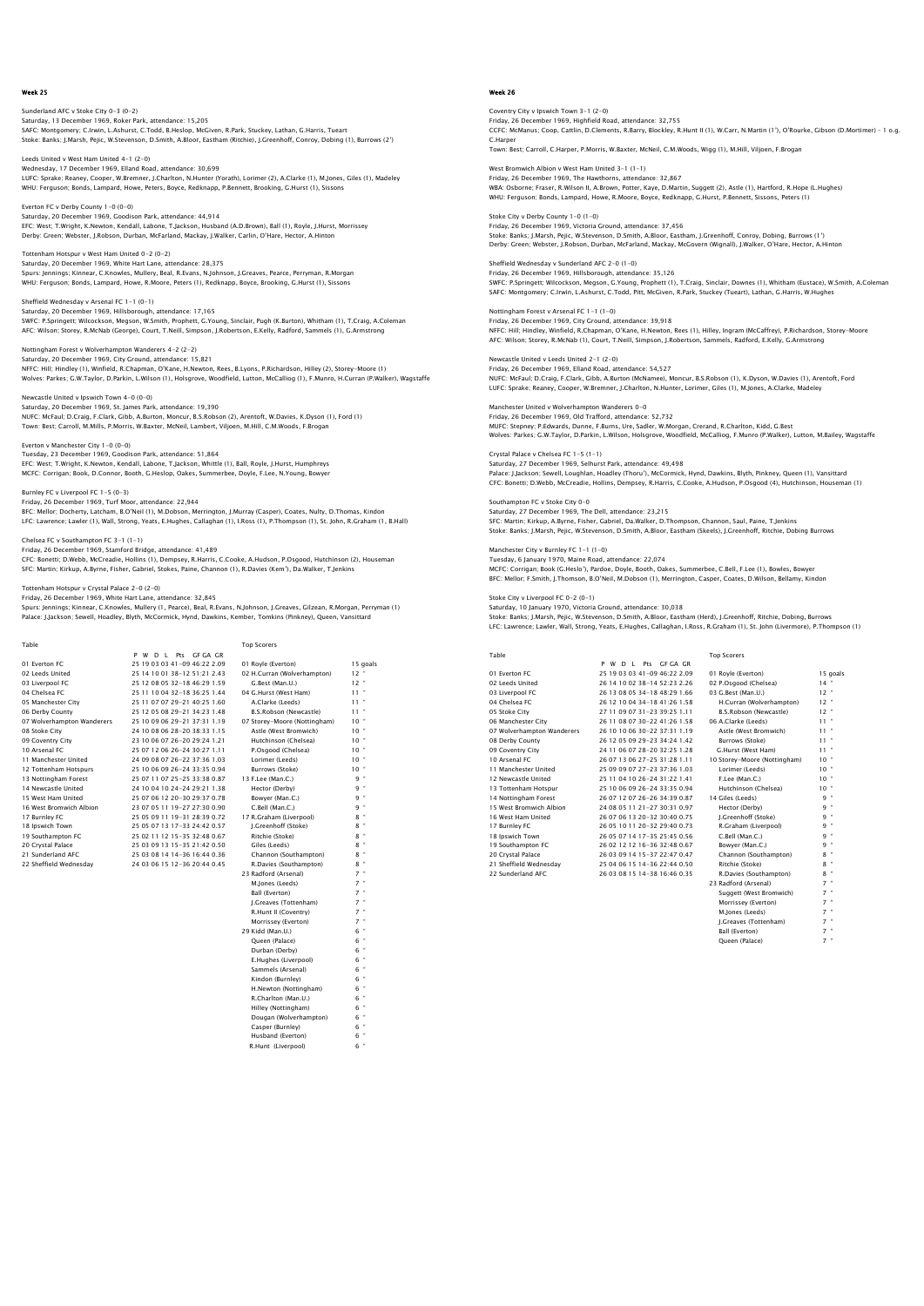Sunderland AFC v Stoke City 0-3 (0-2) Saturday, 13 December 1969, Roker Park, attendance: 15,205<br>SAFC: Montgomery: C.Irwin, L.Ashurst, C.Todd, B.Heslop, McGiven, R.Park, Stuckey, Lathan, G.Harris, Tueart<br>Stoke: Banks; J.Marsh, Pelic, W.Stevenson, D.Smith, A.Bl

Leeds United v West Ham United 4-1 (2-0) Wednesday, 17 December 1969, Elland Road, attendance: 30,699<br>LUFC: Sprake; Reaney, Cooper, W.Bremner, J.Charlton, N.Hunter (Yorath), Lorimer (2), A.Clarke (1), M.Jones, Giles (1), Madeley<br>WHU: Ferquson; Bonds, Lampard, How

Everton FC v Derby County 1-0 (0-0) Saturday, 20 December 1969, Goodison Park, attendance: 44,914 EFC: West; T.Wright, K.Newton, Kendall, Labone, T.Jackson, Husband (A.D.Brown), Ball (1), Royle, J.Hurst, Morrissey Derby: Green; Webster, J.Robson, Durban, McFarland, Mackay, J.Walker, Carlin, O'Hare, Hector, A.Hinton

Tottenham Hotspur v West Ham United 0-2 (0-2) Saturday, 20 December 1969, White Hart Lane, attendance: 28,375<br>Spurs: Jennings; Kinnear, C.Knowles, Mullery, Beal, R.Evans, N.Johnson, J.Greaves, Pearce, Perryman, R.Morgan<br>WHU: Ferquson: Bonds, Lampard, Howe, R.Moore, Pe

Sheffield Wednesday v Arsenal FC 1-1 (0-1) Saturday, 20 December 1969, Hillsborough, attendance: 17,165<br>SWFC: P.Springett; Wilcockson, Megson, W.Smith, Prophett, G.Young, Sinclair, Pugh (K.Burton), Whitham (1), T.Craig, A.Coleman<br>AFC: Wilson: Storey, R.McNab (Georg

Nottingham Forest v Wolverhampton Wanderers 4-2 (2-2) Saturday, 20 December 1969, City Ground, attendance: 15,821 NFFC: Hill; Hindley (1), Winfield, R.Chapman, O'Kane, H.Newton, Rees, B.Lyons, P.Richardson, Hilley (2), Storey-Moore (1) Wolves: Parkes; G.W.Taylor, D.Parkin, L.Wilson (1), Holsgrove, Woodfield, Lutton, McCalliog (1), F.Munro, H.Curran (P.Walker), Wagstaffe

Newcastle United v Ipswich Town 4-0 (0-0) Saturday, 20 December 1969, St. James Park, attendance: 19,390 NUFC: McFaul; D.Craig, F.Clark, Gibb, A.Burton, Moncur, B.S.Robson (2), Arentoft, W.Davies, K.Dyson (1), Ford (1) Town: Best; Carroll, M.Mills, P.Morris, W.Baxter, McNeil, Lambert, Viljoen, M.Hill, C.M.Woods, F.Brogan

Everton v Manchester City 1-0 (0-0) Tuesday, 23 December 1969, Goodison Park, attendance: 51,864 EFC: West; T.Wright, K.Newton, Kendall, Labone, T.Jackson, Whittle (1), Ball, Royle, J.Hurst, Humphreys MCFC: Corrigan; Book, D.Connor, Booth, G.Heslop, Oakes, Summerbee, Doyle, F.Lee, N.Young, Bowyer

Burnley FC v Liverpool FC 1-5 (0-3) Friday, 26 December 1969, Turf Moor, attendance: 22,944 BFC: Mellor; Docherty, Latcham, B.O'Neil (1), M.Dobson, Merrington, J.Murray (Casper), Coates, Nulty, D.Thomas, Kindon

LFC: Lawrence; Lawler (1), Wall, Strong, Yeats, E.Hughes, Callaghan (1), I.Ross (1), P.Thompson (1), St. John, R.Graham (1, B.Hall)

Chelsea FC v Southampton FC 3-1 (1-1) Friday, 26 December 1969, Stamford Bridge, attendance: 41,489

CFC: Bonetti; D.Webb, McCreadie, Hollins (1), Dempsey, R.Harris, C.Cooke, A.Hudson, P.Osgood, Hutchinson (2), Houseman SFC: Martin; Kirkup, A.Byrne, Fisher, Gabriel, Stokes, Paine, Channon (1), R.Davies (Kem'), Da.Walker, T.Jenkins

Hotspur v Crystal Palace 2-0 (2-0)

Friday, 26 December 1969, White Hart Lane, attendance: 32,845 Spurs: Jennings; Kinnear, C.Knowles, Mullery (1, Pearce), Beal, R.Evans, N.Johnson, J.Greaves, Gilzean, R.Morgan, Perryman (1) Palace: J.Jackson; Sewell, Hoadley, Blyth, McCormick, Hynd, Dawkins, Kember, Tomkins (Pinkney), Queen, Vansittard

| Table                      |                              | <b>Top Scorers</b>           |               |
|----------------------------|------------------------------|------------------------------|---------------|
|                            | P W D L Pts GF GA GR         |                              |               |
| 01 Everton EC              | 25 19 03 03 41-09 46:22 2.09 | 01 Royle (Everton)           | 15 goals      |
| 02 Leeds United            | 25 14 10 01 38-12 51:21 2.43 | 02 H.Curran (Wolverhampton)  | $12 -$        |
| 03 Liverpool FC            | 25 12 08 05 32-18 46:29 1.59 | G.Best (Man.U.)              | $12 -$        |
| 04 Chelsea EC              | 25 11 10 04 32-18 36:25 1.44 | 04 G.Hurst (West Ham)        | $11 -$        |
| 05 Manchester City         | 25 11 07 07 29-21 40:25 1.60 | A.Clarke (Leeds)             | $11 -$        |
| 06 Derby County            | 25 12 05 08 29-21 34:23 1.48 | B.S.Robson (Newcastle)       | $11 -$        |
| 07 Wolverhampton Wanderers | 25 10 09 06 29-21 37:31 1.19 | 07 Storey-Moore (Nottingham) | 10"           |
| 08 Stoke City              | 24 10 08 06 28-20 38:33 1.15 | Astle (West Bromwich)        | $10 -$        |
| 09 Coventry City           | 23 10 06 07 26-20 29:24 1.21 | Hutchinson (Chelsea)         | $10 -$        |
| 10 Arsenal FC              | 25 07 12 06 26-24 30:27 1.11 | P.Osgood (Chelsea)           | $10 -$        |
| 11 Manchester United       | 24 09 08 07 26-22 37:36 1.03 | Lorimer (Leeds)              | $10 -$        |
| 12 Tottenham Hotspurs      | 25 10 06 09 26-24 33:35 0.94 | Burrows (Stoke)              | $10 -$        |
| 13 Nottingham Forest       | 25 07 11 07 25-25 33:38 0.87 | 13 F.Lee (Man.C.)            | 9 "           |
| 14 Newcastle United        | 24 10 04 10 24-24 29:21 1.38 | Hector (Derby)               | 9 "           |
| 15 West Ham United         | 25 07 06 12 20-30 29:37 0.78 | Bowyer (Man.C.)              | 9 "           |
| 16 West Bromwich Albion    | 23 07 05 11 19-27 27:30 0.90 | C.Bell (Man.C.)              | 9 "           |
| 17 Burnley FC              | 25 05 09 11 19-31 28:39 0.72 | 17 R.Graham (Liverpool)      | 8             |
| 18 Ipswich Town            | 25 05 07 13 17-33 24:42 0.57 | I.Greenhoff (Stoke)          | 8"            |
| 19 Southampton FC          | 25 02 11 12 15-35 32:48 0.67 | Ritchie (Stoke)              | 8             |
| 20 Crystal Palace          | 25 03 09 13 15-35 21:42 0.50 | Giles (Leeds)                | 8 "           |
| 21 Sunderland AFC          | 25 03 08 14 14-36 16:44 0.36 | Channon (Southampton)        | 8 "           |
| 22 Sheffield Wednesdav     | 24 03 06 15 12-36 20:44 0.45 | R.Davies (Southampton)       | $8 -$         |
|                            |                              | 23 Radford (Arsenal)         | $7 -$         |
|                            |                              | M.Jones (Leeds)              | $7 -$         |
|                            |                              | Ball (Everton)               | $7$ "         |
|                            |                              | I.Greaves (Tottenham)        | $7 -$         |
|                            |                              | R.Hunt II (Coventry)         | $7 -$         |
|                            |                              | Morrissey (Everton)          | $7 -$         |
|                            |                              | 29 Kidd (Man.U.)             | 6 "           |
|                            |                              | Oueen (Palace)               | 6             |
|                            |                              | Durban (Derby)               | ×<br>6        |
|                            |                              | E.Hughes (Liverpool)         | $\alpha$<br>6 |

 Sammels (Arsenal) 6 " Kindon (Burnley) 6 " H.Newton (Nottingham) 6 " R.Charlton (Man.U.) 6 " Hilley (Nottingham) 6 " Dougan (Wolverhampton) 6 " Casper (Burnley) 6 " Husband (Everton) 6 " R.Hunt (Liverpool) 6 "

# Week 26

Coventry City v Ipswich Town 3-1 (2-0) Friday, 26 December 1969, Highfield Road, attendance: 32,755<br>CCFC: McManus; Coop, Cattlin, D.Clements, R.Barry, Blockley, R.Hunt II (1), W.Carr, N.Martin (1'), O'Rourke, Gibson (D.Mortimer) – 1 o.g. C.Harpe Town: Best; Carroll, C.Harper, P.Morris, W.Baxter, McNeil, C.M.Woods, Wigg (1), M.Hill, Viljoen, F.Brogan

West Bromwich Albion v West Ham United 3–1 (1–1)<br>Friday, 26 December 1969, The Hawthorns, attendance: 32,867<br>WBA: Osborne: Fraser, R.Wilson II, A.Brown, Potter, Kaye, D.Martin, Suqqett (2), Astle (1), Hartford, R.Hope (L.H WHU: Ferguson; Bonds, Lampard, Howe, R.Moore, Boyce, Redknapp, G.Hurst, P.Bennett, Sissons, Peters (1)

Stoke City v Derby County 1-0 (1-0) Friday, 26 December 1969, Victoria Ground, attendance: 37,456 Stoke: Banks; J.Marsh, Pejic, W.Stevenson, D.Smith, A.Bloor, Eastham, J.Greenhoff, Conroy, Dobing, Burrows (1') Derby: Green; Webster, J.Robson, Durban, McFarland, Mackay, McGovern (Wignall), J.Walker, O'Hare, Hector, A.Hinton

Sheffield Wednesday v Sunderland AFC 2-0 (1-0) Friday, 26 December 1969, Hillsborough, attendance: 35,126 SWFC: P.Springett; Wilcockson, Megson, G.Young, Prophett (1), T.Craig, Sinclair, Downes (1), Whitham (Eustace), W.Smith, A.Coleman SAFC: Montgomery; C.Irwin, L.Ashurst, C.Todd, Pitt, McGiven, R.Park, Stuckey (Tueart), Lathan, G.Harris, W.Hughes

Nottingham Forest v Arsenal FC 1-1 (1-0) Friday, 26 December 1969, City Ground, attendance: 39,918<br>NFFC: Hilj Hindley, Winfield, R.Chapman, O'Kane, H.Newton, Rees (1), Hilley, Ingram (McCaffrey), P.Richardson, Storey-Moore<br>AFC: Wilson; Storey, R.McNab (1), Court,

Newcastle United v Leeds United 2-1 (2-0) Friday, 26 December 1969, Elland Road, attendance: 54,527 NUFC: McFaul; D.Craig, F.Clark, Gibb, A.Burton (McNamee), Moncur, B.S.Robson (1), K.Dyson, W.Davies (1), Arentoft, Forc<br>LUFC: Sprake; Reaney, Cooper, W.Bremner, J.Charlton, N.Hunter, Lorimer, Giles (1), M.Jones, A.Clarke,

Manchester United v Wolverhampton Wanderers 0-0 Friday, 26 December 1969, Old Trafford, attendance: 52,732 MUFC: Stepney; P.Edwards, Dunne, F.Burns, Ure, Sadler, W.Morgan, Crerand, R.Charlton, Kidd, G.Best<br>Wolves: Parkes; G.W.Taylor, D.Parkin, L.Wilson, Holsgrove, Woodfield, McCalliog, F.Munro (P.Walker), Lutton, M.Bailey, Wags Crystal Palace v Chelsea FC 1-5 (1-1)

Saturday, 27 December 1969, Selhurst Park, attendance: 49,498<br>Palace: J.Jackson; Sewell, Loughlan, Hoadley (Thoru'), MCGormick, Hynd, Dawkins, Blyth, Pinkney, Queen (1), Vansittard<br>CFC: Bonetti; D.Webb, McCreadie, Hollins,

Southampton FC v Stoke City 0-0 Saturday, 27 December 1969, The Dell, attendance: 23,215 SFC: Martin; Kirkup, A.Byrne, Fisher, Gabriel, Da.Walker, D.Thompson, Channon, Saul, Paine, T.Jenkins Stoke: Banks; J.Marsh, Pejic, W.Stevenson, D.Smith, A.Bloor, Eastham (Skeels), J.Greenhoff, Ritchie, Dobing Burrows

Manchester City v Burnley FC 1-1 (1-0) Tuesday, 6 January 1970, Maine Road, attendance: 22,074 MCFC: Corrigan; Book (G.Heslo'), Pardoe, Doyle, Booth, Oakes, Summerbee, C.Bell, F.Lee (1), Bowles, Bowyer

BFC: Mellor; F.Smith, J.Thomson, B.O'Neil, M.Dobson (1), Merrington, Casper, Coates, D.Wilson, Bellamy, Kindon

Stoke City v Liverpool FC 0-2 (0-1) Saturday, 10 January 1970, Victoria Ground, attendance: 30,038

Stoke: Banks; J.Marsh, Pejic, W.Stevenson, D.Smith, A.Bloor, Eastham (Herd), J.Greenhoff, Ritchie, Dobing, Burrows LFC: Lawrence; Lawler, Wall, Strong, Yeats, E.Hughes, Callaghan, I.Ross, R.Graham (1), St. John (Livermore), P.Thompson (1)

| Table                      |                                       | <b>Top Scorers</b>            |                 |
|----------------------------|---------------------------------------|-------------------------------|-----------------|
|                            | Pts GF GA GR<br>P W<br>D <sub>1</sub> |                               |                 |
| 01 Everton EC              | 25 19 03 03 41-09 46:22 2.09          | 01 Royle (Everton)            | 15 goals        |
| 02 Leeds United            | 26 14 10 02 38-14 52:23 2.26          | 02 P.Osgood (Chelsea)         | $14 -$          |
| 03 Liverpool FC            | 26 13 08 05 34-18 48:29 1.66          | 03 G.Best (Man.U.)            | $12 -$          |
| 04 Chelsea EC              | 26 12 10 04 34-18 41 26 1.58          | H.Curran (Wolverhampton)      | $12 -$          |
| 05 Stoke City              | 27 11 09 07 31-23 39:25 1.11          | <b>B.S.Robson (Newcastle)</b> | $12 -$          |
| 06 Manchester City         | 26 11 08 07 30-22 41:26 1.58          | 06 A.Clarke (Leeds)           | $11 -$          |
| 07 Wolverhampton Wanderers | 26 10 10 06 30-22 37:31 1.19          | Astle (West Bromwich)         | $11 -$          |
| 08 Derby County            | 26 12 05 09 29-23 34:24 1.42          | Burrows (Stoke)               | $11 -$          |
| 09 Coventry City           | 24 11 06 07 28-20 32:25 1.28          | G.Hurst (West Ham)            | $11 -$          |
| 10 Arsenal FC              | 26 07 13 06 27-25 31:28 1.11          | 10 Storey-Moore (Nottingham)  | $10^{-4}$       |
| 11 Manchester United       | 25.09.09.07.27-23.37:36.1.03          | Lorimer (Leeds)               | $10^{-4}$       |
| 12 Newcastle United        | 25 11 04 10 26-24 31:22 1.41          | F.Lee (Man.C.)                | $10^{-4}$       |
| 13 Tottenham Hotspur       | 25 10 06 09 26-24 33:35 0.94          | Hutchinson (Chelsea)          | 10 <sup>4</sup> |
| 14 Nottingham Forest       | 26 07 12 07 26-26 34:39 0.87          | 14 Giles (Leeds)              | $q$ =           |
| 15 West Bromwich Albion    | 24 08 05 11 21-27 30:31 0.97          | Hector (Derby)                | $q$ =           |
| 16 West Ham United         | 26 07 06 13 20-32 30:40 0.75          | J.Greenhoff (Stoke)           | $9 -$           |
| 17 Burnley FC              | 26.05.10.11.20-32.29:40.0.73          | R.Graham (Liverpool)          | $9 -$           |
| 18 Ipswich Town            | 26 05 07 14 17-35 25:45 0.56          | C.Bell (Man.C.)               | $9 -$           |
| 19 Southampton FC          | 26 02 12 12 16-36 32:48 0.67          | Bowyer (Man.C.)               | $q$ =           |
| 20 Crystal Palace          | 26 03 09 14 15-37 22:47 0.47          | Channon (Southampton)         | $8 -$           |
| 21 Sheffield Wednesday     | 25 04 06 15 14-36 22:44 0.50          | Ritchie (Stoke)               | $8 -$           |
|                            |                                       |                               |                 |

0 Chelsea FC 26 12 10 04 34-18 41:26 1.58 H.Curran (Wolverhampton) 12<br>27 11 09 07 31 - 23 39:25 1.11 B.S.Robson (Newcastle) 12 " 11 09 07 31-23 39:25 1.11 8.5.Robson (Newcastle)<br>
12 26 11 08 07 30-22 41:26 1.58 06 A.Clarke (Leeds) 11 =<br>
26 10 10 06 30-22 37:31 1.19 Astle (West Bromwich) 11 =<br>
26 12 05 09 29-23 34:24 1.42 Burrows (Stoke) 11 = ' 07 Wolverhampton Wanderers 26 10 10 06 30-22 37:31 1.19 Astle (West Bromwich) 11<br>' 11 10 08 Derby County 26 12 05 09 29-23 34:24 1.42 Burrows (Stoke) 24 11 06 07 28-20 32:25 1.28 B. Hurst (West Ham)<br>26 07 13 06 27-25 31:28 1.11 10 Storey-Moore (Nottingham) 10 10 Storey-Moore (Nottingham) 10 "<br>
10 "<br>
10 "<br>
10 "<br>
10 "<br>
Hutchinson (Chelsea) 10 " 12 Newcastle United 25 11 04 10 26-24 31:22 1.41 F.Lee (Man.C.) 10 " 13 Tottenham Hotspur 25 10 06 09 26-24 33:35 0.94 Hutchinson (Chelsea) 10 " 14 Nottingham Forest 26 07 12 07 26-26 34:39 0.87 14 Giles (Leeds) 9 " 24 08 05 11 21-27 30:31 0.97 Hector (Derby) 9<br>26 07 06 13 20-32 30:40 0.75 1.Greenhoff (Stoke) 9 16 Mess 16 20-32 30:40 0.75 J.Greenhoff (Stoke) 9<br>16 November 16 20:40 0.73 R.Graham (Liverpool) 9<br>16 26 07 14 17-35 25:45 0.56 C.Bell (Man.C.) 9<br>16 20 21 21 18 -36 32:48 0.67 Bowyer (Man.C.) 9 17 Burnley FC 26 05 10 11 20-32 29:40 0.73 R.Graham (Liverpool) 9 " 18 Ipswich Town 26 05 07 14 17-35 25:45 0.56 C.Bell (Man.C.) 9 " 19 Southampton FC 26 02 12 12 16-36 32:48 0.67 Bowyer (Man.C.) 9 " 20 Crystal Palace 26 03 09 14 15-37 22:47 0.47 Channon (Southampton) 8<br>25 04 06 15 14-36 22:44 0.50 Ritchie (Stoke) 8 % 21 Sheffield Wednesday 25 04 06 15 14-36 22:44 0.50 Ritchie (Stoke) 8 "<br>22 Sunderland AFC 26 03 08 15 14-38 16:46 0.35 P. Davier (Southampton) 8 23 Radford (Arsenal) 7 " Suggett (West Bromwich) 7 " Morrissey (Everton) M.Jones (Leeds)

- J.Greaves (Tottenham) 7 " Ball (Everton) 7 " Ball (Everton) 7 "<br>
Queen (Palace) 7 "
- 22 Sunderland AFC 26 03 08 15 14-38 16:46 0.35
-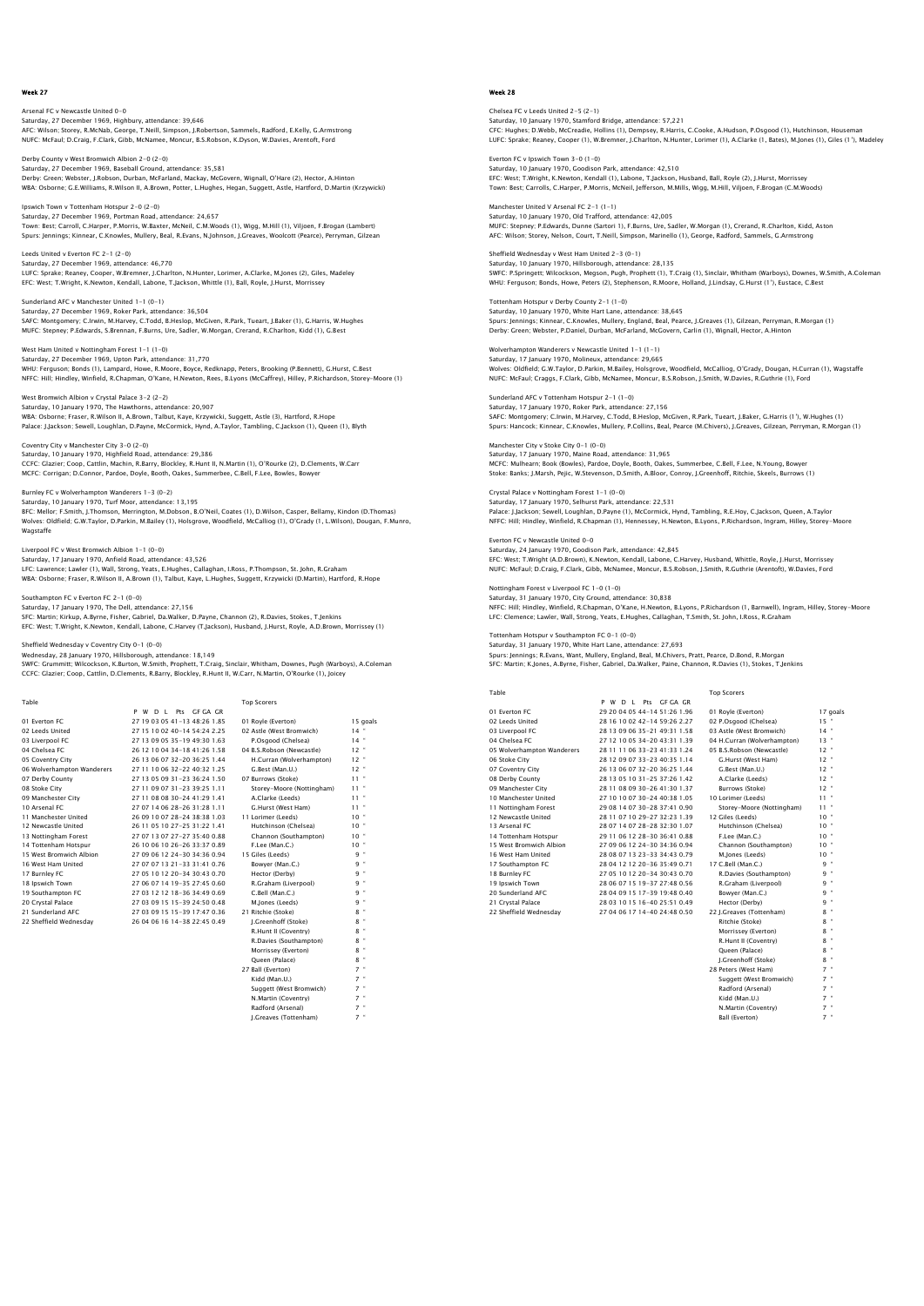Arsenal FC v Newcastle United 0-0 Saturday, 27 December 1969, Highbury, attendance: 39,646<br>AFC: Wilson; Storey, R.McNab, George, T.Neill, Simpson, J.Robertson, Sammels, Radford, E.Kelly, G.Armstrong<br>NUFC: McFaul; D.Craiq, F.Clark, Gibb, McNamee, Moncur, B.

Derby County v West Bromwich Albion 2-0 (2-0) Saturday, 27 December 1969, Baseball Ground, attendance: 35,581<br>Derby: Green; Webster, J.Robson, Durban, McFarland, Mackay, McGovern, Wignall, O'Hare (2), Hector, A.Hinton<br>WBA: Osborne; G.E.Williams, R.Wilson II, A.Brown,

Ipswich Town v Tottenham Hotspur 2-0 (2-0) Saturday, 27 December 1969, Portman Road, attendance: 24,657 Town: Best; Carroll, C.Harper, P.Morris, W.Baxter, McNeil, C.M.Woods (1), Wigg, M.Hill (1), Viljoen, F.Brogan (Lambert)<br>Spurs: Jennings; Kinnear, C.Knowles, Mullery, Beal, R.Evans, N.Johnson, J.Greaves, Woolcott (Pearce),

Leeds United v Everton FC 2-1 (2-0) Saturday, 27 December 1969, attendance: 46,770 LUFC: Sprake; Reaney, Cooper, W.Bremner, J.Charlton, N.Hunter, Lorimer, A.Clarke, M.Jones (2), Giles, Madeley<br>EFC: West; T.Wright, K.Newton, Kendall, Labone, T.Jackson, Whittle (1), Ball, Royle, J.Hurst, Morrissey

Sunderland AFC v Manchester United 1-1 (0-1) Saturday, 27 December 1969, Roker Park, attendance: 36,504 SAFC: Montgomery; C.Irwin, M.Harvey, C.Todd, B.Heslop, McGiven, R.Park, Tueart, J.Baker (1), G.Harris, W.Hughes MUFC: Stepney; P.Edwards, S.Brennan, F.Burns, Ure, Sadler, W.Morgan, Crerand, R.Charlton, Kidd (1), G.Best

West Ham United v Nottingham Forest 1-1 (1-0) Saturday, 27 December 1969, Upton Park, attendance: 31,770<br>WHU: Ferguson; Bonds (1), Lampard, Howe, R.Moore, Boyce, Redknapp, Peters, Brooking (P.Bennett), G.Hurst, C.Best<br>NFFC: Hill; Hindley, Winfield, R.Chapman, O'Kane,

West Bromwich Albion v Crystal Palace 3-2 (2-2) Saturday, 10 January 1970, The Hawthorns, attendance: 20,907<br>WBA: Osborne; Fraser, R.Wilson II, A.Brown, Talbut, Kaye, Krzywicki, Suggett, Astle (3), Hartford, R.Hope<br>Palace: J.Jackson: Sewell, Loughlan, D.Payne, McCormick

Coventry City v Manchester City 3-0 (2-0) Saturday, 10 January 1970, Highfield Road, attendance: 29,386 CCFC: Glazier; Coop, Cattlin, Machin, R.Barry, Blockley, R.Hunt II, N.Martin (1), O'Rourke (2), D.Clements, W.Carr<br>MCFC: Corrigan; D.Connor, Pardoe, Doyle, Booth, Oakes, Summerbee, C.Bell, F.Lee, Bowles, Bowyer

Burnley FC v Wolverhampton Wanderers 1-3 (0-2) Saturday, 10 January 1970, Turf Moor, attendance: 13,195 BFC: Mellor; F.Smith, J.Thomson, Merrington, M.Dobson, B.O'Neil, Coates (1), D.Wilson, Casper, Bellamy, Kindon (D.Thomas)<br>Wolves: Oldfield: G.W.Taylor, D.Parkin, M.Bailey (1), Holsgrove, Woodfield, McCalliog (1), O'Grady (

Wagstaffe Liverpool FC v West Bromwich Albion 1-1 (0-0) Saturday, 17 January 1970, Anfield Road, attendance: 43,526 LFC: Lawrence; Lawler (1), Wall, Strong, Yeats, E.Hughes, Callaghan, I.Ross, P.Thompson, St. John, R.Graham

WBA: Osborne; Fraser, R.Wilson II, A.Brown (1), Talbut, Kaye, L.Hughes, Suggett, Krzywicki (D.Martin), Hartford, R.Hope

#### Southampton FC v Everton FC 2-1 (0-0) Saturday, 17 January 1970, The Dell, attendance: 27,156

SFC: Martin; Kirkup, A.Byrne, Fisher, Gabriel, Da.Walker, D.Payne, Channon (2), R.Davies, Stokes, T.Jenkins EFC: West; T.Wright, K.Newton, Kendall, Labone, C.Harvey (T.Jackson), Husband, J.Hurst, Royle, A.D.Brown, Morrissey (1)

### Sheffield Wednesday v Coventry City 0-1 (0-0)

Wednesday, 28 January 1970, Hillsborough, attendance: 18,149 SWFC: Grummitt; Wilcockson, K.Burton, W.Smith, Prophett, T.Craig, Sinclair, Whitham, Downes, Pugh (Warboys), A.Coleman CCFC: Glazier; Coop, Cattlin, D.Clements, R.Barry, Blockley, R.Hunt II, W.Carr, N.Martin, O'Rourke (1), Joicey

| Table                      |                                 | <b>Top Scorers</b>        |           |
|----------------------------|---------------------------------|---------------------------|-----------|
|                            | P W D L Pts GF GA GR            |                           |           |
| 01 Everton EC              | 27 19 03 05 41 - 13 48 26 1.85  | 01 Royle (Everton)        | 15 goals  |
| 02 Leeds United            | 27 15 10 02 40-14 54:24 2.25    | 02 Astle (West Bromwich)  | $14$ "    |
| 03 Liverpool FC            | 27 13 09 05 35-19 49:30 1.63    | P.Osgood (Chelsea)        | $14$ "    |
| 04 Chelsea EC              | 26 12 10 04 34-18 41:26 1.58    | 04 B.S.Robson (Newcastle) | $12$ "    |
| 05 Coventry City           | 26 13 06 07 32-20 36:25 1.44    | H.Curran (Wolverhampton)  | $12$ "    |
| 06 Wolverhampton Wanderers | 27 11 10 06 32-22 40:32 1.25    | G.Best (Man.U.)           | $12$ $"$  |
| 07 Derby County            | 27 13 05 09 31 - 23 36: 24 1.50 | 07 Burrows (Stoke)        | $11 -$    |
| 08 Stoke City              | 27 11 09 07 31 - 23 39: 25 1.11 | Storev-Moore (Nottingham) | $11 -$    |
| 09 Manchester City         | 27 11 08 08 30-24 41:29 1.41    | A.Clarke (Leeds)          | $11 -$    |
| 10 Arsenal FC              | 27 07 14 06 28-26 31:28 1.11    | G.Hurst (West Ham)        | $11 -$    |
| 11 Manchester United       | 26 09 10 07 28-24 38:38 1.03    | 11 Lorimer (Leeds)        | $10 -$    |
| 12 Newcastle United        | 26 11 05 10 27-25 31:22 1.41    | Hutchinson (Chelsea)      | $10 -$    |
| 13 Nottingham Forest       | 27 07 13 07 27-27 35:40 0.88    | Channon (Southampton)     | $10^{-4}$ |
| 14 Tottenham Hotspur       | 26 10 06 10 26-26 33:37 0.89    | F.Lee (Man.C.)            | $10 -$    |
| 15 West Bromwich Albion    | 27 09 06 12 24-30 34:36 0.94    | 15 Giles (Leeds)          | 9 "       |
| 16 West Ham United         | 27 07 07 13 21-33 31:41 0.76    | Bowyer (Man.C.)           | 9 "       |
| 17 Burnley FC              | 27 05 10 12 20-34 30:43 0.70    | Hector (Derby)            | 9 "       |
| 18 Ipswich Town            | 27 06 07 14 19-35 27:45 0.60    | R.Graham (Liverpool)      | 9 "       |
| 19 Southampton FC          | 27 03 12 12 18-36 34:49 0.69    | C.Bell (Man.C.)           | 9 "       |
| 20 Crystal Palace          | 27 03 09 15 15-39 24:50 0.48    | M.Jones (Leeds)           | 9 "       |
| 21 Sunderland AFC          | 27 03 09 15 15-39 17:47 0.36    | 21 Ritchie (Stoke)        | 8 "       |
| 22 Sheffield Wednesdav     | 26 04 06 16 14-38 22:45 0.49    | I.Greenhoff (Stoke)       | $8$ "     |
|                            |                                 | R.Hunt II (Coventry)      | $8$ "     |
|                            |                                 | R.Davies (Southampton)    | $8$ "     |
|                            |                                 | Morrissey (Everton)       | $8$ "     |
|                            |                                 | Oueen (Palace)            | $8$ "     |
|                            |                                 | 27 Ball (Everton)         | $7$ "     |
|                            |                                 | Kidd (Man.U.)             | $7$ "     |
|                            |                                 | Suggett (West Bromwich)   | $7$ "     |
|                            |                                 | N.Martin (Coventry)       | $7$ "     |
|                            |                                 | Radford (Arsenal)         | $7$ "     |

J.Greaves (Tottenham) 7 "

# Week 28

Chelsea FC v Leeds United 2-5 (2-1) Saturday, 10 January 1970, Stamford Bridge, attendance: S7,221<br>CFC: Hughes; D.Webb, MCCreadie, Hollins (1), Dempsey, R.Harris, C.Cooke, A.Hudson, P.Osgood (1), Hutchinson, Houseman<br>LUFC: Sprake: Reaney, Cooper (1), W.Bremn

Everton FC v Ipswich Town 3-0 (1-0) Saturday, 10 January 1970, Goodison Park, attendance: 42,510 EFC: West; T.Wright, K.Newton, Kendall (1), Labone, T.Jackson, Husband, Ball, Royle (2), J.Hurst, Morrissey Town: Best; Carrolls, C.Harper, P.Morris, McNeil, Jefferson, M.Mills, Wigg, M.Hill, Viljoen, F.Brogan (C.M.Woods)

Manchester United V Arsenal FC 2-1 (1-1) Saturday, 10 January 1970, Old Trafford, attendance: 42,005 MUFC: Stepney; P.Edwards, Dunne (Sartori 1), F.Burns, Ure, Sadler, W.Morgan (1), Crerand, R.Charlton, Kidd, Aston AFC: Wilson; Storey, Nelson, Court, T.Neill, Simpson, Marinello (1), George, Radford, Sammels, G.Armstrong

Sheffield Wednesday v West Ham United 2-3 (0-1) Saturday, 10 January 1970, Hillsborough, attendance: 28,135<br>SWFC: P.Springett; Wilcockson, Megson, Pugh, Prophett (1), T.Craig (1), Sinclair, Whitham (Warboys), Downes, W.Smith, A.Colemar<br>WHU: Ferquson: Bonds, Howe, Peters

Tottenham Hotspur v Derby County 2-1 (1-0) Saturday, 10 January 1970, White Hart Lane, attendance: 38,645<br>Spurs: Jennings; Kinnear, C.Knowles, Mullery, England, Beal, Pearce, J.Greaves (1), Gilzean, Perryman, R.Morgan (1)<br>Derby: Green; Webster, P.Daniel, Durban, Mc

Wolverhampton Wanderers v Newcastle United 1-1 (1-1) Saturday, 17 January 1970, Molineux, attendance: 29,665 Wolves: Oldfield; G.W.Taylor, D.Parkin, M.Bailey, Holsgrove, Woodfield, McCalliog, O'Grady, Dougan, H.Curran (1), Wagstaffe<br>NUFC: McFaul; Craqqs, F.Clark, Gibb, McNamee, Moncur, B.S.Robson, J.Smith, W.Davies, R.Guthrie (1)

Sunderland AFC v Tottenham Hotspur 2-1 (1-0) Saturday, 17 January 1970, Roker Park, attendance: 27,156 SAFC: Montgomery; C.Irwin, M.Harvey, C.Todd, B.Heslop, McGiven, R.Park, Tueart, J.Baker, G.Harris (1'), W.Hughes (1)<br>Spurs: Hancock; Kinnear, C.Knowles, Mullery, P.Collins, Beal, Pearce (M.Chivers), J.Greaves, Gilzean, Per

Manchester City v Stoke City 0-1 (0-0) Saturday, 17 January 1970, Maine Road, attendance: 31,965 MCFC: Mulhearn; Book (Bowles), Pardoe, Doyle, Booth, Oakes, Summerbee, C.Bell, F.Lee, N.Young, Bowyer<br>MCFC: Mulhearn; Book (Bowles), Pardoe, Doyle, Booth, Oakes, Summerbee, C.Bell, F.Lee, N.Young, Bowyer Stoke: Banks; J.Marsh, Pejic, W.Stevenson, D.Smith, A.Bloor, Conroy, J.Greenhoff, Ritchie, Skeels, Burrows (1)

Crystal Palace v Nottingham Forest 1-1 (0-0) Saturday, 17 January 1970, Selhurst Park, attendance: 22,531 Palace: J.Jackson; Sewell, Loughlan, D.Payne (1), McCormick, Hynd, Tambling, R.E.Hoy, C.Jackson, Queen, A.Taylor<br>NFFC: Hill; Hindley, Winfield, R.Chapman (1), Hennessey, H.Newton, B.Lyons, P.Richardson, Ingram, Hilley, Sto

Everton FC v Newcastle United 0-0 Saturday, 24 January 1970, Goodison Park, attendance: 42,845 EFC: West; T.Wright (A.D.Brown), K.Newton, Kendall, Labone, C.Harvey, Husband, Whittle, Royle, J.Hurst, Morrissey<br>NUFC: McFaul; D.Craiq, F.Clark, Gibb, McNamee, Moncur, B.S.Robson, J.Smith, R.Guthrie (Arentoft), W.Davies,

Nottingham Forest v Liverpool FC 1-0 (1-0) Saturday, 31 January 1970, City Ground, attendance: 30,838 NFFC: Hill; Hindley, Winfield, R.Chapman, O'Kane, H.Newton, B.Lyons, P.Richardson (1, Barnwell), Ingram, Hilley, Storey-Moore LFC: Clemence; Lawler, Wall, Strong, Yeats, E.Hughes, Callaghan, T.Smith, St. John, I.Ross, R.Graham

# Tottenham Hotspur v Southampton FC 0-1 (0-0)

Saturday, 31 January 1970, White Hart Lane, attendance: 27,693 Spurs: Jennings; R.Evans, Want, Mullery, England, Beal, M.Chivers, Pratt, Pearce, D.Bond, R.Morgan SFC: Martin; K.Jones, A.Byrne, Fisher, Gabriel, Da.Walker, Paine, Channon, R.Davies (1), Stokes, T.Jenkins

| Table                      |                              | <b>Top Scorers</b>          |                 |
|----------------------------|------------------------------|-----------------------------|-----------------|
|                            | D L Pts GF GA GR<br>P W      |                             |                 |
| 01 Everton EC              | 29 20 04 05 44-14 51:26 1.96 | 01 Royle (Everton)          | 17 goals        |
| 02 Leeds United            | 28 16 10 02 42-14 59:26 2.27 | 02 P.Osgood (Chelsea)       | $15 -$          |
| 03 Liverpool FC            | 28 13 09 06 35-21 49:31 1.58 | 03 Astle (West Bromwich)    | $14 -$          |
| 04 Chelsea EC              | 27 12 10 05 34-20 43:31 1.39 | 04 H.Curran (Wolverhampton) | $13 -$          |
| 05 Wolverhampton Wanderers | 28 11 11 06 33-23 41:33 1.24 | 05 B.S.Robson (Newcastle)   | $12 -$          |
| 06 Stoke City              | 28 12 09 07 33-23 40:35 1.14 | G.Hurst (West Ham)          | $12$ $*$        |
| 07 Coventry City           | 26 13 06 07 32-20 36:25 1.44 | G.Best (Man.U.)             | $12 -$          |
| 08 Derby County            | 28 13 05 10 31-25 37:26 1.42 | A.Clarke (Leeds)            | $12 -$          |
| 09 Manchester City         | 28 11 08 09 30-26 41 30 1.37 | Burrows (Stoke)             | $12 -$          |
| 10 Manchester United       | 27 10 10 07 30-24 40:38 1.05 | 10 Lorimer (Leeds)          | $11 -$          |
| 11 Nottingham Forest       | 29 08 14 07 30-28 37:41 0.90 | Storey-Moore (Nottingham)   | $11 -$          |
| 12 Newcastle United        | 28 11 07 10 29-27 32:23 1.39 | 12 Giles (Leeds)            | $10^{-4}$       |
| 13 Arsenal FC              | 28 07 14 07 28-28 32:30 1.07 | Hutchinson (Chelsea)        | $10^{-4}$       |
| 14 Tottenham Hotspur       | 29 11 06 12 28-30 36:41 0.88 | F.Lee (Man.C.)              | $10^{-4}$       |
| 15 West Bromwich Albion    | 27 09 06 12 24-30 34:36 0.94 | Channon (Southampton)       | 10 <sup>°</sup> |
| 16 West Ham United         | 28 08 07 13 23-33 34:43 0.79 | M.lones (Leeds)             | $10^{-4}$       |
| 17 Southampton FC          | 28 04 12 12 20-36 35:49 0.71 | 17 C.Bell (Man.C.)          | $9 -$           |
| 18 Burnley FC              | 27 05 10 12 20-34 30:43 0.70 | R.Davies (Southampton)      | $9 -$           |
| 19 Ipswich Town            | 28 06 07 15 19-37 27:48 0.56 | R.Graham (Liverpool)        | $9 -$           |
| 20 Sunderland AFC          | 28 04 09 15 17-39 19:48 0.40 | Bowyer (Man.C.)             | $9 -$           |
| 21 Crystal Palace          | 28 03 10 15 16-40 25:51 0.49 | Hector (Derby)              | q =             |
| 22 Sheffield Wednesday     | 27 04 06 17 14-40 24:48 0.50 | 22 J.Greaves (Tottenham)    | $8 -$           |
|                            |                              | Ritchie (Stoke)             | $8 -$           |
|                            |                              | Morrissey (Everton)         | $8 -$           |
|                            |                              | R.Hunt II (Coventry)        | $8 -$           |
|                            |                              | Oueen (Palace)              | $8 -$           |
|                            |                              | I.Greenhoff (Stoke)         | $8 -$           |
|                            |                              | 28 Peters (West Ham)        | $7 -$           |
|                            |                              | Suggett (West Bromwich)     | $7 -$           |

| Oueen (Palace)          |  |
|-------------------------|--|
| I.Greenhoff (Stoke)     |  |
| 28 Peters (West Ham)    |  |
| Suggett (West Bromwich) |  |
| Radford (Arsenal)       |  |
| Kidd (Man.U.)           |  |
| N.Martin (Coventry)     |  |
| Ball (Everton)          |  |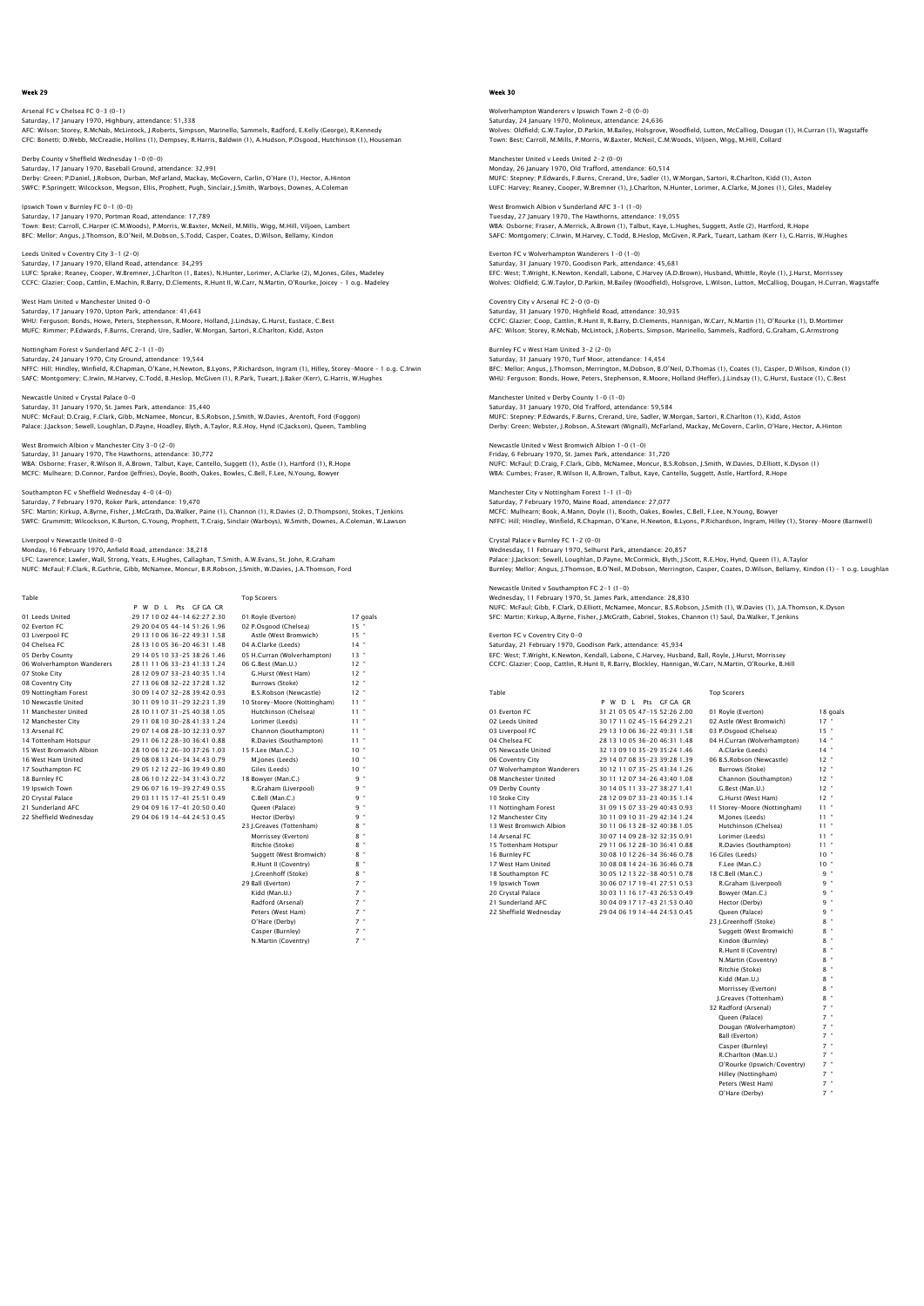# Arsenal FC v Chelsea FC 0-3 (0-1) Saturday, 17 January 1970, Highbury, attendance: 51,338<br>AFC: Wilson; Storey, R.McNab, McLintock, J.Roberts, Simpson, Marinello, Sammels, Radford, E.Kelly (George), R.Kennedy<br>CFC: Bonetti; D.Webb, McCreadie, Hollins (1), De

Derby County v Sheffield Wednesday 1-0 (0-0) Saturday, 17 January 1970, Baseball Ground, attendance: 32,991<br>Derby: Green; P.Daniel, J.Robson, Durban, McFarland, Mackay, McGovern, Carlin, O'Hare (1), Hector, A.Hinton<br>SWFC: P.Springett; Wilcockson, Megson, Ellis, Proph

Ipswich Town v Burnley FC 0-1 (0-0) Saturday, 17 January 1970, Portman Road, attendance: 17,789 Town: Best; Carroll, C.Harper (C.M.Woods), P.Morris, W.Baxter, McNeil, M.Mills, Wigg, M.Hill, Viljoen, Lambert BFC: Mellor; Angus, J.Thomson, B.O'Neil, M.Dobson, S.Todd, Casper, Coates, D.Wilson, Bellamy, Kindon

Leeds United v Coventry City 3-1 (2-0) Saturday, 17 January 1970, Elland Road, attendance: 34,295 LUFC: Sprake; Reaney, Cooper, W.Bremner, J.Charlton (1, Bates), N.Hunter, Lorimer, A.Clarke (2), M.Jones, Giles, Madeley<br>CCFC: Glazier: Coop, Cattlin, E.Machin, R.Barry, D.Clements, R.Hunt II, W.Carr, N.Martin, O'Rourke, J

West Ham United v Manchester United 0-0 Saturday, 17 January 1970, Upton Park, attendance: 41,643<br>WHU: Ferguson; Bonds, Howe, Peters, Stephenson, R.Moore, Holland, J.Lindsay, G.Hurst, Eustace, C.Best<br>MUFC: Rimmer: P.Edwards, F.Burns, Crerand, Ure, Sadler, W.Morg

Nottingham Forest v Sunderland AFC 2-1 (1-0) Saturday, 24 January 1970, City Ground, attendance: 19,544 NFFC: Hill; Hindley, Winfield, R.Chapman, O'Kane, H.Newton, B.Lyons, P.Richardson, Ingram (1), Hilley, Storey-Moore – 1 o.g. C.Irwin SAFC: Montgomery; C.Irwin, M.Harvey, C.Todd, B.Heslop, McGiven (1), R.Park, Tueart, J.Baker (Kerr), G.Harris, W.Hughes

Newcastle United v Crystal Palace 0-0 Saturday, 31 January 1970, St. James Park, attendance: 35,440 NUFC: McFaul; D.Craig, F.Clark, Gibb, McNamee, Moncur, B.S.Robson, J.Smith, W.Davies, Arentoft, Ford (Foggon) Palace: J.Jackson; Sewell, Loughlan, D.Payne, Hoadley, Blyth, A.Taylor, R.E.Hoy, Hynd (C.Jackson), Queen, Tambling

West Bromwich Albion v Manchester City 3-0 (2-0) Saturday, 31 January 1970, The Hawthorns, attendance: 30,772 WBA: Osborne; Fraser, R.Wilson II, A.Brown, Talbut, Kaye, Cantello, Suggett (1), Astle (1), Hartford (1), R.Hope MCFC: Mulhearn; D.Connor, Pardoe (Jeffries), Doyle, Booth, Oakes, Bowles, C.Bell, F.Lee, N.Young, Bowyer

#### Southampton FC v Sheffield Wednesday 4-0 (4-0) Saturday, 7 February 1970, Roker Park, attendance: 19,470

SFC: Martin; Kirkup, A.Byrne, Fisher, J.McGrath, Da.Walker, Paine (1), Channon (1), R.Davies (2, D.Thompson), Stokes, T.Jenkins<br>SWFC: Grummitt; Wilcockson, K.Burton, G.Young, Prophett, T.Craig, Sinclair (Warboys), W.Smith,

ewcastle United 0-0 Monday, 16 February 1970, Anfield Road, attendance: 38,218

LFC: Lawrence; Lawler, Wall, Strong, Yeats, E.Hughes, Callaghan, T.Smith, A.W.Evans, St. John, R.Graham NUFC: McFaul; F.Clark, R.Guthrie, Gibb, McNamee, Moncur, B.R.Robson, J.Smith, W.Davies, J.A.Thomson, Ford

| Table                      |                                | <b>Top Scorers</b>           |               |
|----------------------------|--------------------------------|------------------------------|---------------|
|                            | P W D I Pts GEGA GR            |                              |               |
| 01 Leeds United            | 29 17 10 02 44-14 62:27 2.30   | 01 Royle (Everton)           | 17 goals      |
| 02 Everton EC              | 29 20 04 05 44-14 51:26 1.96   | 02 P.Osgood (Chelsea)        | $15$ "        |
| 03 Liverpool FC            | 29 13 10 06 36-22 49:31 1.58   | Astle (West Bromwich)        | 15"           |
| 04 Chelsea EC              | 28 13 10 05 36-20 46:31 1.48   | 04 A.Clarke (Leeds)          | $14$ "        |
| 05 Derby County            | 29 14 05 10 33-25 38:26 1.46   | 05 H.Curran (Wolverhampton)  | $13 -$        |
| 06 Wolverhampton Wanderers | 28 11 11 06 33-23 41:33 1.24   | 06 G.Best (Man.U.)           | $12$ "        |
| 07 Stoke City              | 28 12 09 07 33-23 40:35 1.14   | G.Hurst (West Ham)           | $12 -$        |
| 08 Coventry City           | 27 13 06 08 32-22 37:28 1.32   | Burrows (Stoke)              | $12 -$        |
| 09 Nottingham Forest       | 30 09 14 07 32-28 39:42 0.93   | B.S.Robson (Newcastle)       | $12$ $"$      |
| 10 Newcastle United        | 30 11 09 10 31-29 32:23 1.39   | 10 Storey-Moore (Nottingham) | $11 -$        |
| 11 Manchester United       | 28 10 11 07 31 - 25 40 38 1.05 | Hutchinson (Chelsea)         | $11 -$        |
| 12 Manchester City         | 29 11 08 10 30-28 41:33 1.24   | Lorimer (Leeds)              | $11 -$        |
| 13 Arsenal FC              | 29 07 14 08 28-30 32:33 0.97   | Channon (Southampton)        | $11 -$        |
| 14 Tottenham Hotspur       | 29 11 06 12 28-30 36:41 0.88   | R.Davies (Southampton)       | $11 -$        |
| 15 West Bromwich Albion    | 28 10 06 12 26-30 37:26 1.03   | 15 F.Lee (Man.C.)            | $10 -$        |
| 16 West Ham United         | 29 08 08 13 24-34 34:43 0.79   | M.Jones (Leeds)              | $10 -$        |
| 17 Southampton FC          | 29 05 12 12 22-36 39:49 0.80   | Giles (Leeds)                | $10 -$        |
| 18 Burnley FC              | 28 06 10 12 22-34 31:43 0.72   | 18 Bowyer (Man.C.)           | 9 "           |
| 19 Ipswich Town            | 29 06 07 16 19-39 27:49 0.55   | R.Graham (Liverpool)         | 9 "           |
| 20 Crystal Palace          | 29 03 11 15 17-41 25:51 0.49   | C.Bell (Man.C.)              | q "           |
| 21 Sunderland AFC          | 29 04 09 16 17-41 20:50 0.40   | Oueen (Palace)               | 9 "           |
| 22 Sheffield Wednesday     | 29 04 06 19 14-44 24:53 0.45   | Hector (Derby)               | 9 "           |
|                            |                                | 23 J.Greaves (Tottenham)     | $8$ "         |
|                            |                                | Morrissey (Everton)          | $8$ "         |
|                            |                                | Ritchie (Stoke)              | $8$ "         |
|                            |                                | Suggett (West Bromwich)      | $\alpha$<br>8 |
|                            |                                | R.Hunt II (Coventry)         | $8$ "         |
|                            |                                | I.Greenhoff (Stoke)          | 8 "           |
|                            |                                | 29 Ball (Everton)            | $7$ $"$       |
|                            |                                | Kidd (Man.U.)                | $7$ $"$       |

Radford (Arsenal) Peters (West Ham)

O'Hare (Derby) 7 " Casper (Burnley) 7 " N.Martin (Coventry) 7 "

Week 30

wholverhampton Wanderers v Ipswich Town 2-0 (0-0) Saturday, 24 January 1970, Molineux, attendance: 24,636<br>Wolves: Oldfield; G.W.Taylor, D.Parkin, M.Bailey, Holsgrove, Woodfield, Lutton, McCalliog, Dougan (1), H.Curran (1), Wagstaffe<br>Town: Best: Carroll, M.Mills, P.Morris,

Manchester United v Leeds United 2-2 (0-0) Monday, 26 January 1970, Old Trafford, attendance: 60,514<br>MUFC: Stepney: P.Edwards, F.Burns, Crerand, Ure, Sadler (1), W.Morgan, Sartori, R.Charlton, Kidd (1), Aston<br>LUFC: Harvey: Reaney, Cooper, W.Bremner (1), J.Charlton,

West Bromwich Albion v Sunderland AFC 3-1 (1-0) Tuesday, 27 January 1970, The Hawthorns, attendance: 19,055<br>WBA: Osborne; Fraser, A.Merrick, A.Brown (1), Talbut, Kaye, L.Hughes, Suggett, Astle (2), Hartford, R.Hope<br>SAFC: Montgomery: C.Irwin, M.Harvey, C.Todd, B.Heslop,

Everton FC v Wolverhampton Wanderers 1-0 (1-0) Saturday, 31 January 1970, Goodison Park, attendance: 45,681<br>EFC: West; T.Wright, K.Newton, Kendall, Labone, C.Harvey (A.D.Brown), Husband, Whittle, Royle (1), J.Hurst, Morrissey<br>Wolves: Oldfield; G.W.Taylor, D.Parkin, M.B

Coventry City v Arsenal FC 2-0 (0-0) Saturday, 31 January 1970, Highfield Road, attendance: 30,935 CCFC: Glazier; Coop, Cattlin, R.Hunt II, R.Barry, D.Clements, Hannigan, W.Carr, N.Martin (1), O'Rourke (1), D.Mortimeı<br>AFC: Wilson: Storey, R.McNab, McLintock, J.Roberts, Simpson, Marinello, Sammels, Radford, G.Graham, G.A

Burnley FC v West Ham United 3-2 (2-0) Saturday, 31 January 1970, Turf Moor, attendance: 14,454<br>BFC: Mellor; Angus, J.Thomson, Merrington, M.Dobson, B.O'Neil, D.Thomas (1), Coates (1), Casper, D.Wilson, Kindon (1)<br>WHU: Ferquson; Bonds, Howe, Peters, Stephenson,

Manchester United v Derby County 1-0 (1-0) Saturday, 31 January 1970, Old Trafford, attendance: 59,584 MUFC: Stepney; P.Edwards, F.Burns, Crerand, Ure, Sadler, W.Morgan, Sartori, R.Charlton (1), Kidd, Aston Derby: Green; Webster, J.Robson, A.Stewart (Wignall), McFarland, Mackay, McGovern, Carlin, O'Hare, Hector, A.Hinton

Newcastle United v West Bromwich Albion 1-0 (1-0) Friday, 6 February 1970, St. James Park, attendance: 31,720 NUFC: McFaul; D.Craig, F.Clark, Gibb, McNamee, Moncur, B.S.Robson, J.Smith, W.Davies, D.Elliott, K.Dyson (1) WBA: Cumbes; Fraser, R.Wilson II, A.Brown, Talbut, Kaye, Cantello, Suggett, Astle, Hartford, R.Hope

Manchester City v Nottingham Forest 1-1 (1-0) Saturday, 7 February 1970, Maine Road, attendance: 27,077 MCFC: Mulhearn; Book, A.Mann, Doyle (1), Booth, Oakes, Bowles, C.Bell, F.Lee, N.Young, Bowyer NFFC: Hill; Hindley, Winfield, R.Chapman, O'Kane, H.Newton, B.Lyons, P.Richardson, Ingram, Hilley (1), Storey-Moore (Barnwell)

Crystal Palace v Burnley FC 1-2 (0-0) Wednesday, 11 February 1970, Selhurst Park, attendance: 20,857 Palace: J.Jackson; Sewell, Loughlan, D.Payne, McCormick, Blyth, J.Scott, R.E.Hoy, Hynd, Queen (1), A.Taylor<br>Burnley; Mellor; Anqus, J.Thomson, B.O'Neil, M.Dobson, Merrington, Casper, Coates, D.Wilson, Bellamy, Kindon (1) –

 $m$ pton FC 2-1 (1-0)

Wednesday, 11 February 1970, St. James Park, attendance: 28,830<br>NUFC: McFaul; Gibb, F.Clark, D.Elliott, McNamee, Moncur, B.S.Robson, J.Smith (1), W.Davies (1), J.A.Thomson, K.Dysor SFC: Martin; Kirkup, A.Byrne, Fisher, J.McGrath, Gabriel, Stokes, Channon (1) Saul, Da.Walker, T.Jenkins

GF GA GR<br>52:26.2.00

#### Everton FC v Coventry City 0-0

Saturday, 21 February 1970, Goodison Park, attendance: 45,934<br>EFC: West, T.Wright, K.Newton, Kendall, Labone, C.Harvey, Husband, Ball, Royle, J.Hurst, Morrissey<br>CCFC: Glazier: Coop, Cattlin, R.Hunt II, R.Barry, Blockley, H

| Table | <b>Top Scorers</b> |
|-------|--------------------|

|                            | w<br>D I Pts GEGAGR<br>P.      |                              |          |
|----------------------------|--------------------------------|------------------------------|----------|
| 01 Everton EC              | 31 21 05 05 47-15 52:26 2.00   | 01 Royle (Everton)           | 18 goals |
| 02 Leeds United            | 30 17 11 02 45-15 64:29 2.21   | 02 Astle (West Bromwich)     | $17 -$   |
| 03 Liverpool FC            | 29 13 10 06 36-22 49:31 1.58   | 03 P.Osgood (Chelsea)        | $15 -$   |
| 04 Chelsea EC              | 28 13 10 05 36-20 46:31 1.48   | 04 H.Curran (Wolverhampton)  | $14 -$   |
| 05 Newcastle United        | 32 13 09 10 35-29 35:24 1.46   | A.Clarke (Leeds)             | $14 -$   |
| 06 Coventry City           | 29 14 07 08 35-23 39:28 1.39   | 06 B.S.Robson (Newcastle)    | $12 -$   |
| 07 Wolverhampton Wanderers | 30 12 11 07 35-25 43:34 1.26   | Burrows (Stoke)              | $12 -$   |
| 08 Manchester United       | 30 11 12 07 34-26 43:40 1.08   | Channon (Southampton)        | $12 -$   |
| 09 Derby County            | 30 14 05 11 33-27 38:27 1.41   | G.Best (Man.U.)              | $12 -$   |
| 10 Stoke City              | 28 12 09 07 33-23 40:35 1.14   | G.Hurst (West Ham)           | $12 -$   |
| 11 Nottingham Forest       | 31 09 15 07 33-29 40:43 0.93   | 11 Storey-Moore (Nottingham) | $11 -$   |
| 12 Manchester City         | 30 11 09 10 31 - 29 42 34 1.24 | M.Jones (Leeds)              | 11 *     |
| 13 West Bromwich Albion    | 30 11 06 13 28-32 40:38 1.05   | Hutchinson (Chelsea)         | $11 -$   |
| 14 Arsenal FC              | 30 07 14 09 28-32 32:35 0.91   | Lorimer (Leeds)              | $11 -$   |
| 15 Tottenham Hotspur       | 29 11 06 12 28-30 36:41 0.88   | R.Davies (Southampton)       | $11 -$   |
| 16 Burnley FC              | 30 08 10 12 26-34 36:46 0.78   | 16 Giles (Leeds)             | $10 -$   |
| 17 West Ham United         | 30 08 08 14 24-36 36:46 0.78   | F.Lee (Man.C.)               | $10 -$   |
| 18 Southampton FC          | 30 05 12 13 22-38 40:51 0.78   | 18 C.Bell (Man.C.)           | $9 -$    |
| 19 Ipswich Town            | 30 06 07 17 19-41 27:51 0.53   | R.Graham (Liverpool)         | $9 -$    |
| 20 Crystal Palace          | 30 03 11 16 17-43 26:53 0.49   | Bowyer (Man.C.)              | $9 -$    |
| 21 Sunderland AFC          | 30 04 09 17 17-43 21:53 0.40   | Hector (Derby)               | $9 -$    |
| 22 Sheffield Wednesdav     | 29 04 06 19 14-44 24:53 0.45   | Oueen (Palace)               | $9 -$    |

| 01 Royle (Everton)           | 18qc                       |
|------------------------------|----------------------------|
| 02 Astle (West Bromwich)     | 17                         |
| 03 P.Osqood (Chelsea)        | 15                         |
| 04 H.Curran (Wolverhampton)  | $14 -$<br>$\alpha$         |
| A.Clarke (Leeds)             | 14                         |
| 06 B.S.Robson (Newcastle)    | 12<br>$\scriptstyle\alpha$ |
| Burrows (Stoke)              | ×<br>12                    |
| Channon (Southampton)        | $12 -$                     |
| G.Best (Man.U.)              | 12<br>٠                    |
| G.Hurst (West Ham)           | ×<br>12 <sup>2</sup>       |
| 11 Storev-Moore (Nottingham) | ×<br>11                    |
| M.lones (Leeds)              | ×<br>11                    |
| Hutchinson (Chelsea)         | ٠<br>11.                   |
| Lorimer (Leeds)              | ×<br>11                    |
| R.Davies (Southampton)       | ×<br>11                    |
| 16 Giles (Leeds)             | ×<br>10                    |
| F.Lee (Man.C.)               | $10 -$                     |
| 18 C.Bell (Man.C.)           | ×<br>9                     |
| R.Graham (Liverpool)         | ×<br>9                     |
| Bowyer (Man.C.)              | ×<br>9                     |
| Hector (Derby)               | q =                        |
| Queen (Palace)               | ٠<br>9                     |
| 23 J.Greenhoff (Stoke)       | ×<br>8                     |
| Suggett (West Bromwich)      | ×<br>8                     |
| Kindon (Burnley)             | ٠<br>8                     |
| R.Hunt II (Coventry)         | ×<br>8                     |
| N.Martin (Coventry)          | ×<br>8                     |
| Ritchie (Stoke)              | ×<br>8                     |
| Kidd (Man.U.)                | ٠<br>8                     |
| Morrissey (Everton)          | ٠<br>8.                    |
| I.Greaves (Tottenham)        | ×<br>8                     |
| 32 Radford (Arsenal)         | ×<br>$\overline{7}$        |
| Queen (Palace)               | ٠<br>$\overline{7}$        |
| Dougan (Wolverhampton)       | $7 -$                      |
| <b>Ball (Everton)</b>        | ×<br>$\overline{7}$        |
| Casper (Burnley)             | ×<br>$\overline{7}$        |
| R.Charlton (Man.U.)          | $7 -$                      |
| O'Rourke (Ipswich/Coventry)  | $7 -$                      |
| Hilley (Nottingham)          | $7 -$                      |
| Peters (West Ham)            | $\overline{z}$             |
| O'Hare (Derby)               | $\overline{z}$             |
|                              |                            |
|                              |                            |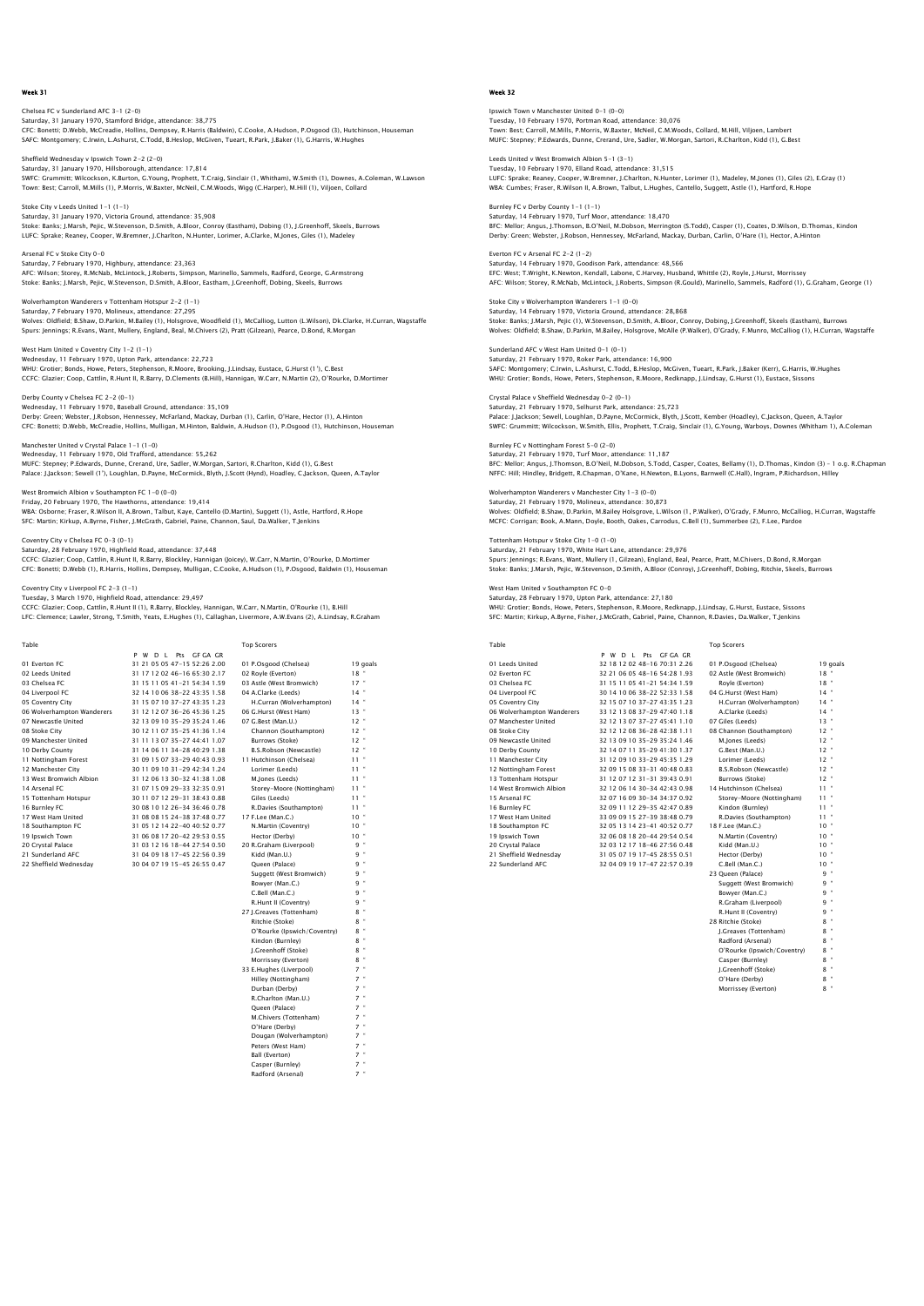# Chelsea FC v Sunderland AFC 3-1 (2-0) Saturday, 31 January 1970, Stamford Bridge, attendance: 38,775<br>CFC: Bonetti; D.Webb, McCreadie, Hollins, Dempsey, R.Harris (Baldwin), C.Cooke, A.Hudson, P.Osgood (3), Hutchinson, Houseman<br>SAFC: Montqomery: C.Irwin, L.Ashur

Sheffield Wednesday v Ipswich Town 2-2 (2-0) Saturday, 31 January 1970, Hillsborough, attendance: 17,814<br>SWFC: Grummitt, Wilcockson, K.Burton, G.Young, Prophett, T.Craig, Sinclair (1, Whitham), W.Smith (1), Downes, A.Coleman, W.Lawson<br>Town: Best; Carroll, M.Mills (1)

Stoke City v Leeds United 1-1 (1-1) Saturday, 31 January 1970, Victoria Ground, attendance: 35,908 Stoke: Banks; J.Marsh, Pejic, W.Stevenson, D.Smith, A.Bloor, Conroy (Eastham), Dobing (1), J.Greenhoff, Skeels, Burrows<br>LUFC: Sprake; Reaney, Cooper, W.Bremner, J.Charlton, N.Hunter, Lorimer, A.Clarke, M.Jones, Giles (1),

Arsenal FC v Stoke City 0-0 Saturday, 7 February 1970, Highbury, attendance: 23,363<br>AFC: Wilson; Storey, R.McNab, McLintock, J.Roberts, Simpson, Marinello, Sammels, Radford, George, G.Armstrong<br>Stoke: Banks: J.Marsh, Pejic, W.Stevenson, D.Smith, A.Bl

Wolverhampton Wanderers v Tottenham Hotspur 2-2 (1-1) Saturday, 7 February 1970, Molineux, attendance: 27,295 Wolves: Oldfield; B.Shaw, D.Parkin, M.Bailey (1), Holsgrove, Woodfield (1), McCalliog, Lutton (L.Wilson), Dk.Clarke, H.Curran, Wagstaffe Spurs: Jennings; R.Evans, Want, Mullery, England, Beal, M.Chivers (2), Pratt (Gilzean), Pearce, D.Bond, R.Morgan

West Ham United v Coventry City 1-2 (1-1) Wednesday, 11 February 1970, Upton Park, attendance: 22,723 WHU: Grotier; Bonds, Howe, Peters, Stephenson, R.Moore, Brooking, J.Lindsay, Eustace, G.Hurst (1'), C.Best CCFC: Glazier; Coop, Cattlin, R.Hunt II, R.Barry, D.Clements (B.Hill), Hannigan, W.Carr, N.Martin (2), O'Rourke, D.Mortimer

Derby County v Chelsea FC 2-2 (0-1) Wednesday, 11 February 1970, Baseball Ground, attendance: 35,109 Derby: Green; Webster, J.Robson, Hennessey, McFarland, Mackay, Durban (1), Carlin, O'Hare, Hector (1), A.Hinton<br>CFC: Bonetti; D.Webb, McCreadie, Hollins, Mulliqan, M.Hinton, Baldwin, A.Hudson (1), P.Osqood (1), Hutchinson,

Manchester United v Crystal Palace 1-1 (1-0) Wednesday, 11 February 1970, Old Trafford, attendance: 55,262 MUFC: Stepney; P.Edwards, Dunne, Crerand, Ure, Sadler, W.Morgan, Sartori, R.Charlton, Kidd (1), G.Best Palace: J.Jackson; Sewell (1'), Loughlan, D.Payne, McCormick, Blyth, J.Scott (Hynd), Hoadley, C.Jackson, Queen, A.Taylor

West Bromwich Albion v Southampton FC 1-0 (0-0) Friday, 20 February 1970, The Hawthorns, attendance: 19,414 WBA: Osborne; Fraser, R.Wilson II, A.Brown, Talbut, Kaye, Cantello (D.Martin), Suggett (1), Astle, Hartford, R.Hope<br>SFC: Martin; Kirkup, A.Byrne, Fisher, J.McGrath, Gabriel, Paine, Channon, Saul, Da.Walker, T.Jenkins

# Coventry City v Chelsea FC 0-3 (0-1)

Saturday, 28 February 1970, Highfield Road, attendance: 37,448<br>CCFC: Giazier; Coop, Cattlin, R.Hunt II, R.Barry, Blockley, Hannigan (Joicey), W.Carr, N.Martin, O'Rourke, D.Mortimer<br>CFC: Bonetti; D.Webb (1), R.Harris, Holli

Coventry City v Liverpool FC 2-3 (1-1)

Tuesday, 3 March 1970, Highfield Road, attendance: 29,497 CCFC: Glazier; Coop, Cattlin, R.Hunt II (1), R.Barry, Blockley, Hannigan, W.Carr, N.Martin, O'Rourke (1), B.Hill LFC: Clemence; Lawler, Strong, T.Smith, Yeats, E.Hughes (1), Callaghan, Livermore, A.W.Evans (2), A.Lindsay, R.Graham

| Table                      |                                | <b>Top Scorers</b>          |            |
|----------------------------|--------------------------------|-----------------------------|------------|
|                            | P W D I Pts GEGAGR             |                             |            |
| 01 Everton EC              | 31 21 05 05 47-15 52:26 2.00   | 01 P.Osgood (Chelsea)       | 19 goals   |
| 02 Leeds United            | 31 17 12 02 46-16 65:30 2.17   | 02 Royle (Everton)          | 18"        |
| 03 Chelsea EC              | 31 15 11 05 41 - 21 54 34 1.59 | 03 Astle (West Bromwich)    | $17 -$     |
| 04 Liverpool FC            | 32 14 10 06 38-22 43:35 1.58   | 04 A.Clarke (Leeds)         | $14$ "     |
| 05 Coventry City           | 31 15 07 10 37-27 43:35 1.23   | H.Curran (Wolverhampton)    | $14$ $"$   |
| 06 Wolverhampton Wanderers | 31 12 12 07 36-26 45:36 1.25   | 06 G.Hurst (West Ham)       | 13"        |
| 07 Newcastle United        | 32 13 09 10 35-29 35:24 1.46   | 07 G.Best (Man.U.)          | $12$ $"$   |
| 08 Stoke City              | 30 12 11 07 35-25 41:36 1.14   | Channon (Southampton)       | $12 -$     |
| 09 Manchester United       | 31 11 13 07 35-27 44:41 1.07   | Burrows (Stoke)             | 12"        |
| 10 Derby County            | 31 14 06 11 34-28 40:29 1.38   | B.S.Robson (Newcastle)      | $12$ $"$   |
| 11 Nottingham Forest       | 31 09 15 07 33-29 40:43 0.93   | 11 Hutchinson (Chelsea)     | $11 -$     |
| 12 Manchester City         | 30 11 09 10 31-29 42:34 1.24   | Lorimer (Leeds)             | $11 -$     |
| 13 West Bromwich Albion    | 31 12 06 13 30-32 41 38 1.08   | M.lones (Leeds)             | $\,$<br>11 |
| 14 Arsenal FC              | 31 07 15 09 29-33 32:35 0.91   | Storey-Moore (Nottingham)   | $11 -$     |
| 15 Tottenham Hotspur       | 30 11 07 12 29-31 38:43 0.88   | Giles (Leeds)               | $11 -$     |
| 16 Burnley FC              | 30 08 10 12 26-34 36:46 0.78   | R.Davies (Southampton)      | $11 -$     |
| 17 West Ham United         | 31 08 08 15 24-38 37:48 0.77   | 17 F.Lee (Man.C.)           | $10 -$     |
| 18 Southampton FC          | 31 05 12 14 22-40 40:52 0.77   | N.Martin (Coventry)         | $10 -$     |
| 19 Ipswich Town            | 31 06 08 17 20-42 29:53 0.55   | Hector (Derby)              | $10 -$     |
| 20 Crystal Palace          | 31 03 12 16 18-44 27:54 0.50   | 20 R.Graham (Liverpool)     | 9 "        |
| 21 Sunderland AFC          | 31 04 09 18 17-45 22:56 0.39   | Kidd (Man.U.)               | 9 "        |
| 22 Sheffield Wednesdav     | 30 04 07 19 15-45 26:55 0.47   | Oueen (Palace)              | 9 "        |
|                            |                                | Suggett (West Bromwich)     | 9 "        |
|                            |                                | Bowver (Man.C.)             | 9 "        |
|                            |                                | C.Bell (Man.C.)             | 9 "        |
|                            |                                | R.Hunt II (Coventry)        | 9 "        |
|                            |                                | 27 I.Greaves (Tottenham)    | $8 -$      |
|                            |                                | Ritchie (Stoke)             | ×<br>8     |
|                            |                                | O'Rourke (Ipswich/Coventry) | $8$ "      |
|                            |                                | Kindon (Burnley)            | $8 -$      |
|                            |                                | I.Greenhoff (Stoke)         | $8 -$      |
|                            |                                |                             |            |

Morrissey (Everton) 33 E.Hughes (Liverpool) 7 \*<br>
19 Hilley (Nottingham) 7 \*<br>
19 Durban (Derby) 7 \*<br>
19 \* R.Charlton (Man.U.) 7 \* Account (Watter)<br>
Comparison (Contention)<br>
2 The Clerky (Contention)<br>
2 The Clerky (West Hamp)<br>
2 Peters (West Hamp)<br>
2 The Rail (Everton)<br>
2 The Casper (Burnley)<br>
2 The Casper (Burnley)<br>
2 The Casper (Burnley)<br>
2 The Casp M.Chivers (Tottenham) 7 " O'Hare (Derby) 7 " Dougan (Wolverhampton) 7 " Peters (West Ham) 7 "

Ball (Everton) Casper (Burnley) 7 " Radford (Arsenal) 7 "

## Week 32

Ipswich Town v Manchester United 0-1 (0-0) Tuesday, 10 February 1970, Portman Road, attendance: 30,076<br>Town: Best; Carroll, M.Mills, P.Morris, W.Baxter, McNeil, C.M.Woods, Collard, M.Hill, Viljoen, Lambert<br>MUFC: Stepney: P.Edwards, Dunne, Crerand, Ure, Sadler, W.Mo

Leeds United v West Bromwich Albion 5-1 (3-1) Tuesday, 10 February 1970, Elland Road, attendance: 31,515<br>LUFC: Sprake; Reaney, Cooper, W.Bremner, J.Charlton, N.Hunter, Lorimer (1), Madeley, M.Jones (1), Giles (2), E.Gray (1)<br>WBA: Cumbes; Fraser, R.Wilson II, A.Brown,

Burnley FC v Derby County 1-1 (1-1) Saturday, 14 February 1970, Turf Moor, attendance: 18,470 BFC: Mellor; Angus, J.Thomson, B.O'Neil, M.Dobson, Merrington (S.Todd), Casper (1), Coates, D.Wilson, D.Thomas, Kindor<br>Derby: Green; Webster, J.Robson, Hennessey, McFarland, Mackay, Durban, Carlin, O'Hare (1), Hector, A.Hi

Everton FC v Arsenal FC 2-2 (1-2) Saturday, 14 February 1970, Goodison Park, attendance: 48,566<br>EFC: West; T.Wright, K.Newton, Kendall, Labone, C.Harvey, Husband, Whittle (2), Royle, J.Hurst, Morrissey<br>AFC: Wilson; Storey, R.McNab, McLintock, J.Roberts, Si

Stoke City v Wolverhampton Wanderers 1-1 (0-0) Saturday, 14 February 1970, Victoria Ground, attendance: 28,868<br>Stoke: Ranke: LMarch, Rejie (1), W Stevenson, D Smith, A Bloor, Co. Stoke: Banks; J.Marsh, Pejic (1), W.Stevenson, D.Smith, A.Bloor, Conroy, Dobing, J.Greenhoff, Skeels (Eastham), Burrows<br>Wolves: Oldfield; B.Shaw, D.Parkin, M.Bailey, Holsgrove, McAlle (P.Walker), O'Grady, F.Munro, McCallio

Sunderland AFC v West Ham United 0-1 (0-1) Saturday, 21 February 1970, Roker Park, attendance: 16,900 SAFC: Montgomery; C.Irwin, L.Ashurst, C.Todd, B.Heslop, McGiven, Tueart, R.Park, J.Baker (Kerr), G.Harris, W.Hughes WHU: Grotier; Bonds, Howe, Peters, Stephenson, R.Moore, Redknapp, J.Lindsay, G.Hurst (1), Eustace, Sissons

Crystal Palace v Sheffield Wednesday 0-2 (0-1) Saturday, 21 February 1970, Selhurst Park, attendance: 25,723 Palace: J.Jackson; Sewell, Loughlan, D.Payne, McCormick, Blyth, J.Scott, Kember (Hoadley), C.Jackson, Queen, A.Taylor SWFC: Grummitt; Wilcockson, W.Smith, Ellis, Prophett, T.Craig, Sinclair (1), G.Young, Warboys, Downes (Whitham 1), A.Coleman

Burnley FC v Nottingham Forest 5-0 (2-0) Saturday, 21 February 1970, Turf Moor, attendance: 11,187 BFC: Mellor; Angus, J.Thomson, B.O'Neil, M.Dobson, S.Todd, Casper, Coates, Bellamy (1), D.Thomas, Kindon (3) – 1 0.g. R.Chapmar<br>NFFC: Hill; Hindley, Bridqett, R.Chapman, O'Kane, H.Newton, B.Lyons, Barnwell (C.Hall), Ingram

Wolverhampton Wanderers v Manchester City 1-3 (0-0) Saturday, 21 February 1970, Molineux, attendance: 30,873 Wolves: Oldfield; B.Shaw, D.Parkin, M.Bailey Holsgrove, L.Wilson (1, P.Walker), O'Grady, F.Munro, McCalliog, H.Curran, Wagstaffe<br>MCFC: Corrigan; Book, A.Mann, Doyle, Booth, Oakes, Carrodus, C.Bell (1), Summerbee (2), F.Lee

Tottenham Hotspur v Stoke City 1-0 (1-0) Saturday, 21 February 1970, White Hart Lane, attendance: 29,976 Spurs: Jennings; R.Evans, Want, Mullery (1, Gilzean), England, Beal, Pearce, Pratt, M.Chivers, D.Bond, R.Morgan<br>Stoke: Banks; J.Marsh, Pejic, W.Stevenson, D.Smith, A.Bloor (Conroy), J.Greenhoff, Dobing, Ritchie, Skeels, Bu

ed v Southampton FC 0-0

Saturday, 28 February 1970, Upton Park, attendance: 27,180 WHU: Grotier; Bonds, Howe, Peters, Stephenson, R.Moore, Redknapp, J.Lindsay, G.Hurst, Eustace, Sissons SFC: Martin; Kirkup, A.Byrne, Fisher, J.McGrath, Gabriel, Paine, Channon, R.Davies, Da.Walker, T.Jenkins

| Table                      |                              | <b>Top Scorers</b>            |           |
|----------------------------|------------------------------|-------------------------------|-----------|
|                            | P W D L Pts GF GA GR         |                               |           |
| 01 Leeds United            | 32 18 12 02 48-16 70 31 2.26 | 01 P.Osgood (Chelsea)         | 19 goals  |
| 02 Everton EC              | 32 21 06 05 48-16 54:28 1.93 | 02 Astle (West Bromwich)      | $18 -$    |
| 03 Chelsea EC              | 31 15 11 05 41-21 54:34 1.59 | Rovle (Everton)               | $18$ $-$  |
| 04 Liverpool FC            | 30 14 10 06 38-22 52:33 1.58 | 04 G.Hurst (West Ham)         | $14$ $*$  |
| 05 Coventry City           | 32 15 07 10 37-27 43:35 1.23 | H.Curran (Wolverhampton)      | $14 -$    |
| 06 Wolverhampton Wanderers | 33 12 13 08 37-29 47:40 1.18 | A.Clarke (Leeds)              | $14$ $*$  |
| 07 Manchester United       | 32 12 13 07 37-27 45:41 1.10 | 07 Giles (Leeds)              | $13 -$    |
| 08 Stoke City              | 32 12 12 08 36-28 42:38 1.11 | 08 Channon (Southampton)      | $12 -$    |
| 09 Newcastle United        | 32 13 09 10 35-29 35:24 1.46 | M.lones (Leeds)               | $12 -$    |
| 10 Derby County            | 32 14 07 11 35-29 41 30 1.37 | G.Best (Man.U.)               | $12 -$    |
| 11 Manchester City         | 31 12 09 10 33-29 45:35 1.29 | Lorimer (Leeds)               | $12 -$    |
| 12 Nottingham Forest       | 32 09 15 08 33-31 40:48 0.83 | <b>B.S.Robson (Newcastle)</b> | $12 -$    |
| 13 Tottenham Hotspur       | 31 12 07 12 31-31 39:43 0.91 | Burrows (Stoke)               | $12 -$    |
| 14 West Bromwich Albion    | 32 12 06 14 30-34 42:43 0.98 | 14 Hutchinson (Chelsea)       | $11 -$    |
| 15 Arsenal FC              | 32 07 16 09 30-34 34 37 0.92 | Storey-Moore (Nottingham)     | $11 -$    |
| 16 Burnley FC              | 32 09 11 12 29-35 42:47 0.89 | Kindon (Burnley)              | $11 -$    |
| 17 West Ham United         | 33 09 09 15 27-39 38:48 0.79 | R.Davies (Southampton)        | $11 -$    |
| 18 Southampton FC          | 32 05 13 14 23-41 40:52 0.77 | 18 F.Lee (Man.C.)             | $10^{-4}$ |
| 19 Ipswich Town            | 32 06 08 18 20-44 29:54 0.54 | N.Martin (Coventry)           | $10^{-4}$ |
| 20 Crystal Palace          | 32 03 12 17 18-46 27:56 0.48 | Kidd (Man.U.)                 | $10^{-4}$ |
| 21 Sheffield Wednesdav     | 31 05 07 19 17-45 28:55 0.51 | Hector (Derby)                | $10^{-4}$ |
| 22 Sunderland AFC          | 32 04 09 19 17-47 22:57 0.39 | C.Bell (Man.C.)               | $10 -$    |
|                            |                              | 23 Oueen (Palace)             | $9 -$     |
|                            |                              | Suggett (West Bromwich)       | $9 -$     |
|                            |                              | Bowyer (Man.C.)               | q =       |
|                            |                              | R.Graham (Liverpool)          | $q$ =     |
|                            |                              | R.Hunt II (Coventry)          | q =       |

| 23 Queen (Palace)           | ۹ |   |
|-----------------------------|---|---|
| Suggett (West Bromwich)     | ۹ |   |
| Bowyer (Man.C.)             | ۹ |   |
| R.Graham (Liverpool)        | ۹ |   |
| R.Hunt II (Coventry)        | ۹ |   |
| 28 Ritchie (Stoke)          | g |   |
| J.Greaves (Tottenham)       | 8 |   |
| Radford (Arsenal)           | 8 |   |
| O'Rourke (Ipswich/Coventry) | 8 |   |
| Casper (Burnley)            | 8 |   |
| I.Greenhoff (Stoke)         | 8 |   |
| O'Hare (Derby)              | 8 | ł |
| Morrissey (Everton)         | 8 |   |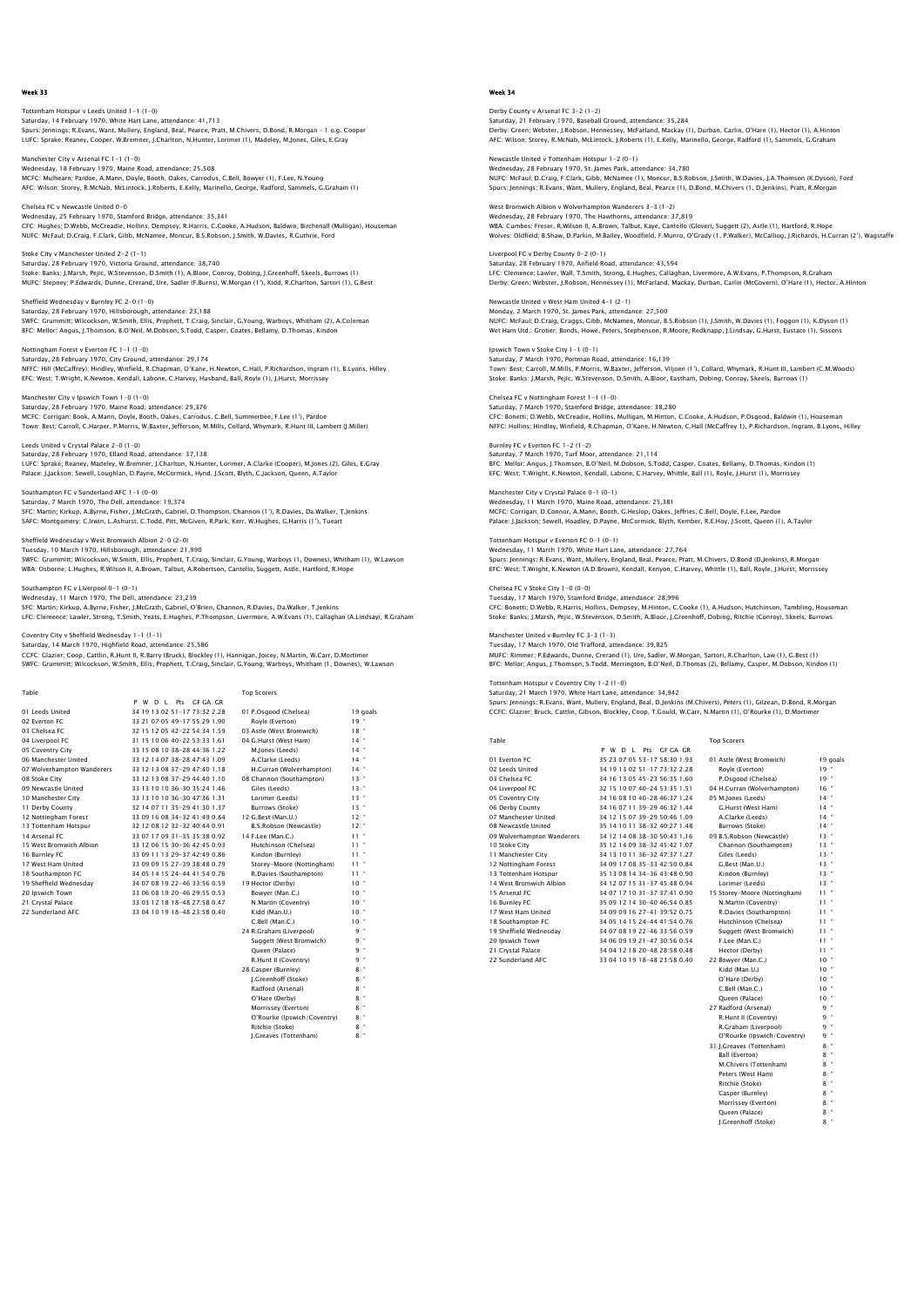Tottenham Hotspur v Leeds United 1-1 (1-0) Saturday, 14 February 1970, White Hart Lane, attendance: 41,713<br>Spurs: Jennings; R.Evans, Want, Mullery, England, Beal, Pearce, Pratt, M.Chivers, D.Bond, R.Morgan – 1 o.g. Cooper<br>LUFC: Sprake; Reaney, Cooper, W.Bremner, J.

Manchester City v Arsenal FC 1-1 (1-0) Wednesday, 18 February 1970, Maine Road, attendance: 25,508<br>MCFC: Mulhearn; Pardoe, A.Mann, Doyle, Booth, Oakes, Carrodus, C.Bell, Bowyer (1), F.Lee, N.Young<br>AFC: Wilson; Storey, R.McNab, McLintock, J.Roberts, E.Kelly, Mar

Chelsea FC v Newcastle United 0-0 Wednesday, 25 February 1970, Stamford Bridge, attendance: 35,341<br>CFC: Hughes; D.Webb, MCCreadie, Hollins, Dempsey, R.Harris, C.Cooke, A.Hudson, Baldwin, Birchenall (Mulligan), Houseman<br>NUFC: McFaul: D.Craiq. F.Clark, Gibb,

Stoke City v Manchester United 2-2 (1-1) Saturday, 28 February 1970, Victoria Ground, attendance: 38,740<br>Stoke: Banks; J.Marsh, Pejic, W.Stevenson, D.Smith (1), A.Bloor, Conroy, Dobing, J.Greenhoff, Skeels, Burrows (1)<br>MUFC: Stepney: P.Edwards, Dunne, Crerand, Ur

Sheffield Wednesday v Burnley FC 2-0 (1-0) Saturday, 28 February 1970, Hillsborough, attendance: 23,188<br>SWFC: Grummitt; Wilcockson, W.Smith, Ellis, Prophett, T.Craig, Sinclair, G.Young, Warboys, Whitham (2), A.Coleman<br>BFC: Mellor; Anqus, J.Thomson, B.O'Neil, M.Dobs

Nottingham Forest v Everton FC 1-1 (1-0) Saturday, 28 February 1970, City Ground, attendance: 29,174 NFFC: Hill (McCaffrey); Hindley, Winfield, R.Chapman, O'Kane, H.Newton, C.Hall, P.Richardson, Ingram (1), B.Lyons, Hilley EFC: West; T.Wright, K.Newton, Kendall, Labone, C.Harvey, Husband, Ball, Royle (1), J.Hurst, Morrissey

Manchester City v Ipswich Town 1-0 (1-0) Saturday, 28 February 1970, Maine Road, attendance: 29,376 Saturian; Bortonian; Book, A.Mann, Doyle, Booth, Oakes, Carrodus, C.Bell, Summerbee, F.Lee (1'), Pardoe<br>MCFC: Corrigan; Book, A.Mann, Doyle, Booth, Oakes, Carrodus, C.Bell, Summerbee, F.Lee (1'), Pardoe<br>Town: Bet: Carroll, Town: Best; Carroll, C.Harper, P.Morris, W.Baxter, Jefferson, M.Mills, Collard, Whymark, R.H<br>vn: Best; Carroll, C.Harper, P.Morris, W.Baxter, Jefferson, M.Mills, Collard, Whymark, R.H

Leeds United v Crystal Palace 2-0 (1-0) Saturday, 28 February 1970, Elland Road, attendance: 37,138 LUFC: Sprake; Reaney, Madeley, W.Bremner, J.Charlton, N.Hunter, Lorimer, A.Clarke (Cooper), M.Jones (2), Giles, E.Gray Palace: J.Jackson; Sewell, Loughlan, D.Payne, McCormick, Hynd, J.Scott, Blyth, C.Jackson, Queen, A.Taylor

Southampton FC v Sunderland AFC 1-1 (0-0) Saturday, 7 March 1970, The Dell, attendance: 19,374 SFC: Martin; Kirkup, A.Byrne, Fisher, J.McGrath, Gabriel, D.Thompson, Channon (1'), R.Davies, Da.Walker, T.Jenkins SAFC: Montgomery; C.Irwin, L.Ashurst, C.Todd, Pitt, McGiven, R.Park, Kerr, W.Hughes, G.Harris (1'), Tueart

nesday v West Bromwich Albion 2–0 (2–0) Tuesday, 10 March 1970, Hillsborough, attendance: 21,990 SWFC: Grummitt; Wilcockson, W.Smith, Ellis, Prophett, T.Craig, Sinclair, G.Young, Warboys (1, Downes), Whitham (1), W.Lawson<br>WBA: Osborne; L.Huqhes, R.Wilson II, A.Brown, Talbut, A.Robertson, Cantello, Suqqett, Astle, Hart

smpton FC v Liverpool 0-1 (0-1)

Wednesday, 11 March 1970, The Dell, attendance: 23,239 SFC: Martin; Kirkup, A.Byrne, Fisher, J.McGrath, Gabriel, O'Brien, Channon, R.Davies, Da.Walker, T.Jenkins LFC: Clemence; Lawler, Strong, T.Smith, Yeats, E.Hughes, P.Thompson, Livermore, A.W.Evans (1), Callaghan (A.Lindsay), R.Graham

Coventry City v Sheffield Wednesday 1-1 (1-1)

Saturday, 14 March 1970, Highfield Road, attendance: 25,586 CCFC: Glazier; Coop, Cattlin, R.Hunt II, R.Barry (Bruck), Blockley (1), Hannigan, Joicey, N.Martin, W.Carr, D.Mortimer SWFC: Grummitt; Wilcockson, W.Smith, Ellis, Prophett, T.Craig, Sinclair, G.Young, Warboys, Whitham (1, Downes), W.Lawson

| Table                      |                                | <b>Top Scorers</b>        |          |
|----------------------------|--------------------------------|---------------------------|----------|
|                            | W D I Pts GEGA GR<br>P         |                           |          |
| 01 Leeds United            | 34 19 13 02 51 - 17 73 32 2.28 | 01 P.Osgood (Chelsea)     | 19 goals |
| 02 Everton EC              | 33 21 07 05 49-17 55:29 1.90   | Rovle (Everton)           | 19"      |
| 03 Chelsea EC              | 32 15 12 05 42-22 54:34 1.59   | 03 Astle (West Bromwich)  | 18"      |
| 04 Liverpool FC            | 31 15 10 06 40-22 53:33 1.61   | 04 G.Hurst (West Ham)     | $14$ "   |
| 05 Coventry City           | 33 15 08 10 38-28 44:36 1.22   | M.Jones (Leeds)           | 14"      |
| 06 Manchester United       | 33 12 14 07 38-28 47:43 1.09   | A.Clarke (Leeds)          | $14$ "   |
| 07 Wolverhampton Wanderers | 33 12 13 08 37-29 47:40 1.18   | H.Curran (Wolverhampton)  | $14$ "   |
| 08 Stoke City              | 33 12 13 08 37-29 44:40 1.10   | 08 Channon (Southampton)  | $13 -$   |
| 09 Newcastle United        | 33 13 10 10 36-30 35:24 1.46   | Giles (Leeds)             | $13 -$   |
| 10 Manchester City         | 33 13 10 10 36-30 47:36 1.31   | Lorimer (Leeds)           | $13 -$   |
| 11 Derby County            | 32 14 07 11 35-29 41:30 1.37   | Burrows (Stoke)           | 13"      |
| 12 Nottingham Forest       | 33 09 16 08 34-32 41:49 0.84   | 12 G.Best (Man.U.)        | $12 -$   |
| 13 Tottenham Hotspur       | 32 12 08 12 32-32 40:44 0.91   | B.S.Robson (Newcastle)    | $12 -$   |
| 14 Arsenal FC              | 33 07 17 09 31-35 35:38 0.92   | 14 F.Lee (Man.C.)         | $11 -$   |
| 15 West Bromwich Albion    | 33 12 06 15 30-36 42:45 0.93   | Hutchinson (Chelsea)      | $11 -$   |
| 16 Burnley FC              | 33 09 11 13 29-37 42:49 0.86   | Kindon (Burnley)          | $11 -$   |
| 17 West Ham United         | 33 09 09 15 27-39 38:48 0.79   | Storey-Moore (Nottingham) | $11 -$   |
| 18 Southampton FC          | 34 05 14 15 24-44 41:54 0.76   | R.Davies (Southampton)    | $11 -$   |
| 19 Sheffield Wednesdav     | 34 07 08 19 22-46 33:56 0.59   | 19 Hector (Derby)         | $10 -$   |
| 20 Ipswich Town            | 33 06 08 19 20-46 29:55 0.53   | Bowyer (Man.C.)           | 10"      |
| 21 Crystal Palace          | 33 03 12 18 18-48 27:58 0.47   | N.Martin (Coventry)       | $10 -$   |
| 22 Sunderland AFC          | 33 04 10 19 18-48 23:58 0.40   | Kidd (Man.U.)             | $10 -$   |
|                            |                                | C.Bell (Man.C.)           | $10 -$   |
|                            |                                | 24 R.Graham (Liverpool)   | 9 "      |
|                            |                                | Suggett (West Bromwich)   | 9 "      |
|                            |                                | Oueen (Palace)            | 9"       |
|                            |                                | R.Hunt II (Coventry)      | q "      |
|                            |                                | 28 Casper (Burnley)       | $8 -$    |
|                            |                                | I.Greenhoff (Stoke)       | $8 -$    |

 Radford (Arsenal) 8 " O'Hare (Derby) Morrissey (Everton)<br>O'Rourke (Inswich) O'Rourke (Ipswich/Coventry) 8 " Ritchie (Stoke) 8 " J.Greaves (Tottenham)

#### Week 34

Derby County v Arsenal FC 3-2 (1-2) Saturday, 21 February 1970, Baseball Ground, attendance: 35,284<br>Derby: Green; Webster, J.Robson, Hennessey, McFarland, Mackay (1), Durban, Carlin, O'Hare (1), Hector (1), A.Hintor<br>AFC: Wilson; Storey, R.McNab, McLintock, J

Newcastle United v Tottenham Hotspur 1-2 (0-1) Wednesday, 28 February 1970, St. James Park, attendance: 34,780<br>NUFC: McFaul; D.Craig, F.Clark, Gibb, McNamee (1), Moncur, B.S.Robson, J.Smith, W.Davies, J.A.Thomson (K.Dyson), Ford<br>Spurs: Jennings; R.Evans, Want, Mullery,

West Bromwich Albion v Wolverhampton Wanderers 3-3 (1-2) Wednesday, 28 February 1970, The Hawthorns, attendance: 37,819 WBA: Cumbes; Freser, R.Wilson II, A.Brown, Talbut, Kaye, Cantello (Glover), Suggett (2), Astle (1), Hartford, R.Hope<br>Wolves: Oldfield; B.Shaw, D.Parkin, M.Bailey, Woodfield, F.Munro, O'Grady (1, P.Walker), McCallioq, J.Ric

Liverpool FC v Derby County 0-2 (0-1) Saturday, 28 February 1970, Anfield Road, attendance: 43,594<br>LFC: Clemence; Lawler, Wall, T.Smith, Strong, E.Hughes, Callaghan, Livermore, A.W.Evans, P.Thompson, R.Graham<br>Derby: Green; Webster, J.Robson, Hennessey (1), McF

Newcastle United v West Ham United 4-1 (2-1) Monday, 2 March 1970, St. James Park, attendance: 27,500 NUFC: McFaul; D.Craig, Craggs, Gibb, McNamee, Moncur, B.S.Robson (1), J.Smith, W.Davies (1), Foggon (1), K.Dyson (1)<br>Wet Ham Utd.: Grotier: Bonds, Howe, Peters, Stephenson, R.Moore, Redknapp, J.Lindsay, G.Hurst, Eustace (1

Ipswich Town v Stoke City 1-1 (0-1) Saturday, 7 March 1970, Portman Road, attendance: 16,139 Town: Best; Carroll, M.Mills, P.Morris, W.Baxter, Jefferson, Viljoen (1'), Collard, Whymark, R.Hunt III, Lambert (C.M.Woods)<br>Stoke: Banks: J.Marsh, Pejic, W.Stevenson, D.Smith, A.Bloor, Eastham, Dobinq, Conroy, Skeels, Bur

Chelsea FC v Nottingham Forest 1-1 (1-0) Saturday, 7 March 1970, Stamford Bridge, attendance: 38,280<br>CFC: Bonetti; D.Webb, McCreadie, Hollins, Mulligan, M.Hinton, C.Cooke, A.Hudson, P.Osgood, Baldwin (1), Houseman<br>NFFC: Hollins; Hindley, Winfield, R.Chapman, O'Ka

Burnley FC v Everton FC 1-2 (1-2) Saturday, 7 March 1970, Turf Moor, attendance: 21,114 BFC: Mellor; Angus, J.Thomson, B.O'Neil, M.Dobson, S.Todd, Casper, Coates, Bellamy, D.Thomas, Kindon (1) EFC: West; T.Wright, K.Newton, Kendall, Labone, C.Harvey, Whittle, Ball (1), Royle, J.Hurst (1), Morrissey

Manchester City v Crystal Palace 0-1 (0-1) Wednesday, 11 March 1970, Maine Road, attendance: 25,381 MCFC: Corrigan; D.Connor, A.Mann, Booth, G.Heslop, Oakes, Jeffries, C.Bell, Doyle, F.Lee, Pardoe Palace: J.Jackson; Sewell, Hoadley, D.Payne, McCormick, Blyth, Kember, R.E.Hoy, J.Scott, Queen (1), A.Taylor

tham Hotspur v Everton FC 0-1 (0-1) Wednesday, 11 March 1970, White Hart Lane, attendance: 27,764 Spurs: Jennings; R.Evans, Want, Mullery, England, Beal, Pearce, Pratt, M.Chivers, D.Bond (D.Jenkins), R.Morgan EFC: West; T.Wright, K.Newton (A.D.Brown), Kendall, Kenyon, C.Harvey, Whittle (1), Ball, Royle, J.Hurst, Morrissey

Chelsea FC v Stoke City 1-0 (0-0) Tuesday, 17 March 1970, Stamford Bridge, attendance: 28,996

CFC: Bonetti; D.Webb, R.Harris, Hollins, Dempsey, M.Hinton, C.Cooke (1), A.Hudson, Hutchinson, Tambling, Houseman Stoke: Banks; J.Marsh, Pejic, W.Stevenson, D.Smith, A.Bloor, J.Greenhoff, Dobing, Ritchie (Conroy), Skeels, Burrows

United v Burnley FC 3-3 (1-3)

Tuesday, 17 March 1970, Old Trafford, attendance: 39,825 MUFC: Rimmer; P.Edwards, Dunne, Crerand (1), Ure, Sadler, W.Morgan, Sartori, R.Charlton, Law (1), G.Best (1) BFC: Mellor; Angus, J.Thomson, S.Todd, Merrington, B.O'Neil, D.Thomas (2), Bellamy, Casper, M.Dobson, Kindon (1)

Tottenham Hotspur v Coventry City 1-2 (1-0) Saturday, 21 March 1970, White Hart Lane, attendance: 34,942

Spurs: Jennings; R.Evans, Want, Mullery, England, Beal, D.Jenkins (M.Chivers), Peters (1), Gilzean, D.Bond, R.Morgan CCFC: Glazier; Bruck, Cattlin, Gibson, Blockley, Coop, T.Gould, W.Carr, N.Martin (1), O'Rourke (1), D.Mortimer

| Table                      |                                       | <b>Top Scorers</b>           |           |
|----------------------------|---------------------------------------|------------------------------|-----------|
|                            | Pts GF GA GR<br>P W<br>D <sub>1</sub> |                              |           |
| 01 Everton EC              | 35 23 07 05 53-17 58:30 1.93          | 01 Astle (West Bromwich)     | 19 goals  |
| 02 Leeds United            | 34 19 13 02 51-17 73:32 2.28          | Royle (Everton)              | $19 -$    |
| 03 Chelsea FC              | 34 16 13 05 45-23 56:35 1.60          | P.Osqood (Chelsea)           | $19 -$    |
| 04 Liverpool FC            | 32 15 10 07 40-24 53:35 1.51          | 04 H.Curran (Wolverhampton)  | $16 -$    |
| 05 Coventry City           | 34 16 08 10 40-28 46:37 1.24          | 05 M.Iones (Leeds)           | $14$ $*$  |
| 06 Derby County            | 34 16 07 11 39-29 46:32 1.44          | G.Hurst (West Ham)           | $14$ $*$  |
| 07 Manchester United       | 34 12 15 07 39-29 50:46 1.09          | A.Clarke (Leeds)             | $14$ $*$  |
| 08 Newcastle United        | 35 14 10 11 38-32 40:27 1.48          | Burrows (Stoke)              | $14$ $*$  |
| 09 Wolverhampton Wanderers | 34 12 14 08 38-30 50:43 1.16          | 09 B.S.Robson (Newcastle)    | $13 -$    |
| 10 Stoke City              | 35 12 14 09 38-32 45:42 1.07          | Channon (Southampton)        | $13 -$    |
| 11 Manchester City         | 34 13 10 11 36-32 47:37 1.27          | Giles (Leeds)                | $13 -$    |
| 12 Nottingham Forest       | 34 09 17 08 35-33 42:50 0.84          | G.Best (Man.U.)              | $13 -$    |
| 13 Tottenham Hotspur       | 35 13 08 14 34-36 43:48 0.90          | Kindon (Burnley)             | $13 -$    |
| 14 West Bromwich Albion    | 34 12 07 15 31 - 37 45 48 0.94        | Lorimer (Leeds)              | $13 -$    |
| 15 Arsenal FC              | 34 07 17 10 31-37 37:41 0.90          | 15 Storey-Moore (Nottingham) | $11 -$    |
| 16 Burnley FC              | 35 09 12 14 30-40 46:54 0.85          | N.Martin (Coventry)          | 11 *      |
| 17 West Ham United         | 34 09 09 16 27-41 39:52 0.75          | R.Davies (Southampton)       | $11 -$    |
| 18 Southampton FC          | 34 05 14 15 24-44 41 54 0.76          | Hutchinson (Chelsea)         | 11 *      |
| 19 Sheffield Wednesdav     | 34 07 08 19 22-46 33:56 0.59          | Suggett (West Bromwich)      | $11 -$    |
| 20 Ipswich Town            | 34 06 09 19 21-47 30:56 0.54          | F.Lee (Man.C.)               | $11 -$    |
| 21 Crystal Palace          | 34 04 12 18 20-48 28:58 0.48          | Hector (Derby)               | $11 -$    |
| 22 Sunderland AFC          | 33 04 10 19 18-48 23:58 0.40          | 22 Bowver (Man.C.)           | $10^{-4}$ |

| 01 Everton FC              | 35 23 07 05 53-17 58:30 1.93 | 01 Astle (West Bromwich)     | 19q             |
|----------------------------|------------------------------|------------------------------|-----------------|
| 02 Leeds United            | 34 19 13 02 51-17 73:32 2.28 | Rovle (Everton)              | 19'             |
| 03 Chelsea FC              | 34 16 13 05 45-23 56:35 1.60 | P.Osgood (Chelsea)           | 19'             |
| 04 Liverpool FC            | 32 15 10 07 40-24 53:35 1.51 | 04 H.Curran (Wolverhampton)  | 16 <sup>1</sup> |
| 05 Coventry City           | 34 16 08 10 40-28 46:37 1.24 | 05 M.Jones (Leeds)           | 14              |
| 06 Derby County            | 34 16 07 11 39-29 46:32 1.44 | G.Hurst (West Ham)           | 14              |
| 07 Manchester United       | 34 12 15 07 39-29 50:46 1.09 | A.Clarke (Leeds)             | 14'             |
| 08 Newcastle United        | 35 14 10 11 38-32 40:27 1.48 | Burrows (Stoke)              | 14              |
| 09 Wolverhampton Wanderers | 34 12 14 08 38-30 50:43 1.16 | 09 B.S.Robson (Newcastle)    | 13'             |
| 10 Stoke City              | 35 12 14 09 38-32 45:42 1.07 | Channon (Southampton)        | 13'             |
| 11 Manchester City         | 34 13 10 11 36-32 47:37 1.27 | Giles (Leeds)                | 13'             |
| 12 Nottingham Forest       | 34 09 17 08 35-33 42:50 0.84 | G.Best (Man.U.)              | 13'             |
| 13 Tottenham Hotspur       | 35 13 08 14 34-36 43:48 0.90 | Kindon (Burnley)             | 13'             |
| 14 West Bromwich Albion    | 34 12 07 15 31-37 45:48 0.94 | Lorimer (Leeds)              | 13'             |
| 15 Arsenal FC              | 34 07 17 10 31-37 37:41 0.90 | 15 Storey-Moore (Nottingham) | 11 <sup>1</sup> |
| 16 Burnley FC              | 35 09 12 14 30-40 46:54 0.85 | N.Martin (Coventry)          | 11 <sup>1</sup> |
| 17 West Ham United         | 34 09 09 16 27-41 39:52 0.75 | R.Davies (Southampton)       | 11 <sup>1</sup> |
| 18 Southampton FC          | 34 05 14 15 24-44 41:54 0.76 | Hutchinson (Chelsea)         | 11 <sup>1</sup> |
| 19 Sheffield Wednesdav     | 34 07 08 19 22-46 33:56 0.59 | Suggett (West Bromwich)      | 11 <sup>1</sup> |
| 20 Ipswich Town            | 34 06 09 19 21-47 30:56 0.54 | F.Lee (Man.C.)               | 11 <sup>1</sup> |
| 21 Crystal Palace          | 34 04 12 18 20-48 28:58 0.48 | Hector (Derby)               | 11 <sup>1</sup> |
| 22 Sunderland AFC          | 33 04 10 19 18-48 23:58 0.40 | 22 Bowyer (Man.C.)           | 10 <sup>1</sup> |
|                            |                              | Kidd (Man.U.)                | 10 <sup>1</sup> |
|                            |                              | O'Hare (Derby)               | 10 <sup>1</sup> |
|                            |                              | C.Bell (Man.C.)              | 10 <sup>1</sup> |
|                            |                              | Oueen (Palace)               | 10 <sup>1</sup> |
|                            |                              | 27 Radford (Arsenal)         | 9.              |
|                            |                              | R.Hunt II (Coventry)         | 9               |
|                            |                              | R.Graham (Liverpool)         | 9               |
|                            |                              | O'Rourke (Ipswich/Coventry)  | 9               |
|                            |                              | 31 J.Greaves (Tottenham)     | $8 -$           |
|                            |                              | Ball (Everton)               | $8 -$           |
|                            |                              | M.Chivers (Tottenham)        | $8 -$           |
|                            |                              | Peters (West Ham)            | 8 <sup>°</sup>  |
|                            |                              | Ritchie (Stoke)              | $8 -$           |
|                            |                              | Casper (Burnley)             | 8 <sup>°</sup>  |
|                            |                              | Morrissey (Everton)          | $8 -$           |
|                            |                              | Queen (Palace)               | $8 -$           |
|                            |                              | I.Greenhoff (Stoke)          | 8 <sup>°</sup>  |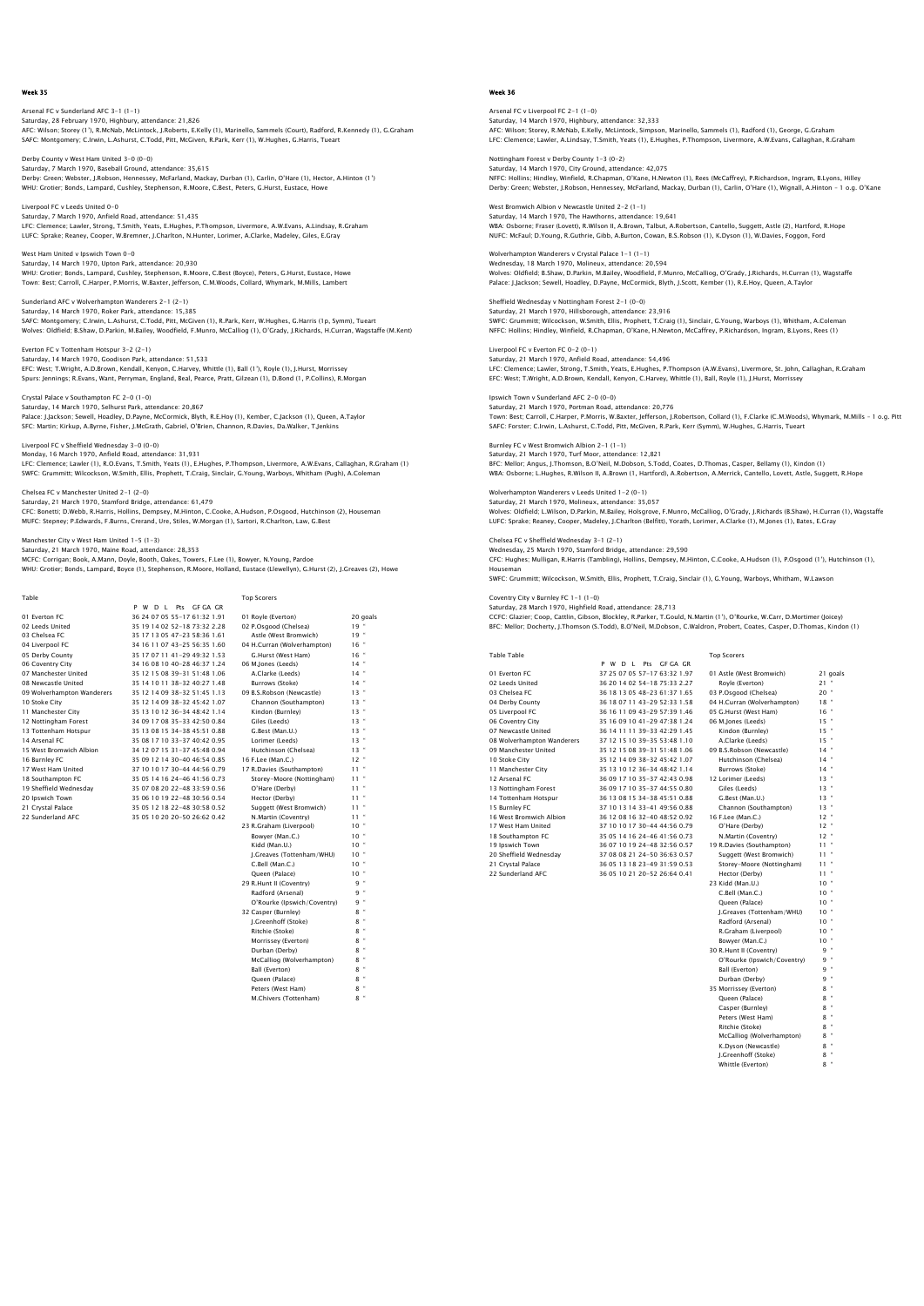Arsenal FC v Sunderland AFC 3-1 (1-1) Saturday, 28 February 1970, Highbury, attendance: 21,826<br>AFC: Wilson; Storey (1'), R.McNab, McLintock, J.Roberts, E.Kelly (1), Marinello, Sammels (Court), Radford, R.Kennedy (1), G.Graham<br>SAFC: Montqomery; C.Irwin, L.Ashur

Derby County v West Ham United 3-0 (0-0) Saturday, 7 March 1970, Baseball Ground, attendance: 35,615<br>Derby: Green; Webster, J.Robson, Hennessey, McFarland, Mackay, Durban (1), Carlin, O'Hare (1), Hector, A.Hinton (1')<br>WHU: Grotier; Bonds, Lampard, Cushley, Stephe

Liverpool FC v Leeds United 0-0 Saturday, 7 March 1970, Anfield Road, attendance: 51,435 LFC: Clemence; Lawler, Strong, T.Smith, Yeats, E.Hughes, P.Thompson, Livermore, A.W.Evans, A.Lindsay, R.Graham LUFC: Sprake; Reaney, Cooper, W.Bremner, J.Charlton, N.Hunter, Lorimer, A.Clarke, Madeley, Giles, E.Gray

West Ham United v Ipswich Town 0-0 Saturday, 14 March 1970, Upton Park, attendance: 20,930<br>WHU: Grotier; Bonds, Lampard, Cushley, Stephenson, R.Moore, C.Best (Boyce), Peters, G.Hurst, Eustace, Howe<br>Town: Best; Carroll, C.Harper, P.Morris, W.Baxter, Jefferso

Sunderland AFC v Wolverhampton Wanderers 2-1 (2-1) Saturday, 14 March 1970, Roker Park, attendance: 15,385<br>SAEC: Montgomeny: C.Invin, J. Ashurst, C.Todd, Pitt, McCiv SAFC: Montgomery; C.Irwin, L.Ashurst, C.Todd, Pitt, McGiven (1), R.Park, Kerr, W.Hughes, G.Harris (1p, Symm), Tueart<br>Wolves: Oldfield: B.Shaw, D.Parkin, M.Bailey, Woodfield, F.Munro, McCallioq (1), O'Grady, J.Richards, H.C

Everton FC v Tottenham Hotspur 3-2 (2-1) Saturday, 14 March 1970, Goodison Park, attendance: 51,533 EFC: West; T.Wright, A.D.Brown, Kendall, Kenyon, C.Harvey, Whittle (1), Ball (1'), Royle (1), J.Hurst, Morrissey<br>Spurs: Jennings; R.Evans, Want, Perryman, England, Beal, Pearce, Pratt, Gilzean (1), D.Bond (1, P.Collins), R

Crystal Palace v Southampton FC 2-0 (1-0) Saturday, 14 March 1970, Selhurst Park, attendance: 20,867 Palace: J.Jackson; Sewell, Hoadley, D.Payne, McCormick, Blyth, R.E.Hoy (1), Kember, C.Jackson (1), Queen, A.Taylor SFC: Martin; Kirkup, A.Byrne, Fisher, J.McGrath, Gabriel, O'Brien, Channon, R.Davies, Da.Walker, T.Jenkins

Liverpool FC v Sheffield Wednesday 3-0 (0-0) Monday, 16 March 1970, Anfield Road, attendance: 31,931

LFC: Clemence; Lawler (1), R.O.Evans, T.Smith, Yeats (1), E.Hughes, P.Thompson, Livermore, A.W.Evans, Callaghan, R.Graham (1)<br>SWFC: Grummitt; Wilcockson, W.Smith, Ellis, Prophett, T.Craiq, Sinclair, G.Young, Warboys, Whith

Chelsea FC v Manchester United 2-1 (2-0) Saturday, 21 March 1970, Stamford Bridge, attendance: 61,479 CFC: Bonetti; D.Webb, R.Harris, Hollins, Dempsey, M.Hinton, C.Cooke, A.Hudson, P.Osgood, Hutchinson (2), Houseman MUFC: Stepney; P.Edwards, F.Burns, Crerand, Ure, Stiles, W.Morgan (1), Sartori, R.Charlton, Law, G.Best

City v West Ham United 1-5 (1-3)

Saturday, 21 March 1970, Maine Road, attendance: 28,353 MCFC: Corrigan; Book, A.Mann, Doyle, Booth, Oakes, Towers, F.Lee (1), Bowyer, N.Young, Pardoe WHU: Grotier; Bonds, Lampard, Boyce (1), Stephenson, R.Moore, Holland, Eustace (Llewellyn), G.Hurst (2), J.Greaves (2), Howe

| Table                      |                              | <b>Top Scorers</b>          |           |
|----------------------------|------------------------------|-----------------------------|-----------|
|                            | P W D L Pts GF GA GR         |                             |           |
| 01 Everton EC              | 36 24 07 05 55-17 61:32 1.91 | 01 Rovie (Everton)          | 20 goals  |
| 02 Leeds United            | 35 19 14 02 52-18 73:32 2.28 | 02 P.Osgood (Chelsea)       | 19"       |
| 03 Chelsea EC              | 35 17 13 05 47-23 58:36 1.61 | Astle (West Bromwich)       | 19"       |
| 04 Liverpool FC            | 34 16 11 07 43-25 56:35 1.60 | 04 H.Curran (Wolverhampton) | 16"       |
| 05 Derby County            | 35 17 07 11 41-29 49:32 1.53 | G.Hurst (West Ham)          | 16"       |
| 06 Coventry City           | 34 16 08 10 40-28 46:37 1.24 | 06 M.Iones (Leeds)          | $14$ "    |
| 07 Manchester United       | 35 12 15 08 39-31 51:48 1.06 | A.Clarke (Leeds)            | 14"       |
| 08 Newcastle United        | 35 14 10 11 38-32 40:27 1.48 | Burrows (Stoke)             | $14$ "    |
| 09 Wolverhampton Wanderers | 35 12 14 09 38-32 51:45 1.13 | 09 B.S.Robson (Newcastle)   | $13 -$    |
| 10 Stoke City              | 35 12 14 09 38-32 45:42 1.07 | Channon (Southampton)       | $13 -$    |
| 11 Manchester City         | 35 13 10 12 36-34 48:42 1.14 | Kindon (Burnley)            | $13 -$    |
| 12 Nottingham Forest       | 34 09 17 08 35-33 42:50 0.84 | Giles (Leeds)               | $13 -$    |
| 13 Tottenham Hotspur       | 35 13 08 15 34-38 45:51 0.88 | G.Best (Man.U.)             | $13 -$    |
| 14 Arsenal FC              | 35 08 17 10 33-37 40:42 0.95 | Lorimer (Leeds)             | $13 -$    |
| 15 West Bromwich Albion    | 34 12 07 15 31-37 45:48 0.94 | Hutchinson (Chelsea)        | $13 -$    |
| 16 Burnley FC              | 35 09 12 14 30-40 46:54 0.85 | 16 F.Lee (Man.C.)           | $12$ "    |
| 17 West Ham United         | 37 10 10 17 30-44 44 56 0.79 | 17 R.Davies (Southampton)   | $11 -$    |
| 18 Southampton FC          | 35 05 14 16 24-46 41:56 0.73 | Storey-Moore (Nottingham)   | $11 -$    |
| 19 Sheffield Wednesdav     | 35 07 08 20 22-48 33:59 0.56 | O'Hare (Derby)              | $11 -$    |
| 20 Ipswich Town            | 35 06 10 19 22-48 30:56 0.54 | Hector (Derby)              | $11 -$    |
| 21 Crystal Palace          | 35 05 12 18 22-48 30:58 0.52 | Suggett (West Bromwich)     | $11 -$    |
| 22 Sunderland AFC          | 35 05 10 20 20-50 26:62 0.42 | N.Martin (Coventry)         | $11 -$    |
|                            |                              | 23 R.Graham (Liverpool)     | $10 -$    |
|                            |                              | Bowyer (Man.C.)             | $10 -$    |
|                            |                              | Kidd (Man.U.)               | $10 -$    |
|                            |                              | J.Greaves (Tottenham/WHU)   | $10 -$    |
|                            |                              | C.Bell (Man.C.)             | $10 -$    |
|                            |                              | Oueen (Palace)              | $10^{-4}$ |
|                            |                              | 29 R.Hunt II (Coventry)     | 9"        |

| <b>UD MUULLES (LEEUS)</b>   |           |   |                      |
|-----------------------------|-----------|---|----------------------|
| A.Clarke (Leeds)            | 14        |   | ×                    |
| Burrows (Stoke)             | 14        |   | a,                   |
| 09 B.S.Robson (Newcastle)   | 13        |   | ×                    |
| Channon (Southampton)       | 13        |   | ×                    |
| Kindon (Burnley)            | 13        |   | ×                    |
| Giles (Leeds)               | 13        |   | ×                    |
| G.Best (Man.U.)             | 13        |   | ×                    |
| Lorimer (Leeds)             | 13        |   | ×                    |
| Hutchinson (Chelsea)        | 13        |   | ×                    |
| 16 F.Lee (Man.C.)           | $12^{12}$ |   | ×                    |
| 17 R.Davies (Southampton)   | 11        |   | ×                    |
| Storey-Moore (Nottingham)   | 11        |   | ×                    |
| O'Hare (Derby)              | 11        |   | ×                    |
| Hector (Derby)              | 11        |   | ×                    |
| Suggett (West Bromwich)     | 11        |   | ×                    |
| N.Martin (Coventry)         | 11        |   | ×                    |
| 23 R.Graham (Liverpool)     | 10        |   | ×                    |
| Bowyer (Man.C.)             | 10        |   | ×                    |
| Kidd (Man.U.)               | 10        |   | ×                    |
| J.Greaves (Tottenham/WHU)   | 10        |   | ×                    |
| C.Bell (Man.C.)             | 10        |   | ×                    |
| Oueen (Palace)              | 10        |   | ×                    |
| 29 R.Hunt II (Coventry)     |           | 9 | ×                    |
| Radford (Arsenal)           |           | 9 | ×                    |
| O'Rourke (Ipswich/Coventry) |           | ۹ | ×                    |
| 32 Casper (Burnley)         |           | 8 | ×                    |
| I.Greenhoff (Stoke)         |           | 8 | $\ddot{\phantom{a}}$ |
| Ritchie (Stoke)             |           | 8 | a,                   |
| Morrissey (Everton)         |           | 8 | ×                    |
| Durban (Derby)              |           | 8 | ×                    |
| McCalliog (Wolverhampton)   |           | 8 | ×                    |
| Ball (Everton)              |           | 8 | ×                    |
| Queen (Palace)              |           | 8 | ×                    |
| Peters (West Ham)           |           | 8 | ×                    |
| M.Chivers (Tottenham)       |           | 8 | $\ddot{\phantom{a}}$ |

Week 36

Arsenal FC v Liverpool FC 2-1 (1-0) Saturday, 14 March 1970, Highbury, attendance: 32,333<br>AFC: Wilson; Storey, R.McNab, E.Kelly, McLintock, Simpson, Marinello, Sammels (1), Radford (1), George, G.Graham<br>LFC: Clemence; Lawler, A.Lindsay, T.Smith, Yeats (1), E

Nottingham Forest v Derby County 1-3 (0-2) Saturday, 14 March 1970, City Ground, attendance: 42,075<br>NFFC: Hollins; Hindley, Winfield, R.Chapman, O'Kane, H.Newton (1), Rees (McCaffrey), P.Richardson, Ingram, B.Lyons, Hilley<br>Derby: Green; Webster, J.Robson, Hennessey

West Bromwich Albion v Newcastle United 2-2 (1-1) Saturday, 14 March 1970, The Hawthorns, attendance: 19,641 WBA: Osborne; Fraser (Lovett), R.Wilson II, A.Brown, Talbut, A.Robertson, Cantello, Suggett, Astle (2), Hartford, R.Hope<br>NUFC: McFaul; D.Young, R.Guthrie, Gibb, A.Burton, Cowan, B.S.Robson (1), K.Dyson (1), W.Davies, Foggo

Wolverhampton Wanderers v Crystal Palace 1-1 (1-1) Wednesday, 18 March 1970, Molineux, attendance: 20,594<br>Wolves: Oldfield; B.Shaw, D.Parkin, M.Bailey, Woodfield, F.Munro, McCalliog, O'Grady, J.Richards, H.Curran (1), Wagstaffe<br>Palace: J.Jackson: Sewell, Hoadley, D.Payne,

Sheffield Wednesday v Nottingham Forest 2-1 (0-0) Saturday, 21 March 1970, Hillsborough, attendance: 23,916<br>SWFC: Grummitt, Wilcockson, W.Smith, Ellis, Prophett, T.Craig (1), Sinclair, G.Young, Warboys (1), Whitham, A.Coleman<br>NFFC: Hollins: Hindley, Winfield, R.Chapman, O

Liverpool FC v Everton FC 0-2 (0-1) Saturday, 21 March 1970, Anfield Road, attendance: 54,496 LFC: Clemence; Lawler, Strong, T.Smith, Yeats, E.Hughes, P.Thompson (A.W.Evans), Livermore, St. John, Callaghan, R.Graham<br>EFC: West; T.Wright, A.D.Brown, Kendall, Kenyon, C.Harvey, Whittle (1), Ball, Royle (1), J.Hurst, Mo

Ipswich Town v Sunderland AFC 2-0 (0-0) Saturday, 21 March 1970, Portman Road, attendance: 20,776 Town: Best; Carroll, C.Harper, P.Morris, W.Baxter, Jefferson, J.Robertson, Collard (1), F.Clarke (C.M.Woods), Whymark, M.Mills – 1 o.g. Pitt SAFC: Forster; C.Irwin, L.Ashurst, C.Todd, Pitt, McGiven, R.Park, Kerr (Symm), W.Hughes, G.Harris, Tueart

Burnley FC v West Bromwich Albion 2-1 (1-1) Saturday, 21 March 1970, Turf Moor, attendance: 12,821 BFC: Mellor; Angus, J.Thomson, B.O'Neil, M.Dobson, S.Todd, Coates, D.Thomas, Casper, Bellamy (1), Kindon (1)<br>WBA: Osborne; L.Huqhes, R.Wilson II, A.Brown (1, Hartford), A.Robertson, A.Merrick, Cantello, Lovett, Astle, Suqq

Wolverhampton Wanderers v Leeds United 1-2 (0-1) Saturday, 21 March 1970, Molineux, attendance: 35,057 Wolves: Oldfield; L.Wilson, D.Parkin, M.Bailey, Holsgrove, F.Munro, McCalliog, O'Grady, J.Richards (B.Shaw), H.Curran (1), Wagstaffe<br>LUFC: Sprake: Reaney, Cooper, Madeley, J.Charlton (Belfitt), Yorath, Lorimer, A.Clarke (1

Chelsea FC v Sheffield Wednesday 3-1 (2-1) Wednesday, 25 March 1970, Stamford Bridge, attendance: 29,590 CFC: Hughes; Mulligan, R.Harris (Tambling), Hollins, Dempsey, M.Hinton, C.Cooke, A.Hudson (1), P.Osgood (1'), Hutchinson (1), Houseman

SWFC: Grummitt; Wilcockson, W.Smith, Ellis, Prophett, T.Craig, Sinclair (1), G.Young, Warboys, Whitham, W.Lawso

Coventry City v Burnley FC 1-1 (1-0) Saturday, 28 March 1970, Highfield Road, attendance: 28,713

CCFC: Glazier; Coop, Cattlin, Gibson, Blockley, R.Parker, T.Gould, N.Martin (1'), O'Rourke, W.Carr, D.Mortimer (Joicey) BFC: Mellor; Docherty, J.Thomson (S.Todd), B.O'Neil, M.Dobson, C.Waldron, Probert, Coates, Casper, D.Thomas, Kindon (1)

Table Table **Table** Table **Top Scorers** 

|                            | P W D L Pts GF GA GR         |                             |                |
|----------------------------|------------------------------|-----------------------------|----------------|
| 01 Everton FC              | 37 25 07 05 57-17 63:32 1.97 | 01 Astle (West Bromwich)    | 21 goals       |
| 02 Leeds United            | 36 20 14 02 54-18 75:33 2.27 | Rovle (Everton)             | $21 -$         |
| 03 Chelsea FC              | 36 18 13 05 48-23 61:37 1.65 | 03 P.Osqood (Chelsea)       | $20$ $\degree$ |
| 04 Derby County            | 36 18 07 11 43-29 52:33 1.58 | 04 H.Curran (Wolverhampton) | $18 -$         |
| 05 Liverpool FC            | 36 16 11 09 43-29 57:39 1.46 | 05 G.Hurst (West Ham)       | $16$ $*$       |
| 06 Coventry City           | 35 16 09 10 41-29 47:38 1.24 | 06 M.Jones (Leeds)          | $15 -$         |
| 07 Newcastle United        | 36 14 11 11 39-33 42:29 1.45 | Kindon (Burnley)            | $15 -$         |
| 08 Wolverhampton Wanderers | 37 12 15 10 39-35 53:48 1.10 | A.Clarke (Leeds)            | $15$ $-$       |
| 09 Manchester United       | 35 12 15 08 39-31 51:48 1.06 | 09 B.S.Robson (Newcastle)   | $14 -$         |
| 10 Stoke City              | 35 12 14 09 38-32 45:42 1.07 | Hutchinson (Chelsea)        | $14 -$         |
| 11 Manchester City         | 35 13 10 12 36-34 48:42 1.14 | Burrows (Stoke)             | $14 -$         |
| 12 Arsenal FC              | 36 09 17 10 35-37 42:43 0.98 | 12 Lorimer (Leeds)          | $13 -$         |
| 13 Nottingham Forest       | 36 09 17 10 35-37 44:55 0.80 | Giles (Leeds)               | $13 -$         |
| 14 Tottenham Hotspur       | 36 13 08 15 34-38 45:51 0.88 | G.Best (Man.U.)             | $13 -$         |
| 15 Burnley FC              | 37 10 13 14 33-41 49:56 0.88 | Channon (Southampton)       | $13 -$         |
| 16 West Bromwich Albion    | 36 12 08 16 32-40 48:52 0.92 | 16 F.Lee (Man.C.)           | $12 -$         |
| 17 West Ham United         | 37 10 10 17 30-44 44:56 0.79 | O'Hare (Derby)              | $12 -$         |
| 18 Southampton FC          | 35 05 14 16 24-46 41:56 0.73 | N.Martin (Coventry)         | $12 -$         |
| 19 Ipswich Town            | 36 07 10 19 24-48 32:56 0.57 | 19 R.Davies (Southampton)   | 11 *           |
| 20 Sheffield Wednesday     | 37 08 08 21 24-50 36:63 0.57 | Suggett (West Bromwich)     | 11 *           |
| 21 Crystal Palace          | 36 05 13 18 23-49 31:59 0.53 | Storey-Moore (Nottingham)   | 11 *           |
| 22 Sunderland AFC          | 36 05 10 21 20-52 26:64 0.41 | Hector (Derby)              | 11 *           |
|                            |                              | 23 Kidd (Man.U.)            | $10 -$         |
|                            |                              | C.Bell (Man.C.)             | $10 -$         |
|                            |                              | Oueen (Palace)              | $10 -$         |
|                            |                              | J.Greaves (Tottenham/WHU)   | $10 -$         |
|                            |                              | Radford (Arsenal)           | $10 -$         |
|                            |                              | R.Graham (Liverpool)        | $10 -$         |
|                            |                              | Bowyer (Man.C.)             | $10 -$         |
|                            |                              | 30 R.Hunt II (Coventry)     | q =            |
|                            |                              | O'Rourke (Ipswich/Coventry) | 9 "            |
|                            |                              | Ball (Everton)              | 9 "            |
|                            |                              | Durban (Derby)              | q =            |
|                            |                              | 35 Morrissey (Everton)      | 8 "            |
|                            |                              | Oueen (Palace)              | $8 -$          |
|                            |                              | Casper (Burnley)            | 8 "            |
|                            |                              | Peters (West Ham)           | 8 "            |
|                            |                              | Ritchie (Stoke)             | $8 -$          |
|                            |                              | McCalliog (Wolverhampton)   | 8 "            |
|                            |                              | K.Dvson (Newcastle)         | $8 -$          |
|                            |                              | J.Greenhoff (Stoke)         | $8 -$          |
|                            |                              | Whittle (Everton)           | 8              |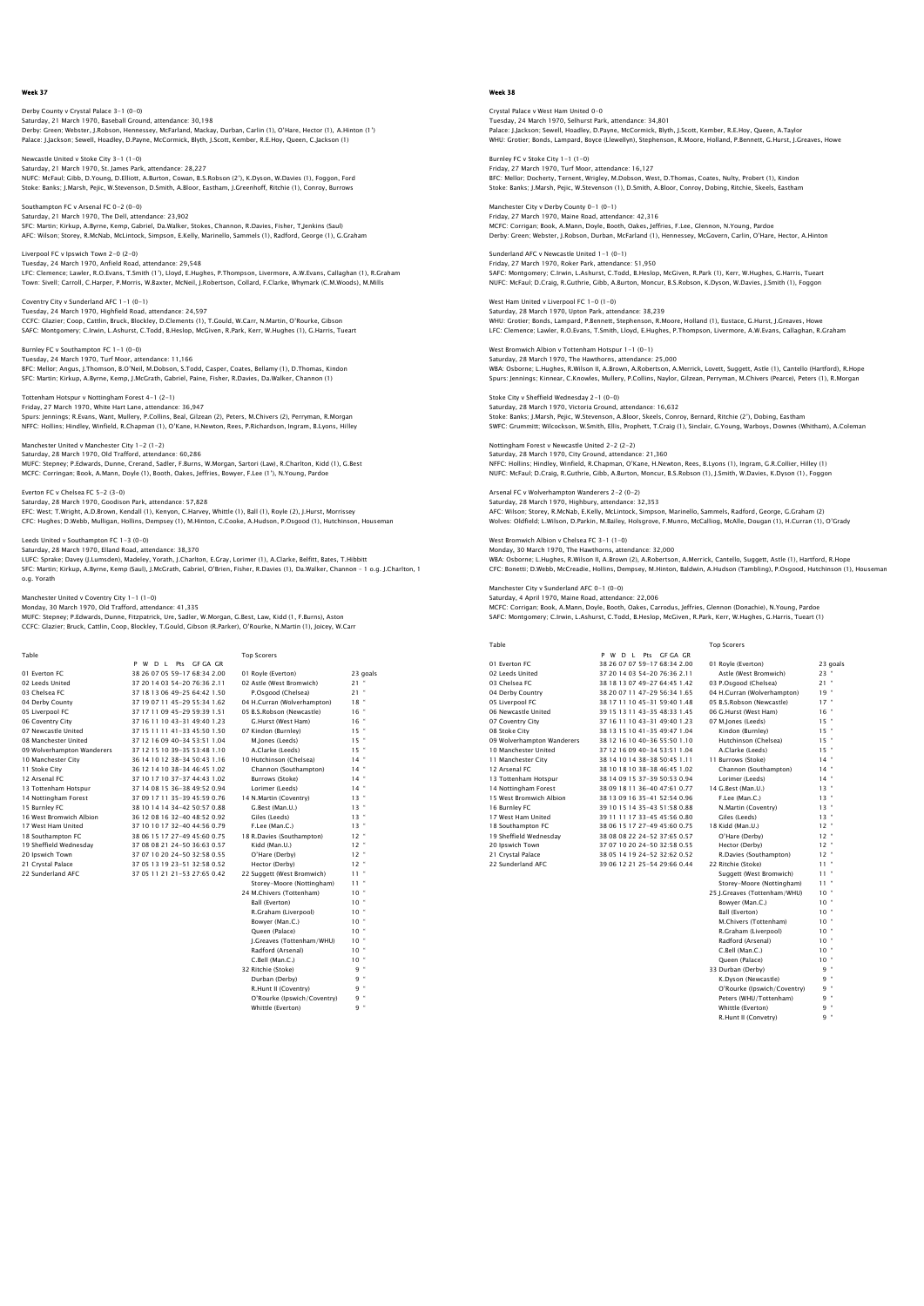Derby County v Crystal Palace 3-1 (0-0) Saturday, 21 March 1970, Baseball Ground, attendance: 30,198<br>Derby: Green; Webster, J.Robson, Hennessey, McFarland, Mackay, Durban, Carlin (1), O'Hare, Hector (1), A.Hinton (1')<br>Palace: J.Jackson; Sewell, Hoadley, D.Payne,

Newcastle United v Stoke City 3-1 (1-0) Saturday, 21 March 1970, St. James Park, attendance: 28,227<br>NUFC: McFaul; Gibb, D.Young, D.Elliott, A.Burton, Cowan, B.S.Robson (2'), K.Dyson, W.Davies (1), Foggon, Ford<br>Stoke: Banks: J.Marsh, Peiic, W.Stevenson, D.Smith,

Southampton FC v Arsenal FC 0-2 (0-0) Saturday, 21 March 1970, The Dell, attendance: 23,902 SFC: Martin; Kirkup, A.Byrne, Kemp, Gabriel, Da.Walker, Stokes, Channon, R.Davies, Fisher, T,Jenkins (Saul) AFC: Wilson; Storey, R.McNab, McLintock, Simpson, E.Kelly, Marinello, Sammels (1), Radford, George (1), G.Graham

Liverpool FC v Ipswich Town 2-0 (2-0) Tuesday, 24 March 1970, Anfield Road, attendance: 29,548 LFC: Clemence; Lawler, R.O.Evans, T.Smith (1'), Lloyd, E.Hughes, P.Thompson, Livermore, A.W.Evans, Callaghan (1), R.Graham<br>Town: Sivell; Carroll, C.Harper, P.Morris, W.Baxter, McNeil, J.Robertson, Collard, F.Clarke, Whymar

Coventry City v Sunderland AFC 1-1 (0-1) Tuesday, 24 March 1970, Highfield Road, attendance: 24,597 CCFC: Glazier; Coop, Cattlin, Bruck, Blockley, D.Clements (1), T.Gould, W.Carr, N.Martin, O'Rourke, Gibson SAFC: Montgomery; C.Irwin, L.Ashurst, C.Todd, B.Heslop, McGiven, R.Park, Kerr, W.Hughes (1), G.Harris, Tueart

Burnley FC v Southampton FC 1-1 (0-0) Tuesday, 24 March 1970, Turf Moor, attendance: 11,166 BFC: Mellor; Angus, J.Thomson, B.O'Neil, M.Dobson, S.Todd, Casper, Coates, Bellamy (1), D.Thomas, Kindon<br>SFC: Martin; Kirkup, A.Byrne, Kemp, J.McGrath, Gabriel, Paine, Fisher, R.Davies, Da.Walker, Channon (1)

Tottenham Hotspur v Nottingham Forest 4-1 (2-1) Friday, 27 March 1970, White Hart Lane, attendance: 36,947 Spurs: Jennings; R.Evans, Want, Mullery, P.Collins, Beal, Gilzean (2), Peters, M.Chivers (2), Perryman, R.Morgan NFFC: Hollins; Hindley, Winfield, R.Chapman (1), O'Kane, H.Newton, Rees, P.Richardson, Ingram, B.Lyons, Hilley

Manchester United v Manchester City 1-2 (1-2) Saturday, 28 March 1970, Old Trafford, attendance: 60,286 MUFC: Stepney; P.Edwards, Dunne, Crerand, Sadler, F.Burns, W.Morgan, Sartori (Law), R.Charlton, Kidd (1), G.Best MCFC: Corringan; Book, A.Mann, Doyle (1), Booth, Oakes, Jeffries, Bowyer, F.Lee (1'), N.Young, Pardoe

Everton FC v Chelsea FC 5-2 (3-0) Saturday, 28 March 1970, Goodison Park, attendance: 57,828 EFC: West; T.Wright, A.D.Brown, Kendall (1), Kenyon, C.Harvey, Whittle (1), Ball (1), Royle (2), J.Hurst, Morrissey<br>CFC: Huqhes; D.Webb, Mulliqan, Hollins, Dempsey (1), M.Hinton, C.Cooke, A.Hudson, P.Osqood (1), Hutchinson

Leeds United v Southampton FC 1-3 (0-0) Saturday, 28 March 1970, Elland Road, attendance: 38,370

LUFC: Sprake; Davey (J.Lumsden), Madeley, Yorath, J.Charlton, E.Gray, Lorimer (1), A.Clarke, Belfitt, Bates, T.Hibbitt SFC: Martin; Kirkup, A.Byrne, Kemp (Saul), J.McGrath, Gabriel, O'Brien, Fisher, R.Davies (1), Da.Walker, Channon – 1 o.g. J.Charlton, 1 o.g. Yorath

Manchester United v Coventry City 1-1 (1-0)

Monday, 30 March 1970, Old Trafford, attendance: 41,335

MUFC: Stepney; P.Edwards, Dunne, Fitzpatrick, Ure, Sadler, W.Morgan, G.Best, Law, Kidd (1, F.Burns), Aston CCFC: Glazier; Bruck, Cattlin, Coop, Blockley, T.Gould, Gibson (R.Parker), O'Rourke, N.Martin (1), Joicey, W.Carr

| Table                      |                                | <b>Top Scorers</b>          |           |
|----------------------------|--------------------------------|-----------------------------|-----------|
|                            | Pts GF GA GR<br>P W D I        |                             |           |
| 01 Everton EC              | 38 26 07 05 59-17 68:34 2.00   | 01 Royle (Everton)          | 23 goals  |
| 02 Leeds United            | 37 20 14 03 54-20 76:36 2.11   | 02 Astle (West Bromwich)    | $21$ "    |
| 03 Chelsea EC              | 37 18 13 06 49-25 64:42 1.50   | P.Osgood (Chelsea)          | $21$ "    |
| 04 Derby County            | 37 19 07 11 45-29 55:34 1.62   | 04 H.Curran (Wolverhampton) | 18"       |
| 05 Liverpool FC            | 37 17 11 09 45-29 59:39 1.51   | 05 B.S.Robson (Newcastle)   | 16"       |
| 06 Coventry City           | 37 16 11 10 43-31 49:40 1.23   | G.Hurst (West Ham)          | 16"       |
| 07 Newcastle United        | 37 15 11 11 41 - 33 45:50 1.50 | 07 Kindon (Burnley)         | $15$ $"$  |
| 08 Manchester United       | 37 12 16 09 40-34 53:51 1.04   | M.Jones (Leeds)             | $15$ "    |
| 09 Wolverhampton Wanderers | 37 12 15 10 39-35 53:48 1.10   | A.Clarke (Leeds)            | $15$ $"$  |
| 10 Manchester City         | 36 14 10 12 38-34 50:43 1.16   | 10 Hutchinson (Chelsea)     | $14$ $"$  |
| 11 Stoke City              | 36 12 14 10 38-34 46:45 1.02   | Channon (Southampton)       | $14$ $"$  |
| 12 Arsenal FC              | 37 10 17 10 37-37 44:43 1.02   | Burrows (Stoke)             | $14$ "    |
| 13 Tottenham Hotspur       | 37 14 08 15 36-38 49:52 0.94   | Lorimer (Leeds)             | $14$ $"$  |
| 14 Nottingham Forest       | 37 09 17 11 35-39 45:59 0.76   | 14 N.Martin (Coventry)      | $13 -$    |
| 15 Burnley FC              | 38 10 14 14 34-42 50:57 0.88   | G.Best (Man.U.)             | $13 -$    |
| 16 West Bromwich Albion    | 36 12 08 16 32-40 48:52 0.92   | Giles (Leeds)               | $13 -$    |
| 17 West Ham United         | 37 10 10 17 32-40 44 56 0.79   | F.Lee (Man.C.)              | $13 -$    |
| 18 Southampton FC          | 38 06 15 17 27-49 45:60 0.75   | 18 R.Davies (Southampton)   | $12$ $"$  |
| 19 Sheffield Wednesdav     | 37 08 08 21 24-50 36:63 0.57   | Kidd (Man.U.)               | $12$ $"$  |
| 20 Ipswich Town            | 37 07 10 20 24-50 32:58 0.55   | O'Hare (Derby)              | 12"       |
| 21 Crystal Palace          | 37 05 13 19 23-51 32:58 0.52   | Hector (Derby)              | $12$ $"$  |
| 22 Sunderland AFC          | 37 05 11 21 21 - 53 27:65 0.42 | 22 Suggett (West Bromwich)  | $11 -$    |
|                            |                                | Storey-Moore (Nottingham)   | $11 -$    |
|                            |                                | 24 M.Chivers (Tottenham)    | $10 -$    |
|                            |                                | Ball (Everton)              | $10^{-4}$ |
|                            |                                | R.Graham (Liverpool)        | $10 -$    |
|                            |                                | Bowver (Man.C.)             | $10 -$    |
|                            |                                | Oueen (Palace)              | $10 -$    |
|                            |                                | J.Greaves (Tottenham/WHU)   | $10 -$    |
|                            |                                |                             |           |

| <b>Top Scorers</b>          |                           |
|-----------------------------|---------------------------|
| 01 Royle (Everton)          | 23 goals                  |
| 02 Astle (West Bromwich)    | ×<br>21                   |
| P.Osgood (Chelsea)          | ×<br>21                   |
| 04 H.Curran (Wolverhampton) | ×<br>18                   |
| 05 B.S.Robson (Newcastle)   | ×<br>16                   |
| G.Hurst (West Ham)          | 16"                       |
| 07 Kindon (Burnley)         | 15"                       |
| M.lones (Leeds)             | 15"                       |
| A.Clarke (Leeds)            | 15"                       |
| 10 Hutchinson (Chelsea)     | 14"                       |
| Channon (Southampton)       | 14"                       |
| Burrows (Stoke)             | 14"                       |
| Lorimer (Leeds)             | 14"                       |
| 14 N.Martin (Coventry)      | 13"                       |
| G.Best (Man.U.)             | 13"                       |
| Giles (Leeds)               | 13"                       |
| F.Lee (Man.C.)              | 13"                       |
| 18 R.Davies (Southampton)   | 12"                       |
| Kidd (Man.U.)               | 12"                       |
| O'Hare (Derby)              | 12"                       |
| Hector (Derby)              | 12"                       |
| 22 Suggett (West Bromwich)  | $11 -$                    |
| Storev-Moore (Nottingham)   | ×<br>11                   |
| 24 M.Chivers (Tottenham)    | ×<br>10                   |
| <b>Ball (Everton)</b>       | ×<br>10                   |
| R.Graham (Liverpool)        | ×<br>10                   |
| Bowver (Man.C.)             | 10"                       |
| Oueen (Palace)              | 10"                       |
| J.Greaves (Tottenham/WHU)   | ×<br>10                   |
| Radford (Arsenal)           | ×<br>10 <sup>1</sup>      |
| C.Bell (Man.C.)             | ×<br>10                   |
| 32 Ritchie (Stoke)          | ×<br>9                    |
| Durban (Derby)              | 9 "                       |
| R.Hunt II (Coventry)        | 9 "                       |
| O'Rourke (Ipswich/Coventry) | 9 "                       |
| Whittle (Everton)           | $\ddot{\phantom{a}}$<br>9 |

## Week 38

Crystal Palace v West Ham United 0-0 Tuesday, 24 March 1970, Selhurst Park, attendance: 34,801<br>Palace: J.Jackson; Sewell, Hoadley, D.Payne, McCormick, Blyth, J.Scott, Kember, R.E.Hoy, Queen, A.Taylor<br>WHU: Grotier: Bonds, Lampard, Boyce (Llewellyn), Stephenson

Burnley FC v Stoke City 1-1 (1-0) Friday, 27 March 1970, Turf Moor, attendance: 16,127 BFC: Mellor; Docherty, Ternent, Wrigley, M.Dobson, West, D.Thomas, Coates, Nulty, Probert (1), Kindon Stoke: Banks; J.Marsh, Pejic, W.Stevenson (1), D.Smith, A.Bloor, Conroy, Dobing, Ritchie, Skeels, Eastham

Manchester City v Derby County 0-1 (0-1) Friday, 27 March 1970, Maine Road, attendance: 42,316 MCFC: Corrigan; Book, A.Mann, Doyle, Booth, Oakes, Jeffries, F.Lee, Glennon, N.Young, Pardoe Derby: Green; Webster, J.Robson, Durban, McFarland (1), Hennessey, McGovern, Carlin, O'Hare, Hector, A.Hinton

Sunderland AFC v Newcastle United 1-1 (0-1) Friday, 27 March 1970, Roker Park, attendance: 51,950 SAFC: Montgomery; C.Irwin, L.Ashurst, C.Todd, B.Heslop, McGiven, R.Park (1), Kerr, W.Hughes, G.Harris, Tueart NUFC: McFaul; D.Craig, R.Guthrie, Gibb, A.Burton, Moncur, B.S.Robson, K.Dyson, W.Davies, J.Smith (1), Foggon

West Ham United v Liverpool FC 1-0 (1-0) Saturday, 28 March 1970, Upton Park, attendance: 38,239<br>WHU: Grotier: Bonds, Lampard, P.Bennett, Stephenson, R.Moore, Holland (1), Eustace, G.Hurst, J.Greaves, Howe<br>LFC: Clemence; Lawler, R.O.Evans, T.Smith, Lloyd, E.Huqhe

West Bromwich Albion v Tottenham Hotspur 1-1 (0-1) Saturday, 28 March 1970, The Hawthorns, attendance: 25,000 WBA: Osborne; L.Hughes, R.Wilson II, A.Brown, A.Robertson, A.Merrick, Lovett, Suggett, Astle (1), Cantello (Hartford), R.Hope<br>Spurs: Jennings; Kinnear, C.Knowles, Mullery, P.Collins, Naylor, Gilzean, Perryman, M.Chivers (P

Stoke City v Sheffield Wednesday 2-1 (0-0) Saturday, 28 March 1970, Victoria Ground, attendance: 16,632 Stoke: Banks; J.Marsh, Pejic, W.Stevenson, A.Bloor, Skeels, Conroy, Bernard, Ritchie (2'), Dobing, Eastham<br>Stoke: Banks; J.Marsh, Pejic, W.Stevenson, A.Bloor, Skeels, Conroy, Bernard, Ritchie (2'), Dobing, Eastham<br>SWEC: Cr SWFC: Grummitt; Wilcockson, W.Smith, Ellis, Prophett, T.Craig (1), Sinclair, G.Young, Warboys, Downes (Whitham), A.Coleman

Nottingham Forest v Newcastle United 2-2 (2-2) Saturday, 28 March 1970, City Ground, attendance: 21,360 NFFC: Hollins; Hindley, Winfield, R.Chapman, O'Kane, H.Newton, Rees, B.Lyons (1), Ingram, G.R.Collier, Hilley (1)<br>NUFC: McFaul; D.Craiq, R.Guthrie, Gibb, A.Burton, Moncur, B.S.Robson (1), J.Smith, W.Davies, K.Dyson (1), Fo

Arsenal FC v Wolverhampton Wanderers 2-2 (0-2) Saturday, 28 March 1970, Highbury, attendance: 32,353 AFC: Wilson; Storey, R.McNab, E.Kelly, McLintock, Simpson, Marinello, Sammels, Radford, George, G.Graham (2)<br>Wolves: Oldfield; L.Wilson, D.Parkin, M.Bailey, Holsgrove, F.Munro, McCalliog, McAlle, Dougan (1), H.Curran (1),

West Bromwich Albion v Chelsea FC 3-1 (1-0) Monday, 30 March 1970, The Hawthorns, attendance: 32,000 WBA: Osborne; L.Hughes, R.Wilson II, A.Brown (2), A.Robertson, A.Merrick, Cantello, Suggett, Astle (1), Hartford, R.Hope CFC: Bonetti; D.Webb, McCreadie, Hollins, Dempsey, M.Hinton, Baldwin, A.Hudson (Tambling), P.Osgood, Hutchinson (1), Houseman

Manchester City v Sunderland AFC 0-1 (0-0)

Saturday, 4 April 1970, Maine Road, attendance: 22,006 MCFC: Corrigan; Book, A.Mann, Doyle, Booth, Oakes, Carrodus, Jeffries, Glennon (Donachie), N.Young, Pardoe SAFC: Montgomery; C.Irwin, L.Ashurst, C.Todd, B.Heslop, McGiven, R.Park, Kerr, W.Hughes, G.Harris, Tueart (1)

| Table |                            |
|-------|----------------------------|
|       | 01 Everton FC              |
|       | 02 Leeds United            |
|       | 03 Chelsea FC              |
|       | 04 Derby Country           |
|       | 05 Liverpool FC            |
|       | 06 Newcastle United        |
|       | 07 Coventry City           |
|       | 08 Stoke City              |
|       | 09 Wolverhampton Wanderers |
|       | 10 Manchester United       |
|       | 11 Manchester City         |
|       | 12 Arsenal FC              |
|       | 13 Tottenham Hotspur       |
|       | 14 Nottingham Forest       |
|       | 15 West Bromwich Albion    |
|       | 16 Burnley FC              |
|       | 17 West Ham United         |
|       | 18 Southampton FC          |
|       | 19 Sheffield Wednesday     |
|       | 20 Ipswich Town            |
|       | 21 Crystal Palace          |
|       | nn Courtestand AFC         |

| Table                      |                                 | <b>Top Scorers</b>          |          |
|----------------------------|---------------------------------|-----------------------------|----------|
|                            | P W<br>Pts GF GA GR<br>$D \cup$ |                             |          |
| 01 Everton EC              | 38 26 07 07 59-17 68:34 2.00    | 01 Royle (Everton)          | 23 goals |
| 02 Leeds United            | 37 20 14 03 54-20 76:36 2.11    | Astle (West Bromwich)       | $23 -$   |
| 03 Chelsea EC              | 38 18 13 07 49-27 64:45 1.42    | 03 P.Osgood (Chelsea)       | $21 -$   |
| 04 Derby Country           | 38 20 07 11 47-29 56:34 1.65    | 04 H.Curran (Wolverhampton) | $19 -$   |
| 05 Liverpool FC            | 38 17 11 10 45-31 59:40 1.48    | 05 B.S.Robson (Newcastle)   | $17 -$   |
| 06 Newcastle United        | 39 15 13 11 43-35 48:33 1.45    | 06 G.Hurst (West Ham)       | $16 -$   |
| 07 Coventry City           | 37 16 11 10 43-31 49:40 1.23    | 07 M.Iones (Leeds)          | $15 -$   |
| 08 Stoke City              | 38 13 15 10 41 - 35 49:47 1.04  | Kindon (Burnley)            | $15 -$   |
| 09 Wolverhampton Wanderers | 38 12 16 10 40-36 55:50 1.10    | Hutchinson (Chelsea)        | $15 -$   |
| 10 Manchester United       | 37 12 16 09 40-34 53:51 1.04    | A.Clarke (Leeds)            | $15 -$   |
| 11 Manchester City         | 38 14 10 14 38-38 50:45 1.11    | 11 Burrows (Stoke)          | $14 -$   |
| 12 Arsenal FC              | 38 10 18 10 38-38 46:45 1.02    | Channon (Southampton)       | $14 -$   |
| 13 Tottenham Hotspur       | 38 14 09 15 37-39 50:53 0.94    | Lorimer (Leeds)             | $14 -$   |
| 14 Nottingham Forest       | 38 09 18 11 36-40 47 61 0.77    | 14 G.Best (Man.U.)          | $13 -$   |
| 15 West Bromwich Albion    | 38 13 09 16 35-41 52:54 0.96    | F.Lee (Man.C.)              | $13 -$   |
| 16 Burnley FC              | 39 10 15 14 35-43 51 58 0.88    | N.Martin (Coventry)         | $13 -$   |
| 17 West Ham United         | 39 11 11 17 33-45 45:56 0.80    | Giles (Leeds)               | $13 -$   |
| 18 Southampton FC          | 38 06 15 17 27-49 45:60 0.75    | 18 Kidd (Man.U.)            | $12 -$   |
| 19 Sheffield Wednesdav     | 38 08 08 22 24-52 37:65 0.57    | O'Hare (Derby)              | $12 -$   |
| 20 Ipswich Town            | 37 07 10 20 24-50 32:58 0.55    | Hector (Derby)              | $12 -$   |
| 21 Crystal Palace          | 38 05 14 19 24-52 32:62 0.52    | R.Davies (Southampton)      | $12 -$   |
| 22 Sunderland AFC          | 39 06 12 21 25-54 29:66 0.44    | 22 Ritchie (Stoke)          | $11 -$   |
|                            |                                 |                             |          |

| $V1-V1 V1 V1 V$            | JU 2 U V / U / JJ - I / UU.J T 2 .UU | <b>DI INDAIE (EACLIGII)</b>  | പഴ              |
|----------------------------|--------------------------------------|------------------------------|-----------------|
| 02 Leeds United            | 37 20 14 03 54-20 76:36 2.11         | Astle (West Bromwich)        | 23'             |
| 03 Chelsea FC              | 38 18 13 07 49-27 64:45 1.42         | 03 P.Osqood (Chelsea)        | 21'             |
| 04 Derby Country           | 38 20 07 11 47-29 56:34 1.65         | 04 H.Curran (Wolverhampton)  | 19'             |
| 05 Liverpool FC            | 38 17 11 10 45-31 59:40 1.48         | 05 B.S.Robson (Newcastle)    | 17'             |
| 06 Newcastle United        | 39 15 13 11 43-35 48:33 1.45         | 06 G.Hurst (West Ham)        | 16 <sup>1</sup> |
| 07 Coventry City           | 37 16 11 10 43-31 49:40 1.23         | 07 M.Jones (Leeds)           | 15 <sup>o</sup> |
| 08 Stoke City              | 38 13 15 10 41-35 49:47 1.04         | Kindon (Burnley)             | 15 <sup>o</sup> |
| 09 Wolverhampton Wanderers | 38 12 16 10 40-36 55:50 1.10         | Hutchinson (Chelsea)         | 15 <sup>o</sup> |
| 10 Manchester United       | 37 12 16 09 40-34 53:51 1.04         | A.Clarke (Leeds)             | 15 <sup>o</sup> |
| 11 Manchester City         | 38 14 10 14 38-38 50:45 1.11         | 11 Burrows (Stoke)           | 14              |
| 12 Arsenal FC              | 38 10 18 10 38-38 46:45 1.02         | Channon (Southampton)        | 14              |
| 13 Tottenham Hotspur       | 38 14 09 15 37-39 50:53 0.94         | Lorimer (Leeds)              | 14              |
| 14 Nottingham Forest       | 38 09 18 11 36-40 47:61 0.77         | 14 G.Best (Man.U.)           | 13'             |
| 15 West Bromwich Albion    | 38 13 09 16 35-41 52:54 0.96         | F.Lee (Man.C.)               | 13'             |
| 16 Burnley FC              | 39 10 15 14 35-43 51:58 0.88         | N.Martin (Coventry)          | 13'             |
| 17 West Ham United         | 39 11 11 17 33-45 45:56 0.80         | Giles (Leeds)                | 13 <sup>o</sup> |
| 18 Southampton FC          | 38 06 15 17 27-49 45:60 0.75         | 18 Kidd (Man.U.)             | 12 <sup>1</sup> |
| 19 Sheffield Wednesdav     | 38 08 08 22 24-52 37:65 0.57         | O'Hare (Derby)               | 12 <sup>1</sup> |
| 20 Ipswich Town            | 37 07 10 20 24-50 32:58 0.55         | Hector (Derby)               | 12 <sup>1</sup> |
| 21 Crystal Palace          | 38 05 14 19 24-52 32:62 0.52         | R.Davies (Southampton)       | 12 <sup>1</sup> |
| 22 Sunderland AFC          | 39 06 12 21 25-54 29:66 0.44         | 22 Ritchie (Stoke)           | 11 <sup>1</sup> |
|                            |                                      | Suggett (West Bromwich)      | $11 -$          |
|                            |                                      | Storey-Moore (Nottingham)    | 11 <sup>1</sup> |
|                            |                                      | 25 J.Greaves (Tottenham/WHU) | 10 <sup>1</sup> |
|                            |                                      | Bowver (Man.C.)              | 10 <sup>1</sup> |
|                            |                                      | Ball (Everton)               | 10 <sup>1</sup> |
|                            |                                      | M.Chivers (Tottenham)        | 10 <sup>1</sup> |
|                            |                                      | R.Graham (Liverpool)         | 10 <sup>1</sup> |
|                            |                                      | Radford (Arsenal)            | 10 <sup>1</sup> |
|                            |                                      | C.Bell (Man.C.)              | 10 <sup>1</sup> |
|                            |                                      | Queen (Palace)               | 10 <sup>o</sup> |
|                            |                                      | 33 Durban (Derby)            | 9               |
|                            |                                      | K.Dyson (Newcastle)          | $9 -$           |
|                            |                                      | O'Rourke (Ipswich/Coventry)  | $9 -$           |
|                            |                                      | Peters (WHU/Tottenham)       | $9 -$           |
|                            |                                      | Whittle (Everton)            | $9 -$           |
|                            |                                      | R.Hunt II (Convetry)         | 9.              |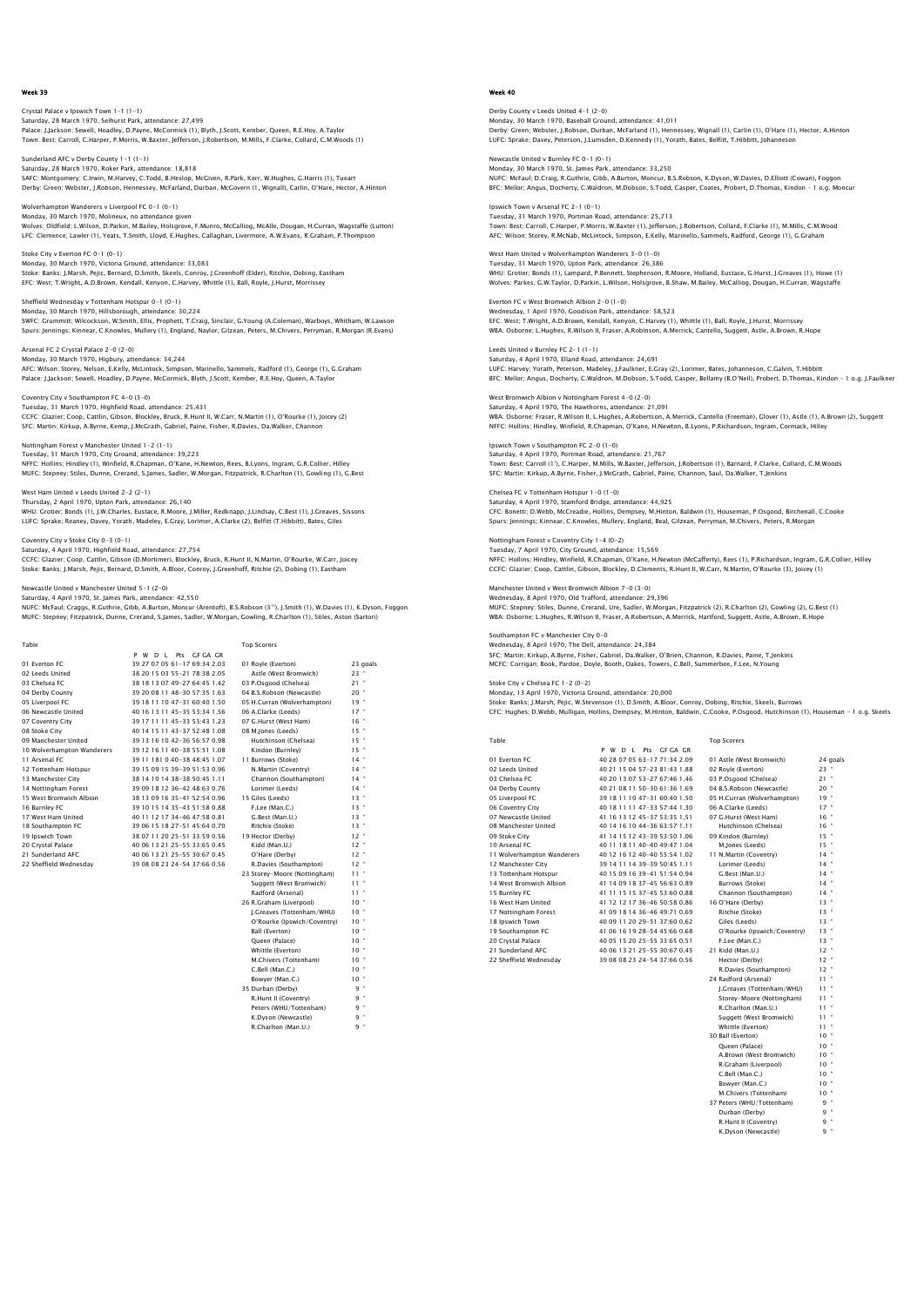Crystal Palace v Ipswich Town 1-1 (1-1) Saturday, 28 March 1970, Selhurst Park, attendance: 27,499<br>Palace: J.Jackson; Sewell, Hoadley, D.Payne, McCormick (1), Blyth, J.Scott, Kember, Queen, R.E.Hoy, A.Taylor<br>Town: Best: Carroll, C.Harper, P.Morris, W.Baxter, Jef

Sunderland AFC v Derby County 1-1 (1-1)<br>Saturday, 28 March 1970, Poker Park, atter Saturday, 28 March 1970, Roker Park, attendance: 18,818<br>SAFC: Montgomery: C.Inwin, M.Harvey, C.Todd, B.Heslop, McGiven, R.Park, Kerr, W.Hughes, G.Harris (1), Tueart<br>Derby: Green: Webster, J.Robson, Hennessey, McFarland, Du

Wolverhampton Wanderers v Liverpool FC 0-1 (0-1) Monday, 30 March 1970, Molineux, no attendance given<br>Wolves: Oldfield; L.Wilson, D.Parkin, M.Bailey, Holsgrove, F.Munro, McCalliog, McAlle, Dougan, H.Curran, Wagstaffe (Lutton)<br>LFC: Clemence; Lawler (1), Yeats, T.Smith, Ll

Stoke City v Everton FC 0-1 (0-1) Monday, 30 March 1970, Victoria Ground, attendance: 33,083 Stoke: Banks; J.Marsh, Pejic, Bernard, D.Smith, Skeels, Conroy, J.Greenhoff (Elder), Ritchie, Dobing, Eastham<br>EFC: West; T.Wright, A.D.Brown, Kendall, Kenyon, C.Harvey, Whittle (1), Ball, Royle, J.Hurst, Morrissey

Sheffield Wednesday v Tottenham Hotspur 0-1 (0-1) Monday, 30 March 1970, Hillsborough, attendance: 30,224<br>SWFC: Grummitt; Wilcockson, W.Smith, Ellis, Prophett, T.Craig, Sinclair, G.Young (A.Coleman), Warboys, Whitham, W.Lawson<br>Spurs: Jennings; Kinnear, C.Knowles, Mullery

Arsenal FC 2 Crystal Palace 2-0 (2-0) Monday, 30 March 1970, Higbury, attendance: 34,244<br>AFC: Wilson; Storey, Nelson, E.Kelly, McLintock, Simpson, Marinello, Sammels, Radford (1), George (1), G.Graham<br>Palace: J.Jackson; Sewell, Hoadley, D.Payne, McCormick, Bly

Coventry City v Southampton FC 4-0 (3-0) Tuesday, 31 March 1970, Highfield Road, attendance: 25,431 CCFC: Glazier; Coop, Cattlin, Gibson, Blockley, Bruck, R.Hunt II, W.Carr, N.Martin (1), O'Rourke (1), Joicey (2) SFC: Martin; Kirkup, A.Byrne, Kemp, J.McGrath, Gabriel, Paine, Fisher, R.Davies, Da.Walker, Channon

Nottingham Forest v Manchester United 1-2 (1-1) Tuesday, 31 March 1970, City Ground, attendance: 39,223 NFFC: Hollins; Hindley (1), Winfield, R.Chapman, O'Kane, H.Newton, Rees, B.Lyons, Ingram, G.R.Collier, Hilley MUFC: Stepney; Stiles, Dunne, Crerand, S.James, Sadler, W.Morgan, Fitzpatrick, R.Charlton (1), Gowling (1), G.Best

West Ham United v Leeds United 2-2 (2-1) Thursday, 2 April 1970, Upton Park, attendance: 26,140 WHU: Grotier; Bonds (1), J.W.Charles, Eustace, R.Moore, J.Miller, Redknapp, J.Lindsay, C.Best (1), J.Greaves, Sissons<br>LUFC: Sprake; Reaney, Davey, Yorath, Madeley, E.Gray, Lorimer, A.Clarke (2), Belfitt (T.Hibbitt), Bates,

Coventry City v Stoke City 0-3 (0-1) Saturday, 4 April 1970, Highfield Road, attendance: 27,754

CCFC: Glazier; Coop, Cattlin, Gibson (D.Mortimer), Blockley, Bruck, R.Hunt II, N.Martin, O'Rourke, W.Carr, Joicey Stoke: Banks; J.Marsh, Pejic, Bernard, D.Smith, A.Bloor, Conroy, J.Greenhoff, Ritchie (2), Dobing (1), Eastham

lanchester United 5-1 (2-0)

Saturday, 4 April 1970, St. James Park, attendance: 42,550 NUFC: McFaul; Craggs, R.Guthrie, Gibb, A.Burton, Moncur (Arentoft), B.S.Robson (3''), J.Smith (1), W.Davies (1), K.Dyson, Foggon MUFC: Stepney; Fitzpatrick, Dunne, Crerand, S.James, Sadler, W.Morgan, Gowling, R.Charlton (1), Stiles, Aston (Sartori)

| Table                      |                              | <b>Top Scorers</b>           |          |
|----------------------------|------------------------------|------------------------------|----------|
|                            | P W D L Pts GF GA GR         |                              |          |
| 01 Everton EC              | 39 27 07 05 61-17 69:34 2.03 | 01 Royle (Everton)           | 23 goals |
| 02 Leeds United            | 38 20 15 03 55-21 78:38 2.05 | Astle (West Bromwich)        | $23$ "   |
| 03 Chelsea EC              | 38 18 13 07 49-27 64:45 1.42 | 03 P.Osgood (Chelsea)        | 21"      |
| 04 Derby County            | 39 20 08 11 48-30 57:35 1.63 | 04 B.S.Robson (Newcastle)    | $20$ "   |
| 05 Liverpool FC            | 39 18 11 10 47-31 60:40 1.50 | 05 H.Curran (Wolverhampton)  | 19"      |
| 06 Newcastle United        | 40 16 13 11 45-35 53:34 1.56 | 06 A.Clarke (Leeds)          | 17"      |
| 07 Coventry City           | 39 17 11 11 45-33 53:43 1.23 | 07 G.Hurst (West Ham)        | $16$ $"$ |
| 08 Stoke City              | 40 14 15 11 43-37 52:48 1.08 | 08 M.Jones (Leeds)           | $15$ $"$ |
| 09 Manchester United       | 39 13 16 10 42-36 56:57 0.98 | Hutchinson (Chelsea)         | $15 -$   |
| 10 Wolverhampton Wanderers | 39 12 16 11 40-38 55:51 1.08 | Kindon (Burnley)             | $15 -$   |
| 11 Arsenal FC              | 39 11 181 0 40-38 48:45 1.07 | 11 Burrows (Stoke)           | 14"      |
| 12 Tottenham Hotspur       | 39 15 09 15 39-39 51:53 0.96 | N.Martin (Coventry)          | 14"      |
| 13 Manchester City         | 38 14 10 14 38-38 50:45 1.11 | Channon (Southampton)        | 14"      |
| 14 Nottingham Forest       | 39 09 18 12 36-42 48:63 0.76 | Lorimer (Leeds)              | 14"      |
| 15 West Bromwich Albion    | 38 13 09 16 35-41 52:54 0.96 | 15 Giles (Leeds)             | $13 -$   |
| 16 Burnley FC              | 39 10 15 14 35-43 51 58 0.88 | F.Lee (Man.C.)               | $13 -$   |
| 17 West Ham United         | 40 11 12 17 34-46 47:58 0.81 | G.Best (Man.U.)              | $13 -$   |
| 18 Southampton FC          | 39 06 15 18 27-51 45:64 0.70 | Ritchie (Stoke)              | $13 -$   |
| 19 Ipswich Town            | 38 07 11 20 25-51 33:59 0.56 | 19 Hector (Derby)            | $12 -$   |
| 20 Crystal Palace          | 40 06 13 21 25-55 33:65 0.45 | Kidd (Man.U.)                | $12 -$   |
| 21 Sunderland AFC          | 40 06 13 21 25-55 30:67 0.45 | O'Hare (Derby)               | $12 -$   |
| 22 Sheffield Wednesdav     | 39 08 08 23 24-54 37:66 0.56 | R.Davies (Southampton)       | $12 -$   |
|                            |                              | 23 Storey-Moore (Nottingham) | $11 -$   |
|                            |                              | Suggett (West Bromwich)      | $11 -$   |
|                            |                              | Radford (Arsenal)            | $11 -$   |
|                            |                              | 26 R.Graham (Liverpool)      | $10 -$   |
|                            |                              | J.Greaves (Tottenham/WHU)    | $10 -$   |
|                            |                              | O'Rourke (Ipswich/Coventry)  | $10 -$   |
|                            |                              | Ball (Everton)               | $10 -$   |
|                            |                              | Oueen (Palace)               | $10 -$   |
|                            |                              | Whittle (Everton)            | $10 -$   |
|                            |                              | M.Chivers (Tottenham)        | $10 -$   |
|                            |                              | C.Bell (Man.C.)              | $10 -$   |
|                            |                              | Bowyer (Man.C.)              | $10 -$   |
|                            |                              | 35 Durban (Derby)            | 9 "      |
|                            |                              | R.Hunt II (Coventry)         | 9 "      |

Peters (WHU/Tottenham) K.Dyson (Newcastle) 9 " R.Charlton (Man.U.) 9 "

### Week 40

Derby County v Leeds United 4-1 (2-0) Monday, 30 March 1970, Baseball Ground, attendance: 41,011<br>Derby: Green; Webster, J.Robson, Durban, McFarland (1), Hennessey, Wignall (1), Carlin (1), O'Hare (1), Hector, A.Hintor<br>LUFC: Sprake; Davey, Peterson, J.Lumsden,

Newcastle United v Burnley FC 0-1 (0-1) Monday, 30 March 1970, St. James Park, attendance: 33,250<br>NUFC: McTaul; D.Craig, R.Guthrie, Gibb, A.Burton, Moncur, B.S.Robson, K.Dyson, W.Davies, D.Elliott (Cowan), Foggon<br>BFC: Mellor; Anqus, Docherty, C.Waldron, M.Dobson

Ipswich Town v Arsenal FC 2-1 (0-1) Tuesday, 31 March 1970, Portman Road, attendance: 25,713 Town: Best; Carroll, C.Harper, P.Morris, W.Baxter (1), Jefferson, J.Robertson, Collard, F.Clarke (1), M.Mills, C.M.Wood<br>AFC: Wilson; Storey, R.McNab, McLintock, Simpson, E.Kelly, Marinello, Sammels, Radford, George (1), G.

West Ham United v Wolverhampton Wanderers 3-0 (1-0) Tuesday, 31 March 1970, Upton Park, attendance: 26,386 WHU: Grotier; Bonds (1), Lampard, P.Bennett, Stephenson, R.Moore, Holland, Eustace, G.Hurst, J.Greaves (1), Howe (1)<br>Wolves: Parkes; G.W.Taylor, D.Parkin, L.Wilson, Holsgrove, B.Shaw, M.Bailey, McCalliog, Dougan, H.Curran,

Everton FC v West Bromwich Albion 2-0 (1-0) Wednesday, 1 April 1970, Goodison Park, attendance: S8,523<br>EFC: West, T.Wright, A.D.Brown, Kendall, Kenyon, C.Harvey (1), Whittle (1), Ball, Royle, J.Hurst, Morrissey<br>WBA: Osborne; L.Huqhes, R.Wilson II, Fraser, A.Robinson

Leeds United v Burnley FC 2-1 (1-1) Saturday, 4 April 1970, Elland Road, attendance: 24,691 LUFC: Harvey; Yorath, Peterson, Madeley, J.Faulkner, E.Gray (2), Lorimer, Bates, Johanneson, C.Galvin, T.Hibbitt<br>BFC: Mellor; Anqus, Docherty, C.Waldron, M.Dobson, S.Todd, Casper, Bellamy (B.O'Neil), Probert, D.Thomas, Kin

West Bromwich Albion v Nottingham Forest 4-0 (2-0) Saturday, 4 April 1970, The Hawthorns, attendance: 21,091 WBA: Osborne; Fraser, R.Wilson II, L.Hughes, A.Robertson, A.Merrick, Cantello (Freeman), Glover (1), Astle (1), A.Brown (2), Suggett NFFC: Hollins; Hindley, Winfield, R.Chapman, O'Kane, H.Newton, B.Lyons, P.Richardson, Ingram, C

Ipswich Town v Southampton FC 2-0 (1-0) Saturday, 4 April 1970, Portman Road, attendance: 21,767 Town: Best; Carroll (1'), C.Harper, M.Mills, W.Baxter, Jefferson, J.Robertson (1), Barnard, F.Clarke, Collard, C.M.Woods SFC: Martin; Kirkup, A.Byrne, Fisher, J.McGrath, Gabriel, Paine, Channon, Saul, Da.Walker, T.Jenkins

Chelsea FC v Tottenham Hotspur 1-0 (1-0) Saturday, 4 April 1970, Stamford Bridge, attendance: 44,925 CFC: Bonetti; D.Webb, McCreadie, Hollins, Dempsey, M.Hinton, Baldwin (1), Houseman, P.Osgood, Birchenall, C.Cooke Spurs: Jennings; Kinnear, C.Knowles, Mullery, England, Beal, Gilzean, Perryman, M.Chivers, Peters, R.Morgan

Nottingham Forest v Coventry City 1-4 (0-2) Tuesday, 7 April 1970, City Ground, attendance: 15,569 NFFC: Hollins; Hindley, Winfield, R.Chapman, O'Kane, H.Newton (McCafferty), Rees (1), P.Richardson, Ingram, G.R.Collier, Hilley<br>CCFC: Glazier; Coop, Cattlin, Gibson, Blockley, D.Clements, R.Hunt II, W.Carr, N.Martin, O'Rou

wich Albion 7-0 (3-0) Wednesday, 8 April 1970, Old Trafford, attendance: 29,396 MUFC: Stepney; Stiles, Dunne, Crerand, Ure, Sadler, W.Morgan, Fitzpatrick (2), R.Charlton (2), Gowling (2), G.Best (1) WBA: Osborne; L.Hughes, R.Wilson II, Fraser, A.Robertson, A.Merrick, Hartford, Suggett, Astle, A.Brown, R.Hope

on FC v Manchester City 0-0 Wednesday, 8 April 1970, The Dell, attendance: 24,384 SFC: Martin; Kirkup, A.Byrne, Fisher, Gabriel, Da.Walker, O'Brien, Channon, R.Davies, Paine, T.Jenkins MCFC: Corrigan; Book, Pardoe, Doyle, Booth, Oakes, Towers, C.Bell, Summerbee, F.Lee, N.Young

Stoke City v Chelsea FC 1-2 (0-2)

Monday, 13 April 1970, Victoria Ground, attendance: 20,000 Stoke: Banks; J.Marsh, Pejic, W.Stevenson (1), D.Smith, A.Bloor, Conroy, Dobing, Ritchie, Skeels, Burrows<br>CFC: Huqhes; D.Webb, Mulliqan, Hollins, Dempsey, M.Hinton, Baldwin, C.Cooke, P.Osqood, Hutchinson (1), Houseman – 1

| Table                      |                              | <b>Top Scorers</b>          |                |
|----------------------------|------------------------------|-----------------------------|----------------|
|                            | P W<br>D I Pts GEGAGR        |                             |                |
| 01 Everton EC              | 40 28 07 05 63-17 71:34 2.09 | 01 Astle (West Bromwich)    | 24 goals       |
| 02 Leeds United            | 40 21 15 04 57-23 81:43 1.88 | 02 Royle (Everton)          | $23 -$         |
| 03 Chelsea FC              | 40 20 13 07 53-27 67:46 1.46 | 03 P.Osgood (Chelsea)       | $21$ $*$       |
| 04 Derby County            | 40 21 08 11 50-30 61 36 1.69 | 04 B.S.Robson (Newcastle)   | $20$ $\degree$ |
| 05 Liverpool FC            | 39 18 11 10 47-31 60:40 1.50 | 05 H.Curran (Wolverhampton) | $19 -$         |
| 06 Coventry City           | 40 18 11 11 47-33 57:44 1.30 | 06 A.Clarke (Leeds)         | $17 -$         |
| 07 Newcastle United        | 41 16 13 12 45-37 53:35 1.51 | 07 G.Hurst (West Ham)       | $16 -$         |
| 08 Manchester United       | 40 14 16 10 44-36 63:57 1.11 | Hutchinson (Chelsea)        | $16$ $*$       |
| 09 Stoke City              | 41 14 15 12 43-39 53:50 1.06 | 09 Kindon (Burnley)         | $15$ $*$       |
| 10 Arsenal FC              | 40 11 18 11 40-40 49:47 1.04 | M.Jones (Leeds)             | $15$ $*$       |
| 11 Wolverhampton Wanderers | 40 12 16 12 40-40 55:54 1.02 | 11 N.Martin (Coventry)      | $14$ $*$       |
| 12 Manchester City         | 39 14 11 14 39-39 50:45 1.11 | Lorimer (Leeds)             | $14 -$         |
| 13 Tottenham Hotspur       | 40 15 09 16 39-41 51 54 0.94 | G.Best (Man.U.)             | $14$ $*$       |
| 14 West Bromwich Albion    | 41 14 09 18 37-45 56:63 0.89 | Burrows (Stoke)             | $14 -$         |
| 15 Burnley FC              | 41 11 15 15 37-45 53:60 0.88 | Channon (Southampton)       | $14 -$         |
| 16 West Ham United         | 41 12 12 17 36-46 50:58 0.86 | 16 O'Hare (Derby)           | $13 -$         |
| 17 Nottingham Forest       | 41 09 18 14 36-46 49:71 0.69 | Ritchie (Stoke)             | $13 -$         |
| 18 Ipswich Town            | 40 09 11 20 29-51 37:60 0.62 | Giles (Leeds)               | $13 -$         |
| 19 Southampton FC          | 41 06 16 19 28-54 45:66 0.68 | O'Rourke (Ipswich/Coventry) | $13 -$         |
| 20 Crystal Palace          | 40 05 15 20 25-55 33:65 0.51 | F.Lee (Man.C.)              | $13 -$         |
| 21 Sunderland AFC          | 40 06 13 21 25-55 30:67 0.45 | 21 Kidd (Man.U.)            | $12$ $*$       |
|                            |                              |                             |                |

Top Scorers

19 Coventry Coventry Coventries (19 11 11 11 147-33 57:44 1.30 06 A.Clarke (Leeds) 17 17<br>
19 18 11 11 47-33 57:44 1.30 06 A.Clarke (Leeds) 17 16<br>
19 14 16 10 44-36 63:57 1.11 Hutchinson (Chelsea) 16<br>
16 11 15 12 43-39 53:5 17 16 13 12 45-37 53:35 1.51 07 G.Hurst (West Ham)<br>
40 14 16 10 44-36 63:57 1.11 Hutchinson (Chelsea)<br>
41 14 15 12 43-39 53:50 1.06 09 Kindon (Burnley)<br>
40 11 18 11 40-40 49:47 1.04 M.Jones (Leeds) 12 Manchester City 39 14 11 14 39-39 50:45 1.11 Lorimer (Leeds) 14 " 16 11 2 12 17 36-46 50:58 0.86 16 O'Hare (Derby) 13<br>16 10 18 14 36-46 49:71 0.69 Ritchie (Stoke) 13 17 Nottingham Forest 41 09 18 14 36-46 49:71 0.69 Ritchie (Stoke) 13 " ' 18 Ipswich Town [18] 18 IPswich Town [18] 18 IPswich Town [18] 18 IPs | 18 IPs | 18 IPS | 18 IPS | 18 IPS | 1<br>19 Southampton FC | 18 IPS | 18 IPS | 18 IPS | 18 IPS | 18 IPS | 18 IPS | 18 IPS | 18 IPS | 18 IPS | 18 IPS |<br> 22 Sheffield Wednesday 39 08 08 23 24-54 37:66 0.56 Hector (Derby) 12 12 R.Davies (Southampton) 12 " 24 Radford (Arsenal) 11 " J.Greaves (Tottenham/WHU) 11 " Storey-Moore (Nottingham) 11<br>Storey-Moore (Nottingham) 11<br>R.Charlton (Man.U.) 11 R.Charlton (Man.U.) 11<br>Suggett (West Bromwich) 11 Suggett (West Bromwich) 11 " Whittle (Everton) 11 " 30 Ball (Everton) 10 " Queen (Palace) 10 " A.Brown (West Bromwich) 10<br>R.Graham (Livernool) 10 R.Graham (Liverpool) 10<br>C.Bell (Man.C.) 10 C.Bell (Man.C.) 10<br>
C.Bell (Man.C.) 10<br>
Bowyer (Man.C.) 10<br>
M.Chivers (Tottenham) 10 Bowyer (Man.C.) 10 " M.Chivers (Tottenham) 10 " 37 Peters (WHU/Tottenham) 9 Durban (Derby)

R.Hunt II (Cov k.mant in (Covern<br>K.Dyson (Newcas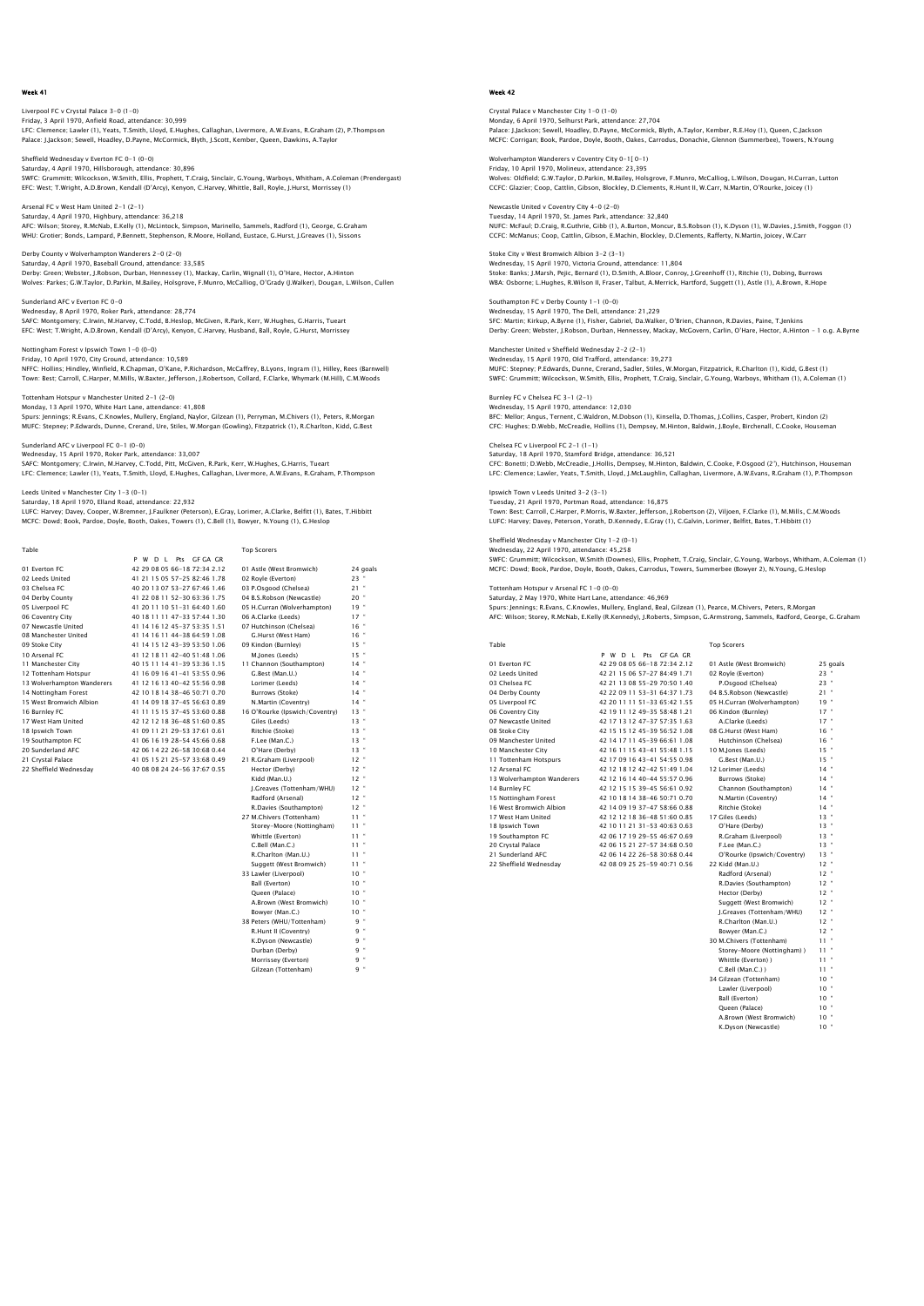Liverpool FC v Crystal Palace 3-0 (1-0) Friday, 3 April 1970, Anfield Road, attendance: 30,999<br>LFC: Clemence; Lawler (1), Yeats, T.Smith, Lloyd, E.Hughes, Callaghan, Livermore, A.W.Evans, R.Graham (2), P.Thompson<br>Palace: J.Jackson; Sewell, Hoadley, D.Payne, McCo

Sheffield Wednesday v Everton FC 0-1 (0-0) Saturday, 4 April 1970, Hillsborough, attendance: 30,896<br>SWFC: Grummitt, Wilcockson, W.Smith, Ellis, Prophett, T.Craig, Sinclair, G.Young, Warboys, Whitham, A.Coleman (Prendergast)<br>EFC: West; T.Wright, A.D.Brown, Kendall (

Arsenal FC v West Ham United 2-1 (2-1) Saturday, 4 April 1970, Highbury, attendance: 36,218<br>AFC: Wilson; Storey, R.McNab, E.Kelly (1), McLintock, Simpson, Marinello, Sammels, Radford (1), George, G.Graham<br>WHU: Grotier: Bonds, Lampard, P.Bennett, Stephenson, R.M

Derby County v Wolverhampton Wanderers 2-0 (2-0) Saturday, 4 April 1970, Baseball Ground, attendance: 33,585 Derby: Green; Webster, J.Robson, Durban, Hennessey (1), Mackay, Carlin, Wignall (1), O'Hare, Hector, A.Hinton<br>Wolves: Parkes; G.W.Taylor, D.Parkin, M.Bailey, Holsgrove, F.Munro, McCalliog, O'Grady (J.Walker), Dougan, L.Wil

Sunderland AFC v Everton FC 0-0 Wednesday, 8 April 1970, Roker Park, attendance: 28,774 SAFC: Montgomery; C.Irwin, M.Harvey, C.Todd, B.Heslop, McGiven, R.Park, Kerr, W.Hughes, G.Harris, Tueart EFC: West; T.Wright, A.D.Brown, Kendall (D'Arcy), Kenyon, C.Harvey, Husband, Ball, Royle, G.Hurst, Morrissey

Friday, 10 April 1970, City Ground, attendance: 10,589<br>NFFC: Hollins; Hindley, Winfield, R.Chapman, O'Kane, P.Richardson, McCaffrey, B.Lyons, Ingram (1), Hilley, Rees (Barnwell)<br>Town: Best: Carroll, C.Harper, M.Mills, W.Ba

Tottenham Hotspur v Manchester United 2-1 (2-0) Monday, 13 April 1970, White Hart Lane, attendance: 41,808 Spurs: Jennings; R.Evans, C.Knowles, Mullery, England, Naylor, Gilzean (1), Perryman, M.Chivers (1), Peters, R.Morgan MUFC: Stepney; P.Edwards, Dunne, Crerand, Ure, Stiles, W.Morgan (Gowling), Fitzpatrick (1), R.Charlton, Kidd, G.Best

Sunderland AFC v Liverpool FC 0-1 (0-0)

Nottingham Forest v Ipswich Town 1-0 (0-0)

Wednesday, 15 April 1970, Roker Park, attendance: 33,007 SAFC: Montgomery; C.Irwin, M.Harvey, C.Todd, Pitt, McGiven, R.Park, Kerr, W.Hughes, G.Harris, Tueart LFC: Clemence; Lawler (1), Yeats, T.Smith, Lloyd, E.Hughes, Callaghan, Livermore, A.W.Evans, R.Graham, P.Thompson

Leeds United v Manchester City 1-3 (0-1)

Saturday, 18 April 1970, Elland Road, attendance: 22,932

LUFC: Harvey; Davey, Cooper, W.Bremner, J.Faulkner (Peterson), E.Gray, Lorimer, A.Clarke, Belfitt (1), Bates, T.Hibbitt<br>MCFC: Dowd; Book, Pardoe, Doyle, Booth, Oakes, Towers (1), C.Bell (1), Bowyer, N.Young (1), G.Heslop

| Table                      |                                | <b>Top Scorers</b>             |          |
|----------------------------|--------------------------------|--------------------------------|----------|
|                            | P W D L Pts GF GA GR           |                                |          |
| 01 Everton EC              | 42 29 08 05 66-18 72:34 2.12   | 01 Astle (West Bromwich)       | 24 goals |
| 02 Leeds United            | 41 21 15 05 57-25 82:46 1.78   | 02 Royle (Everton)             | $23$ $"$ |
| 03 Chelsea FC              | 40 20 13 07 53-27 67:46 1.46   | 03 P.Osgood (Chelsea)          | $21$ "   |
| 04 Derby County            | 41 22 08 11 52-30 63:36 1.75   | 04 B.S.Robson (Newcastle)      | $20$ "   |
| 05 Liverpool FC            | 41 20 11 10 51 - 31 64:40 1.60 | 05 H.Curran (Wolverhampton)    | 19"      |
| 06 Coventry City           | 40 18 11 11 47-33 57:44 1.30   | 06 A.Clarke (Leeds)            | 17"      |
| 07 Newcastle United        | 41 14 16 12 45-37 53:35 1.51   | 07 Hutchinson (Chelsea)        | $16$ $"$ |
| 08 Manchester United       | 41 14 16 11 44-38 64:59 1.08   | G.Hurst (West Ham)             | $16$ $"$ |
| 09 Stoke City              | 41 14 15 12 43-39 53:50 1.06   | 09 Kindon (Burnley)            | $15$ "   |
| 10 Arsenal FC              | 41 12 18 11 42-40 51:48 1.06   | M.Jones (Leeds)                | $15$ "   |
| 11 Manchester City         | 40 15 11 14 41 - 39 53 36 1.15 | 11 Channon (Southampton)       | $14$ "   |
| 12 Tottenham Hotspur       | 41 16 09 16 41 - 41 53:55 0.96 | G.Best (Man.U.)                | $14$ "   |
| 13 Wolverhampton Wanderers | 41 12 16 13 40-42 55:56 0.98   | Lorimer (Leeds)                | $14$ $"$ |
| 14 Nottingham Forest       | 42 10 18 14 38-46 50:71 0.70   | Burrows (Stoke)                | $14$ "   |
| 15 West Bromwich Albion    | 41 14 09 18 37-45 56:63 0.89   | N.Martin (Coventry)            | $14$ "   |
| 16 Burnley FC              | 41 11 15 15 37-45 53:60 0.88   | 16 O'Rourke (Ipswich/Coventry) | $13 -$   |
| 17 West Ham United         | 42 12 12 18 36-48 51:60 0.85   | Giles (Leeds)                  | $13 -$   |
| 18 Ipswich Town            | 41 09 11 21 29-53 37:61 0.61   | Ritchie (Stoke)                | $13 -$   |
| 19 Southampton FC          | 41 06 16 19 28-54 45:66 0.68   | F.Lee (Man.C.)                 | $13 -$   |
| 20 Sunderland AFC          | 42 06 14 22 26-58 30:68 0.44   | O'Hare (Derby)                 | $13 -$   |
| 21 Crystal Palace          | 41 05 15 21 25-57 33:68 0.49   | 21 R.Graham (Liverpool)        | $12 -$   |
| 22 Sheffield Wednesday     | 40 08 08 24 24-56 37:67 0.55   | Hector (Derby)                 | $12$ $"$ |
|                            |                                | Kidd (Man.U.)                  | $12$ $"$ |
|                            |                                | I.Greaves (Tottenham/WHU)      | $12$ $"$ |
|                            |                                | Radford (Arsenal)              | $12$ "   |
|                            |                                | R.Davies (Southampton)         | $12$ $"$ |
|                            |                                | 27 M.Chivers (Tottenham)       | $11 -$   |
|                            |                                | Storey-Moore (Nottingham)      | 11 "     |
|                            |                                | Whittle (Everton)              | $11 -$   |
|                            |                                | C.Bell (Man.C.)                | $11 -$   |
|                            |                                | R.Charlton (Man.U.)            | $11 -$   |
|                            |                                | Suggett (West Bromwich)        | $11 -$   |
|                            |                                | 33 Lawler (Liverpool)          | $10 -$   |
|                            |                                | Ball (Everton)                 | $10 -$   |
|                            |                                | Queen (Palace)                 | $10 -$   |
|                            |                                | A.Brown (West Bromwich)        | $10 -$   |
|                            |                                | Bowyer (Man.C.)                | $10 -$   |
|                            |                                | 38 Peters (WHU/Tottenham)      | 9 "      |
|                            |                                | R.Hunt II (Coventry)           | 9 "      |
|                            |                                | K.Dyson (Newcastle)            | 9 "      |
|                            |                                | Durban (Derby)                 | 9 "      |

Morrissey (Everton) Gilzean (Tottenham)

#### Week 42

Crystal Palace v Manchester City 1-0 (1-0) Monday, 6 April 1970, Selhurst Park, attendance: 27,704<br>Palace: J.Jackson; Sewell, Hoadley, D.Payne, McCormick, Blyth, A.Taylor, Kember, R.E.Hoy (1), Queen, C.Jackson<br>MCFC: Corriqan: Book, Pardoe, Doyle, Booth, Oakes, Carr

Wolverhampton Wanderers v Coventry City 0-11 0-1) Friday, 10 April 1970, Molineux, attendance: 23,395<br>Wolves: Oldfield; G.W.Taylor, D.Parkin, M.Bailey, Holsgrove, F.Munro, McCalliog, L.Wilson, Dougan, H.Curran, Luttor<br>CCFC: Glazier; Coop, Cattlin, Gibson, Blockley, D.Clem

Newcastle United v Coventry City 4-0 (2-0) Tuesday, 14 April 1970, St. James Park, attendance: 32,840<br>NUFC: McFaul; D.Craig, R.Guthrie, Gibb (1), A.Burton, Moncur, B.S.Robson (1), K.Dyson (1), W.Davies, J.Smith, Foggon (1)<br>CCFC: McManus; Coop, Cattlin, Gibson, E.Ma

Stoke City v West Bromwich Albion 3-2 (3-1) Wednesday, 15 April 1970, Victoria Ground, attendance: 11,804 Stoke: Banks; J.Marsh, Pejic, Bernard (1), D.Smith, A.Bloor, Conroy, J.Greenhoff (1), Ritchie (1), Dobing, Burrows<br>WBA: Osborne; L.Huqhes, R.Wilson II, Fraser, Talbut, A.Merrick, Hartford, Suqqett (1), Astle (1), A.Brown,

Southampton FC v Derby County 1-1 (0-0) Wednesday, 15 April 1970, The Dell, attendance: 21,229 SFC: Martin; Kirkup, A.Byrne (1), Fisher, Gabriel, Da.Walker, O'Brien, Channon, R.Davies, Paine, T.Jenkins Derby: Green; Webster, J.Robson, Durban, Hennessey, Mackay, McGovern, Carlin, O'Hare, Hector, A.Hinton – 1 o.g. A.Byrne

Manchester United v Sheffield Wednesday 2-2 (2-1) Wednesday, 15 April 1970, Old Trafford, attendance: 39,273 MUFC: Stepney; P.Edwards, Dunne, Crerand, Sadler, Stiles, W.Morgan, Fitzpatrick, R.Charlton (1), Kidd, G.Best (1)<br>SWFC: Grummitt; Wilcockson, W.Smith, Ellis, Prophett, T.Craiq, Sinclair, G.Younq, Warboys, Whitham (1), A.Co

Burnley FC v Chelsea FC 3-1 (2-1) Wednesday, 15 April 1970, attendance: 12,030 BFC: Mellor; Angus, Ternent, C.Waldron, M.Dobson (1), Kinsella, D.Thomas, J.Collins, Casper, Probert, Kindon (2) CFC: Hughes; D.Webb, McCreadie, Hollins (1), Dempsey, M.Hinton, Baldwin, J.Boyle, Birchenall, C.Cooke, Houseman

Chelsea FC v Liverpool FC 2-1 (1-1) Saturday, 18 April 1970, Stamford Bridge, attendance: 36,521

CFC: Bonetti; D.Webb, McCreadie, J.Hollis, Dempsey, M.Hinton, Baldwin, C.Cooke, P.Osgood (2'), Hutchinson, Houseman<br>LFC: Clemence; Lawler, Yeats, T.Smith, Lloyd, J.McLauqhlin, Callaqhan, Livermore, A.W.Evans, R.Graham (1),

Ipswich Town v Leeds United 3-2 (3-1) Tuesday, 21 April 1970, Portman Road, attendance: 16,875 Town: Best; Carroll, C.Harper, P.Morris, W.Baxter, Jefferson, J.Robertson (2), Viljoen, F.Clarke (1), M.Mills, C.M.Woods<br>LUFC: Harvey; Davey, Peterson, Yorath, D.Kennedy, E.Gray (1), C.Galvin, Lorimer, Belfitt, Bates, T.Hi

Sheffield Wednesday v Manchester City 1-2 (0-1)

Wednesday, 22 April 1970, attendance: 45,258<br>SWFC: Grummitt, Wilcockson, W.Smith (Downes), Ellis, Prophett, T.Craig, Sinclair, G.Young, Warboys, Whitham, A.Coleman (1)<br>MCFC: Dowd: Book, Pardoe, Doyle, Booth, Oakes, Carrodu

tspur v Arsenal FC 1-0 (0-0)

Saturday, 2 May 1970, White Hart Lane, attendance: 46,969 Spurs: Jennings; R.Evans, C.Knowles, Mullery, England, Beal, Gilzean (1), Pearce, M.Chivers, Peters, R.Morgan AFC: Wilson; Storey, R.McNab, E.Kelly (R.Kennedy), J.Roberts, Simpson, G.Armstrong, Sammels, Radford, George, G.Graham

| Table                      |                                 | <b>Top Scorers</b>          |          |
|----------------------------|---------------------------------|-----------------------------|----------|
|                            | Pts GF GA GR<br>P W<br>$D \cup$ |                             |          |
| 01 Everton EC              | 42 29 08 05 66-18 72 34 2.12    | 01 Astle (West Bromwich)    | 25 goals |
| 02 Leeds United            | 42 21 15 06 57-27 84:49 1.71    | 02 Royle (Everton)          | $23 -$   |
| 03 Chelsea EC              | 42 21 13 08 55-29 70:50 1.40    | P.Osgood (Chelsea)          | $23 -$   |
| 04 Derby County            | 42 22 09 11 53-31 64:37 1.73    | 04 B.S.Robson (Newcastle)   | $21 -$   |
| 05 Liverpool FC            | 42 20 11 11 51 - 33 65:42 1.55  | 05 H.Curran (Wolverhampton) | $19 -$   |
| 06 Coventry City           | 42 19 11 12 49-35 58:48 1.21    | 06 Kindon (Burnley)         | $17 -$   |
| 07 Newcastle United        | 42 17 13 12 47-37 57 35 1.63    | A.Clarke (Leeds)            | $17 -$   |
| 08 Stoke City              | 42 15 15 12 45-39 56:52 1.08    | 08 G.Hurst (West Ham)       | $16 -$   |
| 09 Manchester United       | 42 14 17 11 45-39 66:61 1.08    | Hutchinson (Chelsea)        | $16 -$   |
| 10 Manchester City         | 42 16 11 15 43-41 55:48 1.15    | 10 M.Jones (Leeds)          | $15 -$   |
| 11 Tottenham Hotspurs      | 42 17 09 16 43-41 54:55 0.98    | G.Best (Man.U.)             | $15 -$   |
| 12 Arsenal FC              | 42 12 18 12 42-42 51:49 1.04    | 12 Lorimer (Leeds)          | $14 -$   |
| 13 Wolverhampton Wanderers | 42 12 16 14 40-44 55:57 0.96    | Burrows (Stoke)             | $14 -$   |
| 14 Burnley FC              | 42 12 15 15 39-45 56:61 0.92    | Channon (Southampton)       | $14$ $-$ |
| 15 Nottingham Forest       | 42 10 18 14 38-46 50 71 0.70    | N.Martin (Coventry)         | $14$ $-$ |
| 16 West Bromwich Albion    | 42 14 09 19 37-47 58:66 0.88    | Ritchie (Stoke)             | $14 -$   |
| 17 West Ham United         | 42 12 12 18 36-48 51:60 0.85    | 17 Giles (Leeds)            | $13 -$   |
| 18 Ipswich Town            | 42 10 11 21 31-53 40:63 0.63    | O'Hare (Derby)              | $13 -$   |
| 19 Southampton FC          | 42 06 17 19 29-55 46:67 0.69    | R.Graham (Liverpool)        | $13 -$   |
| 20 Crystal Palace          | 42 06 15 21 27-57 34:68 0.50    | F.Lee (Man.C.)              | $13 -$   |
| 21 Sunderland AFC          | 42 06 14 22 26-58 30:68 0.44    | O'Rourke (Ipswich/Coventry) | $13 -$   |
| 22 Sheffield Wednesdav     | 42 08 09 25 25-59 40:71 0.56    | 22 Kidd (Man.U.)            | $12 -$   |
|                            |                                 | Radford (Arsenal)           | $12 -$   |
|                            |                                 | R.Davies (Southampton)      | $12 -$   |
|                            |                                 | Hector (Derby)              | $12 -$   |
|                            |                                 | Suggett (West Bromwich)     | $12 -$   |

| P.Osgood (Chelsea)          | ×<br>23              |
|-----------------------------|----------------------|
| 04 B.S.Robson (Newcastle)   | ×<br>21              |
| 05 H.Curran (Wolverhampton) | ×<br>19              |
| 06 Kindon (Burnlev)         | ×<br>17              |
| A.Clarke (Leeds)            | $17 -$               |
| 08 G.Hurst (West Ham)       | $16 -$               |
| Hutchinson (Chelsea)        | $16 -$               |
| 10 M.Jones (Leeds)          | $15 -$               |
| G.Best (Man.U.)             | $15 -$               |
| 12 Lorimer (Leeds)          | $14 -$               |
| Burrows (Stoke)             | $14 -$               |
| Channon (Southampton)       | $14 -$               |
| N.Martin (Coventry)         | $14 -$               |
| Ritchie (Stoke)             | $14 -$               |
| 17 Giles (Leeds)            | $13 -$               |
| O'Hare (Derby)              | $13 -$               |
| R.Graham (Liverpool)        | $13 -$               |
| F.Lee (Man.C.)              | ٠<br>13              |
| O'Rourke (Ipswich/Coventry) | ٠<br>13              |
| 22 Kidd (Man.U.)            | ×<br>12 <sup>7</sup> |
| Radford (Arsenal)           | $12 -$               |
| R.Davies (Southampton)      | $12 -$               |
| Hector (Derby)              | $12 -$               |
| Suggett (West Bromwich)     | $12 -$               |
| J.Greaves (Tottenham/WHU)   | $12 -$               |
| R.Charlton (Man.U.)         | $12 -$               |
| Bowver (Man.C.)             | $12 -$               |
| 30 M.Chivers (Tottenham)    | $11 -$               |
| Storey-Moore (Nottingham))  | ×<br>11              |
| Whittle (Everton) )         | ×<br>11              |
| C.Bell (Man.C.))            | $11 -$               |
| 34 Gilzean (Tottenham)      | ×<br>10              |
| Lawler (Liverpool)          | ×<br>10              |
| Ball (Everton)              | ×<br>10              |
| Oueen (Palace)              | $10^{-4}$            |
| A.Brown (West Bromwich)     | $10 -$               |

K.Dyson (Newcastle) 10 "